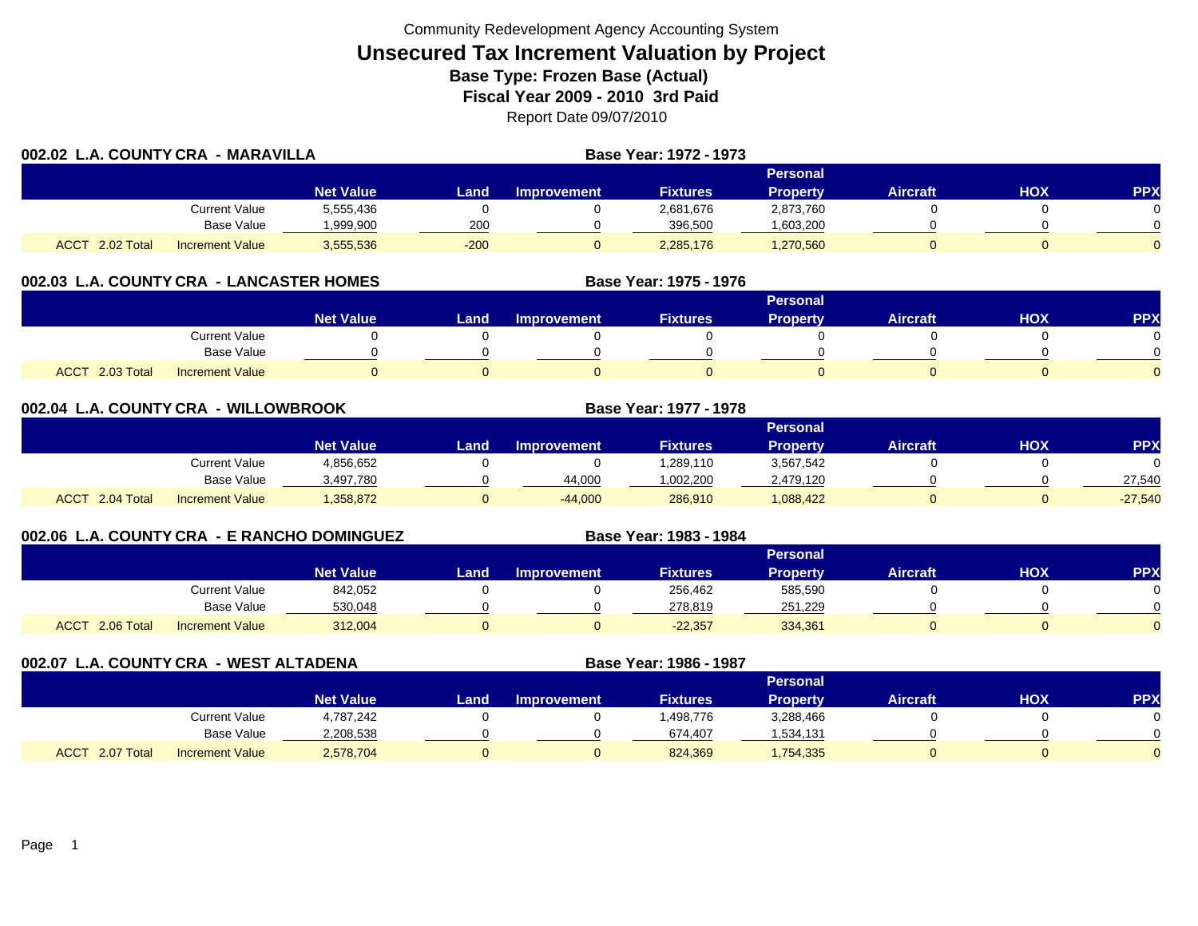|                           | 002.02 L.A. COUNTY CRA - MARAVILLA |                  |        |                    | Base Year: 1972 - 1973 |                 |                 |     |            |
|---------------------------|------------------------------------|------------------|--------|--------------------|------------------------|-----------------|-----------------|-----|------------|
|                           |                                    |                  |        |                    |                        | Personal        |                 |     |            |
|                           |                                    | <b>Net Value</b> | Land   | <b>Improvement</b> | <b>Fixtures</b>        | <b>Property</b> | <b>Aircraft</b> | нох | <b>PPX</b> |
|                           | Current Value                      | 5,555,436        |        |                    | 2,681,676              | 2,873,760       |                 |     |            |
|                           | <b>Base Value</b>                  | 999,900.         | 200    |                    | 396,500                | .603,200        |                 |     |            |
| <b>ACCT</b><br>2.02 Total | <b>Increment Value</b>             | 3,555,536        | $-200$ |                    | 2,285,176              | 1,270,560       |                 |     |            |

# **002.03 L.A. COUNTY CRA - LANCASTER HOMES**

|                           |                        |                  |      |                    |                 | <b>Personal</b> |                 |     |          |
|---------------------------|------------------------|------------------|------|--------------------|-----------------|-----------------|-----------------|-----|----------|
|                           |                        | <b>Net Value</b> | Land | <b>Improvement</b> | <b>Fixtures</b> | Property        | <b>Aircraft</b> | HOX | PPX      |
|                           | <b>Current Value</b>   |                  |      |                    |                 |                 |                 |     |          |
|                           | <b>Base Value</b>      |                  |      |                    |                 |                 |                 |     | ∩        |
| 2.03 Total<br><b>ACCT</b> | <b>Increment Value</b> |                  |      |                    |                 |                 |                 |     | $\Omega$ |

**Base Year: 1975 - 1976**

**Base Year: 1983 - 1984**

| 002.04          | L.A. COUNTY CRA - WILLOWBROOK |                  |      |                    | Base Year: 1977 - 1978 |                 |                 |     |            |
|-----------------|-------------------------------|------------------|------|--------------------|------------------------|-----------------|-----------------|-----|------------|
|                 |                               |                  |      |                    |                        | <b>Personal</b> |                 |     |            |
|                 |                               | <b>Net Value</b> | Land | <b>Improvement</b> | <b>Fixtures</b>        | Property        | <b>Aircraft</b> | нох | <b>PPX</b> |
|                 | Current Value                 | 4,856,652        |      |                    | 1,289,110              | 3,567,542       |                 |     |            |
|                 | Base Value                    | 3,497,780        |      | 44,000             | 1,002,200              | 2,479,120       |                 |     | 27,540     |
| ACCT 2.04 Total | <b>Increment Value</b>        | 1,358,872        |      | $-44,000$          | 286,910                | 1,088,422       |                 |     | $-27,540$  |

# **002.06 L.A. COUNTY CRA - E RANCHO DOMINGUEZ**

|                              |                        |                  |      |             |                 | <b>Personal</b> |                 |     |            |
|------------------------------|------------------------|------------------|------|-------------|-----------------|-----------------|-----------------|-----|------------|
|                              |                        | <b>Net Value</b> | Land | Improvement | <b>Fixtures</b> | <b>Property</b> | <b>Aircraft</b> | НОХ | <b>PPX</b> |
|                              | Current Value          | 842,052          |      |             | 256,462         | 585,590         |                 |     | 0          |
|                              | <b>Base Value</b>      | 530.048          |      |             | 278.819         | 251.229         |                 |     | $\Omega$   |
| $-2.06$ Total<br><b>ACCT</b> | <b>Increment Value</b> | 312,004          |      |             | $-22,357$       | 334,361         |                 |     | $\Omega$   |

**002.07 L.A. COUNTY CRA - WEST ALTADENA Base Year: 1986 - 1987 Personal Net Value Land Improvement Fixtures Property Aircraft HOX PPX** Current Value 4,787,242 0 0 1,498,776 3,288,466 0 0 0 Base Value 2,208,538 0 0 674,407 1,534,131 0 0 0 ACCT 2.07 TotalI Increment Value 2,578,704 0 824,369 1,754,335 0 0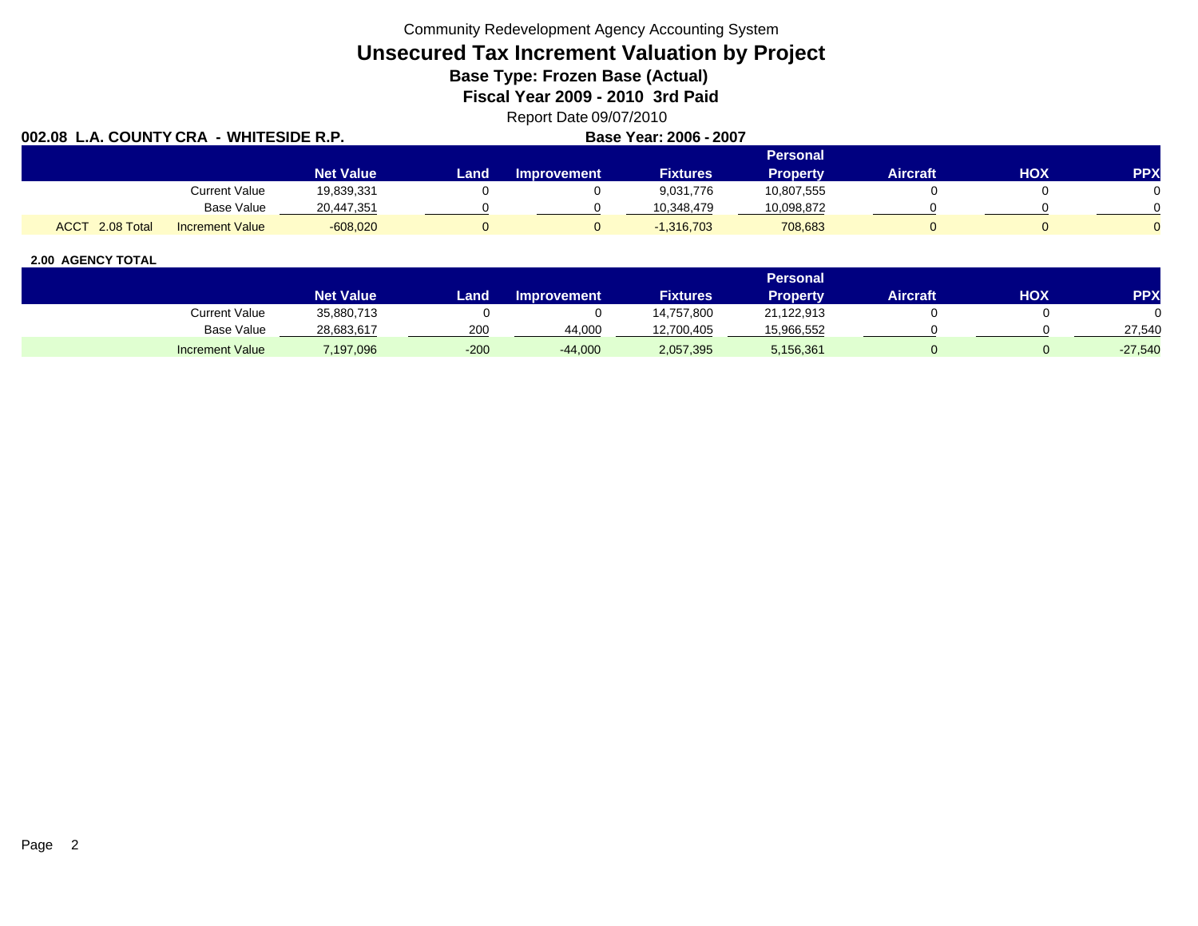Community Redevelopment Agency Accounting System

# **Unsecured Tax Increment Valuation by Project**

**Base Type: Frozen Base (Actual)** 

**Fiscal Year 2009 - 2010 3rd Paid**

Report Date 09/07/2010<br>Raso Yoar: 2006 - 2007

| 002.08 L.A. COUNTY CRA<br>. - WHITESIDE R.P. |                        |                  |      |             | Base Year: 2006 - 2007 |                 |                 |     |            |
|----------------------------------------------|------------------------|------------------|------|-------------|------------------------|-----------------|-----------------|-----|------------|
|                                              |                        |                  |      |             |                        | <b>Personal</b> |                 |     |            |
|                                              |                        | <b>Net Value</b> | Land | Improvement | <b>Fixtures</b>        | <b>Property</b> | <b>Aircraft</b> | HOX | <b>PPX</b> |
|                                              | Current Value          | 19,839,331       |      |             | 9,031,776              | 10,807,555      |                 |     |            |
|                                              | Base Value             | 20,447,351       |      |             | 10.348.479             | 10,098,872      |                 |     |            |
| <b>ACCT</b><br>$2.08$ Total                  | <b>Increment Value</b> | $-608,020$       |      |             | $-1,316,703$           | 708,683         |                 |     |            |

|                        |                  |        |                    |                 | Personal   |                 |     |           |
|------------------------|------------------|--------|--------------------|-----------------|------------|-----------------|-----|-----------|
|                        | <b>Net Value</b> | Land   | <b>Improvement</b> | <b>Fixtures</b> | Property   | <b>Aircraft</b> | нох | PPX       |
| <b>Current Value</b>   | 35,880,713       |        |                    | 14,757,800      | 21,122,913 |                 |     |           |
| <b>Base Value</b>      | 28,683,617       | 200    | 44.000             | 12,700,405      | 15,966,552 |                 |     | 27,540    |
| <b>Increment Value</b> | 7,197,096        | $-200$ | $-44,000$          | 2,057,395       | 5,156,361  |                 |     | $-27,540$ |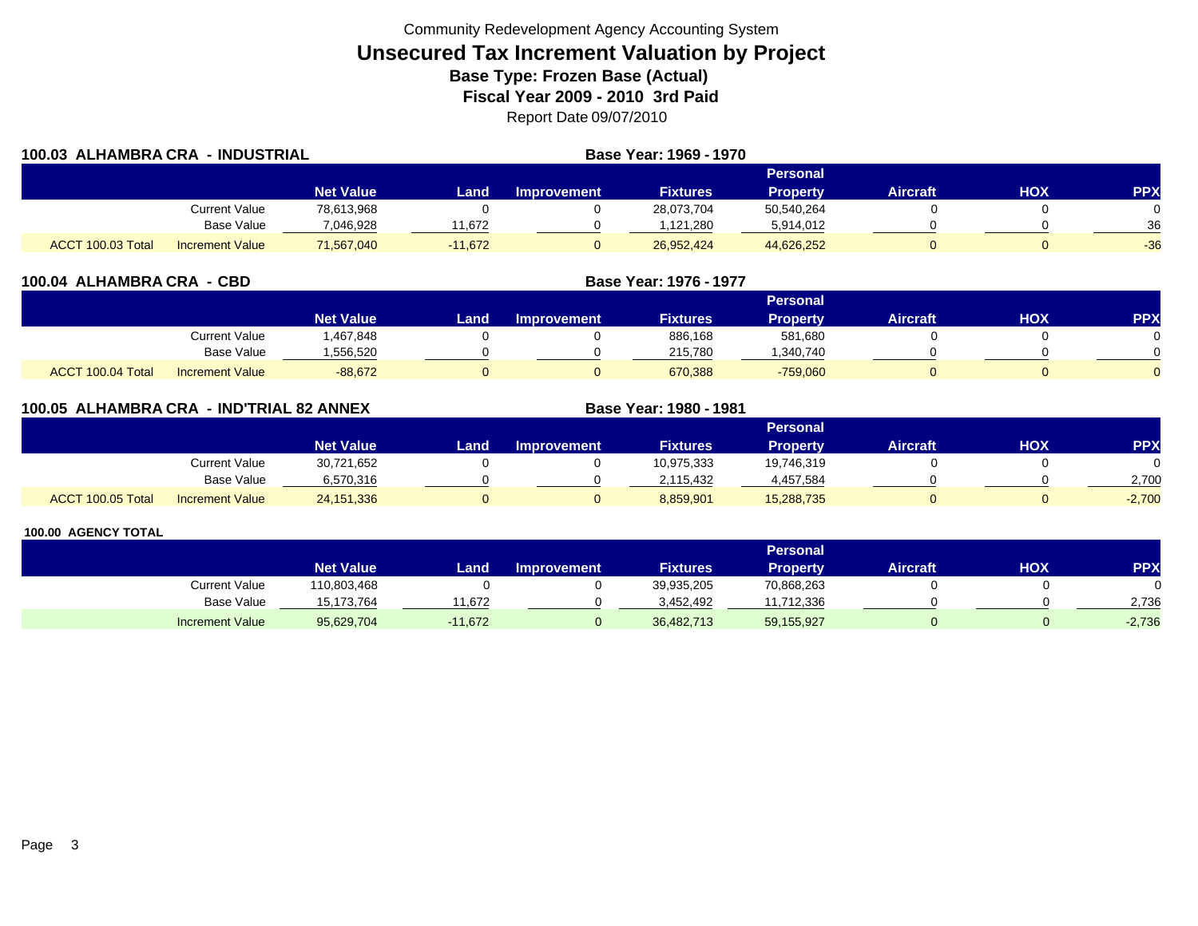| 100.03 ALHAMBRA CRA | - INDUSTRIAL           |                  |           |                    | Base Year: 1969 - 1970 |                 |          |     |            |
|---------------------|------------------------|------------------|-----------|--------------------|------------------------|-----------------|----------|-----|------------|
|                     |                        |                  |           |                    |                        | <b>Personal</b> |          |     |            |
|                     |                        | <b>Net Value</b> | Land      | <b>Improvement</b> | <b>Fixtures</b>        | <b>Property</b> | Aircraft | нох | <b>PPX</b> |
|                     | Current Value          | 78,613,968       |           |                    | 28,073,704             | 50,540,264      |          |     | 0          |
|                     | <b>Base Value</b>      | 7,046,928        | 1.672     |                    | 1,121,280              | 5,914,012       |          |     | 36         |
| ACCT 100.03 Total   | <b>Increment Value</b> | 71,567,040       | $-11,672$ |                    | 26,952,424             | 44,626,252      |          |     | $-36$      |

| 100.04 ALHAMBRA CRA - CBD |                        |                  |      |                    | Base Year: 1976 - 1977 |                 |                 |            |            |
|---------------------------|------------------------|------------------|------|--------------------|------------------------|-----------------|-----------------|------------|------------|
|                           |                        |                  |      |                    |                        | <b>Personal</b> |                 |            |            |
|                           |                        | <b>Net Value</b> | Land | <b>Improvement</b> | <b>Fixtures</b>        | <b>Property</b> | <b>Aircraft</b> | <b>HOX</b> | <b>PPX</b> |
|                           | Current Value          | 1,467,848        |      |                    | 886,168                | 581,680         |                 |            |            |
|                           | <b>Base Value</b>      | 556,520          |      |                    | 215,780                | ,340,740        |                 |            |            |
| ACCT 100.04 Total         | <b>Increment Value</b> | $-88,672$        |      |                    | 670,388                | $-759,060$      |                 |            |            |

| 100.05 ALHAMBRA CRA |                        | - IND'TRIAL 82 ANNEX |      |                    | Base Year: 1980 - 1981 |                 |                 |     |            |
|---------------------|------------------------|----------------------|------|--------------------|------------------------|-----------------|-----------------|-----|------------|
|                     |                        |                      |      |                    |                        | Personal        |                 |     |            |
|                     |                        | <b>Net Value</b>     | Land | <b>Improvement</b> | <b>Fixtures</b>        | <b>Property</b> | <b>Aircraft</b> | нох | <b>PPX</b> |
|                     | Current Value          | 30,721,652           |      |                    | 10,975,333             | 19.746.319      |                 |     |            |
|                     | Base Value             | 6,570,316            |      |                    | 2,115,432              | 4,457,584       |                 |     | 2,700      |
| ACCT 100.05 Total   | <b>Increment Value</b> | 24,151,336           |      |                    | 8,859,901              | 15,288,735      |                 |     | $-2,700$   |

|                        |                  |           |                    |                 | Personal        |                 |     |            |
|------------------------|------------------|-----------|--------------------|-----------------|-----------------|-----------------|-----|------------|
|                        | <b>Net Value</b> | Land      | <b>Improvement</b> | <b>Fixtures</b> | <b>Property</b> | <b>Aircraft</b> | нох | <b>PPX</b> |
| Current Value          | 110,803,468      |           |                    | 39,935,205      | 70,868,263      |                 |     |            |
| <b>Base Value</b>      | 15.173.764       | 1.672     |                    | 3.452.492       | 11.712.336      |                 |     | 2.736      |
| <b>Increment Value</b> | 95,629,704       | $-11,672$ |                    | 36,482,713      | 59,155,927      |                 |     | $-2,736$   |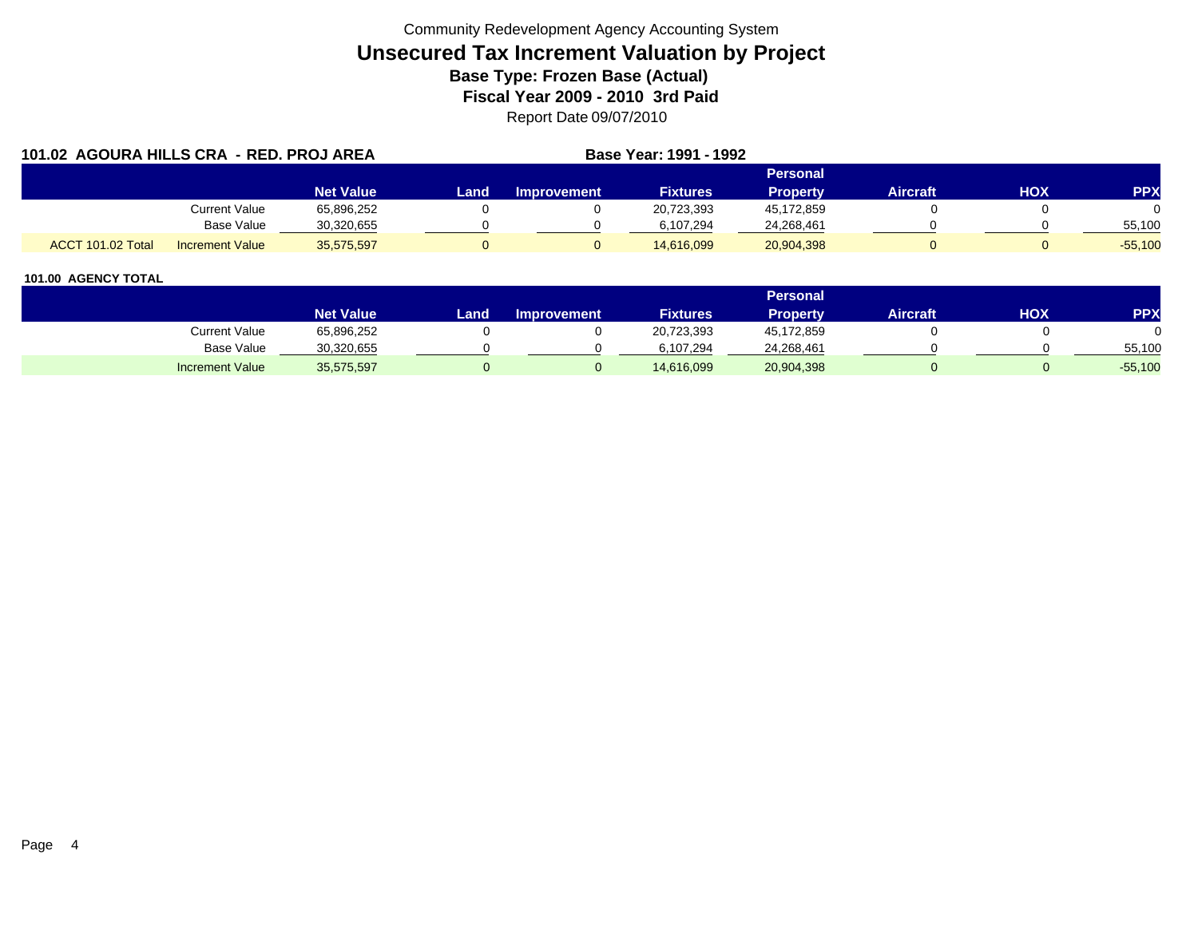| 101.02 AGOURA HILLS CRA - RED. PROJ AREA |                        |                  |      | Base Year: 1991 - 1992 |                 |                 |                 |     |            |
|------------------------------------------|------------------------|------------------|------|------------------------|-----------------|-----------------|-----------------|-----|------------|
|                                          |                        |                  |      |                        |                 | <b>Personal</b> |                 |     |            |
|                                          |                        | <b>Net Value</b> | Land | <b>Improvement</b>     | <b>Fixtures</b> | <b>Property</b> | <b>Aircraft</b> | HOX | <b>PPX</b> |
|                                          | Current Value          | 65,896,252       |      |                        | 20,723,393      | 45,172,859      |                 |     |            |
|                                          | Base Value             | 30,320,655       |      |                        | 6,107,294       | 24,268,461      |                 |     | 55,100     |
| ACCT 101.02 Total                        | <b>Increment Value</b> | 35,575,597       |      |                        | 14,616,099      | 20,904,398      |                 |     | $-55,100$  |

|                        |                  |       |                    |                 | <b>Personal</b> |                 |     |           |
|------------------------|------------------|-------|--------------------|-----------------|-----------------|-----------------|-----|-----------|
|                        | <b>Net Value</b> | Land. | <b>Improvement</b> | <b>Fixtures</b> | <b>Property</b> | <b>Aircraft</b> | HOX | PPX       |
| Current Value          | 65,896,252       |       |                    | 20,723,393      | 45,172,859      |                 |     |           |
| <b>Base Value</b>      | 30,320,655       |       |                    | 6.107.294       | 24,268,461      |                 |     | 55,100    |
| <b>Increment Value</b> | 35,575,597       |       |                    | 14,616,099      | 20,904,398      |                 |     | $-55,100$ |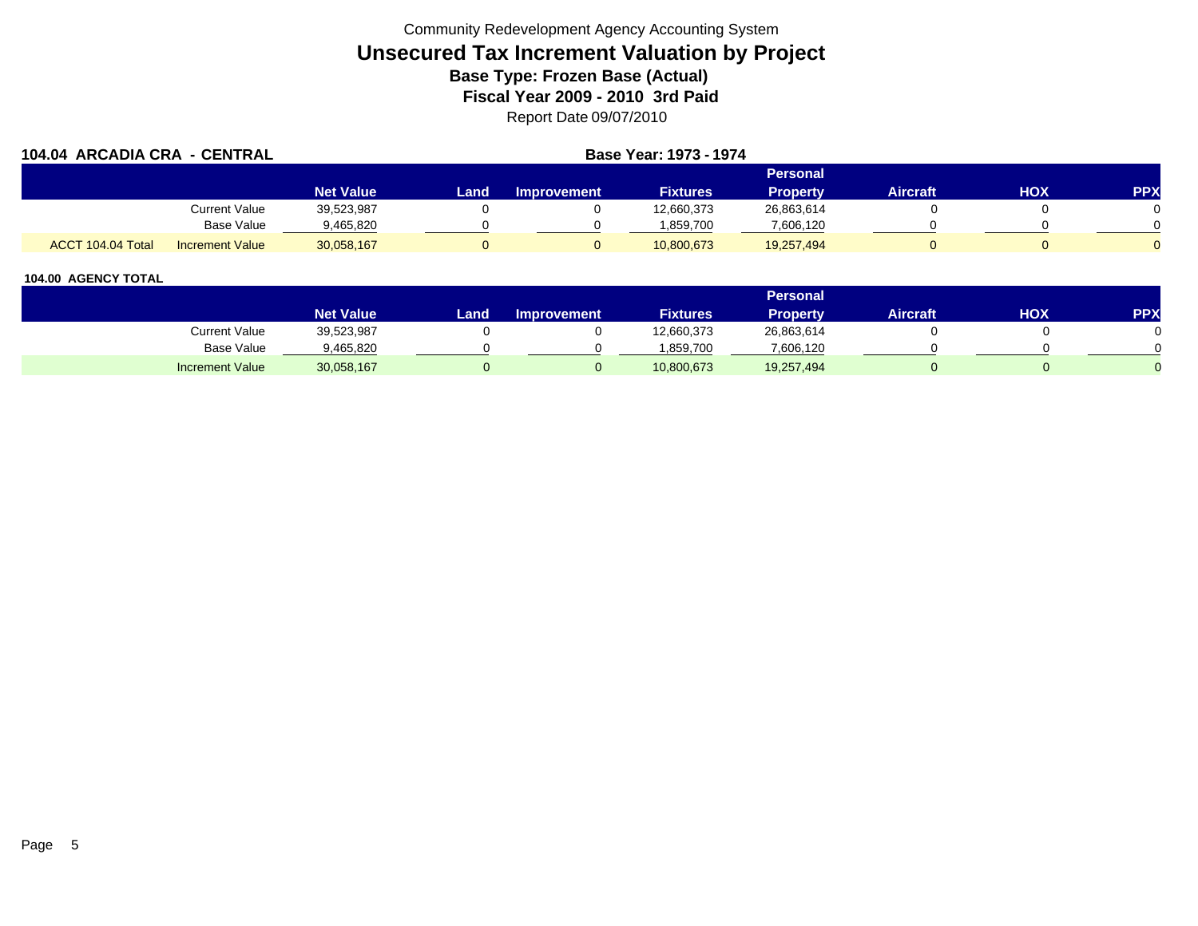|                   | 104.04 ARCADIA CRA - CENTRAL |                  |      | <b>Base Year: 1973 - 1974</b> |                 |                 |                 |            |            |
|-------------------|------------------------------|------------------|------|-------------------------------|-----------------|-----------------|-----------------|------------|------------|
|                   |                              |                  |      |                               |                 | Personal        |                 |            |            |
|                   |                              | <b>Net Value</b> | Land | <b>Improvement</b>            | <b>Fixtures</b> | <b>Property</b> | <b>Aircraft</b> | <b>HOX</b> | <b>PPX</b> |
|                   | Current Value                | 39,523,987       |      |                               | 12,660,373      | 26,863,614      |                 |            |            |
|                   | Base Value                   | 9,465,820        |      |                               | .859.700        | 7,606,120       |                 |            |            |
| ACCT 104.04 Total | <b>Increment Value</b>       | 30,058,167       |      |                               | 10,800,673      | 19,257,494      |                 |            |            |

|                        |                  |      |                    |                 | <b>Personal</b> |                 |            |     |
|------------------------|------------------|------|--------------------|-----------------|-----------------|-----------------|------------|-----|
|                        | <b>Net Value</b> | Land | <b>Improvement</b> | <b>Fixtures</b> | Property        | <b>Aircraft</b> | <b>HOX</b> | PPX |
| Current Value          | 39,523,987       |      |                    | 12,660,373      | 26,863,614      |                 |            |     |
| <b>Base Value</b>      | 9,465,820        |      |                    | 1.859.700       | 7,606,120       |                 |            |     |
| <b>Increment Value</b> | 30,058,167       |      |                    | 10,800,673      | 19,257,494      |                 |            |     |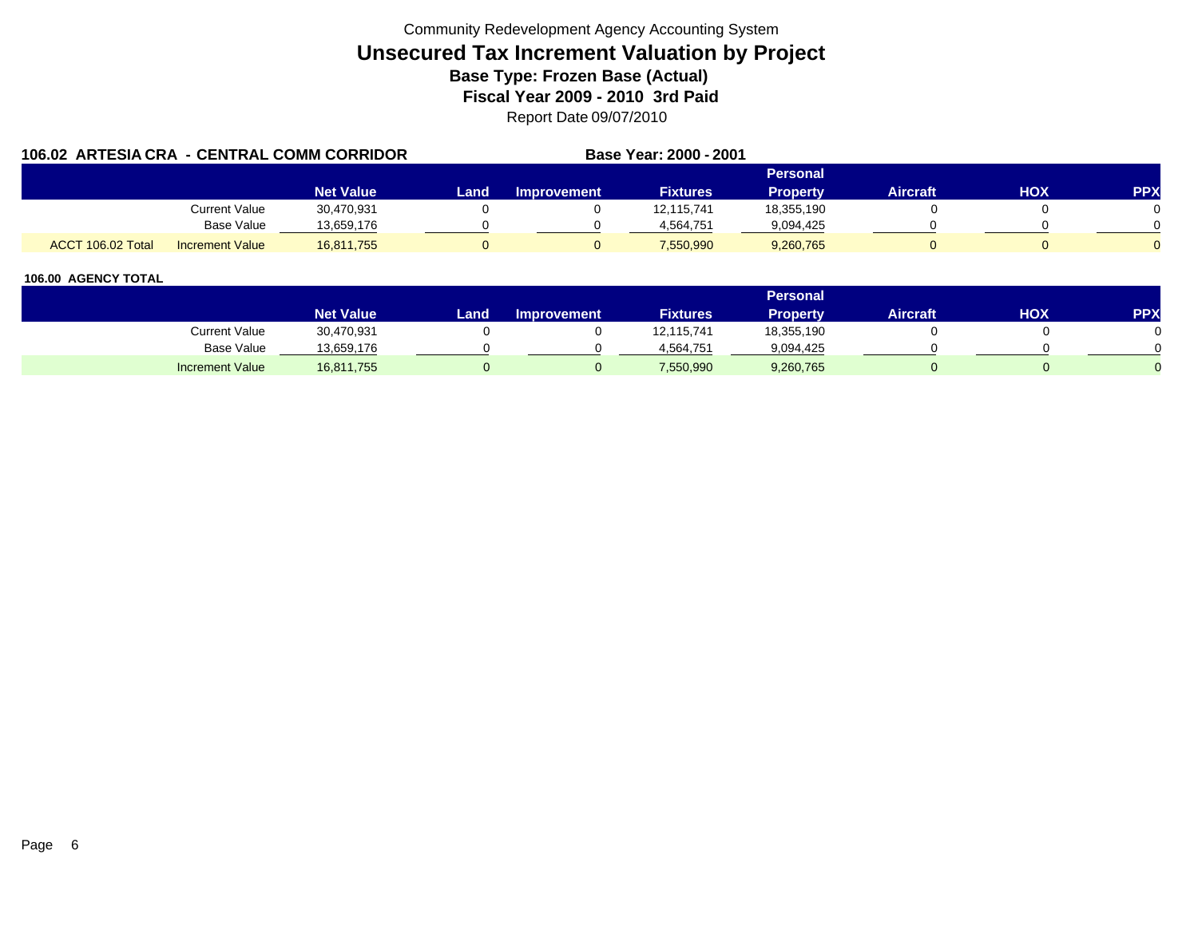| 106.02 ARTESIA CRA - CENTRAL COMM CORRIDOR |                        |                  | Base Year: 2000 - 2001 |                    |                 |                 |                 |     |            |
|--------------------------------------------|------------------------|------------------|------------------------|--------------------|-----------------|-----------------|-----------------|-----|------------|
|                                            |                        |                  |                        |                    |                 | Personal        |                 |     |            |
|                                            |                        | <b>Net Value</b> | Land                   | <b>Improvement</b> | <b>Fixtures</b> | <b>Property</b> | <b>Aircraft</b> | HOX | <b>PPX</b> |
|                                            | Current Value          | 30,470,931       |                        |                    | 12,115,741      | 18,355,190      |                 |     |            |
|                                            | <b>Base Value</b>      | 13,659,176       |                        |                    | 4.564.751       | 9,094,425       |                 |     |            |
| ACCT 106.02 Total                          | <b>Increment Value</b> | 16,811,755       |                        |                    | 7,550,990       | 9,260,765       |                 |     |            |

|                        |                  |       |                    |                 | <b>Personal</b> |                 |            |     |
|------------------------|------------------|-------|--------------------|-----------------|-----------------|-----------------|------------|-----|
|                        | <b>Net Value</b> | Land, | <b>Improvement</b> | <b>Fixtures</b> | Property        | <b>Aircraft</b> | <b>HOX</b> | PPX |
| <b>Current Value</b>   | 30,470,931       |       |                    | 12,115,741      | 18,355,190      |                 |            |     |
| <b>Base Value</b>      | 13,659,176       |       |                    | 4,564,751       | 9,094,425       |                 |            |     |
| <b>Increment Value</b> | 16,811,755       |       |                    | 7,550,990       | 9,260,765       |                 |            |     |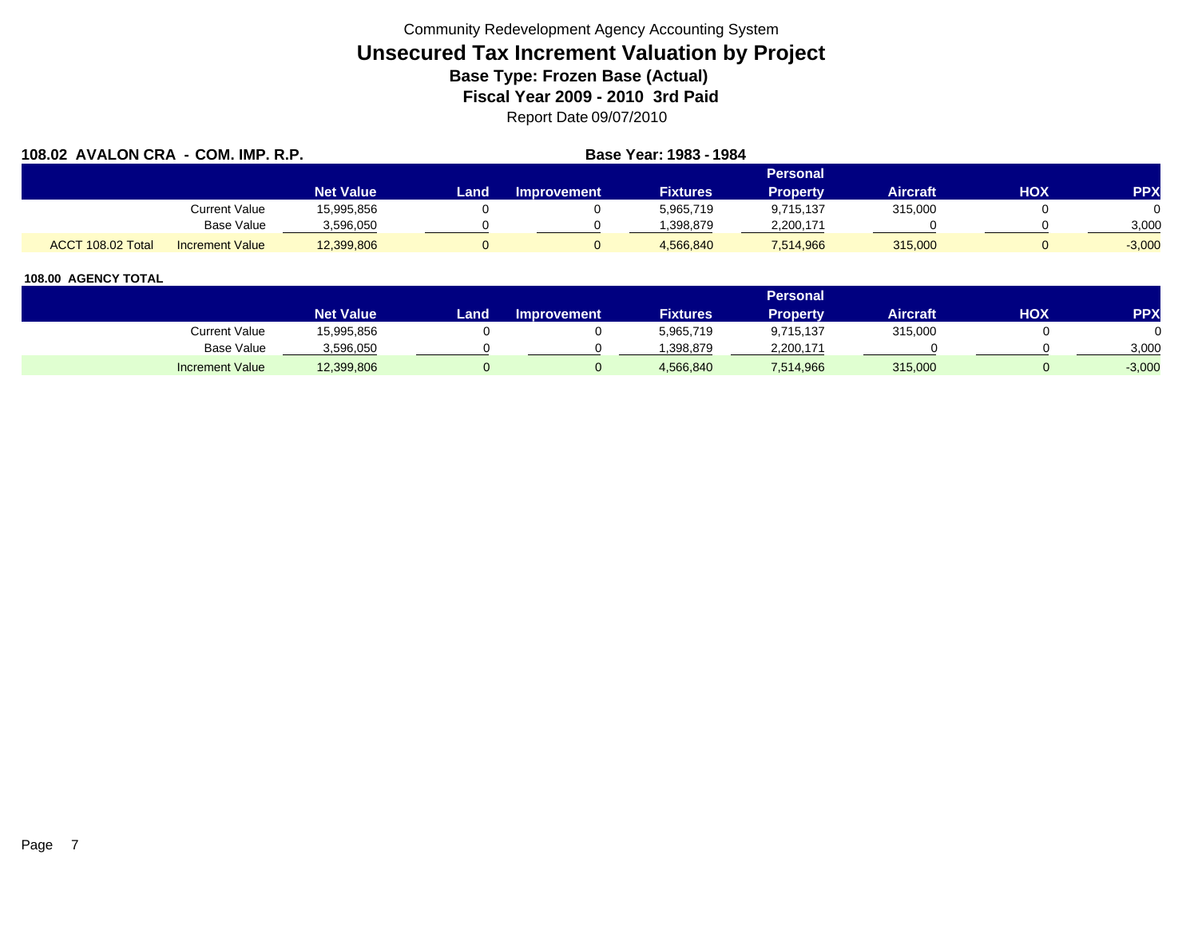| 108.02 AVALON CRA - COM. IMP. R.P. |                        |                  | Base Year: 1983 - 1984 |                    |                 |                 |                 |     |            |  |
|------------------------------------|------------------------|------------------|------------------------|--------------------|-----------------|-----------------|-----------------|-----|------------|--|
|                                    |                        |                  |                        | Personal           |                 |                 |                 |     |            |  |
|                                    |                        | <b>Net Value</b> | Land                   | <b>Improvement</b> | <b>Fixtures</b> | <b>Property</b> | <b>Aircraft</b> | HOX | <b>PPX</b> |  |
|                                    | Current Value          | 15,995,856       |                        |                    | 5,965,719       | 9,715,137       | 315,000         |     |            |  |
|                                    | <b>Base Value</b>      | 3,596,050        |                        |                    | 1,398,879       | 2,200,171       |                 |     | 3,000      |  |
| ACCT 108.02 Total                  | <b>Increment Value</b> | 12,399,806       |                        |                    | 4,566,840       | 7,514,966       | 315,000         |     | $-3,000$   |  |

|                        |                  |      |                    |                 | Personal  |                 |            |          |
|------------------------|------------------|------|--------------------|-----------------|-----------|-----------------|------------|----------|
|                        | <b>Net Value</b> | Land | <b>Improvement</b> | <b>Fixtures</b> | Property  | <b>Aircraft</b> | <b>HOX</b> | PPX      |
| <b>Current Value</b>   | 15,995,856       |      |                    | 5,965,719       | 9,715,137 | 315,000         |            |          |
| <b>Base Value</b>      | 3,596,050        |      |                    | .398,879        | 2,200,171 |                 |            | 3,000    |
| <b>Increment Value</b> | 12,399,806       |      |                    | 4,566,840       | 7,514,966 | 315,000         |            | $-3,000$ |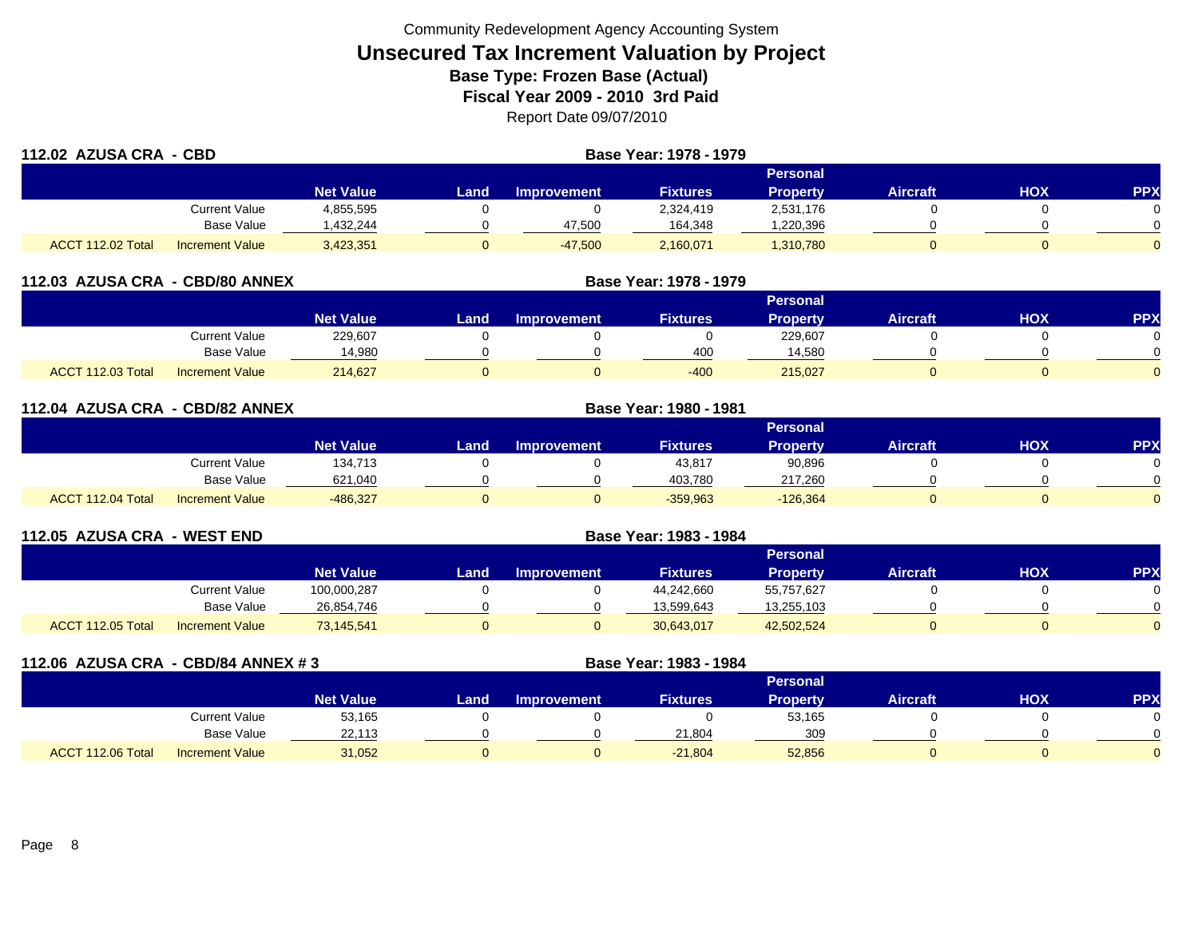| 112.02 AZUSA CRA - CBD |                        |                  | Base Year: 1978 - 1979 |                    |                 |                 |                 |            |            |
|------------------------|------------------------|------------------|------------------------|--------------------|-----------------|-----------------|-----------------|------------|------------|
|                        |                        |                  |                        |                    |                 | <b>Personal</b> |                 |            |            |
|                        |                        | <b>Net Value</b> | Land                   | <b>Improvement</b> | <b>Fixtures</b> | <b>Property</b> | <b>Aircraft</b> | <b>HOX</b> | <b>PPX</b> |
|                        | Current Value          | 4,855,595        |                        |                    | 2,324,419       | 2,531,176       |                 |            | $\Omega$   |
|                        | <b>Base Value</b>      | ,432,244         |                        | 47,500             | 164,348         | ,220,396        |                 |            | $\Omega$   |
| ACCT 112.02 Total      | <b>Increment Value</b> | 3,423,351        |                        | $-47,500$          | 2,160,071       | 1,310,780       |                 |            | $\Omega$   |

| 112.03 AZUSA CRA - CBD/80 ANNEX |                        |                  |          | Base Year: 1978 - 1979 |                 |                 |                 |            |            |  |
|---------------------------------|------------------------|------------------|----------|------------------------|-----------------|-----------------|-----------------|------------|------------|--|
|                                 |                        |                  | Personal |                        |                 |                 |                 |            |            |  |
|                                 |                        | <b>Net Value</b> | Land     | <b>Improvement</b>     | <b>Fixtures</b> | <b>Property</b> | <b>Aircraft</b> | <b>XOH</b> | <b>PPX</b> |  |
|                                 | <b>Current Value</b>   | 229,607          |          |                        |                 | 229,607         |                 |            |            |  |
|                                 | <b>Base Value</b>      | 14,980           |          |                        | 400             | 14,580          |                 |            |            |  |
| ACCT 112.03 Total               | <b>Increment Value</b> | 214.627          |          |                        | $-400$          | 215.027         |                 |            |            |  |

| 112.04 AZUSA CRA - CBD/82 ANNEX |                        |                  | Base Year: 1980 - 1981 |                    |                 |                 |                 |            |          |
|---------------------------------|------------------------|------------------|------------------------|--------------------|-----------------|-----------------|-----------------|------------|----------|
|                                 |                        |                  |                        |                    |                 | Personal        |                 |            |          |
|                                 |                        | <b>Net Value</b> | Landı                  | <b>Improvement</b> | <b>Fixtures</b> | <b>Property</b> | <b>Aircraft</b> | <b>HOX</b> | PPX      |
|                                 | <b>Current Value</b>   | 134,713          |                        |                    | 43,817          | 90,896          |                 |            | 0        |
|                                 | Base Value             | 621,040          |                        |                    | 403,780         | 217,260         |                 |            | $\Omega$ |
| ACCT 112.04 Total               | <b>Increment Value</b> | $-486,327$       |                        |                    | $-359,963$      | $-126,364$      |                 |            | $\Omega$ |

| 112.05 AZUSA CRA - WEST END |                        |                  | Base Year: 1983 - 1984 |                    |                 |                 |                 |     |           |
|-----------------------------|------------------------|------------------|------------------------|--------------------|-----------------|-----------------|-----------------|-----|-----------|
|                             |                        |                  |                        |                    |                 | Personal        |                 |     |           |
|                             |                        | <b>Net Value</b> | Land                   | <b>Improvement</b> | <b>Fixtures</b> | <b>Property</b> | <b>Aircraft</b> | нох | <b>PP</b> |
|                             | Current Value          | 100,000,287      |                        |                    | 44,242,660      | 55,757,627      |                 |     |           |
|                             | <b>Base Value</b>      | 26,854,746       |                        |                    | 13,599,643      | 13,255,103      |                 |     |           |
| ACCT 112.05 Total           | <b>Increment Value</b> | 73,145,541       |                        |                    | 30,643,017      | 42,502,524      |                 |     |           |

| 112.06 AZUSA CRA - CBD/84 ANNEX #3 |                        |                  |      | Base Year: 1983 - 1984 |                 |                 |                 |     |            |
|------------------------------------|------------------------|------------------|------|------------------------|-----------------|-----------------|-----------------|-----|------------|
|                                    |                        |                  |      |                        |                 | <b>Personal</b> |                 |     |            |
|                                    |                        | <b>Net Value</b> | Land | <b>Improvement</b>     | <b>Fixtures</b> | <b>Property</b> | <b>Aircraft</b> | HOX | <b>PPX</b> |
|                                    | Current Value          | 53,165           |      |                        |                 | 53,165          |                 |     |            |
|                                    | Base Value             | 22,113           |      |                        | 21,804          | 309             |                 |     |            |
| ACCT 112.06 Total                  | <b>Increment Value</b> | 31,052           | U    |                        | $-21,804$       | 52,856          |                 |     |            |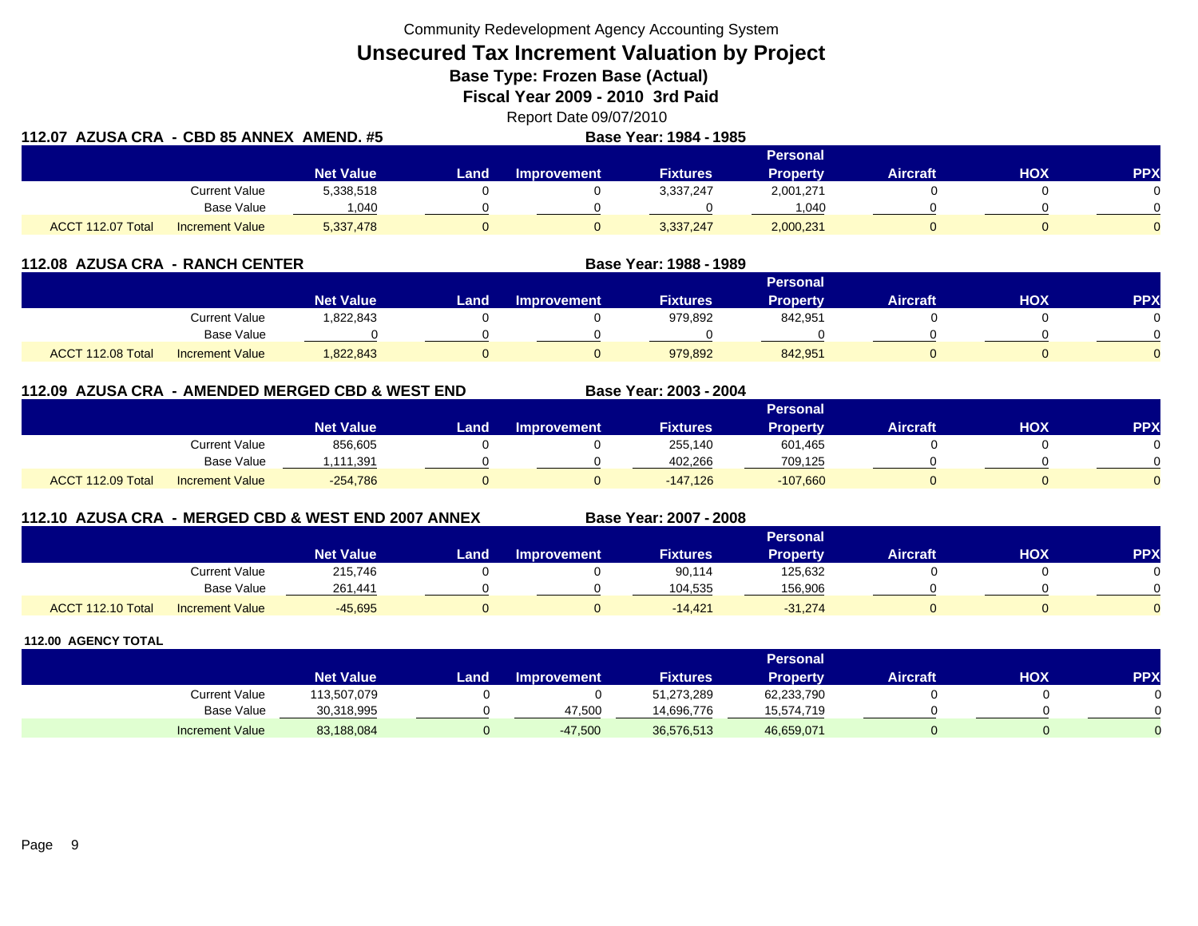Community Redevelopment Agency Accounting System

**Unsecured Tax Increment Valuation by Project**

**Base Type: Frozen Base (Actual)** 

**Fiscal Year 2009 - 2010 3rd Paid**

Report Date 09/07/2010

| 112.07  AZUSA CRA  - CBD 85 ANNEX  AMEND. #5 |                        |                  | Base Year: 1984 - 1985 |                    |                 |                 |                 |     |            |  |  |
|----------------------------------------------|------------------------|------------------|------------------------|--------------------|-----------------|-----------------|-----------------|-----|------------|--|--|
|                                              |                        |                  |                        |                    |                 | <b>Personal</b> |                 |     |            |  |  |
|                                              |                        | <b>Net Value</b> | Land .                 | <b>Improvement</b> | <b>Fixtures</b> | Propertv        | <b>Aircraft</b> | HOX | <b>PPX</b> |  |  |
|                                              | <b>Current Value</b>   | 5,338,518        |                        |                    | 3,337,247       | 2,001,271       |                 |     |            |  |  |
|                                              | <b>Base Value</b>      | 040. ا           |                        |                    |                 | 1.040           |                 |     |            |  |  |
| ACCT 112.07 Total                            | <b>Increment Value</b> | 5,337,478        |                        |                    | 3,337,247       | 2,000,231       |                 |     |            |  |  |

| 112.08 AZUSA CRA - RANCH CENTER |                        |                  |      |                    | Base Year: 1988 - 1989 |                 |                 |     |            |
|---------------------------------|------------------------|------------------|------|--------------------|------------------------|-----------------|-----------------|-----|------------|
|                                 |                        |                  |      |                    |                        | <b>Personal</b> |                 |     |            |
|                                 |                        | <b>Net Value</b> | Land | <b>Improvement</b> | <b>Fixtures</b>        | Property        | <b>Aircraft</b> | нох | <b>PPX</b> |
|                                 | Current Value          | .822,843         |      |                    | 979,892                | 842,951         |                 |     |            |
|                                 | <b>Base Value</b>      |                  |      |                    |                        |                 |                 |     |            |
| ACCT 112.08 Total               | <b>Increment Value</b> | 822,843          |      |                    | 979,892                | 842,951         |                 |     |            |

# **112.09 AZUSA CRA - AMENDED MERGED CBD & WEST END**

|                                             |                               |      |                    |                 | Personal   |                 |            |            |
|---------------------------------------------|-------------------------------|------|--------------------|-----------------|------------|-----------------|------------|------------|
|                                             | <b>Net Value</b>              | Land | <b>Improvement</b> | <b>Fixtures</b> | Property   | <b>Aircraft</b> | <b>HOX</b> | <b>PPX</b> |
|                                             | Current Value<br>856,605      |      |                    | 255,140         | 601,465    |                 |            | 0          |
|                                             | <b>Base Value</b><br>,111,391 |      |                    | 402.266         | 709,125    |                 |            | $\Omega$   |
| ACCT 112.09 Total<br><b>Increment Value</b> | $-254,786$                    |      |                    | $-147.126$      | $-107,660$ |                 |            | $\Omega$   |

# **112.10 AZUSA CRA - MERGED CBD & WEST END 2007 ANNEX**

**Base Year: 2007 - 2008**

**Base Year: 2003 - 2004**

|                   |                        |                  |      | ___                | - - -           |                 |                 |     |            |
|-------------------|------------------------|------------------|------|--------------------|-----------------|-----------------|-----------------|-----|------------|
|                   |                        |                  |      |                    |                 | <b>Personal</b> |                 |     |            |
|                   |                        | <b>Net Value</b> | Land | <b>Improvement</b> | <b>Fixtures</b> | Property        | <b>Aircraft</b> | нох | <b>PPX</b> |
|                   | <b>Current Value</b>   | 215,746          |      |                    | 90,114          | 125,632         |                 |     |            |
|                   | Base Value             | 261.441          |      |                    | 104,535         | 156,906         |                 |     |            |
| ACCT 112.10 Total | <b>Increment Value</b> | $-45,695$        |      |                    | $-14,421$       | $-31,274$       |                 |     |            |

|                        |                  |      |                    |                 | <b>Personal</b> |                 |            |     |
|------------------------|------------------|------|--------------------|-----------------|-----------------|-----------------|------------|-----|
|                        | <b>Net Value</b> | Land | <b>Improvement</b> | <b>Fixtures</b> | Property        | <b>Aircraft</b> | <b>HOX</b> | PPX |
| Current Value          | 113,507,079      |      |                    | 51,273,289      | 62,233,790      |                 |            |     |
| Base Value             | 30,318,995       |      | 47.500             | 14.696.776      | 15,574,719      |                 |            |     |
| <b>Increment Value</b> | 83,188,084       |      | $-47,500$          | 36,576,513      | 46,659,071      |                 |            |     |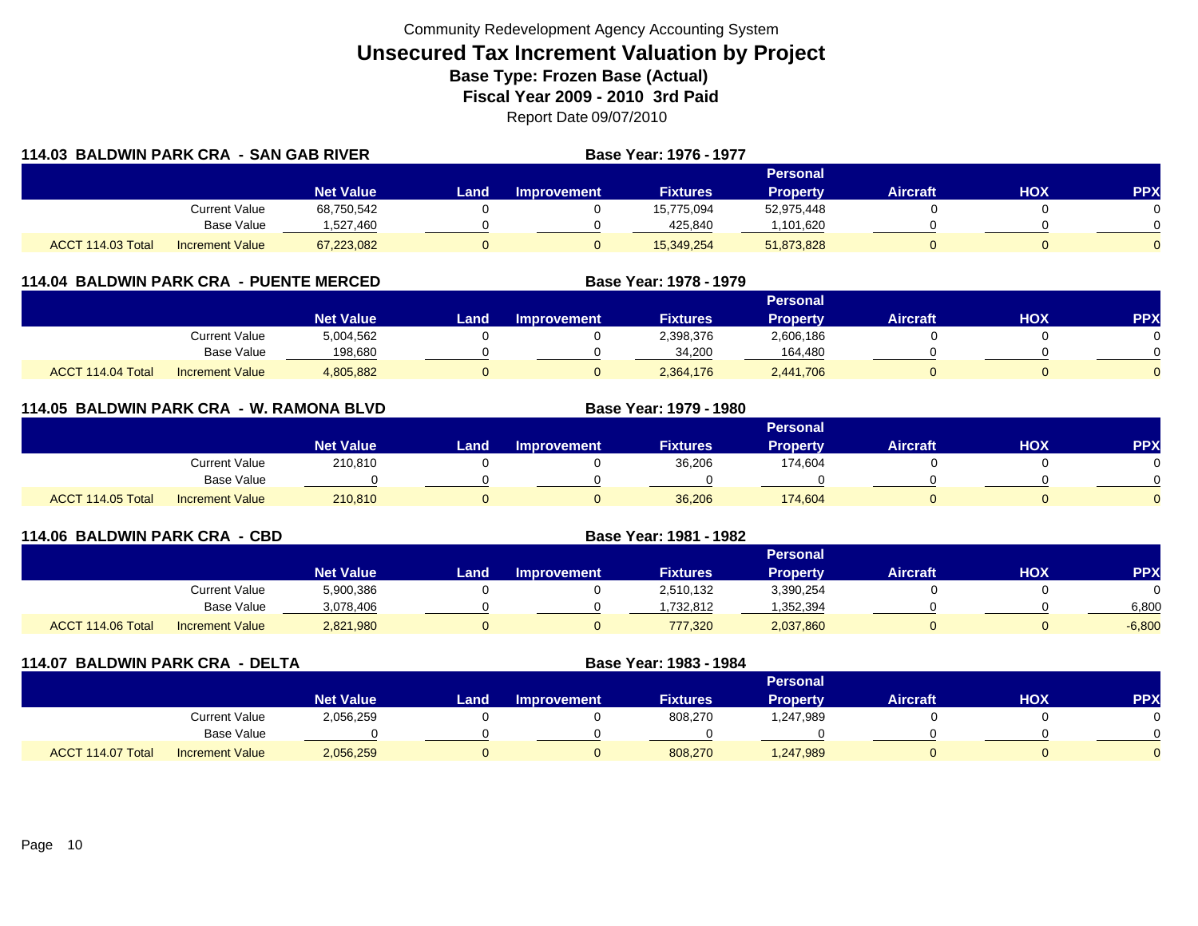| 114.03 BALDWIN PARK CRA - SAN GAB RIVER |                        |                  |       |             | Base Year: 1976 - 1977 |                 |                 |     |                |
|-----------------------------------------|------------------------|------------------|-------|-------------|------------------------|-----------------|-----------------|-----|----------------|
|                                         |                        |                  |       |             |                        | <b>Personal</b> |                 |     |                |
|                                         |                        | <b>Net Value</b> | Land. | Improvement | <b>Fixtures</b>        | <b>Property</b> | <b>Aircraft</b> | HOX | <b>PPX</b>     |
|                                         | Current Value          | 68,750,542       |       |             | 15,775,094             | 52,975,448      |                 |     | 0              |
|                                         | Base Value             | 1,527,460        |       |             | 425,840                | ,101,620        |                 |     | ∩              |
| ACCT 114.03 Total                       | <b>Increment Value</b> | 67,223,082       |       |             | 15,349,254             | 51,873,828      |                 |     | $\overline{0}$ |

# **114.04 BALDWIN PARK CRA - PUENTE MERCED**

|                   |                        |                  |      |                    |                 | Personal        |                 |     |     |
|-------------------|------------------------|------------------|------|--------------------|-----------------|-----------------|-----------------|-----|-----|
|                   |                        | <b>Net Value</b> | Land | <b>Improvement</b> | <b>Fixtures</b> | <b>Property</b> | <b>Aircraft</b> | HOX | PPX |
|                   | Current Value          | 5,004,562        |      |                    | 2,398,376       | 2,606,186       |                 |     |     |
|                   | Base Value             | 198,680          |      |                    | 34.200          | 164.480         |                 |     |     |
| ACCT 114.04 Total | <b>Increment Value</b> | 4,805,882        |      |                    | 2,364,176       | 2,441,706       |                 |     |     |

**Base Year: 1978 - 1979**

**Base Year: 1979 - 1980**

## **114.05 BALDWIN PARK CRA - W. RAMONA BLVD**

|                                             |                        |      |                    |                 | Personal |                 |     |            |
|---------------------------------------------|------------------------|------|--------------------|-----------------|----------|-----------------|-----|------------|
|                                             | Net Value <sup>1</sup> | Land | <b>Improvement</b> | <b>Fixtures</b> | Property | <b>Aircraft</b> | нох | <b>PPX</b> |
| <b>Current Value</b>                        | 210,810                |      |                    | 36,206          | 174,604  |                 |     |            |
| <b>Base Value</b>                           |                        |      |                    |                 |          |                 |     |            |
| ACCT 114.05 Total<br><b>Increment Value</b> | 210,810                |      |                    | 36,206          | 174,604  |                 |     |            |

| 114.06 BALDWIN PARK CRA - CBD               |                  | Base Year: 1981 - 1982 |                    |                 |                 |                 |     |            |
|---------------------------------------------|------------------|------------------------|--------------------|-----------------|-----------------|-----------------|-----|------------|
|                                             |                  |                        |                    |                 | <b>Personal</b> |                 |     |            |
|                                             | <b>Net Value</b> | Land                   | <b>Improvement</b> | <b>Fixtures</b> | <b>Property</b> | <b>Aircraft</b> | HOX | <b>PPX</b> |
| Current Value                               | 5,900,386        |                        |                    | 2,510,132       | 3,390,254       |                 |     |            |
| <b>Base Value</b>                           | 3,078,406        |                        |                    | ,732,812        | .352,394        |                 |     | 6,800      |
| ACCT 114.06 Total<br><b>Increment Value</b> | 2,821,980        |                        |                    | 777,320         | 2,037,860       |                 |     | $-6,800$   |

| 114.07 BALDWIN PARK CRA - DELTA |                        |                  |      | Base Year: 1983 - 1984 |                 |                 |                 |            |           |
|---------------------------------|------------------------|------------------|------|------------------------|-----------------|-----------------|-----------------|------------|-----------|
|                                 |                        |                  |      |                        |                 | <b>Personal</b> |                 |            |           |
|                                 |                        | <b>Net Value</b> | Land | <b>Improvement</b>     | <b>Fixtures</b> | Property        | <b>Aircraft</b> | <b>HOX</b> | <b>PP</b> |
|                                 | <b>Current Value</b>   | 2,056,259        |      |                        | 808,270         | 89,47,987.ا     |                 |            |           |
|                                 | Base Value             |                  |      |                        |                 |                 |                 |            |           |
| ACCT 114.07 Total               | <b>Increment Value</b> | 2,056,259        |      |                        | 808,270         | 1,247,989       |                 |            |           |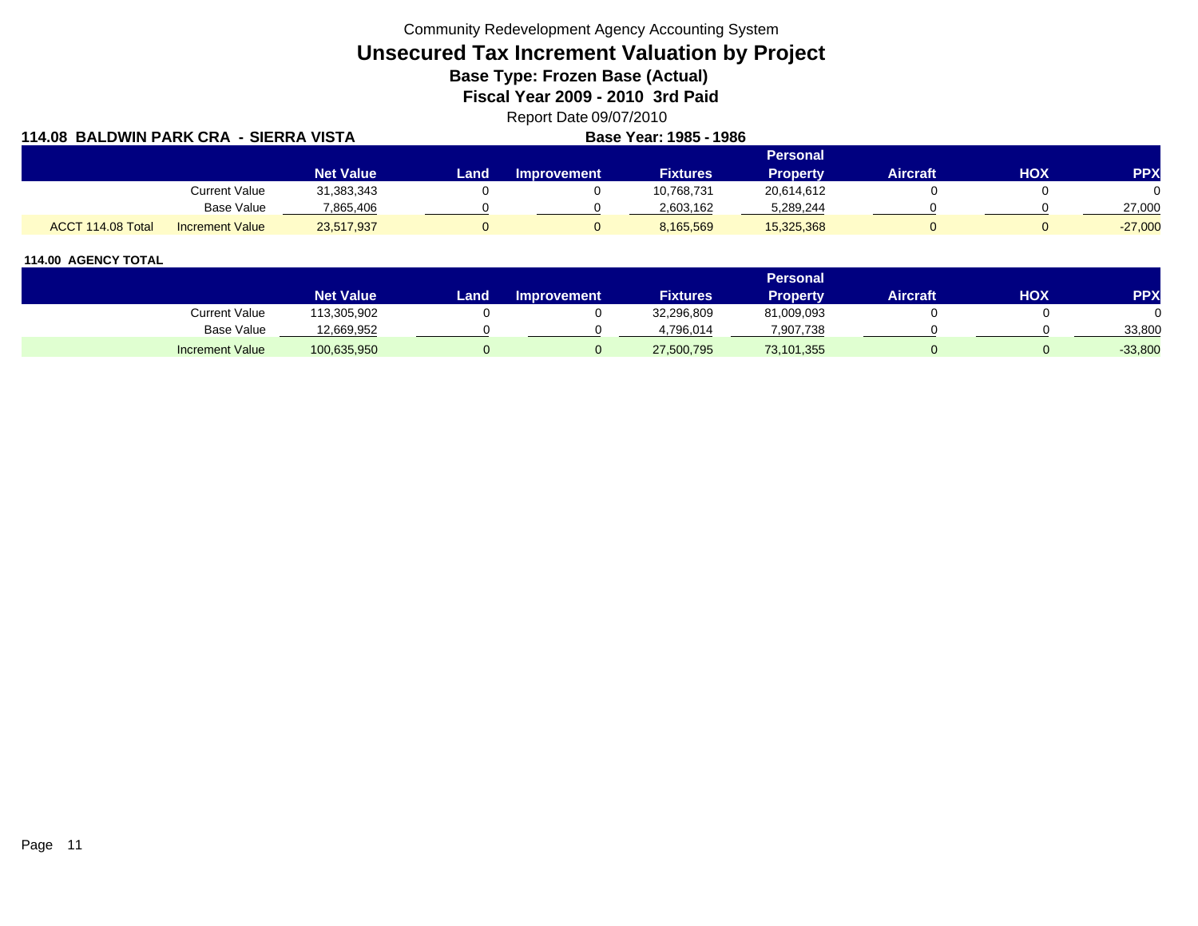Community Redevelopment Agency Accounting System

# **Unsecured Tax Increment Valuation by Project**

**Base Type: Frozen Base (Actual)** 

**Fiscal Year 2009 - 2010 3rd Paid**

Report Date 09/07/2010

| 114.08 BALDWIN PARK CRA - SIERRA VISTA |                        |                  |       |                    | <b>Base Year: 1985 - 1986</b> |                 |                 |     |            |
|----------------------------------------|------------------------|------------------|-------|--------------------|-------------------------------|-----------------|-----------------|-----|------------|
|                                        |                        |                  |       |                    |                               | <b>Personal</b> |                 |     |            |
|                                        |                        | <b>Net Value</b> | Land. | <b>Improvement</b> | <b>Fixtures</b>               | <b>Property</b> | <b>Aircraft</b> | HOX | <b>PPX</b> |
|                                        | Current Value          | 31,383,343       |       |                    | 10,768,731                    | 20,614,612      |                 |     |            |
|                                        | Base Value             | 7.865.406        |       |                    | 2,603,162                     | 5,289,244       |                 |     | 27,000     |
| ACCT 114.08 Total                      | <b>Increment Value</b> | 23,517,937       |       |                    | 8,165,569                     | 15,325,368      |                 |     | $-27,000$  |

|                        |                  |       |                    |                 | <b>Personal</b> |                 |            |           |
|------------------------|------------------|-------|--------------------|-----------------|-----------------|-----------------|------------|-----------|
|                        | <b>Net Value</b> | Land, | <b>Improvement</b> | <b>Fixtures</b> | <b>Property</b> | <b>Aircraft</b> | <b>HOX</b> | PPX       |
| Current Value          | 13,305,902       |       |                    | 32,296,809      | 81,009,093      |                 |            |           |
| <b>Base Value</b>      | 12,669,952       |       |                    | 4.796.014       | 7,907,738       |                 |            | 33,800    |
| <b>Increment Value</b> | 100,635,950      |       |                    | 27,500,795      | 73,101,355      |                 |            | $-33,800$ |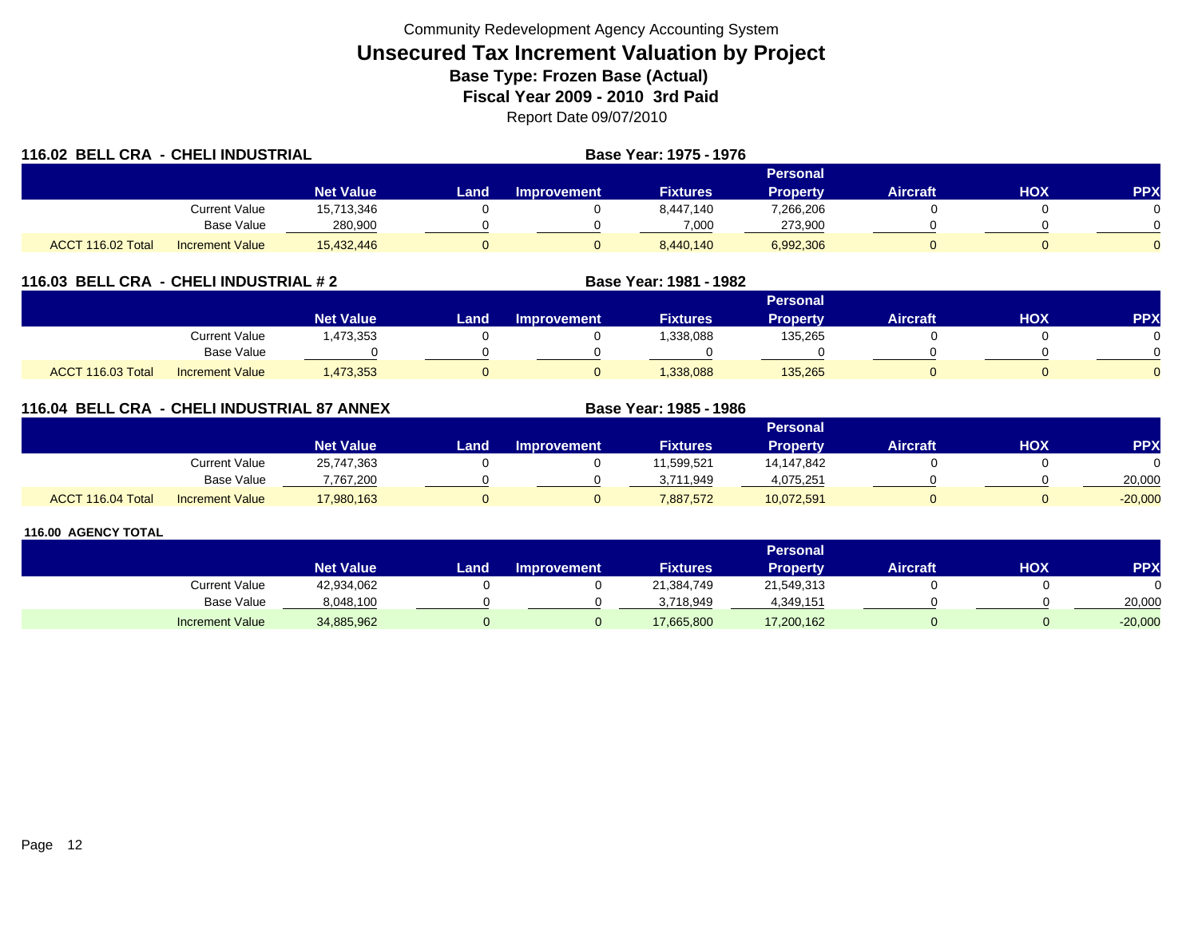| 116.02 BELL CRA - CHELI INDUSTRIAL |                        |                  |      | Base Year: 1975 - 1976 |                 |                 |                 |     |            |
|------------------------------------|------------------------|------------------|------|------------------------|-----------------|-----------------|-----------------|-----|------------|
|                                    |                        |                  |      |                        |                 | Personal        |                 |     |            |
|                                    |                        | <b>Net Value</b> | Land | <b>Improvement</b>     | <b>Fixtures</b> | <b>Property</b> | <b>Aircraft</b> | HOX | <b>PPX</b> |
|                                    | Current Value          | 15,713,346       |      |                        | 8,447,140       | 7,266,206       |                 |     |            |
|                                    | Base Value             | 280,900          |      |                        | 7,000           | 273,900         |                 |     |            |
| ACCT 116.02 Total                  | <b>Increment Value</b> | 15,432,446       |      |                        | 8,440,140       | 6,992,306       |                 |     |            |

## **116.03 BELL CRA - CHELI INDUSTRIAL # 2 Base Year: 1981 - 1982**

|                                             |                  |      |                    |                 | Personal        |                 |            |          |
|---------------------------------------------|------------------|------|--------------------|-----------------|-----------------|-----------------|------------|----------|
|                                             | <b>Net Value</b> | Land | <b>Improvement</b> | <b>Fixtures</b> | <b>Property</b> | <b>Aircraft</b> | <b>HOX</b> | PPX      |
| Current Value                               | ,473,353         |      |                    | 1,338,088       | 135,265         |                 |            |          |
| Base Value                                  |                  |      |                    |                 |                 |                 |            | ∩        |
| ACCT 116.03 Total<br><b>Increment Value</b> | 1,473,353        |      |                    | 1,338,088       | 135,265         |                 |            | $\Omega$ |

# **116.04 BELL CRA - CHELI INDUSTRIAL 87 ANNEX**

|                   |                        |                  |      |                    |                 | Personal   |                 |            |           |
|-------------------|------------------------|------------------|------|--------------------|-----------------|------------|-----------------|------------|-----------|
|                   |                        | <b>Net Value</b> | Land | <b>Improvement</b> | <b>Fixtures</b> | Property   | <b>Aircraft</b> | <b>HOX</b> | <b>PP</b> |
|                   | <b>Current Value</b>   | 25,747,363       |      |                    | 1,599,521       | 14,147,842 |                 |            |           |
|                   | <b>Base Value</b>      | 7.767.200        |      |                    | 3,711,949       | 4.075.251  |                 |            | 20,000    |
| ACCT 116.04 Total | <b>Increment Value</b> | 17,980,163       |      |                    | 7,887,572       | 10,072,591 |                 |            | $-20,000$ |

**Base Year: 1985 - 1986**

|                        |                  |      |                    |                 | Personal        |                 |     |            |
|------------------------|------------------|------|--------------------|-----------------|-----------------|-----------------|-----|------------|
|                        | <b>Net Value</b> | Land | <b>Improvement</b> | <b>Fixtures</b> | <b>Property</b> | <b>Aircraft</b> | нох | <b>PPX</b> |
| Current Value          | 42,934,062       |      |                    | 21.384.749      | 21,549,313      |                 |     |            |
| <b>Base Value</b>      | 8,048,100        |      |                    | 3,718,949       | 4,349,151       |                 |     | 20,000     |
| <b>Increment Value</b> | 34,885,962       |      |                    | 17,665,800      | 17,200,162      |                 |     | $-20,000$  |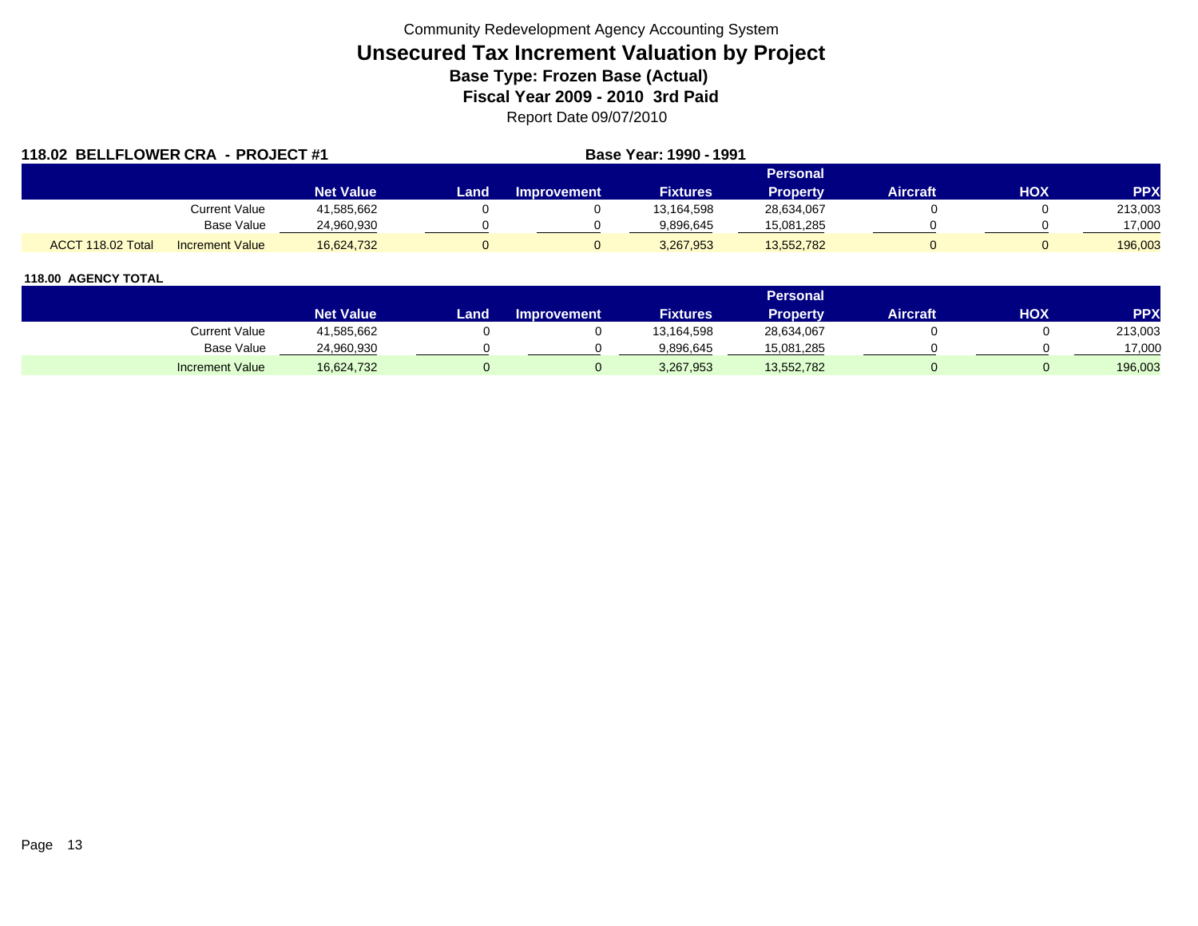| 118.02 BELLFLOWER CRA - PROJECT #1 |                        |                  |      |                    | Base Year: 1990 - 1991 |                 |          |     |            |
|------------------------------------|------------------------|------------------|------|--------------------|------------------------|-----------------|----------|-----|------------|
|                                    |                        |                  |      |                    |                        | <b>Personal</b> |          |     |            |
|                                    |                        | <b>Net Value</b> | Land | <b>Improvement</b> | <b>Fixtures</b>        | <b>Property</b> | Aircraft | HOX | <b>PPX</b> |
|                                    | Current Value          | 41,585,662       |      |                    | 13,164,598             | 28,634,067      |          |     | 213,003    |
|                                    | Base Value             | 24,960,930       |      |                    | 9.896.645              | 15,081,285      |          |     | 17,000     |
| ACCT 118.02 Total                  | <b>Increment Value</b> | 16,624,732       |      |                    | 3,267,953              | 13,552,782      |          |     | 196,003    |

|                        |                  |      |                    |                 | Personal        |                 |     |            |
|------------------------|------------------|------|--------------------|-----------------|-----------------|-----------------|-----|------------|
|                        | <b>Net Value</b> | Land | <b>Improvement</b> | <b>Fixtures</b> | <b>Property</b> | <b>Aircraft</b> | HOX | <b>PPX</b> |
| Current Value          | 41,585,662       |      |                    | 13,164,598      | 28,634,067      |                 |     | 213,003    |
| <b>Base Value</b>      | 24,960,930       |      |                    | 9,896,645       | 15,081,285      |                 |     | 17,000     |
| <b>Increment Value</b> | 16,624,732       |      |                    | 3,267,953       | 13,552,782      |                 |     | 196,003    |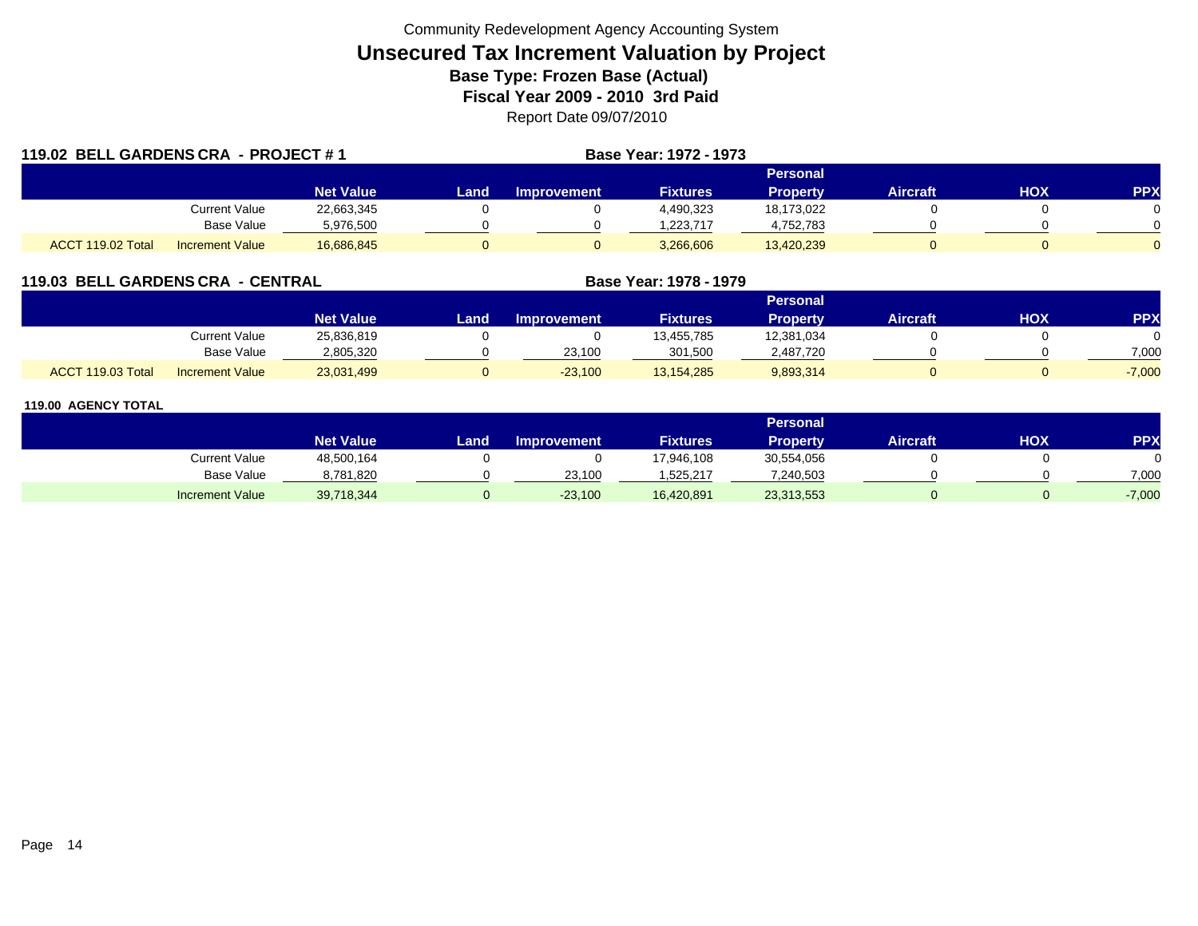| 119.02 BELL GARDENS CRA - PROJECT #1 |                        |                  |      |                    | Base Year: 1972 - 1973 |                 |                 |     |              |
|--------------------------------------|------------------------|------------------|------|--------------------|------------------------|-----------------|-----------------|-----|--------------|
|                                      |                        |                  |      |                    |                        | <b>Personal</b> |                 |     |              |
|                                      |                        | <b>Net Value</b> | Land | <b>Improvement</b> | <b>Fixtures</b>        | <b>Property</b> | <b>Aircraft</b> | HOX | <b>PPX</b>   |
|                                      | Current Value          | 22,663,345       |      |                    | 4,490,323              | 18,173,022      |                 |     |              |
|                                      | Base Value             | 5,976,500        |      |                    | 1.223.717              | 4,752,783       |                 |     | <sup>n</sup> |
| ACCT 119.02 Total                    | <b>Increment Value</b> | 16,686,845       |      |                    | 3,266,606              | 13,420,239      |                 |     |              |

## **119.03 BELL GARDENS CRA - CENTRAL**

|                   |                        |                  |      |                    |                 | Personal        |          |     |          |
|-------------------|------------------------|------------------|------|--------------------|-----------------|-----------------|----------|-----|----------|
|                   |                        | <b>Net Value</b> | Land | <b>Improvement</b> | <b>Fixtures</b> | <b>Property</b> | Aircraft | нох | PPX      |
|                   | Current Value          | 25,836,819       |      |                    | 13,455,785      | 12,381,034      |          |     |          |
|                   | <b>Base Value</b>      | 2,805,320        |      | 23,100             | 301.500         | 2,487,720       |          |     | 7.000    |
| ACCT 119.03 Total | <b>Increment Value</b> | 23,031,499       |      | $-23,100$          | 13,154,285      | 9,893,314       |          |     | $-7,000$ |

**Base Year: 1978 - 1979**

|                        |                  |      |                    |                 | Personal        |                 |     |            |
|------------------------|------------------|------|--------------------|-----------------|-----------------|-----------------|-----|------------|
|                        | <b>Net Value</b> | Land | <b>Improvement</b> | <b>Fixtures</b> | <b>Property</b> | <b>Aircraft</b> | нох | <b>PPX</b> |
| Current Value          | 48,500,164       |      |                    | 17,946,108      | 30,554,056      |                 |     |            |
| <b>Base Value</b>      | 8,781,820        |      | 23,100             | 1,525,217       | 7,240,503       |                 |     | 7,000      |
| <b>Increment Value</b> | 39,718,344       |      | $-23,100$          | 16,420,891      | 23,313,553      |                 |     | $-7,000$   |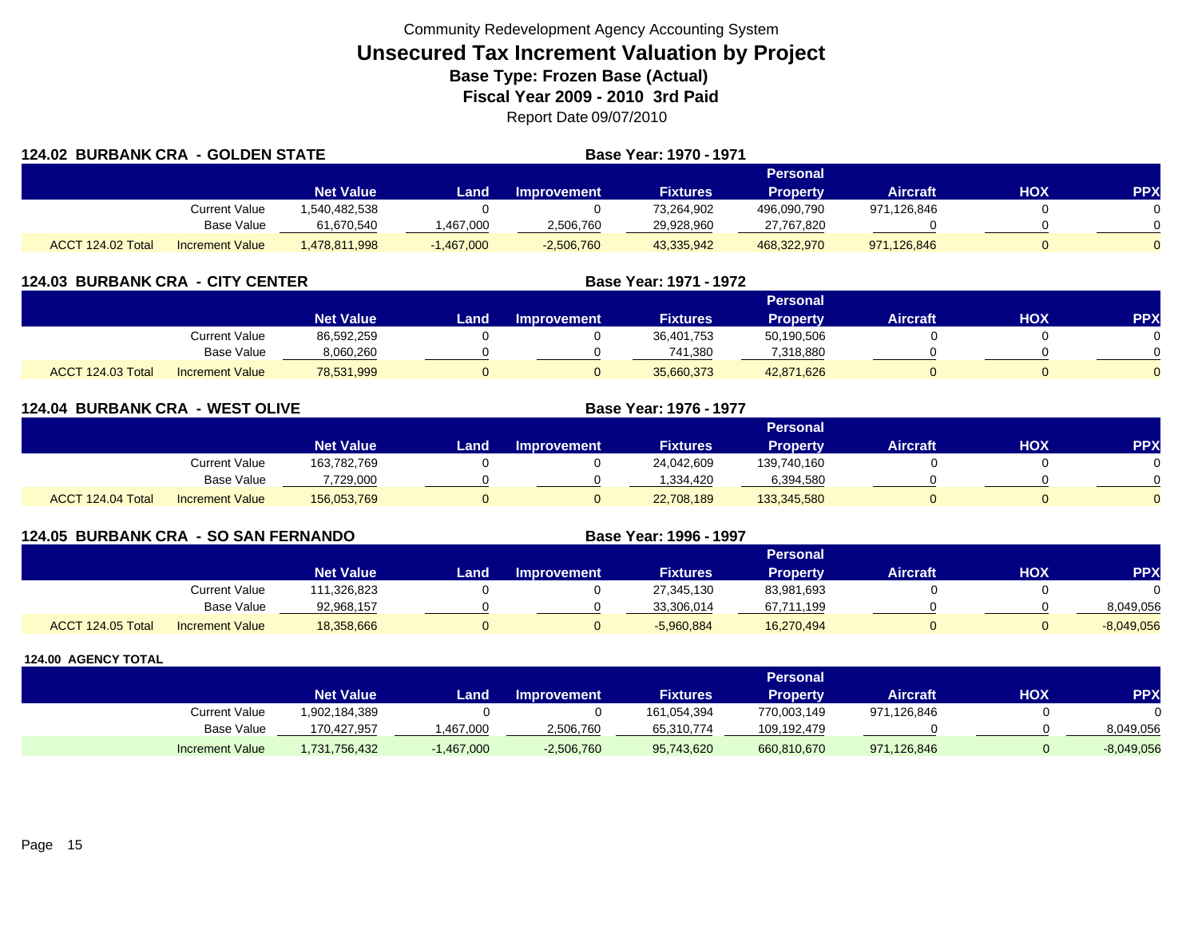| <b>124.02 BURBANK CRA - GOLDEN STATE</b> |                        |                  |              |              | Base Year: 1970 - 1971 |                 |                 |     |            |
|------------------------------------------|------------------------|------------------|--------------|--------------|------------------------|-----------------|-----------------|-----|------------|
|                                          |                        |                  |              |              |                        | <b>Personal</b> |                 |     |            |
|                                          |                        | <b>Net Value</b> | Landı        | Improvement  | <b>Fixtures</b>        | <b>Property</b> | <b>Aircraft</b> | нох | <b>PPX</b> |
|                                          | Current Value          | 1.540.482.538    |              |              | 73,264,902             | 496,090,790     | 971,126,846     |     |            |
|                                          | Base Value             | 61,670,540       | ,467,000     | 2,506,760    | 29,928,960             | 27,767,820      |                 |     |            |
| ACCT 124.02 Total                        | <b>Increment Value</b> | ,478,811,998     | $-1,467,000$ | $-2,506,760$ | 43,335,942             | 468,322,970     | 971,126,846     |     | $\Omega$   |

| <b>124.03 BURBANK CRA - CITY CENTER</b> |                        |                  |      |                    | Base Year: 1971 - 1972 |                 |                 |            |            |
|-----------------------------------------|------------------------|------------------|------|--------------------|------------------------|-----------------|-----------------|------------|------------|
|                                         |                        |                  |      |                    |                        | Personal        |                 |            |            |
|                                         |                        | <b>Net Value</b> | Land | <b>Improvement</b> | <b>Fixtures</b>        | <b>Property</b> | <b>Aircraft</b> | <b>XOH</b> | <b>PPX</b> |
|                                         | Current Value          | 86,592,259       |      |                    | 36,401,753             | 50,190,506      |                 |            |            |
|                                         | Base Value             | 8,060,260        |      |                    | 741,380                | 7,318,880       |                 |            |            |
| ACCT 124.03 Total                       | <b>Increment Value</b> | 78,531,999       |      |                    | 35,660,373             | 42,871,626      |                 |            |            |

| <b>124.04 BURBANK CRA - WEST OLIVE</b> |                        |                  |          | <b>Base Year: 1976 - 1977</b> |                 |                 |                 |            |            |
|----------------------------------------|------------------------|------------------|----------|-------------------------------|-----------------|-----------------|-----------------|------------|------------|
|                                        |                        |                  |          |                               |                 | Personal        |                 |            |            |
|                                        |                        | <b>Net Value</b> | Land.    | <b>Improvement</b>            | <b>Fixtures</b> | <b>Property</b> | <b>Aircraft</b> | <b>HOX</b> | <b>PPX</b> |
|                                        | <b>Current Value</b>   | 163,782,769      |          |                               | 24,042,609      | 139,740,160     |                 |            | $\Omega$   |
|                                        | Base Value             | 7,729,000        |          |                               | .334.420        | 6,394,580       |                 |            | $\Omega$   |
| ACCT 124.04 Total                      | <b>Increment Value</b> | 156,053,769      | $\Omega$ |                               | 22,708,189      | 133,345,580     |                 |            | $\Omega$   |

| <b>124.05 BURBANK CRA - SO SAN FERNANDO</b> |                        |                  |      |                    | Base Year: 1996 - 1997 |                 |                 |     |              |
|---------------------------------------------|------------------------|------------------|------|--------------------|------------------------|-----------------|-----------------|-----|--------------|
|                                             |                        |                  |      |                    |                        | Personal        |                 |     |              |
|                                             |                        | <b>Net Value</b> | Land | <b>Improvement</b> | <b>Fixtures</b>        | <b>Property</b> | <b>Aircraft</b> | нох | PP)          |
|                                             | Current Value          | 111,326,823      |      |                    | 27,345,130             | 83,981,693      |                 |     |              |
|                                             | Base Value             | 92.968.157       |      |                    | 33,306,014             | 67,711,199      |                 |     | 8,049,056    |
| ACCT 124.05 Total                           | <b>Increment Value</b> | 18,358,666       |      |                    | $-5,960,884$           | 16,270,494      |                 |     | $-8,049,056$ |

|                        |                  |              |                    |                 | <b>Personal</b> |             |            |              |
|------------------------|------------------|--------------|--------------------|-----------------|-----------------|-------------|------------|--------------|
|                        | <b>Net Value</b> | Land.        | <b>Improvement</b> | <b>Fixtures</b> | Property        | Aircraft    | <b>HOX</b> | PPX          |
| Current Value          | 1,902,184,389    |              |                    | 161,054,394     | 770,003,149     | 971,126,846 |            |              |
| Base Value             | 170.427.957      | .467.000     | 2,506,760          | 65,310,774      | 109,192,479     |             |            | 8,049,056    |
| <b>Increment Value</b> | 1,731,756,432    | $-1,467,000$ | $-2,506,760$       | 95,743,620      | 660,810,670     | 971,126,846 |            | $-8,049,056$ |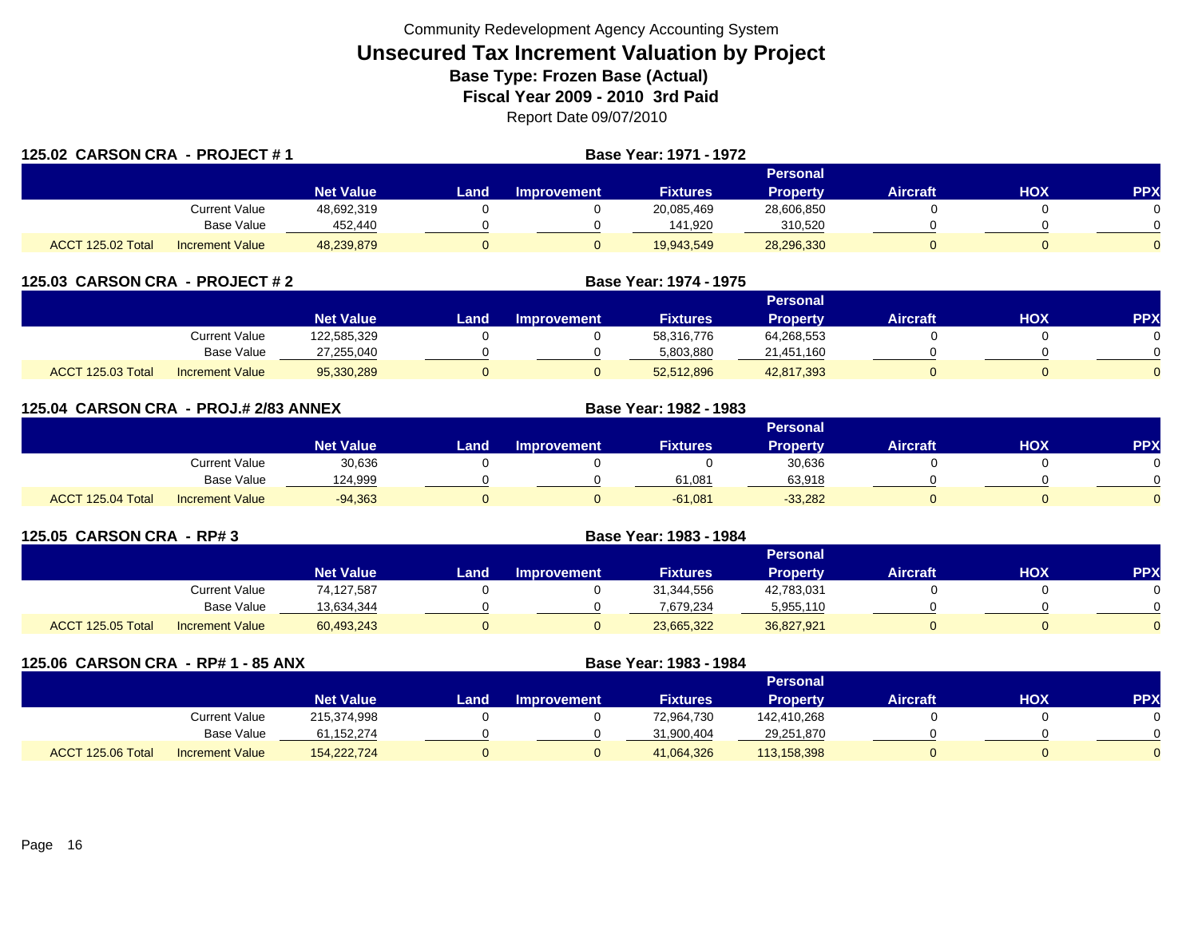| 125.02 CARSON CRA - PROJECT #1 |                        |                  |      |                    |                 |                 |                 |     |            |
|--------------------------------|------------------------|------------------|------|--------------------|-----------------|-----------------|-----------------|-----|------------|
|                                |                        |                  |      |                    |                 | Personal        |                 |     |            |
|                                |                        | <b>Net Value</b> | Land | <b>Improvement</b> | <b>Fixtures</b> | <b>Property</b> | <b>Aircraft</b> | HOX | <b>PPX</b> |
|                                | Current Value          | 48,692,319       |      |                    | 20,085,469      | 28,606,850      |                 |     | 0.         |
|                                | Base Value             | 452,440          |      |                    | 141,920         | 310,520         |                 |     | $\Omega$   |
| ACCT 125.02 Total              | <b>Increment Value</b> | 48,239,879       |      | 0                  | 19,943,549      | 28,296,330      |                 |     | 0          |

| 125.03 CARSON CRA - PROJECT # 2 |                        |                  | Base Year: 1974 - 1975 |                    |                 |                 |                 |            |            |  |
|---------------------------------|------------------------|------------------|------------------------|--------------------|-----------------|-----------------|-----------------|------------|------------|--|
|                                 |                        |                  |                        |                    |                 | Personal        |                 |            |            |  |
|                                 |                        | <b>Net Value</b> | Land                   | <b>Improvement</b> | <b>Fixtures</b> | <b>Property</b> | <b>Aircraft</b> | <b>NOH</b> | <b>PPX</b> |  |
|                                 | Current Value          | 122,585,329      |                        |                    | 58.316.776      | 64,268,553      |                 |            |            |  |
|                                 | Base Value             | 27,255,040       |                        |                    | 5,803,880       | 21,451,160      |                 |            |            |  |
| ACCT 125.03 Total               | <b>Increment Value</b> | 95.330.289       |                        |                    | 52.512.896      | 42,817,393      |                 |            |            |  |

| 125.04 CARSON CRA - PROJ.# 2/83 ANNEX |                        |                  |      |                    | Base Year: 1982 - 1983 |                 |                 |            |            |
|---------------------------------------|------------------------|------------------|------|--------------------|------------------------|-----------------|-----------------|------------|------------|
|                                       |                        |                  |      |                    |                        | <b>Personal</b> |                 |            |            |
|                                       |                        | <b>Net Value</b> | Land | <b>Improvement</b> | <b>Fixtures</b>        | <b>Property</b> | <b>Aircraft</b> | <b>HOX</b> | <b>PPX</b> |
|                                       | Current Value          | 30,636           |      |                    |                        | 30,636          |                 |            | 0          |
|                                       | <b>Base Value</b>      | 124,999          |      |                    | 61,081                 | 63,918          |                 |            | $\Omega$   |
| ACCT 125.04 Total                     | <b>Increment Value</b> | $-94,363$        |      |                    | $-61,081$              | $-33,282$       |                 |            | $\Omega$   |

| 125.05 CARSON CRA - RP# 3                   | Base Year: 1983 - 1984 |      |                    |                 |                 |                 |     |           |  |
|---------------------------------------------|------------------------|------|--------------------|-----------------|-----------------|-----------------|-----|-----------|--|
|                                             |                        |      |                    |                 | <b>Personal</b> |                 |     |           |  |
|                                             | <b>Net Value</b>       | Land | <b>Improvement</b> | <b>Fixtures</b> | <b>Property</b> | <b>Aircraft</b> | нох | <b>PP</b> |  |
| Current Value                               | 74,127,587             |      |                    | 31,344,556      | 42,783,031      |                 |     |           |  |
| Base Value                                  | 13,634,344             |      |                    | 7,679,234       | 5,955,110       |                 |     |           |  |
| ACCT 125.05 Total<br><b>Increment Value</b> | 60,493,243             |      |                    | 23,665,322      | 36,827,921      |                 |     |           |  |

| 125.06 CARSON CRA - RP# 1 - 85 ANX |                        |                  |      | Base Year: 1983 - 1984 |                 |                 |                 |     |           |  |  |
|------------------------------------|------------------------|------------------|------|------------------------|-----------------|-----------------|-----------------|-----|-----------|--|--|
|                                    |                        |                  |      | <b>Personal</b>        |                 |                 |                 |     |           |  |  |
|                                    |                        | <b>Net Value</b> | Land | <b>Improvement</b>     | <b>Fixtures</b> | <b>Property</b> | <b>Aircraft</b> | нох | <b>PP</b> |  |  |
|                                    | Current Value          | 215,374,998      |      |                        | 72,964,730      | 142,410,268     |                 |     |           |  |  |
|                                    | Base Value             | 61,152,274       |      |                        | 31,900,404      | 29,251,870      |                 |     |           |  |  |
| ACCT 125.06 Total                  | <b>Increment Value</b> | 154,222,724      |      | 0                      | 41,064,326      | 113,158,398     | 0               |     |           |  |  |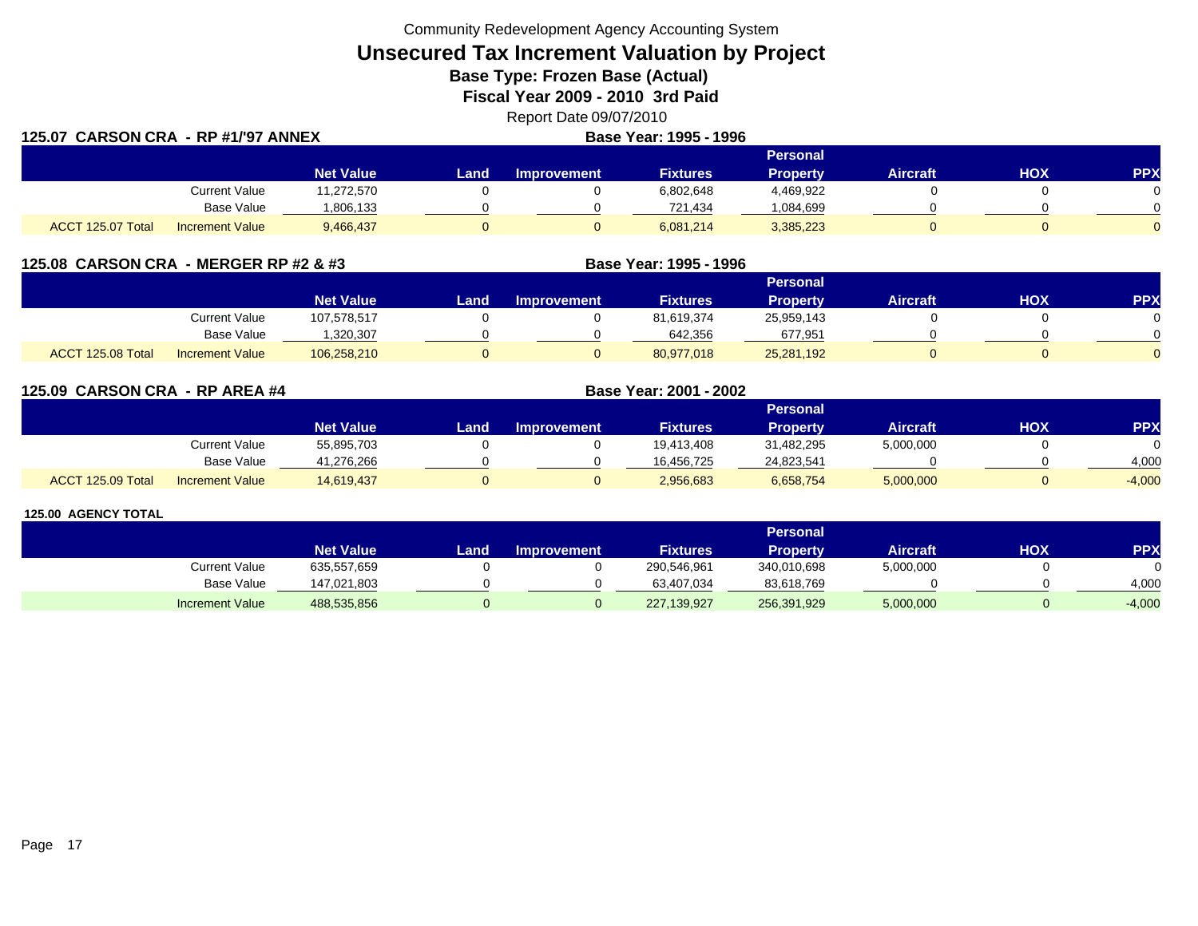Community Redevelopment Agency Accounting System

# **Unsecured Tax Increment Valuation by Project**

**Base Type: Frozen Base (Actual)** 

**Fiscal Year 2009 - 2010 3rd Paid**

| Report Date 09/07/2010  |
|-------------------------|
| <b>BUSINE</b> 1885 1888 |

| 125.07 CARSON CRA - RP #1/'97 ANNEX |                        |                  |                 |                    | Base Year: 1995 - 1996 |                 |                 |            |            |  |
|-------------------------------------|------------------------|------------------|-----------------|--------------------|------------------------|-----------------|-----------------|------------|------------|--|
|                                     |                        |                  | <b>Personal</b> |                    |                        |                 |                 |            |            |  |
|                                     |                        | <b>Net Value</b> | Land .          | <b>Improvement</b> | <b>Fixtures</b>        | <b>Property</b> | <b>Aircraft</b> | <b>HOX</b> | <b>PPX</b> |  |
|                                     | <b>Current Value</b>   | 11,272,570       |                 |                    | 6,802,648              | 4,469,922       |                 |            |            |  |
|                                     | <b>Base Value</b>      | 1,806,133        |                 |                    | 721,434                | 084,699.ا       |                 |            |            |  |
| ACCT 125.07 Total                   | <b>Increment Value</b> | 9,466,437        |                 |                    | 6,081,214              | 3,385,223       |                 |            |            |  |

| 125.08 CARSON CRA - MERGER RP #2 & #3 |                   |                        |                  |      |                    | Base Year: 1995 - 1996 |                 |                 |     |            |  |
|---------------------------------------|-------------------|------------------------|------------------|------|--------------------|------------------------|-----------------|-----------------|-----|------------|--|
|                                       |                   |                        |                  |      | Personal           |                        |                 |                 |     |            |  |
|                                       |                   |                        | <b>Net Value</b> | Land | <b>Improvement</b> | <b>Fixtures</b>        | <b>Property</b> | <b>Aircraft</b> | ΗΟΧ | <b>PPX</b> |  |
|                                       |                   | Current Value          | 107,578,517      |      |                    | 81,619,374             | 25,959,143      |                 |     |            |  |
|                                       |                   | Base Value             | ,320,307         |      |                    | 642,356                | 677,951         |                 |     |            |  |
|                                       | ACCT 125.08 Total | <b>Increment Value</b> | 106,258,210      |      |                    | 80,977,018             | 25,281,192      |                 |     |            |  |

**125.09 CARSON CRA - RP AREA #4 Base Year: 2001 - 2002 Personal Net Value Land Improvement Fixtures Property Aircraft HOX PPX** Current Value 55,895,703 0 0 19,413,408 31,482,295 5,000,000 0 0 Base Value 41,276,266 0 0 16,456,725 24,823,541 0 0 4,000 ACCT 125.09 TotalIncrement Value 14,619,437 0 0 2,956,683 6,658,754 5,000,000 0 -4,000

|                        | Personal         |      |                    |                 |             |                 |     |          |  |  |  |
|------------------------|------------------|------|--------------------|-----------------|-------------|-----------------|-----|----------|--|--|--|
|                        | <b>Net Value</b> | _and | <b>Improvement</b> | <b>Fixtures</b> | Property    | <b>Aircraft</b> | нох | PPX      |  |  |  |
| <b>Current Value</b>   | 635,557,659      |      |                    | 290,546,961     | 340,010,698 | 5,000,000       |     |          |  |  |  |
| Base Value             | 147.021.803      |      |                    | 63.407.034      | 83,618,769  |                 |     | 4,000    |  |  |  |
| <b>Increment Value</b> | 488,535,856      |      |                    | 227,139,927     | 256,391,929 | 5,000,000       |     | $-4,000$ |  |  |  |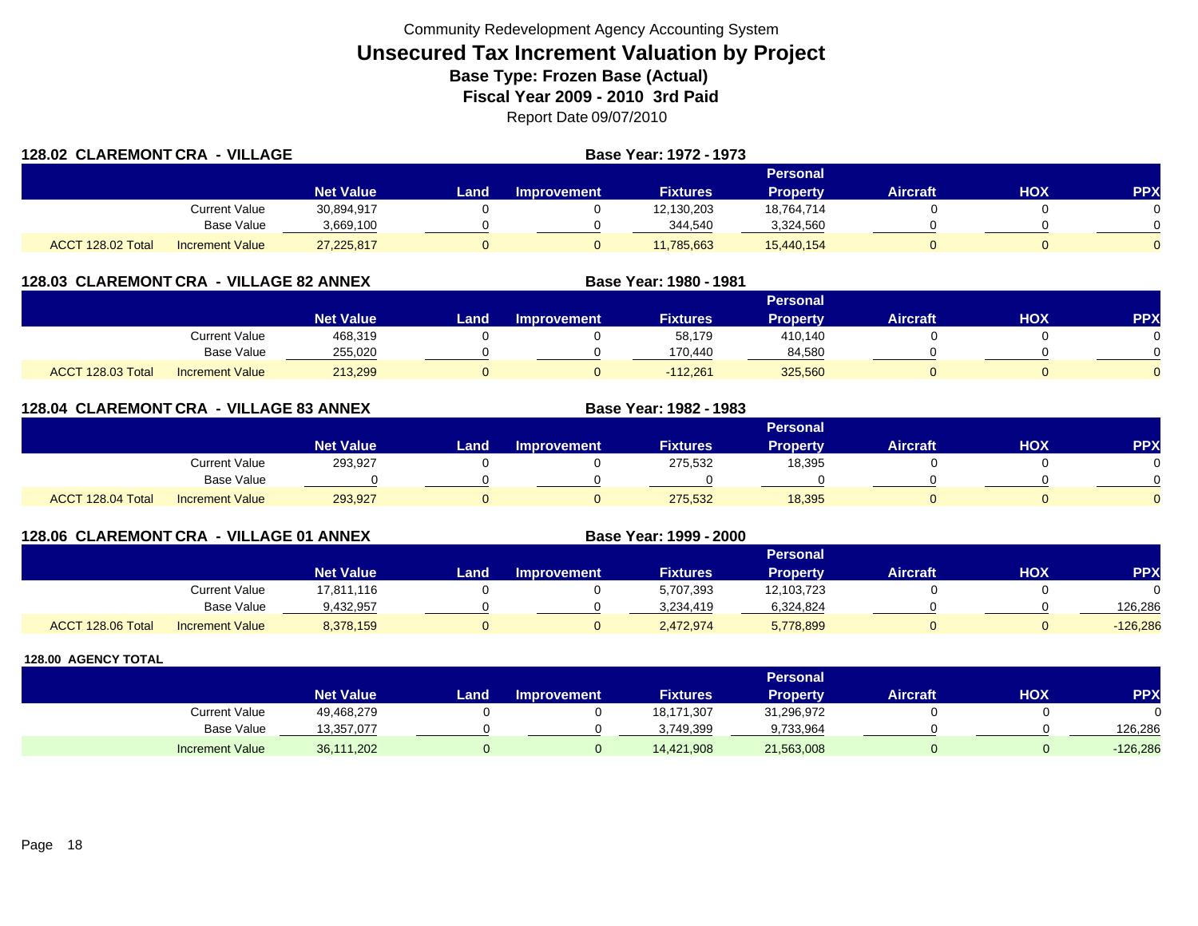| 128.02 CLAREMONT CRA - VILLAGE |                        |                  |      | Base Year: 1972 - 1973 |                 |                 |                 |     |            |
|--------------------------------|------------------------|------------------|------|------------------------|-----------------|-----------------|-----------------|-----|------------|
|                                |                        |                  |      |                        |                 | Personal        |                 |     |            |
|                                |                        | <b>Net Value</b> | Land | <b>Improvement</b>     | <b>Fixtures</b> | <b>Property</b> | <b>Aircraft</b> | HOX | <b>PPX</b> |
|                                | Current Value          | 30,894,917       |      |                        | 12,130,203      | 18,764,714      |                 |     |            |
|                                | Base Value             | 3,669,100        |      |                        | 344,540         | 3,324,560       |                 |     |            |
| ACCT 128.02 Total              | <b>Increment Value</b> | 27,225,817       |      |                        | 11,785,663      | 15,440,154      |                 |     |            |

### **128.03 CLAREMONT CRA - VILLAGE 82 ANNEX**

|                   |                        |                    |      |                    |                 | <b>Personal</b> |                 |            |           |
|-------------------|------------------------|--------------------|------|--------------------|-----------------|-----------------|-----------------|------------|-----------|
|                   |                        | Net Value <b>\</b> | Land | <b>Improvement</b> | <b>Fixtures</b> | <b>Property</b> | <b>Aircraft</b> | <b>HOX</b> | <b>PP</b> |
|                   | Current Value          | 468,319            |      |                    | 58,179          | 410.140         |                 |            |           |
|                   | <b>Base Value</b>      | 255.020            |      |                    | 170.440         | 84,580          |                 |            |           |
| ACCT 128.03 Total | <b>Increment Value</b> | 213,299            |      |                    | $-112.261$      | 325,560         |                 |            |           |

**Base Year: 1980 - 1981**

**Base Year: 1982 - 1983**

**Base Year: 1999 - 2000**

### **128.04 CLAREMONT CRA - VILLAGE 83 ANNEX**

|                   |                        |                  |      |                    |                 | Personal        |                 |            |          |
|-------------------|------------------------|------------------|------|--------------------|-----------------|-----------------|-----------------|------------|----------|
|                   |                        | <b>Net Value</b> | Land | <b>Improvement</b> | <b>Fixtures</b> | <b>Property</b> | <b>Aircraft</b> | <b>XOH</b> | PPX      |
|                   | Current Value          | 293,927          |      |                    | 275,532         | 18,395          |                 |            |          |
|                   | Base Value             |                  |      |                    |                 |                 |                 |            | ∩        |
| ACCT 128.04 Total | <b>Increment Value</b> | 293,927          |      |                    | 275,532         | 18,395          |                 |            | $\Omega$ |

## **128.06 CLAREMONT CRA - VILLAGE 01 ANNEX**

|                   |                        |                  |      |                    |                 | <b>Personal</b> |                 |            |            |
|-------------------|------------------------|------------------|------|--------------------|-----------------|-----------------|-----------------|------------|------------|
|                   |                        | <b>Net Value</b> | Land | <b>Improvement</b> | <b>Fixtures</b> | Propertv        | <b>Aircraft</b> | <b>HOX</b> | <b>PPX</b> |
|                   | Current Value          | 17,811,116       |      |                    | 5,707,393       | 12,103,723      |                 |            |            |
|                   | <b>Base Value</b>      | 9,432,957        |      |                    | 3.234.419       | 6,324,824       |                 |            | 126.286    |
| ACCT 128.06 Total | <b>Increment Value</b> | 8,378,159        |      |                    | 2,472,974       | 5,778,899       |                 |            | $-126,286$ |

|                        |                  |      |                    |                 | Personal   |          |     |         |
|------------------------|------------------|------|--------------------|-----------------|------------|----------|-----|---------|
|                        | <b>Net Value</b> | Land | <b>Improvement</b> | <b>Fixtures</b> | Property   | Aircraft | нох | PPX     |
| <b>Current Value</b>   | 49,468,279       |      |                    | 18,171,307      | 31,296,972 |          |     | 0       |
| <b>Base Value</b>      | 13,357,077       |      |                    | 3,749,399       | 9,733,964  |          |     | 126.286 |
| <b>Increment Value</b> | 36,111,202       |      |                    | 14,421,908      | 21,563,008 |          |     | 126,286 |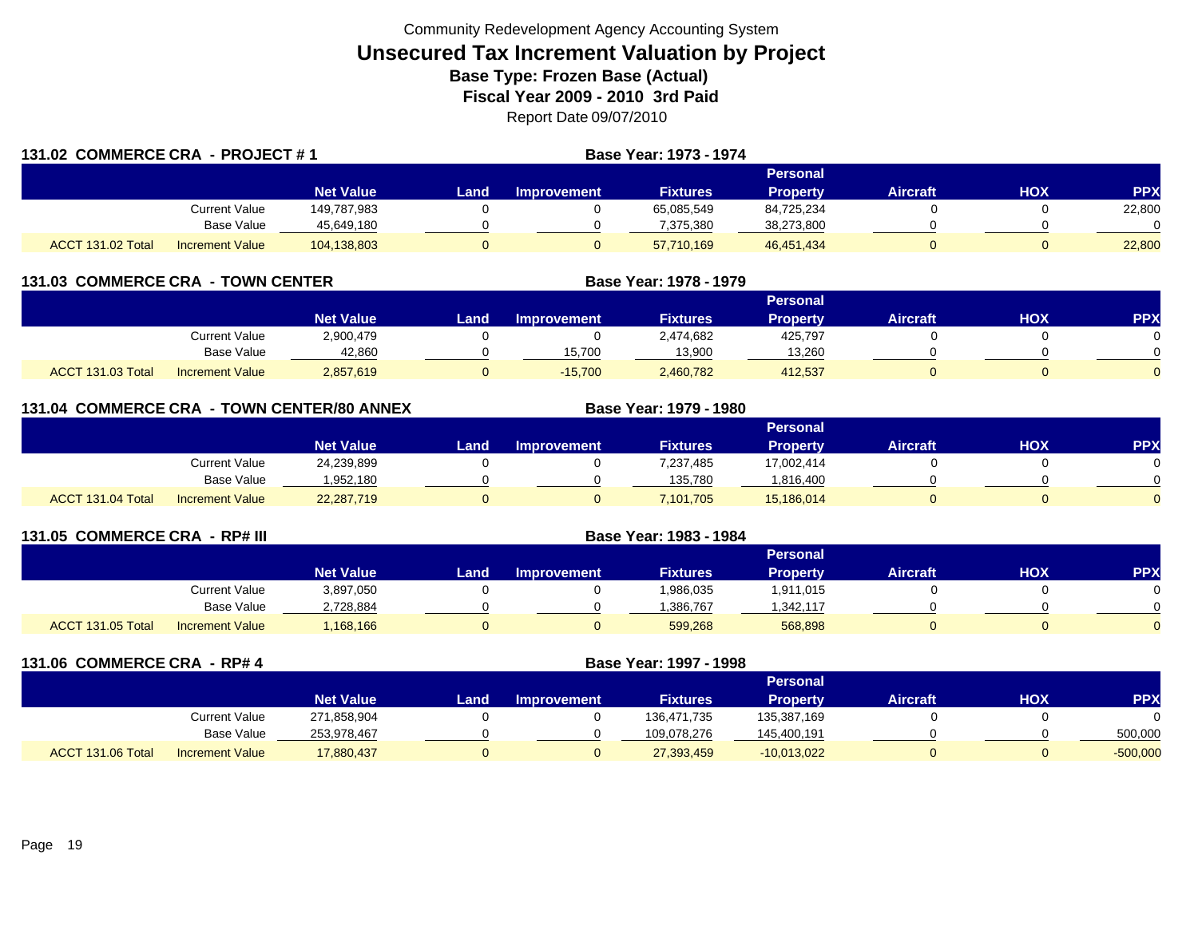| 131.02 COMMERCE CRA - PROJECT #1 |                        |                  |       |             | Base Year: 1973 - 1974 |                 |                 |     |            |
|----------------------------------|------------------------|------------------|-------|-------------|------------------------|-----------------|-----------------|-----|------------|
|                                  |                        |                  |       |             |                        | Personal        |                 |     |            |
|                                  |                        | <b>Net Value</b> | Landı | Improvement | <b>Fixtures</b>        | <b>Property</b> | <b>Aircraft</b> | HOX | <b>PPX</b> |
|                                  | Current Value          | 149.787.983      |       |             | 65,085,549             | 84,725,234      |                 |     | 22,800     |
|                                  | Base Value             | 45,649,180       |       |             | 7.375.380              | 38,273,800      |                 |     |            |
| ACCT 131.02 Total                | <b>Increment Value</b> | 104,138,803      |       |             | 57,710,169             | 46,451,434      |                 |     | 22,800     |

| 131.03 COMMERCE CRA - TOWN CENTER |                        |                  |      | Base Year: 1978 - 1979 |                 |                 |                 |     |            |
|-----------------------------------|------------------------|------------------|------|------------------------|-----------------|-----------------|-----------------|-----|------------|
|                                   |                        |                  |      |                        |                 |                 |                 |     |            |
|                                   |                        | <b>Net Value</b> | Land | <b>Improvement</b>     | <b>Fixtures</b> | <b>Property</b> | <b>Aircraft</b> | нох | <b>PPX</b> |
|                                   | Current Value          | 2,900,479        |      |                        | 2,474,682       | 425.797         |                 |     |            |
|                                   | Base Value             | 42,860           |      | 15,700                 | 13,900          | 13,260          |                 |     |            |
| ACCT 131.03 Total                 | <b>Increment Value</b> | 2,857,619        |      | $-15,700$              | 2,460,782       | 412.537         |                 |     |            |

|                   |                        | 131.04 COMMERCE CRA - TOWN CENTER/80 ANNEX |      |                    | Base Year: 1979 - 1980 |                 |                 |            |            |
|-------------------|------------------------|--------------------------------------------|------|--------------------|------------------------|-----------------|-----------------|------------|------------|
|                   |                        |                                            |      |                    |                        | <b>Personal</b> |                 |            |            |
|                   |                        | <b>Net Value</b>                           | Land | <b>Improvement</b> | <b>Fixtures</b>        | <b>Property</b> | <b>Aircraft</b> | <b>HOX</b> | <b>PPX</b> |
|                   | <b>Current Value</b>   | 24,239,899                                 |      |                    | 7,237,485              | 17,002,414      |                 |            |            |
|                   | Base Value             | 1,952,180                                  |      |                    | 135,780                | 1,816,400       |                 |            |            |
| ACCT 131.04 Total | <b>Increment Value</b> | 22,287,719                                 |      | 0                  | 7,101,705              | 15,186,014      |                 |            |            |

| 131.05 COMMERCE CRA - RP# III |                        |                  | Base Year: 1983 - 1984 |                    |                 |                 |                 |     |           |
|-------------------------------|------------------------|------------------|------------------------|--------------------|-----------------|-----------------|-----------------|-----|-----------|
|                               |                        |                  |                        |                    |                 | Personal        |                 |     |           |
|                               |                        | <b>Net Value</b> | Land.                  | <b>Improvement</b> | <b>Fixtures</b> | <b>Property</b> | <b>Aircraft</b> | нох | <b>PP</b> |
|                               | Current Value          | 3,897,050        |                        |                    | 1,986,035       | 1,911,015       |                 |     |           |
|                               | <b>Base Value</b>      | 2,728,884        |                        |                    | ,386,767        | ,342,117        |                 |     |           |
| <b>ACCT 131.05 Total</b>      | <b>Increment Value</b> | 168,166          |                        |                    | 599,268         | 568,898         |                 |     |           |

| 131.06 COMMERCE CRA - RP# 4 |                        |                  |      | Base Year: 1997 - 1998 |                 |                 |                 |            |            |
|-----------------------------|------------------------|------------------|------|------------------------|-----------------|-----------------|-----------------|------------|------------|
|                             |                        |                  |      |                        |                 | <b>Personal</b> |                 |            |            |
|                             |                        | <b>Net Value</b> | Land | <b>Improvement</b>     | <b>Fixtures</b> | <b>Property</b> | <b>Aircraft</b> | <b>HOX</b> | <b>PPX</b> |
|                             | Current Value          | 271,858,904      |      |                        | 136,471,735     | 135,387,169     |                 |            |            |
|                             | Base Value             | 253,978,467      |      |                        | 109,078,276     | 145,400,191     |                 |            | 500,000    |
| ACCT 131.06 Total           | <b>Increment Value</b> | 17,880,437       |      |                        | 27,393,459      | $-10,013,022$   |                 |            | $-500,000$ |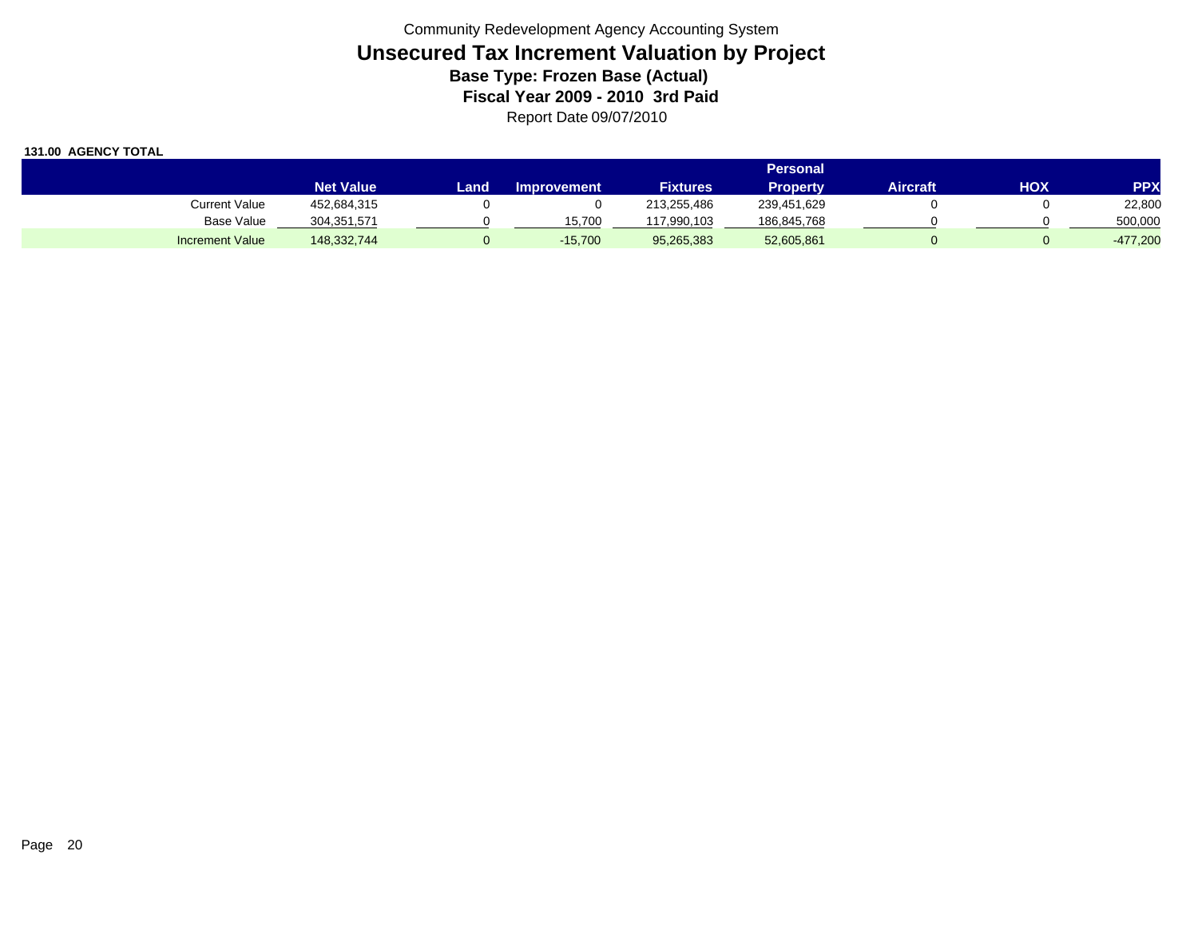|                        |                  |       |                    |             | Personal    |          |     |            |
|------------------------|------------------|-------|--------------------|-------------|-------------|----------|-----|------------|
|                        | <b>Net Value</b> | Land. | <b>Improvement</b> | Fixtures'   | Propertv    | Aircraft | нох | <b>PPX</b> |
| <b>Current Value</b>   | 452,684,315      |       |                    | 213.255.486 | 239,451,629 |          |     | 22,800     |
| <b>Base Value</b>      | 304, 351, 571    |       | 15.700             | 117.990.103 | 186,845,768 |          |     | 500,000    |
| <b>Increment Value</b> | 148,332,744      |       | $-15.700$          | 95,265,383  | 52,605,861  |          |     | $-477,200$ |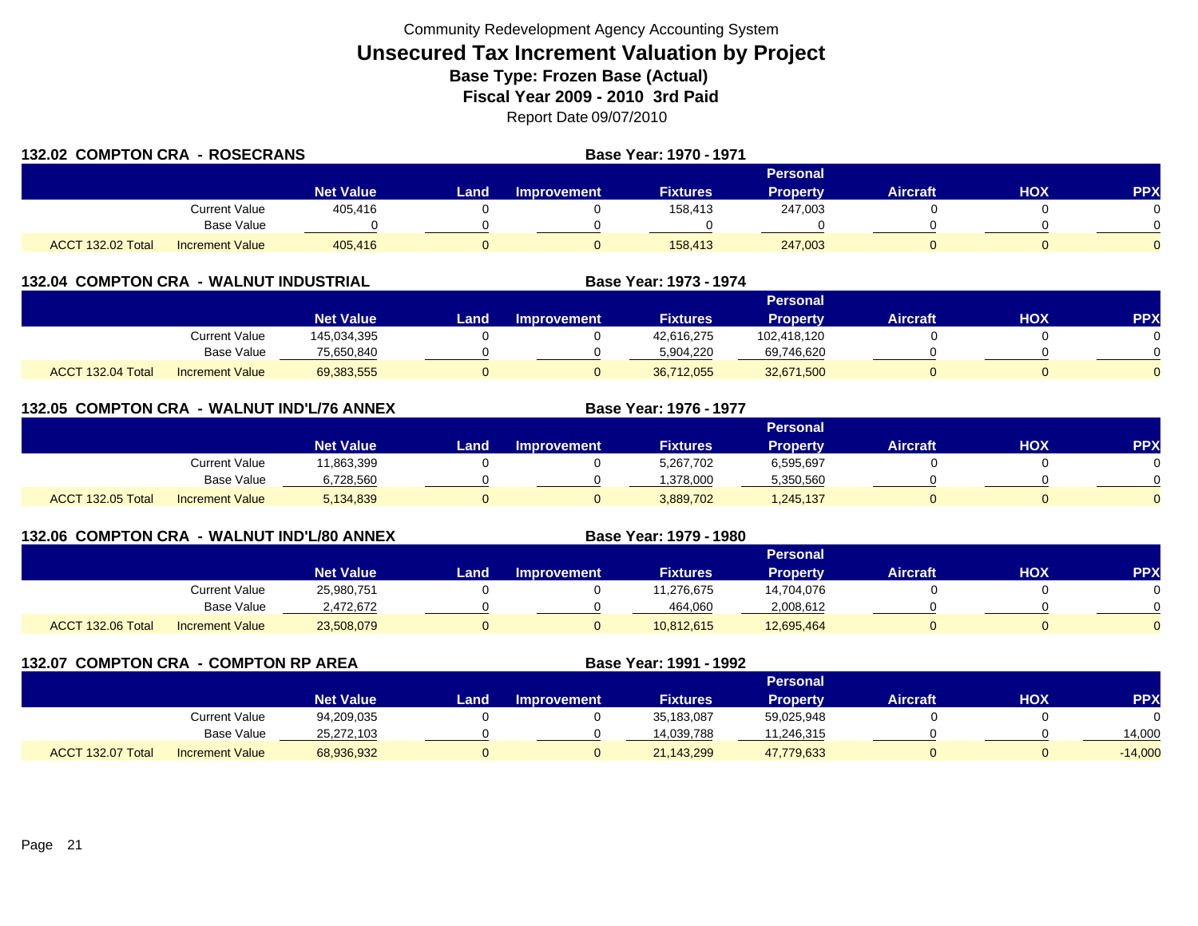| 132.02 COMPTON CRA - ROSECRANS |                        |                  |       | Base Year: 1970 - 1971 |                 |                 |                 |            |            |
|--------------------------------|------------------------|------------------|-------|------------------------|-----------------|-----------------|-----------------|------------|------------|
|                                |                        |                  |       |                        |                 | Personal        |                 |            |            |
|                                |                        | <b>Net Value</b> | Landı | Improvement            | <b>Fixtures</b> | <b>Property</b> | <b>Aircraft</b> | <b>HOX</b> | <b>PPX</b> |
|                                | Current Value          | 405.416          |       |                        | 158,413         | 247,003         |                 |            |            |
|                                | <b>Base Value</b>      |                  |       |                        |                 |                 |                 |            |            |
| ACCT 132.02 Total              | <b>Increment Value</b> | 405.416          |       |                        | 158,413         | 247,003         |                 |            |            |

| 132.04 COMPTON CRA - WALNUT INDUSTRIAL |                              |      |                    | Base Year: 1973 - 1974 |                 |          |     |            |
|----------------------------------------|------------------------------|------|--------------------|------------------------|-----------------|----------|-----|------------|
|                                        |                              |      |                    |                        | Personal        |          |     |            |
|                                        | <b>Net Value</b>             | Land | <b>Improvement</b> | <b>Fixtures</b>        | <b>Property</b> | Aircraft | нох | <b>PPX</b> |
|                                        | 145,034,395<br>Current Value |      |                    | 42,616,275             | 102,418,120     |          |     |            |

| 132.05 COMPTON CRA - WALNUT IND'L/76 ANNEX |                        |                  |      |                    | Base Year: 1976 - 1977 |                 |                 |            |            |
|--------------------------------------------|------------------------|------------------|------|--------------------|------------------------|-----------------|-----------------|------------|------------|
|                                            |                        |                  |      |                    |                        | <b>Personal</b> |                 |            |            |
|                                            |                        | <b>Net Value</b> | Land | <b>Improvement</b> | <b>Fixtures</b>        | <b>Property</b> | <b>Aircraft</b> | <b>HOX</b> | <b>PPX</b> |
|                                            | <b>Current Value</b>   | 11,863,399       |      |                    | 5,267,702              | 6,595,697       |                 |            |            |
|                                            | <b>Base Value</b>      | 6,728,560        |      |                    | 1,378,000              | 5,350,560       |                 |            |            |
| ACCT 132.05 Total                          | <b>Increment Value</b> | 5,134,839        |      |                    | 3,889,702              | 1,245,137       |                 |            |            |

Base Value 75,650,840 0 0 5,904,220 69,746,620 0 0

l Increment Value 69,383,555 0 0 36,712,055 32,671,500 0 0

**Base Year: 1979 - 1980**

| 132.06 COMPTON CRA - WALNUT IND'L/80 ANNEX |
|--------------------------------------------|
|                                            |

|                   |                        |                  | Personal <b>\</b> |                    |                 |                 |          |            |          |  |  |  |
|-------------------|------------------------|------------------|-------------------|--------------------|-----------------|-----------------|----------|------------|----------|--|--|--|
|                   |                        | <b>Net Value</b> | Land.             | <b>Improvement</b> | <b>Fixtures</b> | <b>Property</b> | Aircraft | <b>HOX</b> | PPX      |  |  |  |
|                   | Current Value          | 25,980,751       |                   |                    | 1,276,675       | 14,704,076      |          |            |          |  |  |  |
|                   | <b>Base Value</b>      | 2,472,672        |                   |                    | 464,060         | 2,008,612       |          |            |          |  |  |  |
| ACCT 132.06 Total | <b>Increment Value</b> | 23,508,079       |                   |                    | 10,812,615      | 12,695,464      |          |            | $\Omega$ |  |  |  |

| 132.07 COMPTON CRA - COMPTON RP AREA |                 |                  |      |                    | Base Year: 1991 - 1992 |                 |                 |     |           |  |
|--------------------------------------|-----------------|------------------|------|--------------------|------------------------|-----------------|-----------------|-----|-----------|--|
|                                      |                 |                  |      | <b>Personal</b>    |                        |                 |                 |     |           |  |
|                                      |                 | <b>Net Value</b> | Land | <b>Improvement</b> | <b>Fixtures</b>        | <b>Property</b> | <b>Aircraft</b> | нох | <b>PP</b> |  |
|                                      | Current Value   | 94,209,035       |      |                    | 35,183,087             | 59,025,948      |                 |     |           |  |
|                                      | Base Value      | 25,272,103       |      |                    | 14.039.788             | 11,246,315      |                 |     | 14.000    |  |
| ACCT 132.07 Total                    | Increment Value | 68,936,932       |      | O                  | 21,143,299             | 47,779,633      | 0               |     | $-14,000$ |  |

ACCT 132.04 Total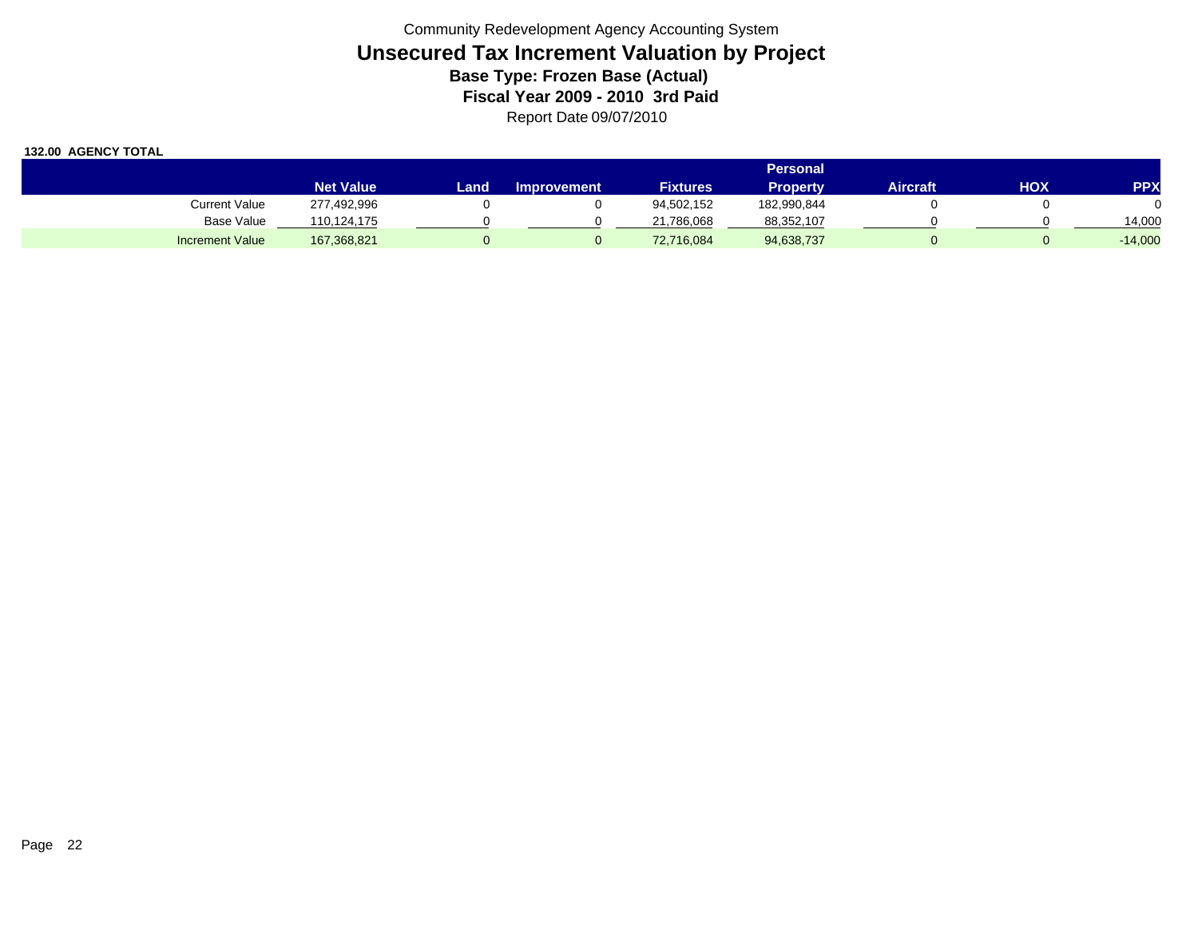|                        |                  | Personal |                    |                 |             |          |     |            |  |  |
|------------------------|------------------|----------|--------------------|-----------------|-------------|----------|-----|------------|--|--|
|                        | <b>Net Value</b> | Land     | <b>Improvement</b> | <b>Fixtures</b> | Propertv    | Aircraft | HOX | <b>PPX</b> |  |  |
| Current Value          | 277,492,996      |          |                    | 94,502,152      | 182,990,844 |          |     |            |  |  |
| <b>Base Value</b>      | 110.124.175      |          |                    | 21,786,068      | 88,352,107  |          |     | 14,000     |  |  |
| <b>Increment Value</b> | 167,368,821      |          |                    | 72,716,084      | 94,638,737  |          |     | $-14,000$  |  |  |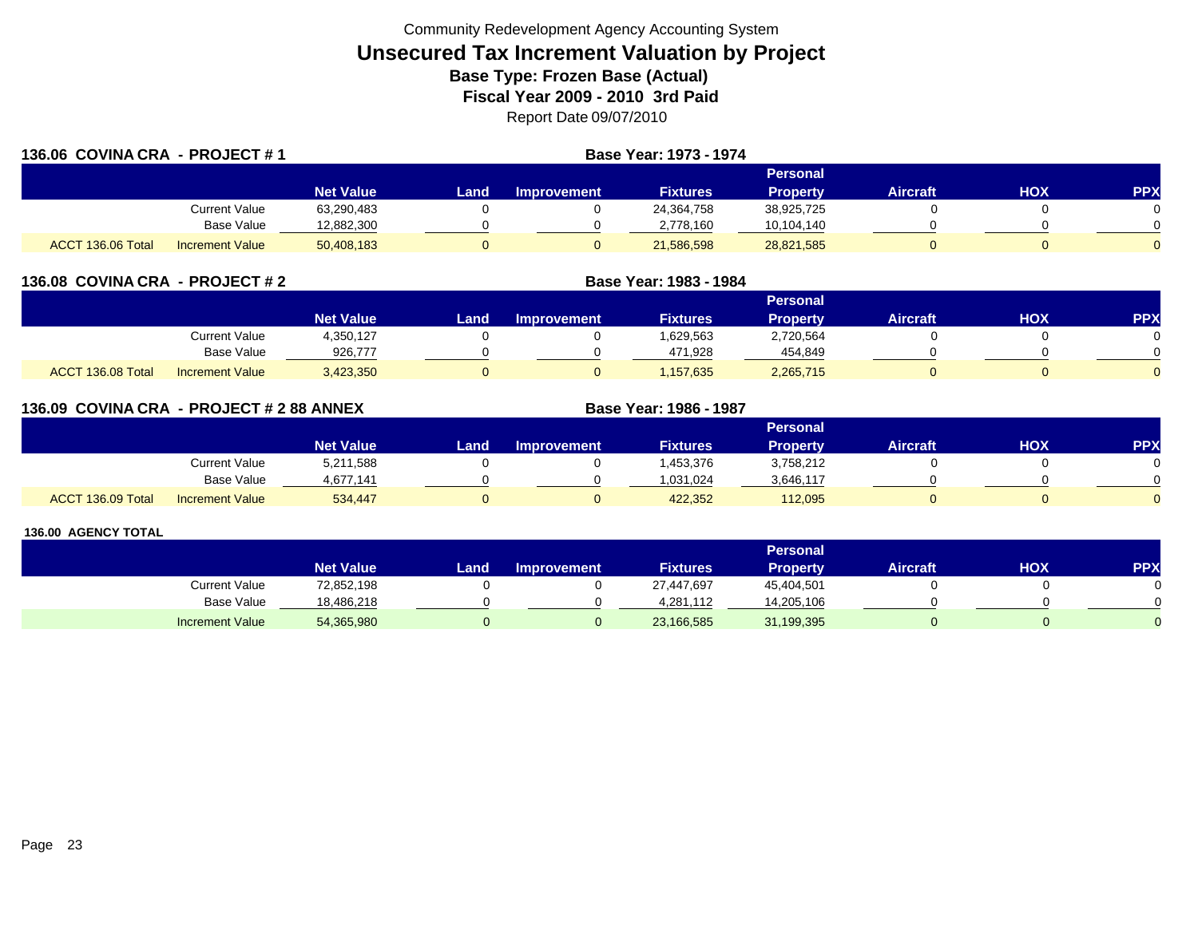| 136.06 COVINA CRA - PROJECT #1 |                        | Base Year: 1973 - 1974 |          |                    |                 |                 |          |     |     |  |
|--------------------------------|------------------------|------------------------|----------|--------------------|-----------------|-----------------|----------|-----|-----|--|
|                                |                        |                        | Personal |                    |                 |                 |          |     |     |  |
|                                |                        | <b>Net Value</b>       | Land     | <b>Improvement</b> | <b>Fixtures</b> | <b>Property</b> | Aircraft | нох | PPX |  |
|                                | Current Value          | 63,290,483             |          |                    | 24,364,758      | 38,925,725      |          |     |     |  |
|                                | Base Value             | 12,882,300             |          |                    | 2,778,160       | 10,104,140      |          |     |     |  |
| ACCT 136.06 Total              | <b>Increment Value</b> | 50,408,183             |          |                    | 21,586,598      | 28,821,585      |          |     |     |  |

| 136.08 COVINA CRA - PROJECT # 2 |                        |                  | Base Year: 1983 - 1984 |                    |                 |                 |                 |     |           |  |
|---------------------------------|------------------------|------------------|------------------------|--------------------|-----------------|-----------------|-----------------|-----|-----------|--|
|                                 |                        |                  |                        |                    |                 | <b>Personal</b> |                 |     |           |  |
|                                 |                        | <b>Net Value</b> | Land                   | <b>Improvement</b> | <b>Fixtures</b> | <b>Property</b> | <b>Aircraft</b> | нох | <b>PP</b> |  |
|                                 | Current Value          | 4,350,127        |                        |                    | 1,629,563       | 2,720,564       |                 |     |           |  |
|                                 | <b>Base Value</b>      | 926,777          |                        |                    | 471,928         | 454,849         |                 |     |           |  |
| ACCT 136.08 Total               | <b>Increment Value</b> | 3,423,350        |                        |                    | .157.635        | 2,265,715       |                 |     |           |  |

| 136.09 COVINA CRA - PROJECT # 2 88 ANNEX |                        |                  |       |                    | Base Year: 1986 - 1987 |                 |                 |     |            |  |
|------------------------------------------|------------------------|------------------|-------|--------------------|------------------------|-----------------|-----------------|-----|------------|--|
|                                          |                        |                  |       | <b>Personal</b>    |                        |                 |                 |     |            |  |
|                                          |                        | <b>Net Value</b> | Landı | <b>Improvement</b> | <b>Fixtures</b>        | <b>Property</b> | <b>Aircraft</b> | HOX | <b>PPX</b> |  |
|                                          | Current Value          | 5,211,588        |       |                    | .453.376               | 3,758,212       |                 |     |            |  |
|                                          | Base Value             | 4.677.141        |       |                    | 1,031,024              | 3,646,117       |                 |     |            |  |
| ACCT 136.09 Total                        | <b>Increment Value</b> | 534.447          |       |                    | 422.352                | 112.095         |                 |     |            |  |

|                        |                  | <b>Personal</b> |                    |                 |            |                 |     |           |  |  |  |
|------------------------|------------------|-----------------|--------------------|-----------------|------------|-----------------|-----|-----------|--|--|--|
|                        | <b>Net Value</b> | Land.           | <b>Improvement</b> | <b>Fixtures</b> | Property   | <b>Aircraft</b> | HOX | <b>PP</b> |  |  |  |
| <b>Current Value</b>   | 72,852,198       |                 |                    | 27,447,697      | 45,404,501 |                 |     |           |  |  |  |
| Base Value             | 18,486,218       |                 |                    | 4.281.112       | 14,205,106 |                 |     |           |  |  |  |
| <b>Increment Value</b> | 54,365,980       |                 |                    | 23,166,585      | 31,199,395 |                 |     |           |  |  |  |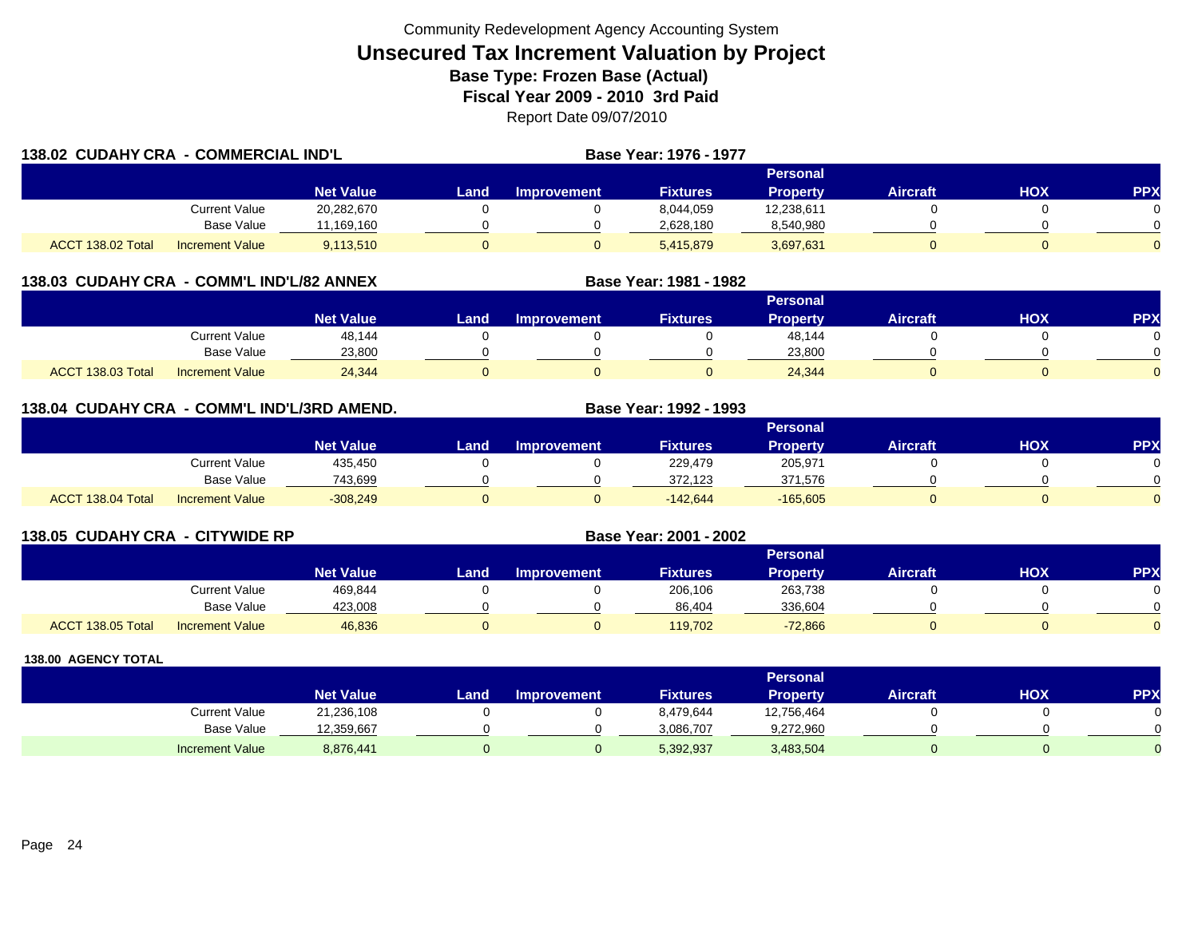| 138.02 CUDAHY CRA - COMMERCIAL IND'L |                        |                  |      |                    | Base Year: 1976 - 1977 |                 |                 |     |            |
|--------------------------------------|------------------------|------------------|------|--------------------|------------------------|-----------------|-----------------|-----|------------|
|                                      |                        |                  |      |                    |                        | Personal        |                 |     |            |
|                                      |                        | <b>Net Value</b> | Land | <b>Improvement</b> | <b>Fixtures</b>        | <b>Property</b> | <b>Aircraft</b> | HOX | <b>PPX</b> |
|                                      | <b>Current Value</b>   | 20,282,670       |      |                    | 8,044,059              | 12,238,611      |                 |     |            |
|                                      | Base Value             | 11,169,160       |      |                    | 2,628,180              | 8,540,980       |                 |     |            |
| ACCT 138.02 Total                    | <b>Increment Value</b> | 9,113,510        |      |                    | 5,415,879              | 3,697,631       |                 |     |            |

### **138.03 CUDAHY CRA - COMM'L IND'L/82 ANNEX**

|                                             |                    | <b>Personal</b> |                    |                 |                 |          |            |          |  |  |  |
|---------------------------------------------|--------------------|-----------------|--------------------|-----------------|-----------------|----------|------------|----------|--|--|--|
|                                             | Net Value <b>ˈ</b> | Land            | <b>Improvement</b> | <b>Fixtures</b> | <b>Property</b> | Aircraft | <b>XOH</b> | PPX      |  |  |  |
| <b>Current Value</b>                        | 48,144             |                 |                    |                 | 48,144          |          |            |          |  |  |  |
| <b>Base Value</b>                           | 23,800             |                 |                    |                 | 23,800          |          |            |          |  |  |  |
| ACCT 138.03 Total<br><b>Increment Value</b> | 24,344             |                 |                    |                 | 24,344          |          |            | $\Omega$ |  |  |  |

**Base Year: 1981 - 1982**

## **138.04 CUDAHY CRA - COMM'L IND'L/3RD AMEND. Base Year: 1992 - 1993**

|                   |                        | Personal         |       |             |                 |                 |                 |            |          |  |
|-------------------|------------------------|------------------|-------|-------------|-----------------|-----------------|-----------------|------------|----------|--|
|                   |                        | <b>Net Value</b> | Landı | Improvement | <b>Fixtures</b> | <b>Property</b> | <b>Aircraft</b> | <b>HOX</b> | PPX      |  |
|                   | Current Value          | 435,450          |       |             | 229,479         | 205,971         |                 |            |          |  |
|                   | <b>Base Value</b>      | 743,699          |       |             | 372,123         | 371,576         |                 |            | 0        |  |
| ACCT 138.04 Total | <b>Increment Value</b> | $-308,249$       |       |             | $-142.644$      | $-165,605$      |                 |            | $\Omega$ |  |

#### **138.05 CUDAHY CRA - CITYWIDE RP Base Year: 2001 - 2002 Personal Net Value Land Improvement Fixtures Property Aircraft HOX PPX** Current Value 469,844 0 0 206,106 263,738 0 0 Base Value 423,008 0 0 86,404 336,604 0 0 ACCT 138.05 Totall Increment Value 46,836 0 119,702 -72,866 0 0

|                        |                  |      |                    |                 | Personal        |          |     |     |
|------------------------|------------------|------|--------------------|-----------------|-----------------|----------|-----|-----|
|                        | <b>Net Value</b> | Land | <b>Improvement</b> | <b>Fixtures</b> | <b>Property</b> | Aircraft | ΗΟΧ | PPX |
| <b>Current Value</b>   | 21,236,108       |      |                    | 8,479,644       | 12,756,464      |          |     |     |
| <b>Base Value</b>      | 12,359,667       |      |                    | 3.086.707       | 9,272,960       |          |     |     |
| <b>Increment Value</b> | 8,876,441        |      |                    | 5,392,937       | 3,483,504       |          |     |     |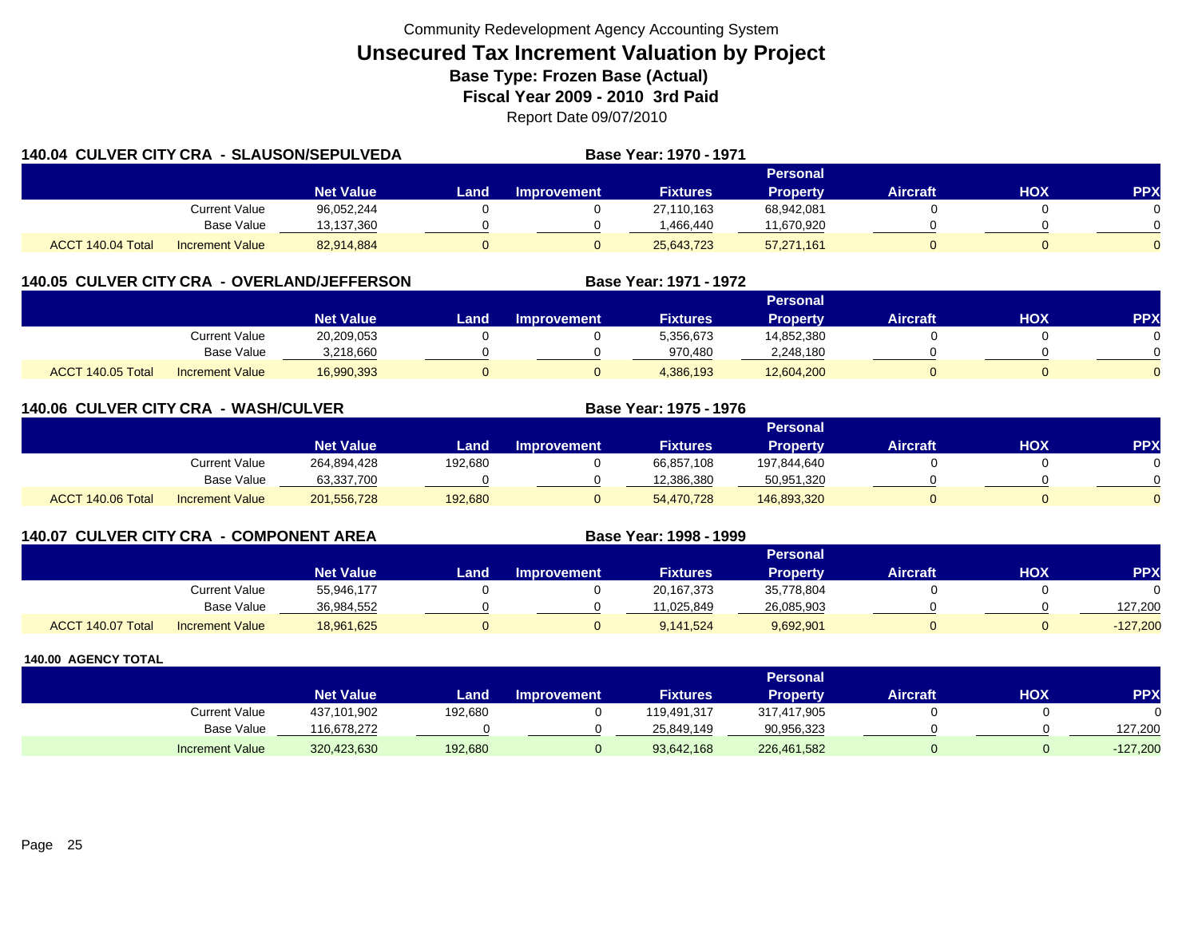| <b>140.04 CULVER CITY CRA - SLAUSON/SEPULVEDA</b> |                      |                  |      |                    | Base Year: 1970 - 1971 |                 |                 |     |                |
|---------------------------------------------------|----------------------|------------------|------|--------------------|------------------------|-----------------|-----------------|-----|----------------|
|                                                   |                      |                  |      |                    |                        | Personal        |                 |     |                |
|                                                   |                      | <b>Net Value</b> | Land | <b>Improvement</b> | <b>Fixtures</b>        | <b>Property</b> | <b>Aircraft</b> | HOX | <b>PPX</b>     |
|                                                   | <b>Current Value</b> | 96,052,244       |      |                    | 27.110.163             | 68,942,081      |                 |     | 0.             |
|                                                   | Base Value           | 13,137,360       |      |                    | 1.466.440              | 11,670,920      |                 |     | ∩              |
| ACCT 140.04 Total                                 | Increment Value      | 82,914,884       |      |                    | 25,643,723             | 57,271,161      |                 |     | $\overline{0}$ |

# **140.05 CULVER CITY CRA - OVERLAND/JEFFERSON**

|                   |                        |                  |      |                    |                 | Personal        |                 |            |            |
|-------------------|------------------------|------------------|------|--------------------|-----------------|-----------------|-----------------|------------|------------|
|                   |                        | <b>Net Value</b> | Land | <b>Improvement</b> | <b>Fixtures</b> | <b>Property</b> | <b>Aircraft</b> | <b>XOH</b> | <b>PPX</b> |
|                   | Current Value          | 20,209,053       |      |                    | 5,356,673       | 14,852,380      |                 |            |            |
|                   | Base Value             | 3.218.660        |      |                    | 970.480         | 2,248,180       |                 |            |            |
| ACCT 140.05 Total | <b>Increment Value</b> | 16,990,393       |      |                    | 4,386,193       | 12,604,200      |                 |            | $\Omega$   |

**Base Year: 1971 - 1972**

**Base Year: 1975 - 1976**

**Base Year: 1998 - 1999**

| <b>140.06 CULVER CITY CRA - WASH/CULVER</b> |  |
|---------------------------------------------|--|
|---------------------------------------------|--|

|                   |                        |                  |         |                    |                 | Personal        |                 |            |          |
|-------------------|------------------------|------------------|---------|--------------------|-----------------|-----------------|-----------------|------------|----------|
|                   |                        | <b>Net Value</b> | Land    | <b>Improvement</b> | <b>Fixtures</b> | <b>Property</b> | <b>Aircraft</b> | <b>HOX</b> | PPX      |
|                   | Current Value          | 264,894,428      | 192,680 |                    | 66,857,108      | 197,844,640     |                 |            |          |
|                   | <b>Base Value</b>      | 63,337,700       |         |                    | 12.386.380      | 50,951,320      |                 |            |          |
| ACCT 140.06 Total | <b>Increment Value</b> | 201,556,728      | 192,680 |                    | 54,470,728      | 146,893,320     |                 |            | $\Omega$ |

| <b>140.07 CULVER CITY CRA - COMPONENT AREA</b> |  |  |  |  |  |
|------------------------------------------------|--|--|--|--|--|
|------------------------------------------------|--|--|--|--|--|

|                   |                        |                  |      |                    |                 | <b>Personal</b> |                 |            |            |
|-------------------|------------------------|------------------|------|--------------------|-----------------|-----------------|-----------------|------------|------------|
|                   |                        | <b>Net Value</b> | Land | <b>Improvement</b> | <b>Fixtures</b> | Propertv        | <b>Aircraft</b> | <b>HOX</b> | PPX        |
|                   | Current Value          | 55,946,177       |      |                    | 20,167,373      | 35,778,804      |                 |            |            |
|                   | <b>Base Value</b>      | 36,984,552       |      |                    | 11.025.849      | 26,085,903      |                 |            | 127,200    |
| ACCT 140.07 Total | <b>Increment Value</b> | 18,961,625       |      |                    | 9,141,524       | 9,692,901       |                 |            | $-127,200$ |

|                        |                  |         |                    |                 | <b>Personal</b> |                 |     |         |
|------------------------|------------------|---------|--------------------|-----------------|-----------------|-----------------|-----|---------|
|                        | <b>Net Value</b> | Land    | <b>Improvement</b> | <b>Fixtures</b> | <b>Property</b> | <b>Aircraft</b> | нох | PPX     |
| Current Value          | 437,101,902      | 192,680 |                    | 119,491,317     | 317,417,905     |                 |     |         |
| <b>Base Value</b>      | 16,678,272       |         |                    | 25.849.149      | 90,956,323      |                 |     | 127.200 |
| <b>Increment Value</b> | 320,423,630      | 192,680 |                    | 93,642,168      | 226,461,582     |                 |     | 127,200 |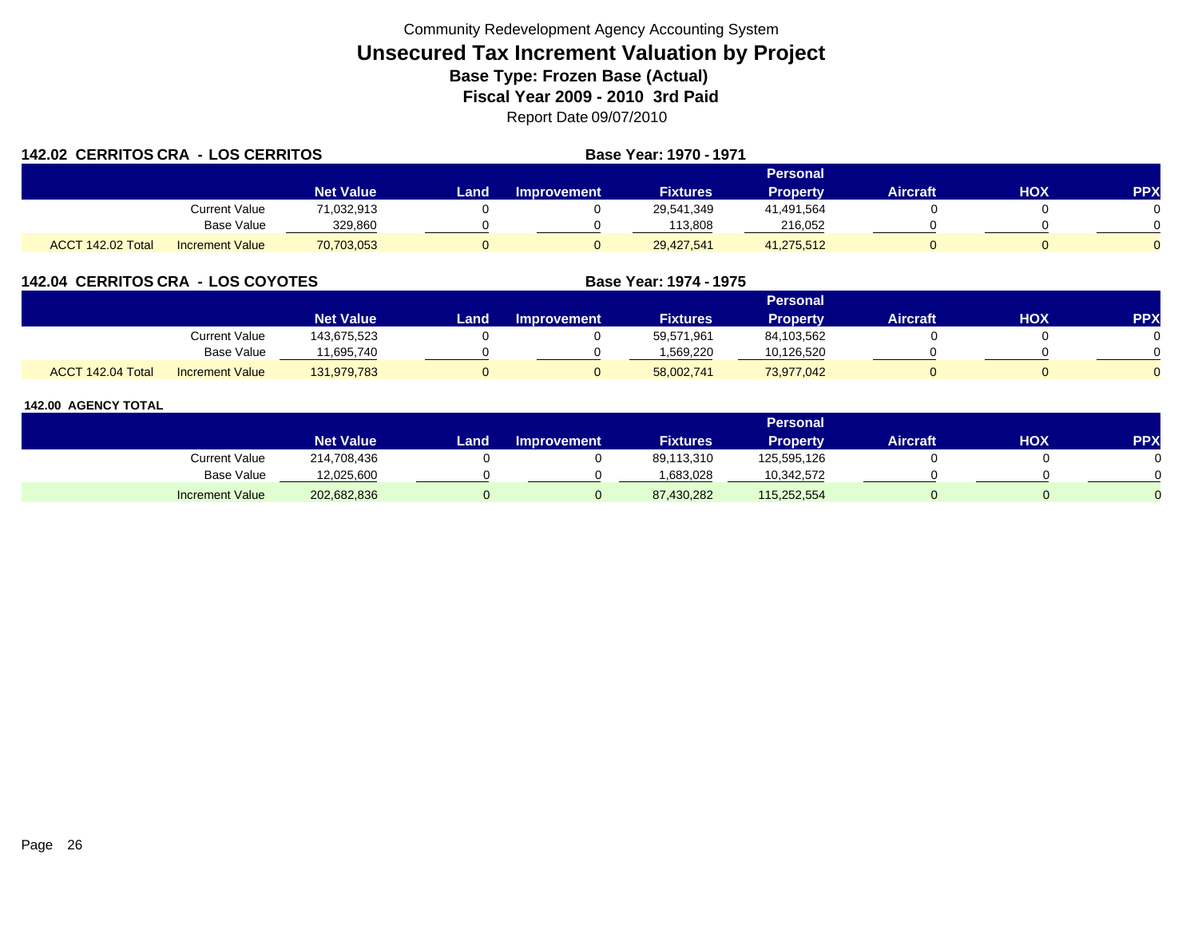| <b>142.02 CERRITOS CRA - LOS CERRITOS</b> |                        |                  |      |             | Base Year: 1970 - 1971 |                 |                 |     |            |
|-------------------------------------------|------------------------|------------------|------|-------------|------------------------|-----------------|-----------------|-----|------------|
|                                           |                        |                  |      |             |                        | Personal        |                 |     |            |
|                                           |                        | <b>Net Value</b> | Land | Improvement | <b>Fixtures</b>        | <b>Property</b> | <b>Aircraft</b> | HOX | <b>PPX</b> |
|                                           | Current Value          | 71,032,913       |      |             | 29,541,349             | 41,491,564      |                 |     |            |
|                                           | Base Value             | 329,860          |      |             | 113,808                | 216,052         |                 |     |            |
| ACCT 142.02 Total                         | <b>Increment Value</b> | 70,703,053       |      |             | 29,427,541             | 41,275,512      |                 |     |            |

## **142.04 CERRITOS CRA - LOS COYOTES**

|                   |                        |                  |      |             |                 | Personal        |          |     |     |
|-------------------|------------------------|------------------|------|-------------|-----------------|-----------------|----------|-----|-----|
|                   |                        | <b>Net Value</b> | Land | Improvement | <b>Fixtures</b> | <b>Property</b> | Aircraft | нох | PPX |
|                   | Current Value          | 143,675,523      |      |             | 59,571,961      | 84,103,562      |          |     |     |
|                   | <b>Base Value</b>      | 1,695,740        |      |             | 1.569.220       | 10,126,520      |          |     |     |
| ACCT 142.04 Total | <b>Increment Value</b> | 131,979,783      |      |             | 58,002,741      | 73,977,042      |          |     |     |

**Base Year: 1974 - 1975**

|                        |                  |      |                    |                 | Personal        |                 |     |            |
|------------------------|------------------|------|--------------------|-----------------|-----------------|-----------------|-----|------------|
|                        | <b>Net Value</b> | Land | <b>Improvement</b> | <b>Fixtures</b> | <b>Property</b> | <b>Aircraft</b> | нох | <b>PPX</b> |
| <b>Current Value</b>   | 214,708,436      |      |                    | 89,113,310      | 125,595,126     |                 |     |            |
| <b>Base Value</b>      | 12,025,600       |      |                    | 1,683,028       | 10,342,572      |                 |     |            |
| <b>Increment Value</b> | 202,682,836      |      |                    | 87,430,282      | 115,252,554     |                 |     |            |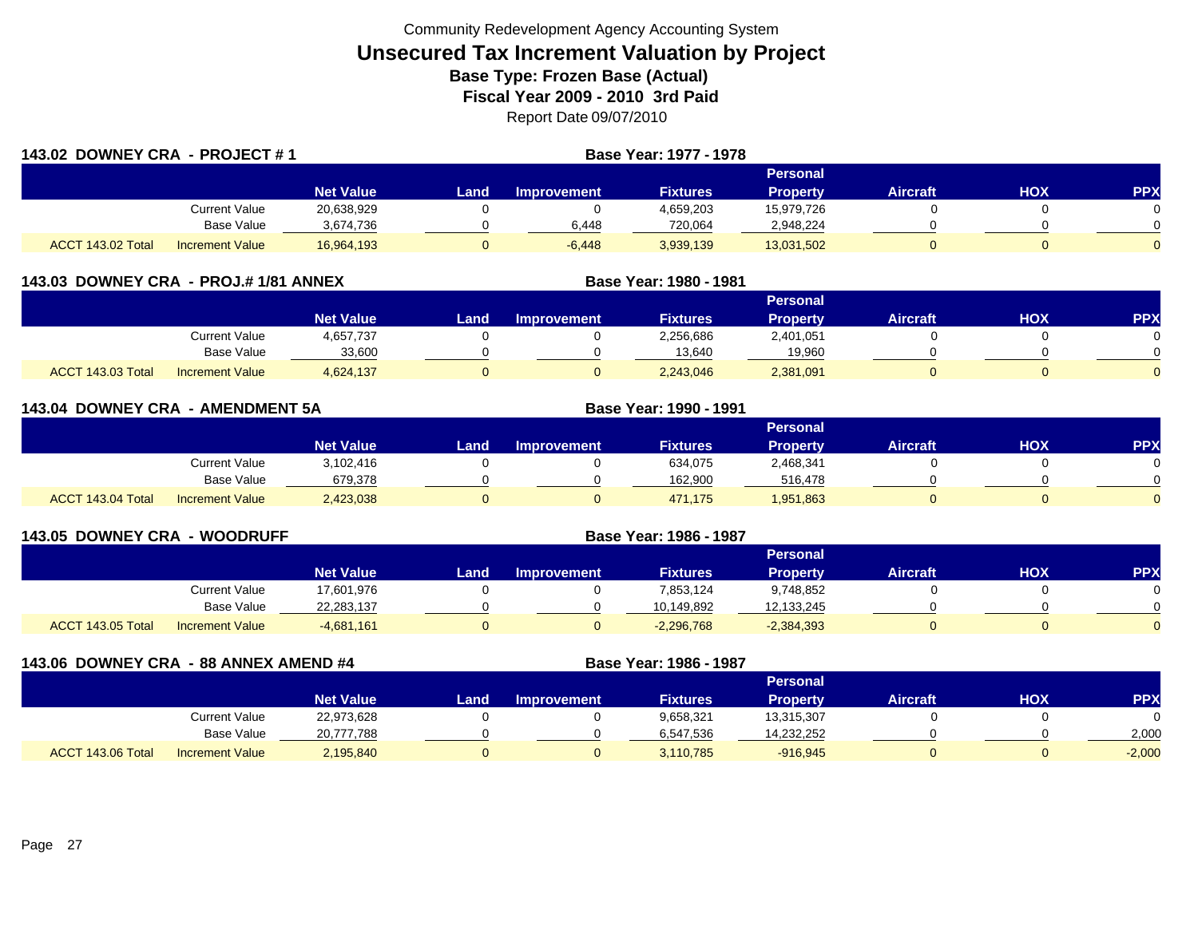| 143.02 DOWNEY CRA - PROJECT #1 |                        | Base Year: 1977 - 1978 |      |                    |                 |                 |                 |     |            |
|--------------------------------|------------------------|------------------------|------|--------------------|-----------------|-----------------|-----------------|-----|------------|
|                                |                        |                        |      |                    |                 | Personal        |                 |     |            |
|                                |                        | <b>Net Value</b>       | Land | <b>Improvement</b> | <b>Fixtures</b> | <b>Property</b> | <b>Aircraft</b> | HOX | <b>PPX</b> |
|                                | Current Value          | 20,638,929             |      |                    | 4,659,203       | 15,979,726      |                 |     |            |
|                                | Base Value             | 3,674,736              |      | 6,448              | 720,064         | 2,948,224       |                 |     |            |
| ACCT 143.02 Total              | <b>Increment Value</b> | 16,964,193             |      | $-6,448$           | 3,939,139       | 13,031,502      |                 |     | $\Omega$   |

| 143.03 DOWNEY CRA - PROJ.#1/81 ANNEX |                        |                  |      |                    | Base Year: 1980 - 1981 |                 |                 |     |            |  |
|--------------------------------------|------------------------|------------------|------|--------------------|------------------------|-----------------|-----------------|-----|------------|--|
|                                      |                        |                  |      | Personal           |                        |                 |                 |     |            |  |
|                                      |                        | <b>Net Value</b> | Land | <b>Improvement</b> | <b>Fixtures</b>        | <b>Property</b> | <b>Aircraft</b> | НОХ | <b>PPX</b> |  |
|                                      | Current Value          | 4,657,737        |      |                    | 2,256,686              | 2,401,051       |                 |     |            |  |
|                                      | <b>Base Value</b>      | 33,600           |      |                    | 13.640                 | 19,960          |                 |     |            |  |
| ACCT 143.03 Total                    | <b>Increment Value</b> | 4,624,137        |      |                    | 2,243,046              | 2,381,091       |                 |     |            |  |

| 143.04 DOWNEY CRA - AMENDMENT 5A |                        |                  | Base Year: 1990 - 1991 |                    |                 |                 |                 |            |          |
|----------------------------------|------------------------|------------------|------------------------|--------------------|-----------------|-----------------|-----------------|------------|----------|
|                                  |                        |                  |                        | Personal           |                 |                 |                 |            |          |
|                                  |                        | <b>Net Value</b> | Land                   | <b>Improvement</b> | <b>Fixtures</b> | <b>Property</b> | <b>Aircraft</b> | <b>HOX</b> | PPX      |
|                                  | <b>Current Value</b>   | 3,102,416        |                        |                    | 634,075         | 2,468,341       |                 |            | 0        |
|                                  | Base Value             | 679,378          |                        |                    | 162.900         | 516.478         |                 |            | $\Omega$ |
| ACCT 143.04 Total                | <b>Increment Value</b> | 2,423,038        |                        |                    | 471.175         | 1,951,863       |                 |            | $\Omega$ |

| 143.05 DOWNEY CRA - WOODRUFF |                        |                  |      |                    | Base Year: 1986 - 1987 |                 |                 |     |           |
|------------------------------|------------------------|------------------|------|--------------------|------------------------|-----------------|-----------------|-----|-----------|
|                              |                        |                  |      |                    |                        | <b>Personal</b> |                 |     |           |
|                              |                        | <b>Net Value</b> | Land | <b>Improvement</b> | <b>Fixtures</b>        | <b>Property</b> | <b>Aircraft</b> | нох | <b>PP</b> |
|                              | <b>Current Value</b>   | 17,601,976       |      |                    | 7,853,124              | 9,748,852       |                 |     |           |
|                              | Base Value             | 22,283,137       |      |                    | 10,149,892             | 12,133,245      |                 |     |           |
| ACCT 143.05 Total            | <b>Increment Value</b> | $-4,681,161$     | 0    |                    | $-2,296,768$           | $-2,384,393$    | 0               |     |           |

| 143.06 DOWNEY CRA - 88 ANNEX AMEND #4 | Base Year: 1986 - 1987 |                  |      |                    |                 |                 |                 |     |           |  |
|---------------------------------------|------------------------|------------------|------|--------------------|-----------------|-----------------|-----------------|-----|-----------|--|
|                                       |                        |                  |      | <b>Personal</b>    |                 |                 |                 |     |           |  |
|                                       |                        | <b>Net Value</b> | Land | <b>Improvement</b> | <b>Fixtures</b> | <b>Property</b> | <b>Aircraft</b> | нох | <b>PP</b> |  |
|                                       | <b>Current Value</b>   | 22,973,628       |      |                    | 9,658,321       | 13,315,307      |                 |     |           |  |
|                                       | Base Value             | 20,777,788       |      |                    | 6,547,536       | 14,232,252      |                 |     | 2,000     |  |
| ACCT 143.06 Total                     | <b>Increment Value</b> | 2,195,840        |      |                    | 3,110,785       | $-916,945$      | 0               |     | $-2,000$  |  |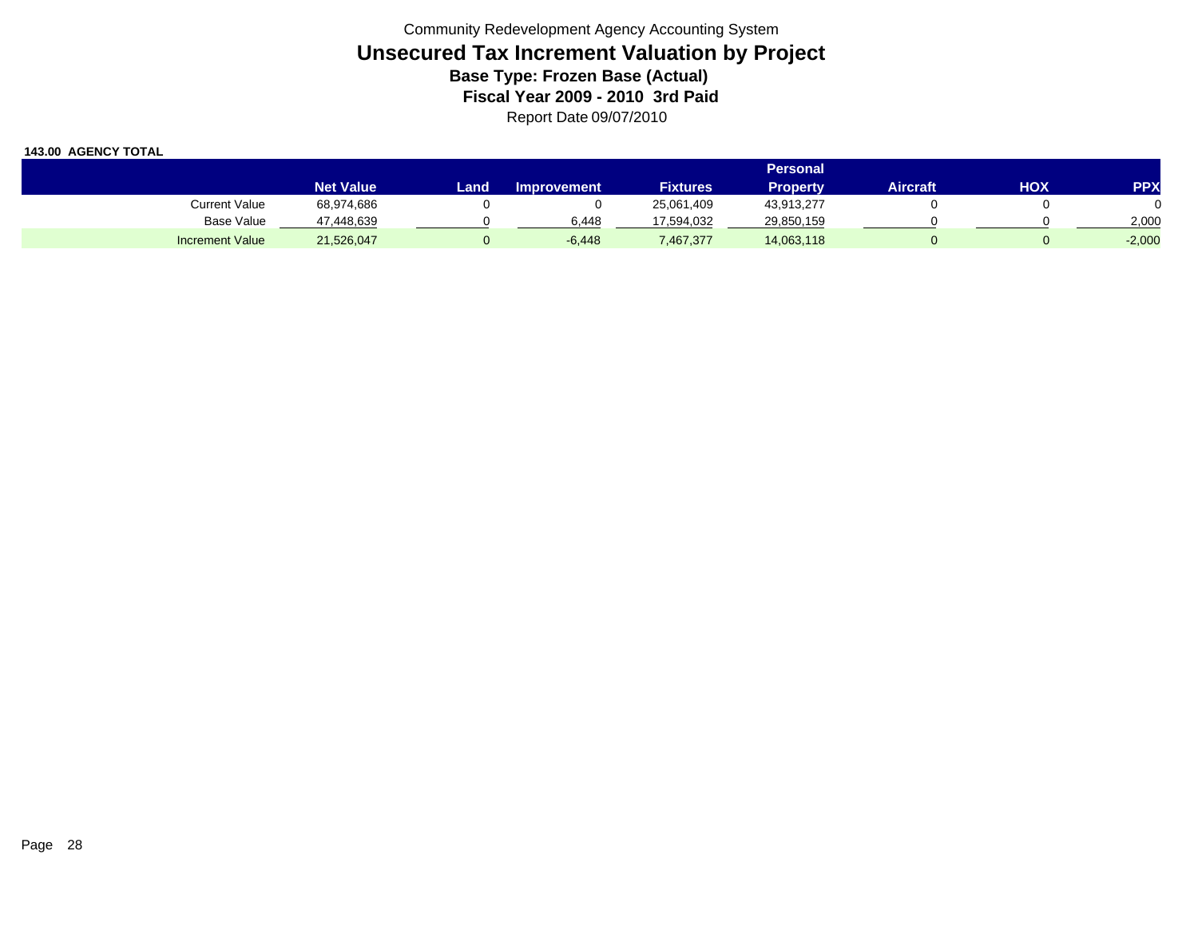|                        |                  | <b>Personal</b> |                    |                 |                 |          |     |            |  |  |  |
|------------------------|------------------|-----------------|--------------------|-----------------|-----------------|----------|-----|------------|--|--|--|
|                        | <b>Net Value</b> | Landı           | <b>Improvement</b> | <b>Fixtures</b> | <b>Property</b> | Aircraft | HOX | <b>PPX</b> |  |  |  |
| Current Value          | 68,974,686       |                 |                    | 25,061,409      | 43,913,277      |          |     |            |  |  |  |
| Base Value             | 47,448,639       |                 | 6.448              | 17.594.032      | 29,850,159      |          |     | 2,000      |  |  |  |
| <b>Increment Value</b> | 21,526,047       |                 | $-6,448$           | 7,467,377       | 14,063,118      |          |     | $-2,000$   |  |  |  |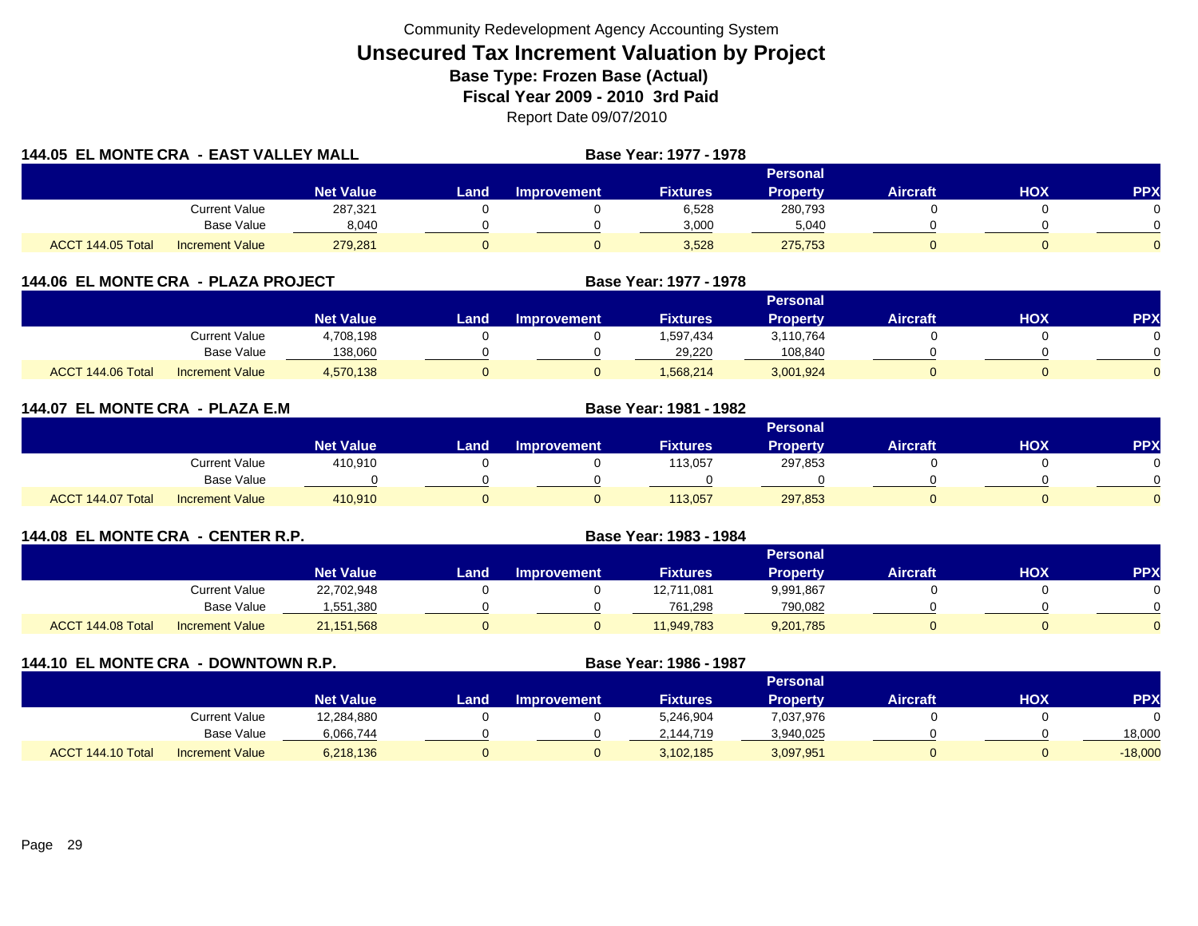| 144.05 EL MONTE CRA - EAST VALLEY MALL |                        |                  |       | <b>Base Year: 1977 - 1978</b> |                 |                 |                 |     |            |  |  |  |  |
|----------------------------------------|------------------------|------------------|-------|-------------------------------|-----------------|-----------------|-----------------|-----|------------|--|--|--|--|
|                                        |                        |                  |       |                               |                 | Personal        |                 |     |            |  |  |  |  |
|                                        |                        | <b>Net Value</b> | Land. | <b>Improvement</b>            | <b>Fixtures</b> | <b>Property</b> | <b>Aircraft</b> | HOX | <b>PPX</b> |  |  |  |  |
|                                        | <b>Current Value</b>   | 287,321          |       |                               | 6,528           | 280,793         |                 |     |            |  |  |  |  |
|                                        | <b>Base Value</b>      | 8,040            |       |                               | 3,000           | 5,040           |                 |     |            |  |  |  |  |
| ACCT 144.05 Total                      | <b>Increment Value</b> | 279,281          | 0     |                               | 3,528           | 275,753         |                 |     | 0          |  |  |  |  |

|  | 144.06  EL MONTE CRA  -  PLAZA PROJECT |  |  |
|--|----------------------------------------|--|--|
|--|----------------------------------------|--|--|

|                   |                        |                  | Personal |                    |                 |           |                 |     |            |  |  |
|-------------------|------------------------|------------------|----------|--------------------|-----------------|-----------|-----------------|-----|------------|--|--|
|                   |                        | <b>Net Value</b> | Land     | <b>Improvement</b> | <b>Fixtures</b> | Property  | <b>Aircraft</b> | HOX | <b>PPX</b> |  |  |
|                   | <b>Current Value</b>   | 4,708,198        |          |                    | 1,597,434       | 3,110,764 |                 |     |            |  |  |
|                   | <b>Base Value</b>      | 138,060          |          |                    | 29.220          | 108,840   |                 |     |            |  |  |
| ACCT 144.06 Total | <b>Increment Value</b> | 4,570,138        |          |                    | 1,568,214       | 3,001,924 |                 |     |            |  |  |

**Base Year: 1977 - 1978**

| 144.07 EL MONTE CRA - PLAZA E.M |                        |           |        |                    | Base Year: 1981 - 1982 |                 |                 |            |            |  |  |  |  |  |
|---------------------------------|------------------------|-----------|--------|--------------------|------------------------|-----------------|-----------------|------------|------------|--|--|--|--|--|
|                                 |                        |           |        |                    |                        | Personal        |                 |            |            |  |  |  |  |  |
|                                 |                        | Net Value | Land . | <b>Improvement</b> | <b>Fixtures</b>        | <b>Property</b> | <b>Aircraft</b> | <b>HOX</b> | <b>PPX</b> |  |  |  |  |  |
|                                 | <b>Current Value</b>   | 410,910   |        |                    | 113,057                | 297,853         |                 |            | $\Omega$   |  |  |  |  |  |
|                                 | <b>Base Value</b>      |           |        |                    |                        |                 |                 |            | $\Omega$   |  |  |  |  |  |
| ACCT 144.07 Total               | <b>Increment Value</b> | 410.910   |        |                    | 113,057                | 297,853         |                 |            | $\Omega$   |  |  |  |  |  |

| 144.08 EL MONTE CRA - CENTER R.P. |                   |                        |                  | Base Year: 1983 - 1984 |                    |                 |                 |                 |            |            |
|-----------------------------------|-------------------|------------------------|------------------|------------------------|--------------------|-----------------|-----------------|-----------------|------------|------------|
|                                   |                   |                        |                  |                        |                    |                 | <b>Personal</b> |                 |            |            |
|                                   |                   |                        | <b>Net Value</b> | Land                   | <b>Improvement</b> | <b>Fixtures</b> | <b>Property</b> | <b>Aircraft</b> | <b>HOX</b> | <b>PPX</b> |
|                                   |                   | <b>Current Value</b>   | 22,702,948       |                        |                    | 12,711,081      | 9,991,867       |                 |            |            |
|                                   |                   | Base Value             | 1,551,380        |                        |                    | 761.298         | 790,082         |                 |            |            |
|                                   | ACCT 144.08 Total | <b>Increment Value</b> | 21,151,568       |                        |                    | 11,949,783      | 9,201,785       |                 |            |            |

| 144.10 EL MONTE CRA - DOWNTOWN R.P. |                        |                  |      | Base Year: 1986 - 1987 |                 |                 |                 |     |           |
|-------------------------------------|------------------------|------------------|------|------------------------|-----------------|-----------------|-----------------|-----|-----------|
|                                     |                        |                  |      |                        |                 | <b>Personal</b> |                 |     |           |
|                                     |                        | <b>Net Value</b> | Land | <b>Improvement</b>     | <b>Fixtures</b> | Property        | <b>Aircraft</b> | нох | <b>PP</b> |
|                                     | <b>Current Value</b>   | 12,284,880       |      |                        | 5,246,904       | 7,037,976       |                 |     |           |
|                                     | Base Value             | 6,066,744        |      |                        | 2,144,719       | 3,940,025       |                 |     | 18,000    |
| ACCT 144.10 Total                   | <b>Increment Value</b> | 6,218,136        |      |                        | 3,102,185       | 3,097,951       |                 |     | $-18,000$ |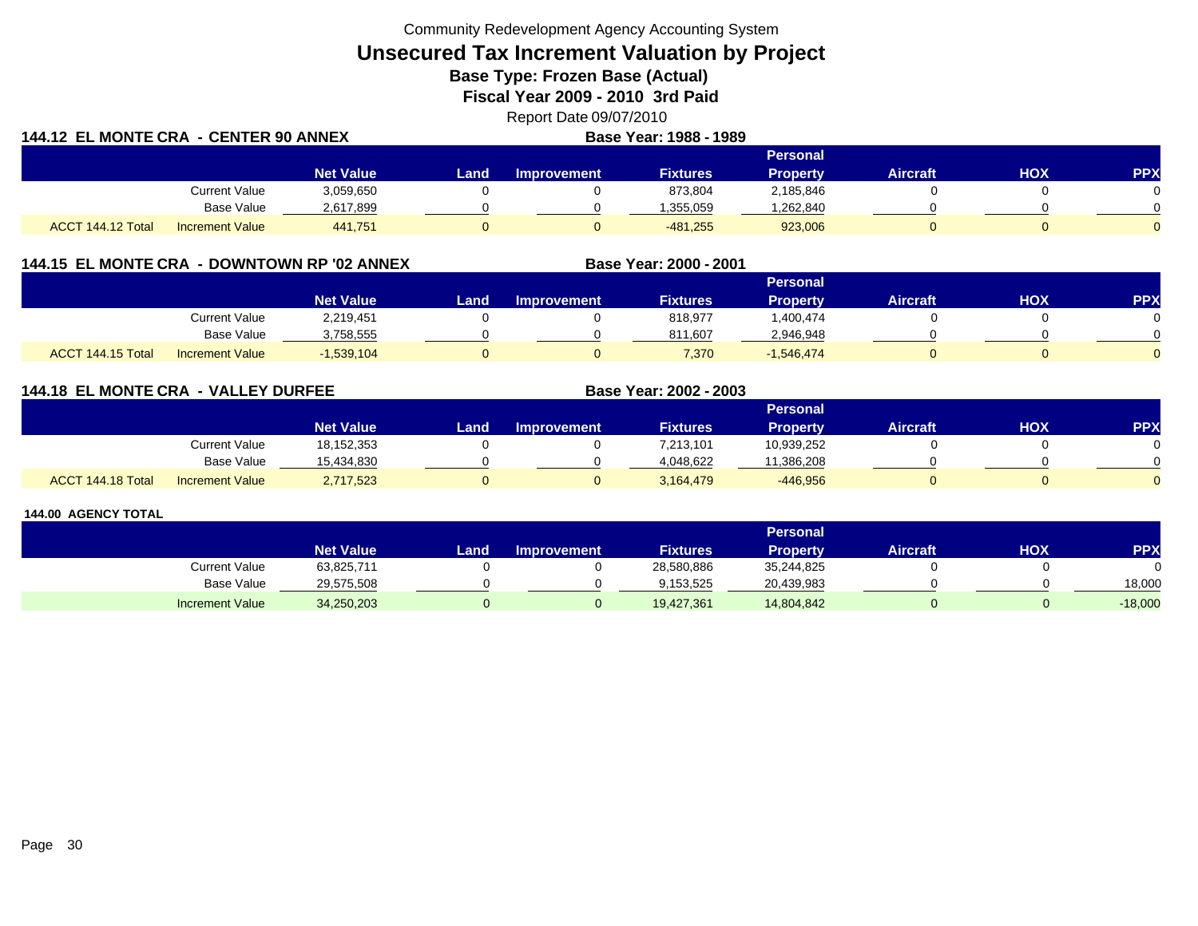Community Redevelopment Agency Accounting System

# **Unsecured Tax Increment Valuation by Project**

**Base Type: Frozen Base (Actual)** 

**Fiscal Year 2009 - 2010 3rd Paid**

|    | Report Date 09/07/2010  |
|----|-------------------------|
| -- | <b>BUSINE 1888 1888</b> |

| <b>144.12 EL MONTE CRA - CENTER 90 ANNEX</b> |                        |                  |                 |                    | Base Year: 1988 - 1989 |                 |                 |     |            |
|----------------------------------------------|------------------------|------------------|-----------------|--------------------|------------------------|-----------------|-----------------|-----|------------|
|                                              |                        |                  | <b>Personal</b> |                    |                        |                 |                 |     |            |
|                                              |                        | <b>Net Value</b> | Land .          | <b>Improvement</b> | <b>Fixtures</b>        | <b>Property</b> | <b>Aircraft</b> | нох | <b>PPX</b> |
|                                              | <b>Current Value</b>   | 3,059,650        |                 |                    | 873,804                | 2,185,846       |                 |     |            |
|                                              | Base Value             | 2,617,899        |                 |                    | 1.355.059              | ,262,840        |                 |     |            |
| ACCT 144.12 Total                            | <b>Increment Value</b> | 441.751          |                 |                    | $-481.255$             | 923,006         |                 |     |            |

# **144.15 EL MONTE CRA - DOWNTOWN RP '02 ANNEX**

|                      |                        |                  |      |                    |                 | Personal     |                 |            |           |
|----------------------|------------------------|------------------|------|--------------------|-----------------|--------------|-----------------|------------|-----------|
|                      |                        | <b>Net Value</b> | Land | <b>Improvement</b> | <b>Fixtures</b> | Property     | <b>Aircraft</b> | <b>HOX</b> | <b>PP</b> |
|                      | Current Value          | 2,219,451        |      |                    | 818,977         | .400,474     |                 |            |           |
|                      | Base Value             | 3,758,555        |      |                    | 811.607         | 2,946,948    |                 |            |           |
| 144.15 Total<br>ACCT | <b>Increment Value</b> | $-1,539,104$     |      |                    | 7,370           | $-1,546,474$ |                 |            |           |

**Base Year: 2000 - 2001**

**Base Year: 2002 - 2003**

# **144.18 EL MONTE CRA - VALLEY DURFEE**

|                   |                        |                  |      |                    |                 | Personal   |                 |            |          |
|-------------------|------------------------|------------------|------|--------------------|-----------------|------------|-----------------|------------|----------|
|                   |                        | <b>Net Value</b> | Land | <b>Improvement</b> | <b>Fixtures</b> | Property   | <b>Aircraft</b> | <b>HOX</b> | PPX      |
|                   | Current Value          | 18,152,353       |      |                    | 7,213,101       | 10,939,252 |                 |            | 0        |
|                   | <b>Base Value</b>      | 15.434.830       |      |                    | 4,048,622       | 11,386,208 |                 |            | ∩        |
| ACCT 144.18 Total | <b>Increment Value</b> | 2,717,523        |      |                    | 3,164,479       | $-446,956$ |                 |            | $\Omega$ |

|                        |                  |       |                    |                 | <b>Personal</b> |                 |            |           |
|------------------------|------------------|-------|--------------------|-----------------|-----------------|-----------------|------------|-----------|
|                        | <b>Net Value</b> | Land. | <b>Improvement</b> | <b>Fixtures</b> | Property        | <b>Aircraft</b> | <b>HOX</b> | <b>PP</b> |
| <b>Current Value</b>   | 63,825,711       |       |                    | 28,580,886      | 35,244,825      |                 |            |           |
| Base Value             | 29,575,508       |       |                    | 9.153.525       | 20,439,983      |                 |            | 18.000    |
| <b>Increment Value</b> | 34,250,203       |       |                    | 19,427,361      | 14,804,842      |                 |            | $-18,000$ |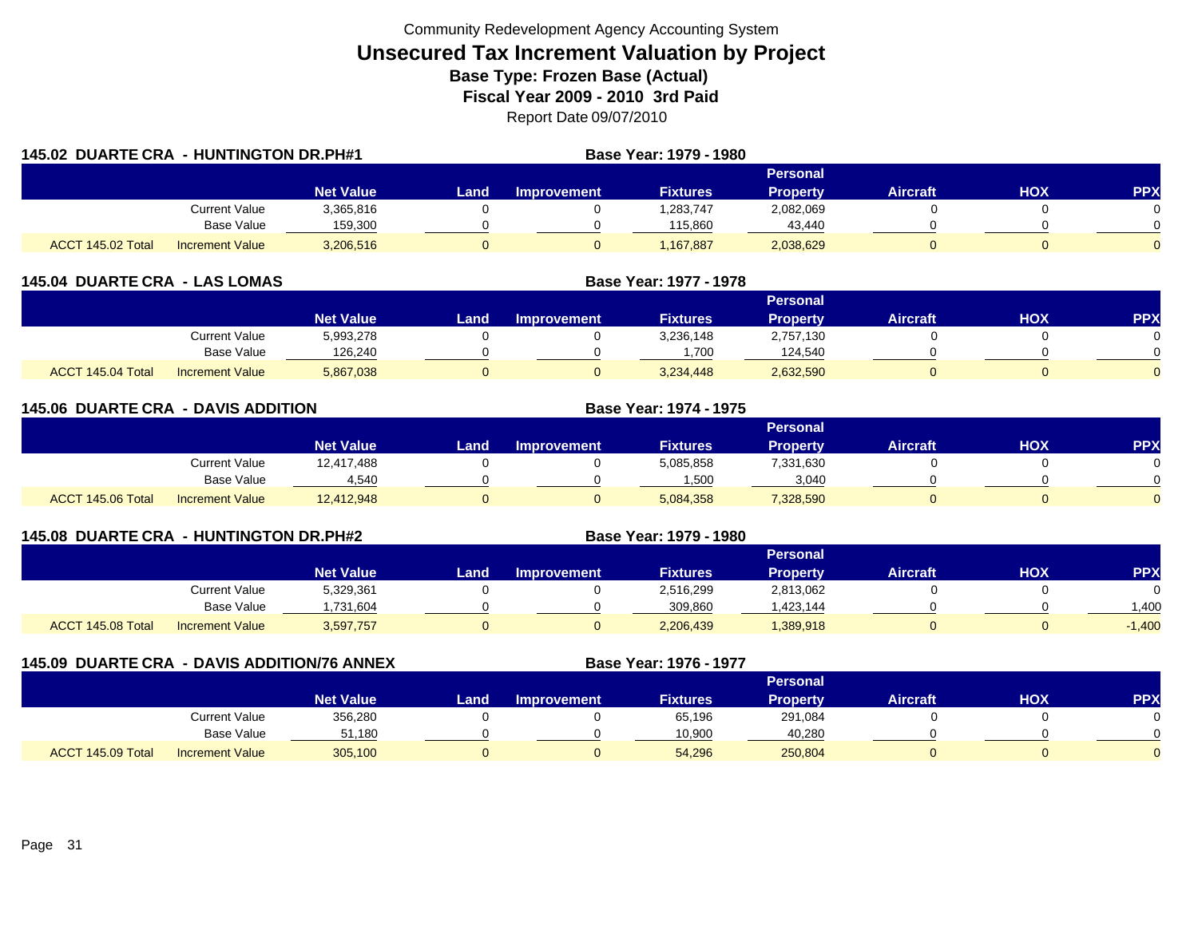|                   | 145.02 DUARTE CRA - HUNTINGTON DR.PH#1 |                  |       | Base Year: 1979 - 1980 |                 |                 |                 |     |            |
|-------------------|----------------------------------------|------------------|-------|------------------------|-----------------|-----------------|-----------------|-----|------------|
|                   |                                        |                  |       |                        |                 | Personal        |                 |     |            |
|                   |                                        | <b>Net Value</b> | Land. | <b>Improvement</b>     | <b>Fixtures</b> | <b>Property</b> | <b>Aircraft</b> | HOX | <b>PPX</b> |
|                   | <b>Current Value</b>                   | 3,365,816        |       |                        | 1,283,747       | 2,082,069       |                 |     |            |
|                   | Base Value                             | 159,300          |       |                        | 115,860         | 43,440          |                 |     |            |
| ACCT 145.02 Total | <b>Increment Value</b>                 | 3,206,516        | 0     |                        | 1.167.887       | 2,038,629       |                 |     |            |

| <b>145.04 DUARTE CRA - LAS LOMAS</b> |                        |                  |      | Base Year: 1977 - 1978 |                 |                 |                 |     |            |
|--------------------------------------|------------------------|------------------|------|------------------------|-----------------|-----------------|-----------------|-----|------------|
|                                      |                        |                  |      |                        |                 | <b>Personal</b> |                 |     |            |
|                                      |                        | <b>Net Value</b> | Land | <b>Improvement</b>     | <b>Fixtures</b> | <b>Property</b> | <b>Aircraft</b> | нох | <b>PPX</b> |
|                                      | Current Value          | 5,993,278        |      |                        | 3,236,148       | 2,757,130       |                 |     |            |
|                                      | <b>Base Value</b>      | 126,240          |      |                        | ,700            | 124,540         |                 |     |            |
| ACCT 145.04 Total                    | <b>Increment Value</b> | 5,867,038        |      |                        | 3,234,448       | 2,632,590       |                 |     |            |

| <b>145.06 DUARTE CRA - DAVIS ADDITION</b> |                        |                  |       |                    | Base Year: 1974 - 1975 |                 |                 |            |            |
|-------------------------------------------|------------------------|------------------|-------|--------------------|------------------------|-----------------|-----------------|------------|------------|
|                                           |                        |                  |       |                    |                        | <b>Personal</b> |                 |            |            |
|                                           |                        | <b>Net Value</b> | Land. | <b>Improvement</b> | <b>Fixtures</b>        | <b>Property</b> | <b>Aircraft</b> | <b>HOX</b> | <b>PPX</b> |
|                                           | <b>Current Value</b>   | 12,417,488       |       |                    | 5,085,858              | 7,331,630       |                 |            | 0          |
|                                           | <b>Base Value</b>      | 4,540            |       |                    | .500                   | 3,040           |                 |            | $\Omega$   |
| ACCT 145.06 Total                         | <b>Increment Value</b> | 12,412,948       | 0     |                    | 5,084,358              | 7,328,590       |                 |            | $\Omega$   |

| 145.08 DUARTE CRA - HUNTINGTON DR.PH#2 |                        |                  | <b>Base Year: 1979 - 1980</b> |                    |                 |                 |                 |     |            |
|----------------------------------------|------------------------|------------------|-------------------------------|--------------------|-----------------|-----------------|-----------------|-----|------------|
|                                        |                        |                  |                               |                    |                 | Personal        |                 |     |            |
|                                        |                        | <b>Net Value</b> | Land                          | <b>Improvement</b> | <b>Fixtures</b> | <b>Property</b> | <b>Aircraft</b> | ΗΟΧ | <b>PPX</b> |
|                                        | Current Value          | 5,329,361        |                               |                    | 2,516,299       | 2,813,062       |                 |     |            |
|                                        | Base Value             | ,731,604         |                               |                    | 309,860         | .423,144        |                 |     | .400       |
| ACCT 145.08 Total                      | <b>Increment Value</b> | 3,597,757        |                               |                    | 2,206,439       | 389,918         |                 |     | $-1,400$   |

| 145.09 DUARTE CRA - DAVIS ADDITION/76 ANNEX |                        |                  |      |                    | Base Year: 1976 - 1977 |          |                 |     |            |
|---------------------------------------------|------------------------|------------------|------|--------------------|------------------------|----------|-----------------|-----|------------|
|                                             |                        |                  |      |                    |                        | Personal |                 |     |            |
|                                             |                        | <b>Net Value</b> | Land | <b>Improvement</b> | <b>Fixtures</b>        | Property | <b>Aircraft</b> | нох | <b>PPX</b> |
|                                             | Current Value          | 356,280          |      |                    | 65,196                 | 291,084  |                 |     |            |
|                                             | Base Value             | 51,180           |      |                    | 10,900                 | 40,280   |                 |     |            |
| ACCT 145.09 Total                           | <b>Increment Value</b> | 305,100          |      |                    | 54,296                 | 250,804  |                 |     |            |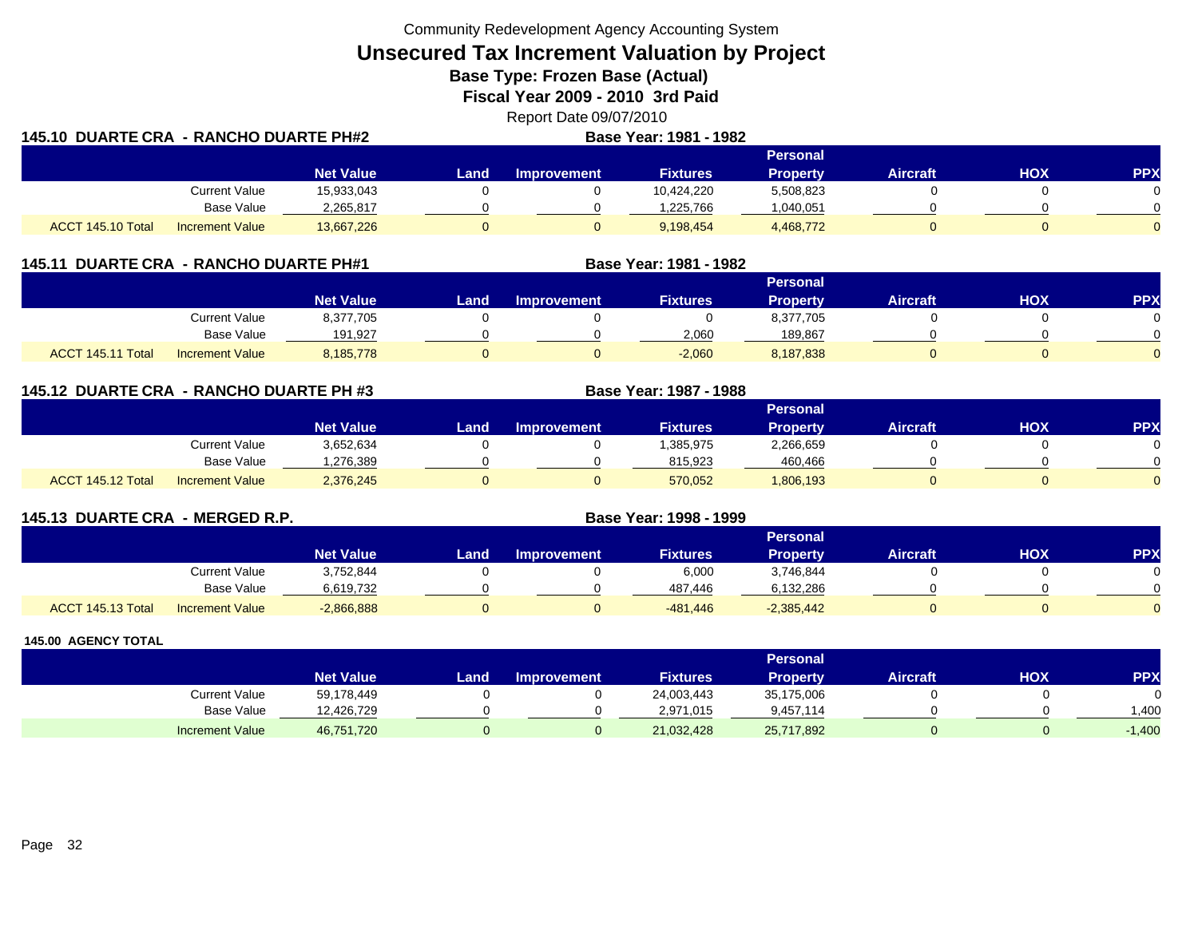Community Redevelopment Agency Accounting System

**Unsecured Tax Increment Valuation by Project**

**Base Type: Frozen Base (Actual)** 

**Fiscal Year 2009 - 2010 3rd Paid**

Report Date 09/07/2010 **DUARTE CRA - RANCHO DUARTE PH#2 Base Year: 1981 - 1982**

| 145.10 DUARTE CRA - RANCHO DUARTE PH#2 |                        |                  | Base Year: 1981 - 1982 |                    |                 |                 |                 |            |            |
|----------------------------------------|------------------------|------------------|------------------------|--------------------|-----------------|-----------------|-----------------|------------|------------|
|                                        |                        |                  |                        |                    |                 | <b>Personal</b> |                 |            |            |
|                                        |                        | <b>Net Value</b> | Land.                  | <b>Improvement</b> | <b>Fixtures</b> | <b>Property</b> | <b>Aircraft</b> | <b>HOX</b> | <b>PPX</b> |
|                                        | Current Value          | 15,933,043       |                        |                    | 10,424,220      | 5,508,823       |                 |            |            |
|                                        | Base Value             | 2,265,817        |                        |                    | 1,225,766       | 1,040,051       |                 |            |            |
| ACCT 145.10 Total                      | <b>Increment Value</b> | 13,667,226       |                        |                    | 9,198,454       | 4,468,772       |                 |            |            |

| 145.11 DUARTE CRA - RANCHO DUARTE PH#1 |                        |                  |      | Base Year: 1981 - 1982 |                 |                 |                 |     |            |
|----------------------------------------|------------------------|------------------|------|------------------------|-----------------|-----------------|-----------------|-----|------------|
|                                        |                        |                  |      |                        |                 | Personal        |                 |     |            |
|                                        |                        | <b>Net Value</b> | Land | <b>Improvement</b>     | <b>Fixtures</b> | <b>Property</b> | <b>Aircraft</b> | нох | <b>PPX</b> |
|                                        | Current Value          | 8,377,705        |      |                        |                 | 8,377,705       |                 |     |            |
|                                        | <b>Base Value</b>      | 191,927          |      |                        | 2,060           | 189,867         |                 |     |            |
| ACCT 145.11 Total                      | <b>Increment Value</b> | 8,185,778        |      |                        | $-2,060$        | 8,187,838       |                 |     |            |

**145.12 DUARTE CRA - RANCHO DUARTE PH #3 Base Year: 1987 - 1988 Personal Net Value Land Improvement Fixtures Property Aircraft HOX PPX** Current Value 3,652,634 0 0 1,385,975 2,266,659 0 0 0 Base Value 1,276,389 0 0 815,923 460,466 0 0 ACCT 145.12 Totall Increment Value 2,376,245 0 570,052 1,806,193 0 0

| 145.13 DUARTE CRA - MERGED R.P. |                        |                  | Base Year: 1998 - 1999 |                    |                 |                 |                 |     |            |
|---------------------------------|------------------------|------------------|------------------------|--------------------|-----------------|-----------------|-----------------|-----|------------|
|                                 |                        |                  |                        |                    |                 | Personal        |                 |     |            |
|                                 |                        | <b>Net Value</b> | Land                   | <b>Improvement</b> | <b>Fixtures</b> | <b>Property</b> | <b>Aircraft</b> | нох | <b>PPX</b> |
|                                 | Current Value          | 3,752,844        |                        |                    | 6,000           | 3,746,844       |                 |     |            |
|                                 | Base Value             | 6,619,732        |                        |                    | 487,446         | 6,132,286       |                 |     |            |
| ACCT 145.13 Total               | <b>Increment Value</b> | $-2,866,888$     |                        |                    | -481,446        | $-2,385,442$    |                 |     |            |

|                        |                  |      |                    |                 | <b>Personal</b> |                 |            |          |
|------------------------|------------------|------|--------------------|-----------------|-----------------|-----------------|------------|----------|
|                        | <b>Net Value</b> | Land | <b>Improvement</b> | <b>Fixtures</b> | Property        | <b>Aircraft</b> | <b>HOX</b> | PPX      |
| Current Value          | 59,178,449       |      |                    | 24,003,443      | 35,175,006      |                 |            |          |
| <b>Base Value</b>      | 12,426,729       |      |                    | 2,971,015       | 9,457,114       |                 |            | .400     |
| <b>Increment Value</b> | 46,751,720       |      |                    | 21,032,428      | 25,717,892      |                 |            | $-1,400$ |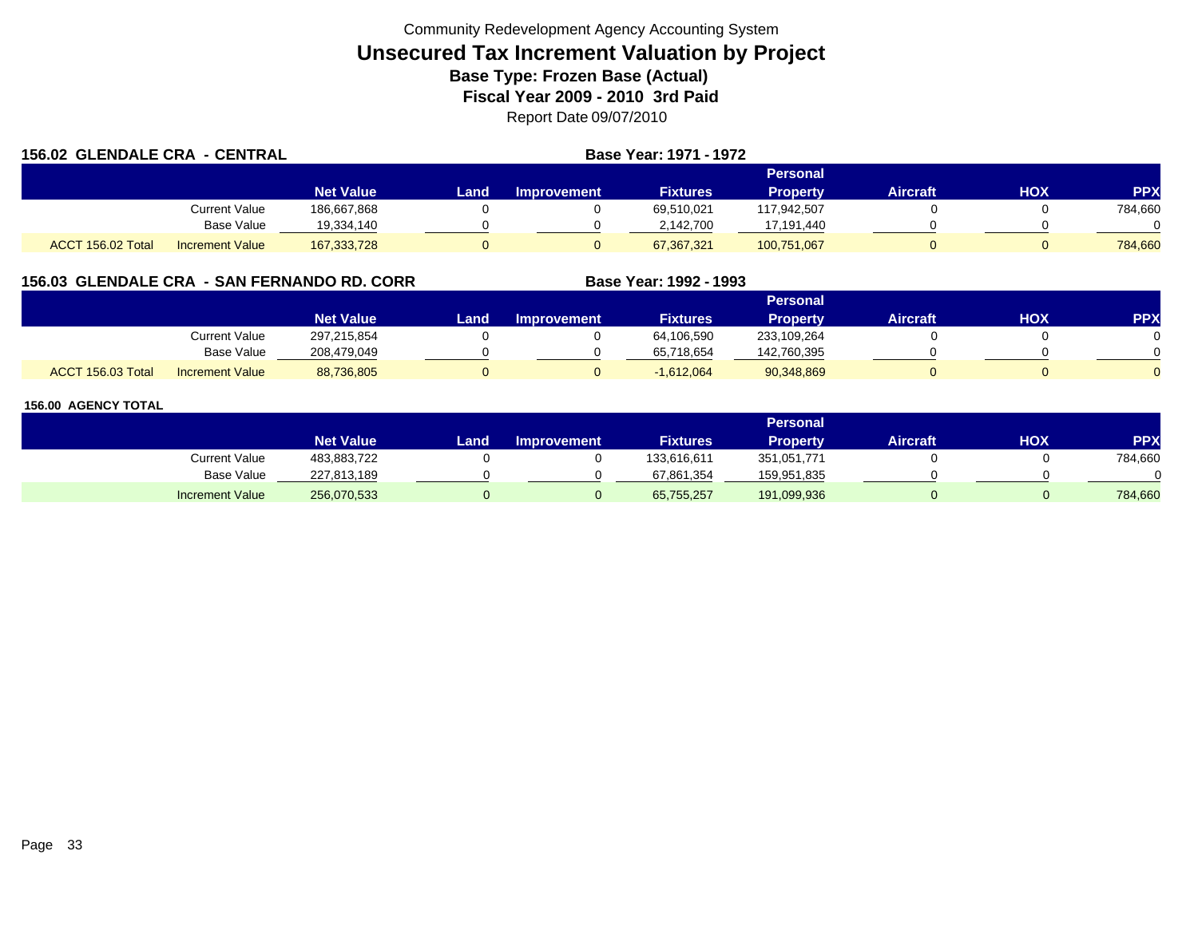| <b>156.02 GLENDALE CRA - CENTRAL</b> |                        |                  |      | Base Year: 1971 - 1972 |                 |                 |                 |     |            |
|--------------------------------------|------------------------|------------------|------|------------------------|-----------------|-----------------|-----------------|-----|------------|
|                                      |                        |                  |      |                        |                 | Personal        |                 |     |            |
|                                      |                        | <b>Net Value</b> | Land | <b>Improvement</b>     | <b>Fixtures</b> | <b>Property</b> | <b>Aircraft</b> | HOX | <b>PPX</b> |
|                                      | Current Value          | 186.667.868      |      |                        | 69.510.021      | 117.942.507     |                 |     | 784,660    |
|                                      | Base Value             | 19,334,140       |      |                        | 2,142,700       | 17,191,440      |                 |     |            |
| ACCT 156.02 Total                    | <b>Increment Value</b> | 167,333,728      |      |                        | 67.367.321      | 100,751,067     |                 |     | 784.660    |

# **156.03 GLENDALE CRA - SAN FERNANDO RD. CORR**

|                   |                        |                  |      |                    |                 | Personal        |          |     |     |
|-------------------|------------------------|------------------|------|--------------------|-----------------|-----------------|----------|-----|-----|
|                   |                        | <b>Net Value</b> | Land | <b>Improvement</b> | <b>Fixtures</b> | <b>Property</b> | Aircraft | нох | PPX |
|                   | <b>Current Value</b>   | 297,215,854      |      |                    | 64,106,590      | 233,109,264     |          |     |     |
|                   | <b>Base Value</b>      | 208.479.049      |      |                    | 65,718,654      | 142,760,395     |          |     |     |
| ACCT 156.03 Total | <b>Increment Value</b> | 88,736,805       |      |                    | $-1,612,064$    | 90,348,869      |          |     |     |

**Base Year: 1992 - 1993**

|                        |                  |      |                    |                 | <b>Personal</b> |                 |     |            |
|------------------------|------------------|------|--------------------|-----------------|-----------------|-----------------|-----|------------|
|                        | <b>Net Value</b> | Land | <b>Improvement</b> | <b>Fixtures</b> | <b>Property</b> | <b>Aircraft</b> | нох | <b>PPX</b> |
| Current Value          | 483,883,722      |      |                    | 133,616,611     | 351,051,771     |                 |     | 784,660    |
| <b>Base Value</b>      | 227,813,189      |      |                    | 67,861,354      | 159,951,835     |                 |     |            |
| <b>Increment Value</b> | 256,070,533      |      |                    | 65,755,257      | 191,099,936     |                 |     | 784,660    |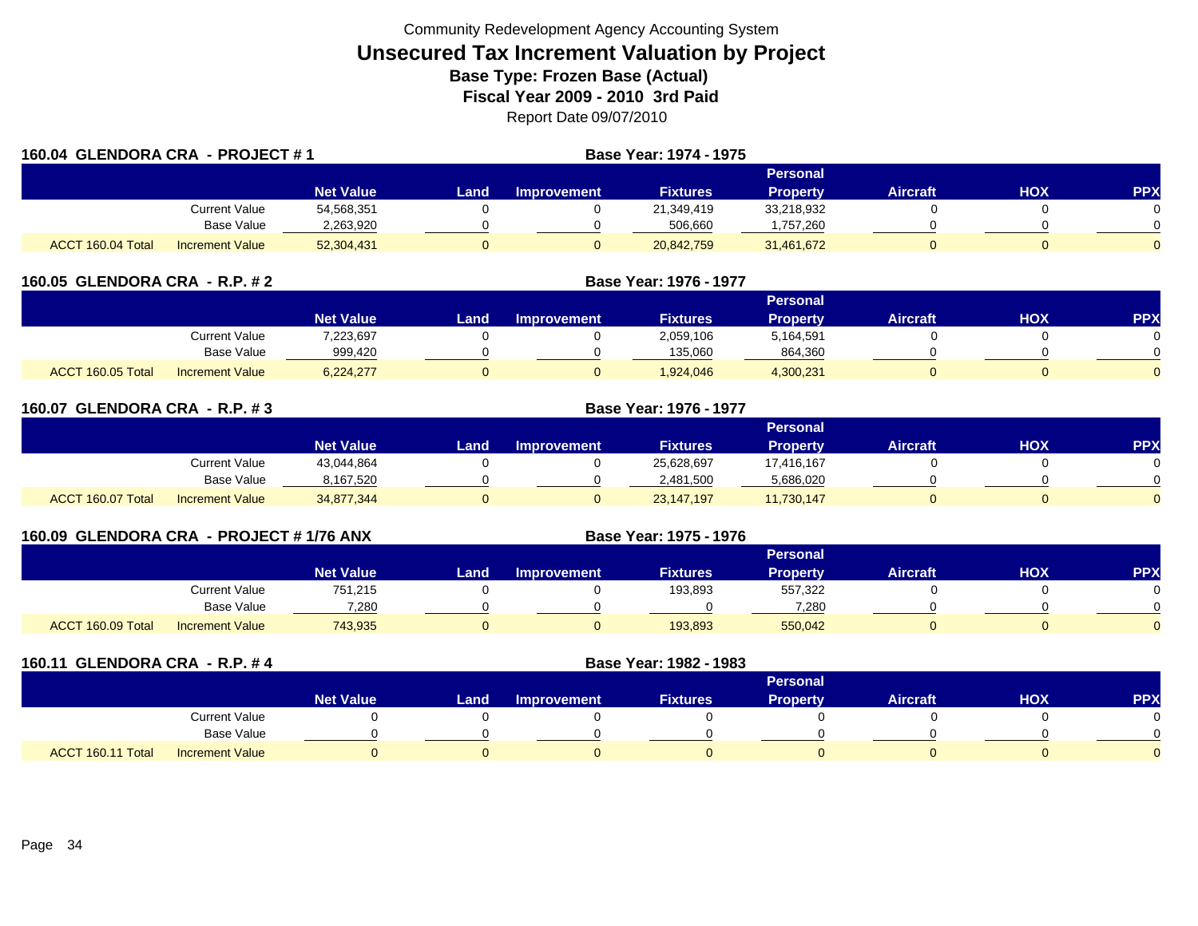| 160.04 GLENDORA CRA - PROJECT #1 |                        |                  |      |                    | <b>Base Year: 1974 - 1975</b> |                 |                 |            |            |
|----------------------------------|------------------------|------------------|------|--------------------|-------------------------------|-----------------|-----------------|------------|------------|
|                                  |                        |                  |      |                    |                               | Personal        |                 |            |            |
|                                  |                        | <b>Net Value</b> | Land | <b>Improvement</b> | <b>Fixtures</b>               | <b>Property</b> | <b>Aircraft</b> | <b>HOX</b> | <b>PPX</b> |
|                                  | Current Value          | 54,568,351       |      |                    | 21,349,419                    | 33,218,932      |                 |            |            |
|                                  | <b>Base Value</b>      | 2,263,920        |      |                    | 506.660                       | ,757,260        |                 |            | $\Omega$   |
| ACCT 160.04 Total                | <b>Increment Value</b> | 52,304,431       |      |                    | 20,842,759                    | 31,461,672      |                 |            | 0          |

| 160.05 GLENDORA CRA - R.P. # 2 |                        |                  |      |                    |                 |                 |                 |     |            |
|--------------------------------|------------------------|------------------|------|--------------------|-----------------|-----------------|-----------------|-----|------------|
|                                |                        |                  |      |                    |                 | Personal        |                 |     |            |
|                                |                        | <b>Net Value</b> | Land | <b>Improvement</b> | <b>Fixtures</b> | <b>Property</b> | <b>Aircraft</b> | нох | <b>PPX</b> |
|                                | Current Value          | 7,223,697        |      |                    | 2,059,106       | 5,164,591       |                 |     |            |
|                                | <b>Base Value</b>      | 999,420          |      |                    | 135,060         | 864,360         |                 |     |            |
| ACCT 160.05 Total              | <b>Increment Value</b> | 6,224,277        |      |                    | 1.924.046       | 4,300,231       |                 | 0   |            |

| 160.07 GLENDORA CRA - R.P. #3 |                        |                  |       |                    |                 |                 |                 |     |            |
|-------------------------------|------------------------|------------------|-------|--------------------|-----------------|-----------------|-----------------|-----|------------|
|                               |                        |                  |       |                    |                 | Personal        |                 |     |            |
|                               |                        | <b>Net Value</b> | Land. | <b>Improvement</b> | <b>Fixtures</b> | <b>Property</b> | <b>Aircraft</b> | HOX | <b>PPX</b> |
|                               | Current Value          | 43,044,864       |       |                    | 25,628,697      | 17,416,167      |                 |     |            |
|                               | <b>Base Value</b>      | 8,167,520        |       |                    | 2,481,500       | 5,686,020       |                 |     | 0          |
| ACCT 160.07 Total             | <b>Increment Value</b> | 34,877,344       |       |                    | 23,147,197      | 11,730,147      |                 |     | 0          |

| 160.09 GLENDORA CRA - PROJECT # 1/76 ANX |                        |                  |      | Base Year: 1975 - 1976 |                 |                 |                 |     |            |
|------------------------------------------|------------------------|------------------|------|------------------------|-----------------|-----------------|-----------------|-----|------------|
|                                          |                        |                  |      |                        |                 | Personal        |                 |     |            |
|                                          |                        | <b>Net Value</b> | Land | <b>Improvement</b>     | <b>Fixtures</b> | <b>Property</b> | <b>Aircraft</b> | НОХ | <b>PPX</b> |
|                                          | Current Value          | 751.215          |      |                        | 193.893         | 557,322         |                 |     |            |
|                                          | Base Value             | 7.280            |      |                        |                 | 7.280           |                 |     |            |
| ACCT 160.09 Total                        | <b>Increment Value</b> | 743.935          |      |                        | 193.893         | 550,042         |                 |     |            |

| 160.11 GLENDORA CRA - R.P. #4 |                        |                  |      |                    | Base Year: 1982 - 1983 |                 |                 |            |            |
|-------------------------------|------------------------|------------------|------|--------------------|------------------------|-----------------|-----------------|------------|------------|
|                               |                        |                  |      |                    |                        | <b>Personal</b> |                 |            |            |
|                               |                        | <b>Net Value</b> | Land | <b>Improvement</b> | <b>Fixtures</b>        | <b>Property</b> | <b>Aircraft</b> | <b>HOX</b> | <b>PPX</b> |
|                               | Current Value          |                  |      |                    |                        |                 |                 |            | 0          |
|                               | Base Value             |                  |      |                    |                        |                 |                 |            | ∩          |
| ACCT 160.11 Total             | <b>Increment Value</b> |                  |      |                    |                        |                 |                 |            | $\Omega$   |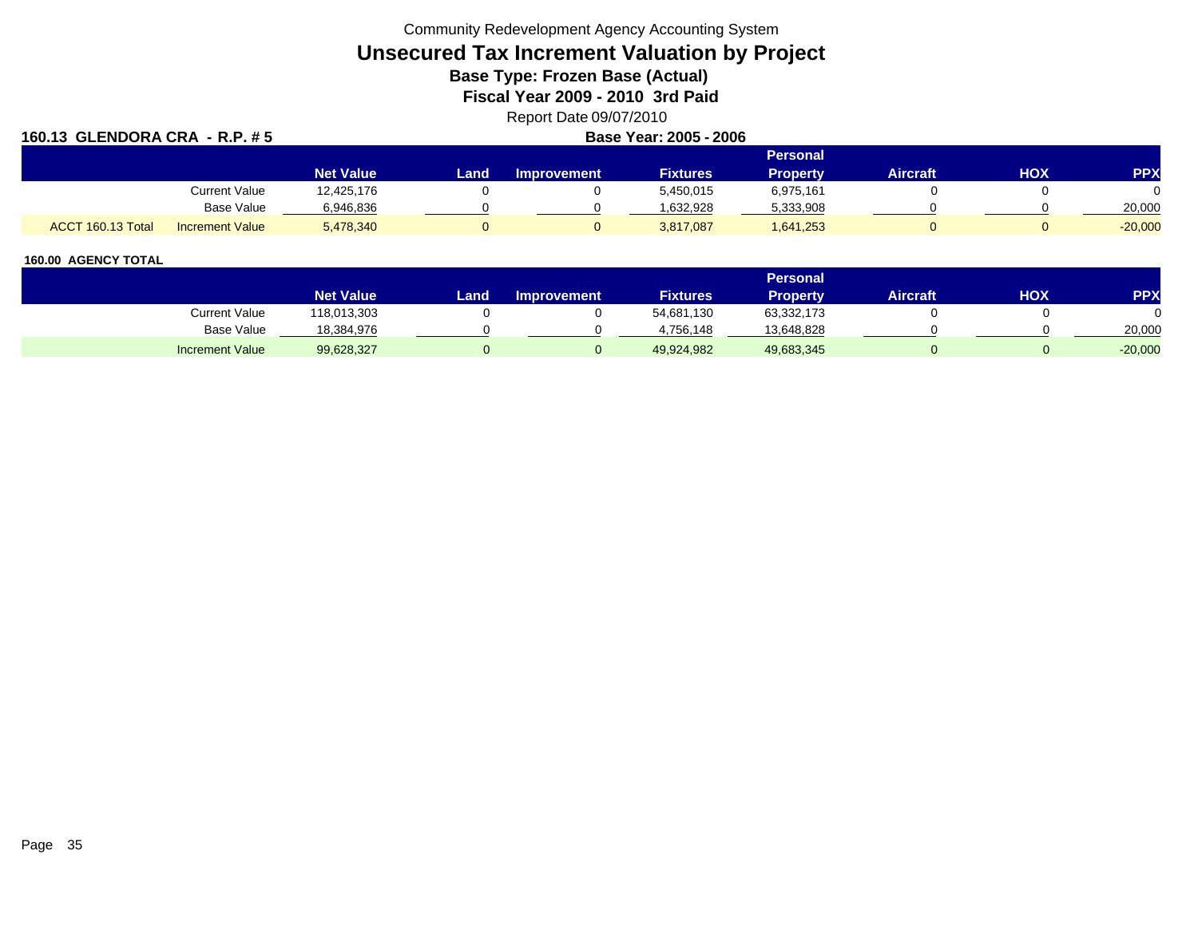Community Redevelopment Agency Accounting System

# **Unsecured Tax Increment Valuation by Project**

**Base Type: Frozen Base (Actual)** 

**Fiscal Year 2009 - 2010 3rd Paid**

Report Date 09/07/2010

| 160.13 GLENDORA CRA - R.P. # 5 |                        |                  | Base Year: 2005 - 2006 |                    |                 |                 |                 |            |            |  |
|--------------------------------|------------------------|------------------|------------------------|--------------------|-----------------|-----------------|-----------------|------------|------------|--|
|                                |                        |                  |                        |                    |                 | <b>Personal</b> |                 |            |            |  |
|                                |                        | <b>Net Value</b> | Land                   | <b>Improvement</b> | <b>Fixtures</b> | Property        | <b>Aircraft</b> | <b>HOX</b> | <b>PPX</b> |  |
|                                | <b>Current Value</b>   | 12,425,176       |                        |                    | 5,450,015       | 6,975,161       |                 |            | $\Omega$   |  |
|                                | Base Value             | 6,946,836        |                        |                    | 1,632,928       | 5,333,908       |                 |            | 20,000     |  |
| ACCT 160.13 Total              | <b>Increment Value</b> | 5,478,340        |                        |                    | 3,817,087       | 1,641,253       |                 |            | $-20,000$  |  |

|                        |                  |      |                    |                 | <b>Personal</b> |                 |     |            |
|------------------------|------------------|------|--------------------|-----------------|-----------------|-----------------|-----|------------|
|                        | <b>Net Value</b> | Land | <b>Improvement</b> | <b>Fixtures</b> | Propertv        | <b>Aircraft</b> | HOX | <b>PPX</b> |
| Current Value          | 118,013,303      |      |                    | 54,681,130      | 63,332,173      |                 |     |            |
| Base Value             | 18,384,976       |      |                    | 4.756.148       | 13,648,828      |                 |     | 20,000     |
| <b>Increment Value</b> | 99,628,327       |      |                    | 49,924,982      | 49,683,345      |                 |     | $-20,000$  |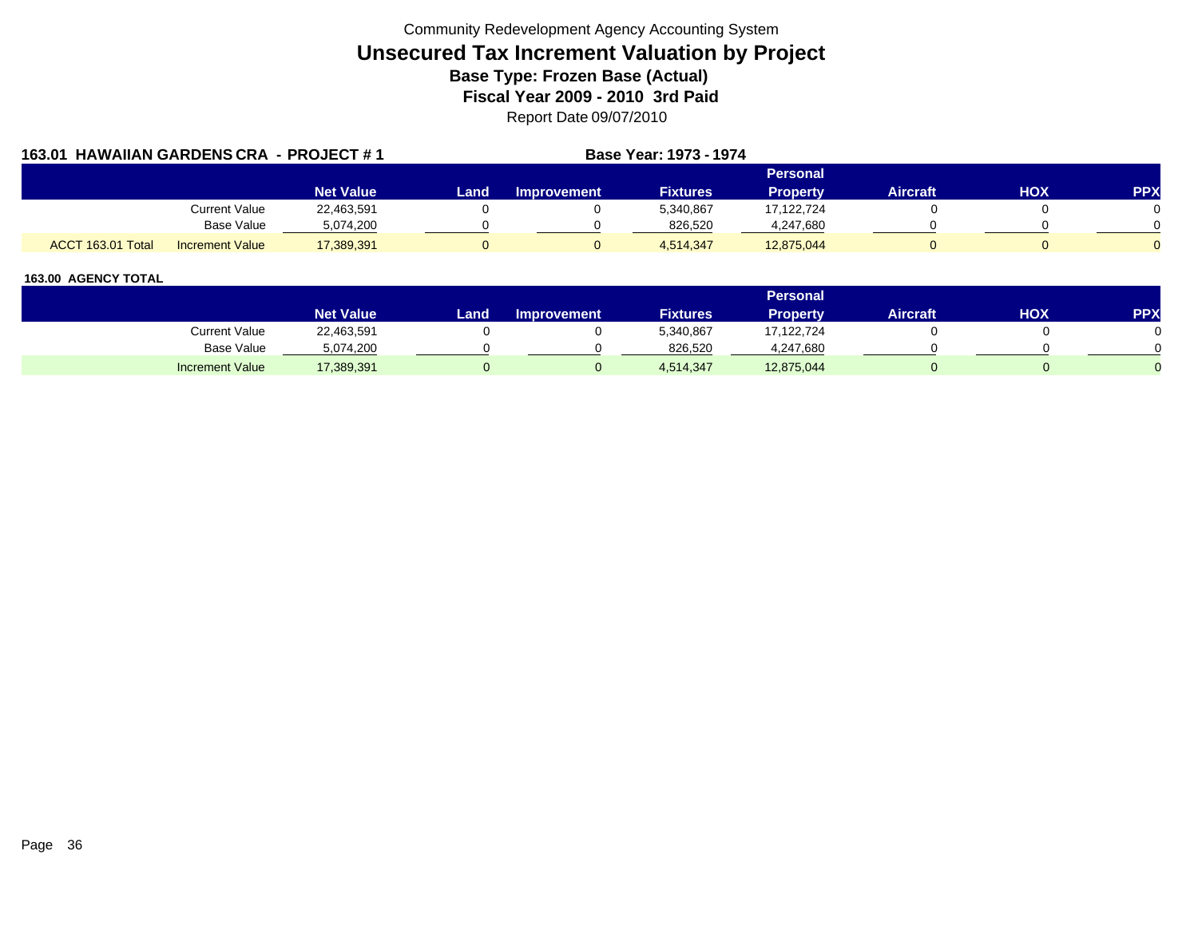| 163.01 HAWAIIAN GARDENS CRA - PROJECT #1 |                        |                  |      |             | <b>Base Year: 1973 - 1974</b> |                 |                 |            |            |
|------------------------------------------|------------------------|------------------|------|-------------|-------------------------------|-----------------|-----------------|------------|------------|
|                                          |                        |                  |      |             |                               | Personal        |                 |            |            |
|                                          |                        | <b>Net Value</b> | Land | Improvement | <b>Fixtures</b>               | <b>Property</b> | <b>Aircraft</b> | <b>HOX</b> | <b>PPX</b> |
|                                          | Current Value          | 22,463,591       |      |             | 5,340,867                     | 17.122.724      |                 |            |            |
|                                          | <b>Base Value</b>      | 5,074,200        |      |             | 826,520                       | 4,247,680       |                 |            |            |
| ACCT 163.01 Total                        | <b>Increment Value</b> | 17,389,391       |      |             | 4,514,347                     | 12,875,044      |                 |            |            |

|                        |                  |      |                    |                 | <b>Personal</b> |                 |            |     |
|------------------------|------------------|------|--------------------|-----------------|-----------------|-----------------|------------|-----|
|                        | <b>Net Value</b> | Land | <b>Improvement</b> | <b>Fixtures</b> | Property        | <b>Aircraft</b> | <b>HOX</b> | PPX |
| Current Value          | 22,463,591       |      |                    | 5,340,867       | 17,122,724      |                 |            |     |
| Base Value             | 5,074,200        |      |                    | 826.520         | 4,247,680       |                 |            |     |
| <b>Increment Value</b> | 17,389,391       |      |                    | 4,514,347       | 12,875,044      |                 |            |     |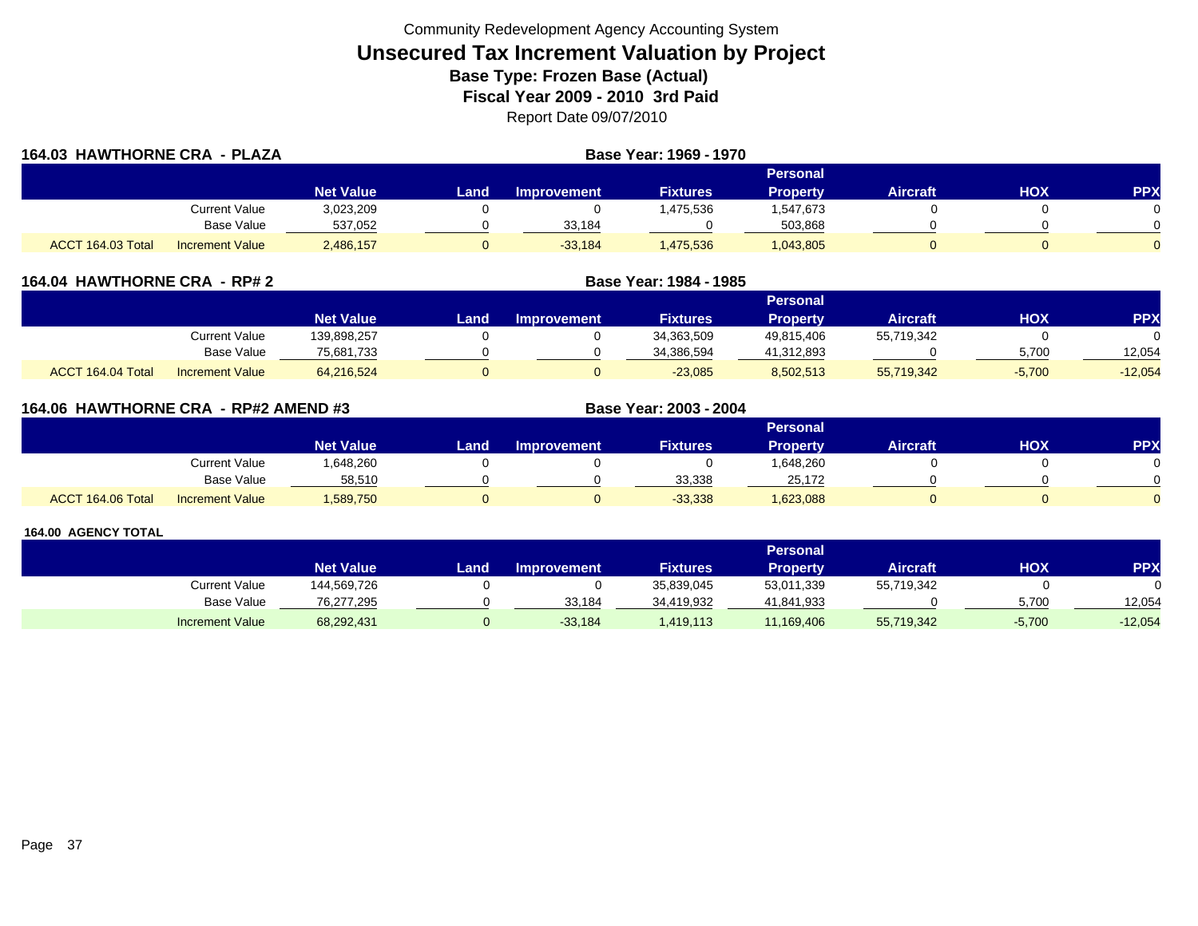| 164.03 HAWTHORNE CRA - PLAZA |                        |                  | Base Year: 1969 - 1970 |                    |                 |                 |                 |     |            |
|------------------------------|------------------------|------------------|------------------------|--------------------|-----------------|-----------------|-----------------|-----|------------|
|                              |                        |                  |                        |                    |                 | <b>Personal</b> |                 |     |            |
|                              |                        | <b>Net Value</b> | Land                   | <b>Improvement</b> | <b>Fixtures</b> | <b>Property</b> | <b>Aircraft</b> | нох | <b>PPX</b> |
|                              | Current Value          | 3,023,209        |                        |                    | 1,475,536       | 1,547,673       |                 |     |            |
|                              | Base Value             | 537,052          |                        | 33,184             |                 | 503,868         |                 |     |            |
| ACCT 164.03 Total            | <b>Increment Value</b> | 2,486,157        |                        | $-33.184$          | 1,475,536       | 1,043,805       |                 |     |            |

| 164.04 HAWTHORNE CRA - RP# 2 |                        |                  |      | Base Year: 1984 - 1985 |                 |                 |                 |          |           |
|------------------------------|------------------------|------------------|------|------------------------|-----------------|-----------------|-----------------|----------|-----------|
|                              |                        |                  |      |                        |                 | <b>Personal</b> |                 |          |           |
|                              |                        | <b>Net Value</b> | Land | <b>Improvement</b>     | <b>Fixtures</b> | <b>Property</b> | <b>Aircraft</b> | нох      | <b>PP</b> |
|                              | Current Value          | 139,898,257      |      |                        | 34,363,509      | 49,815,406      | 55,719,342      |          |           |
|                              | Base Value             | 75,681,733       |      |                        | 34,386,594      | 41,312,893      |                 | 5,700    | 12,054    |
| ACCT 164.04 Total            | <b>Increment Value</b> | 64,216,524       |      |                        | $-23,085$       | 8,502,513       | 55,719,342      | $-5,700$ | $-12,054$ |

|                   | 164.06 HAWTHORNE CRA - RP#2 AMEND #3 |                  |      |                    | Base Year: 2003 - 2004 |                 |                 |            |            |
|-------------------|--------------------------------------|------------------|------|--------------------|------------------------|-----------------|-----------------|------------|------------|
|                   |                                      |                  |      |                    |                        | <b>Personal</b> |                 |            |            |
|                   |                                      | <b>Net Value</b> | Land | <b>Improvement</b> | <b>Fixtures</b>        | <b>Property</b> | <b>Aircraft</b> | <b>NOH</b> | <b>PPX</b> |
|                   | <b>Current Value</b>                 | 1,648,260        |      |                    |                        | 1,648,260       |                 |            |            |
|                   | <b>Base Value</b>                    | 58,510           |      |                    | 33,338                 | 25,172          |                 |            |            |
| ACCT 164.06 Total | <b>Increment Value</b>               | 1,589,750        |      |                    | $-33,338$              | .623,088        |                 |            |            |

|                        |                  |      |                    |                 | <b>Personal</b> |                 |          |            |
|------------------------|------------------|------|--------------------|-----------------|-----------------|-----------------|----------|------------|
|                        | <b>Net Value</b> | Land | <b>Improvement</b> | <b>Fixtures</b> | Property        | <b>Aircraft</b> | нох      | <b>PPX</b> |
| Current Value          | 144,569,726      |      |                    | 35,839,045      | 53,011,339      | 55,719,342      |          |            |
| Base Value             | 76,277,295       |      | 33.184             | 34,419,932      | 41,841,933      |                 | 5.700    | 12.054     |
| <b>Increment Value</b> | 68,292,431       |      | $-33,184$          | 1,419,113       | 11,169,406      | 55,719,342      | $-5,700$ | $-12,054$  |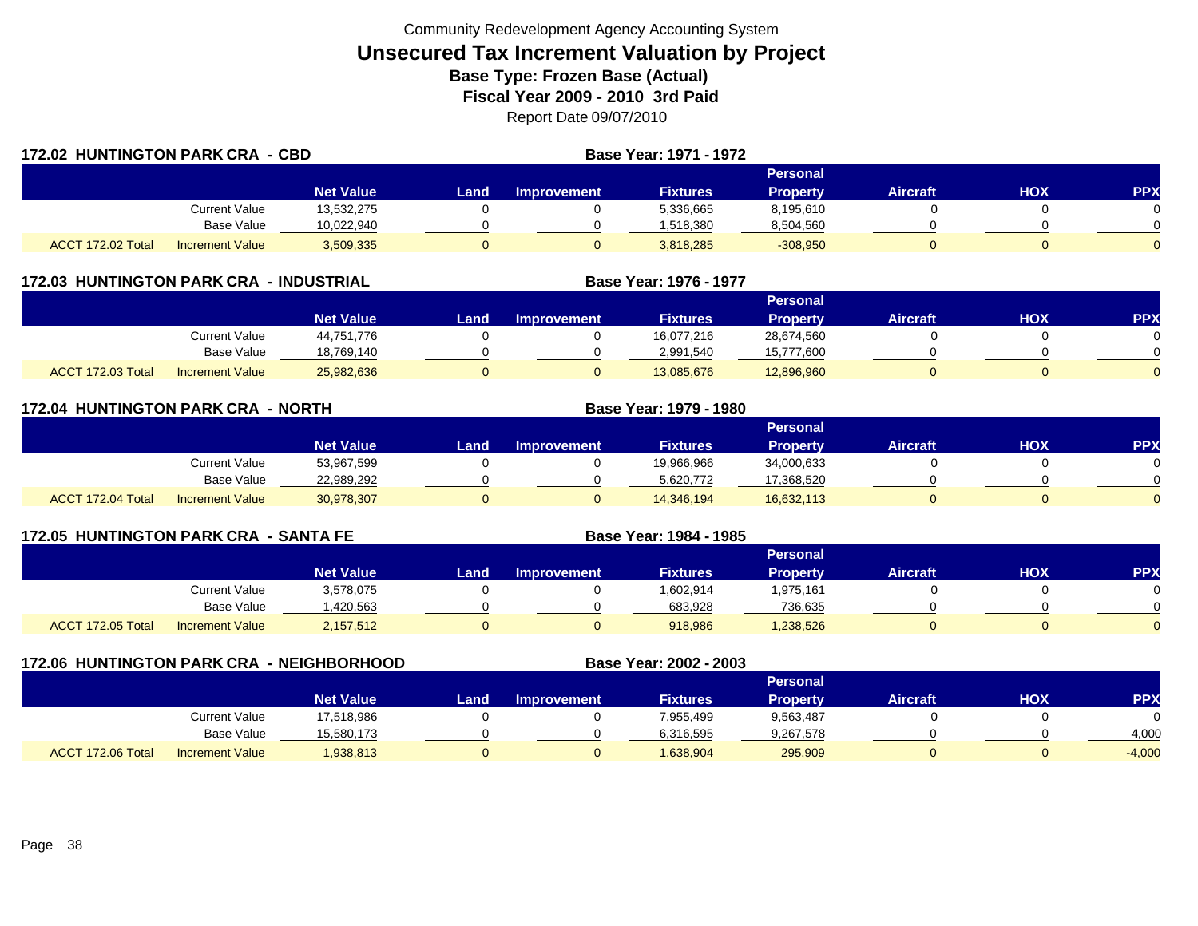|                   | <b>172.02 HUNTINGTON PARK CRA - CBD</b> |                  |      |             | <b>Base Year: 1971 - 1972</b> |                 |                 |     |            |
|-------------------|-----------------------------------------|------------------|------|-------------|-------------------------------|-----------------|-----------------|-----|------------|
|                   |                                         |                  |      |             |                               | <b>Personal</b> |                 |     |            |
|                   |                                         | <b>Net Value</b> | Land | Improvement | <b>Fixtures</b>               | <b>Property</b> | <b>Aircraft</b> | нох | <b>PPX</b> |
|                   | Current Value                           | 13,532,275       |      |             | 5,336,665                     | 8,195,610       |                 |     |            |
|                   | Base Value                              | 10.022.940       |      |             | 1.518.380                     | 8,504,560       |                 |     |            |
| ACCT 172.02 Total | <b>Increment Value</b>                  | 3,509,335        |      |             | 3,818,285                     | $-308,950$      |                 |     | $\Omega$   |

### **172.03 HUNTINGTON PARK CRA - INDUSTRIAL**

|                   |                        |                  |      |                       |                 | Personal        |                 |     |            |
|-------------------|------------------------|------------------|------|-----------------------|-----------------|-----------------|-----------------|-----|------------|
|                   |                        | <b>Net Value</b> | Land | <b>⊾Improvement</b> \ | <b>Fixtures</b> | <b>Property</b> | <b>Aircraft</b> | HOX | <b>PPX</b> |
|                   | Current Value          | 44,751,776       |      |                       | 16,077,216      | 28,674,560      |                 |     |            |
|                   | <b>Base Value</b>      | 18.769.140       |      |                       | 2.991.540       | 15,777,600      |                 |     | 0          |
| ACCT 172.03 Total | <b>Increment Value</b> | 25,982,636       |      |                       | 13,085,676      | 12,896,960      |                 |     | $\Omega$   |

**Base Year: 1976 - 1977**

**Base Year: 1984 - 1985**

|                   | <b>172.04 HUNTINGTON PARK CRA - NORTH</b> |                  |      |                    | Base Year: 1979 - 1980 |                 |                 |     |            |
|-------------------|-------------------------------------------|------------------|------|--------------------|------------------------|-----------------|-----------------|-----|------------|
|                   |                                           |                  |      |                    |                        | Personal        |                 |     |            |
|                   |                                           | <b>Net Value</b> | Land | <b>Improvement</b> | <b>Fixtures</b>        | <b>Property</b> | <b>Aircraft</b> | HOX | <b>PPX</b> |
|                   | Current Value                             | 53,967,599       |      |                    | 19,966,966             | 34,000,633      |                 |     |            |
|                   | Base Value                                | 22,989,292       |      |                    | 5,620,772              | 17,368,520      |                 |     |            |
| ACCT 172.04 Total | <b>Increment Value</b>                    | 30,978,307       |      |                    | 14.346.194             | 16,632,113      |                 |     |            |

## **172.05 HUNTINGTON PARK CRA - SANTA FE**

|                   |                        |                  | Personal |                    |                   |                 |          |            |          |  |  |  |  |
|-------------------|------------------------|------------------|----------|--------------------|-------------------|-----------------|----------|------------|----------|--|--|--|--|
|                   |                        | <b>Net Value</b> | Land.    | <b>Improvement</b> | Fixtures <b>'</b> | <b>Property</b> | Aircraft | <b>HOX</b> | PPX      |  |  |  |  |
|                   | <b>Current Value</b>   | 3,578,075        |          |                    | 1,602,914         | 1,975,161       |          |            |          |  |  |  |  |
|                   | <b>Base Value</b>      | ,420,563         |          |                    | 683.928           | 736,635         |          |            | 0        |  |  |  |  |
| ACCT 172.05 Total | <b>Increment Value</b> | 2,157,512        |          |                    | 918,986           | 1,238,526       |          |            | $\Omega$ |  |  |  |  |

#### **172.06 HUNTINGTON PARK CRA - NEIGHBORHOOD Base Year: 2002 - 2003 Personal Net Value Land Improvement Fixtures Property Aircraft HOX PPX** Current Value 17,518,986 0 0 7,955,499 9,563,487 0 0 Base Value 15,580,173 0 0 6,316,595 9,267,578 0 0 4,000 ACCT 172.06 TotalIncrement Value 1,938,813 0 0 1,638,904 295,909 0 0 -4,000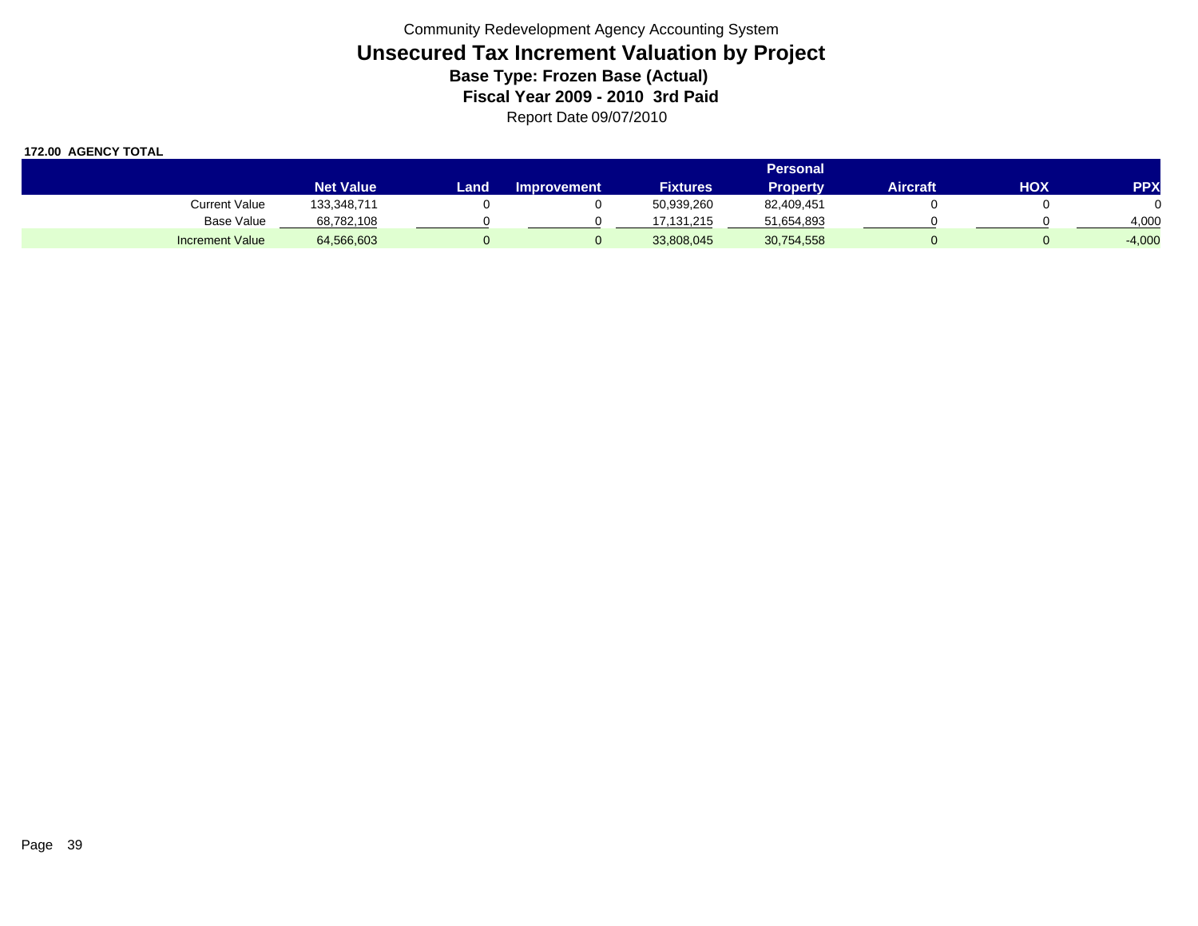|                        |                  | <b>Personal</b> |                    |                 |                 |          |     |            |  |  |  |  |  |
|------------------------|------------------|-----------------|--------------------|-----------------|-----------------|----------|-----|------------|--|--|--|--|--|
|                        | <b>Net Value</b> | Land            | <b>Improvement</b> | <b>Fixtures</b> | <b>Property</b> | Aircraft | ΗΟΧ | <b>PPX</b> |  |  |  |  |  |
| Current Value          | 133,348,711      |                 |                    | 50,939,260      | 82,409,451      |          |     |            |  |  |  |  |  |
| Base Value             | 68,782,108       |                 |                    | 17.131.215      | 51,654,893      |          |     | 4,000      |  |  |  |  |  |
| <b>Increment Value</b> | 64,566,603       |                 |                    | 33,808,045      | 30,754,558      |          |     | $-4,000$   |  |  |  |  |  |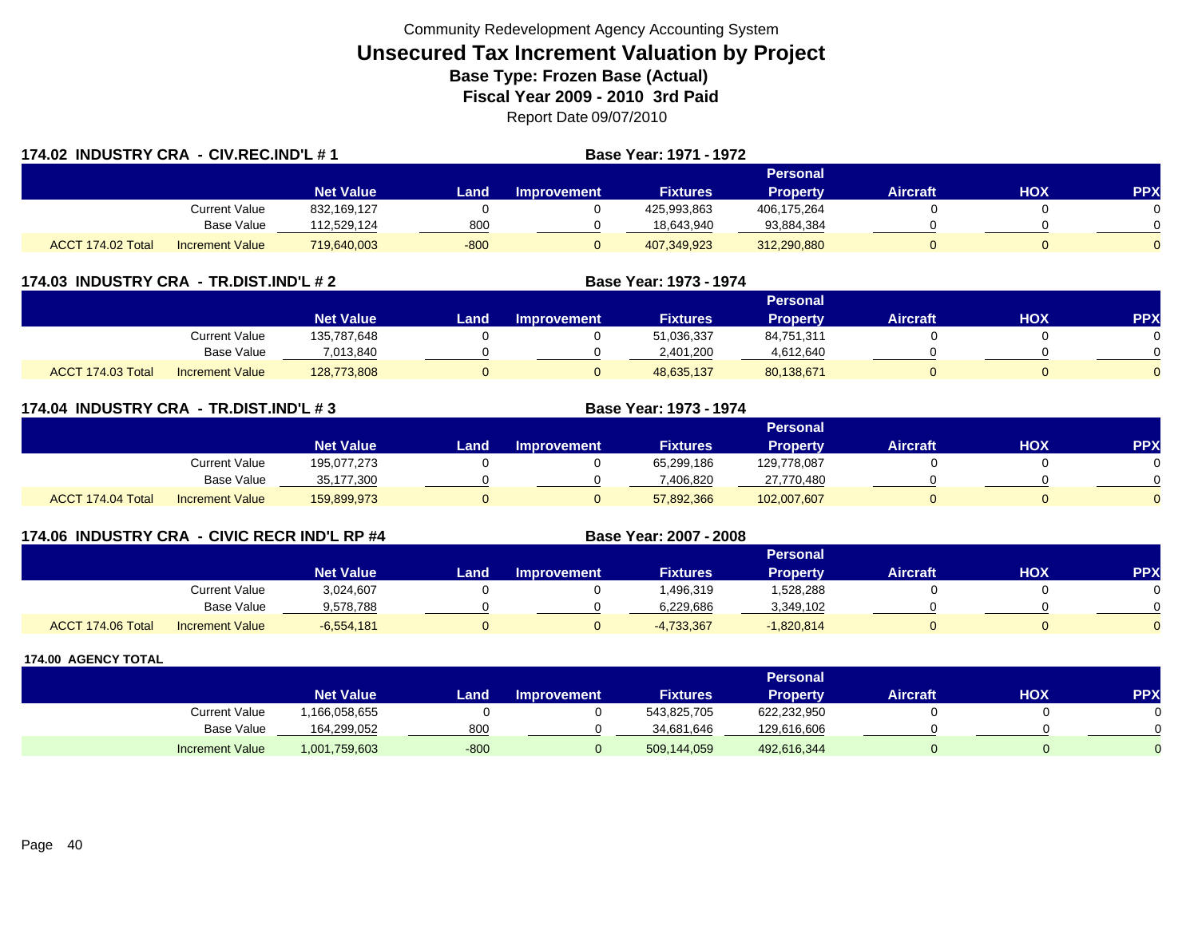| 174.02 INDUSTRY CRA - CIV.REC.IND'L # 1 |                        |                  |        |             | <b>Base Year: 1971 - 1972</b> |                 |                 |            |            |
|-----------------------------------------|------------------------|------------------|--------|-------------|-------------------------------|-----------------|-----------------|------------|------------|
|                                         |                        |                  |        |             |                               | Personal        |                 |            |            |
|                                         |                        | <b>Net Value</b> | Land.  | Improvement | <b>Fixtures</b>               | <b>Property</b> | <b>Aircraft</b> | <b>HOX</b> | <b>PPX</b> |
|                                         | Current Value          | 832,169,127      |        |             | 425,993,863                   | 406,175,264     |                 |            | $\Omega$   |
|                                         | <b>Base Value</b>      | 112,529,124      | 800    |             | 18.643.940                    | 93,884,384      |                 |            | $\Omega$   |
| ACCT 174.02 Total                       | <b>Increment Value</b> | 719,640,003      | $-800$ |             | 407,349,923                   | 312,290,880     |                 |            | $\Omega$   |

### **174.03 INDUSTRY CRA - TR.DIST.IND'L # 2 Base Year: 1973 - 1974**

|                                             |                                |      |                    |                 | Personal        |          |     |            |
|---------------------------------------------|--------------------------------|------|--------------------|-----------------|-----------------|----------|-----|------------|
|                                             | <b>Net Value</b>               | Land | <b>Improvement</b> | <b>Fixtures</b> | <b>Property</b> | Aircraft | нох | <b>PPX</b> |
| Current Value                               | 135,787,648                    |      |                    | 51,036,337      | 84,751,311      |          |     |            |
|                                             | <b>Base Value</b><br>7,013,840 |      |                    | 2,401,200       | 4,612,640       |          |     |            |
| ACCT 174.03 Total<br><b>Increment Value</b> | 128,773,808                    |      |                    | 48,635,137      | 80,138,671      |          |     |            |

| 174.04 INDUSTRY CRA - TR.DIST.IND'L # 3 |                        |                  |      |                    | Base Year: 1973 - 1974 |                 |                 |     |            |
|-----------------------------------------|------------------------|------------------|------|--------------------|------------------------|-----------------|-----------------|-----|------------|
|                                         |                        |                  |      |                    |                        | <b>Personal</b> |                 |     |            |
|                                         |                        | <b>Net Value</b> | Land | <b>Improvement</b> | <b>Fixtures</b>        | <b>Property</b> | <b>Aircraft</b> | HOX | <b>PPX</b> |
|                                         | Current Value          | 195,077,273      |      |                    | 65,299,186             | 129,778,087     |                 |     |            |
|                                         | Base Value             | 35,177,300       |      |                    | 7,406,820              | 27,770,480      |                 |     |            |
| ACCT 174.04 Total                       | <b>Increment Value</b> | 159,899,973      |      |                    | 57,892,366             | 102,007,607     |                 | 0   |            |

## **174.06 INDUSTRY CRA - CIVIC RECR IND'L RP #4 Base Year: 2007 - 2008**

|                   |                        |                  |      |             |                 | Personal        |                 |            |          |
|-------------------|------------------------|------------------|------|-------------|-----------------|-----------------|-----------------|------------|----------|
|                   |                        | <b>Net Value</b> | Land | Improvement | <b>Fixtures</b> | <b>Property</b> | <b>Aircraft</b> | <b>HOX</b> | PPX      |
|                   | Current Value          | 3,024,607        |      |             | .496,319        | ,528,288        |                 |            |          |
|                   | <b>Base Value</b>      | 9,578,788        |      |             | 6,229,686       | 3,349,102       |                 |            |          |
| ACCT 174.06 Total | <b>Increment Value</b> | $-6,554,181$     |      |             | $-4,733,367$    | $-1,820,814$    |                 |            | $\Omega$ |

|                        |                  |        |                    |                 | <b>Personal</b> |                 |     |     |
|------------------------|------------------|--------|--------------------|-----------------|-----------------|-----------------|-----|-----|
|                        | <b>Net Value</b> | Land   | <b>Improvement</b> | <b>Fixtures</b> | Property        | <b>Aircraft</b> | ΗΟΧ | PPX |
| <b>Current Value</b>   | ,166,058,655     |        |                    | 543,825,705     | 622,232,950     |                 |     |     |
| <b>Base Value</b>      | 164,299,052      | 800    |                    | 34.681.646      | 129,616,606     |                 |     | 0   |
| <b>Increment Value</b> | 1,001,759,603    | $-800$ |                    | 509,144,059     | 492,616,344     |                 |     |     |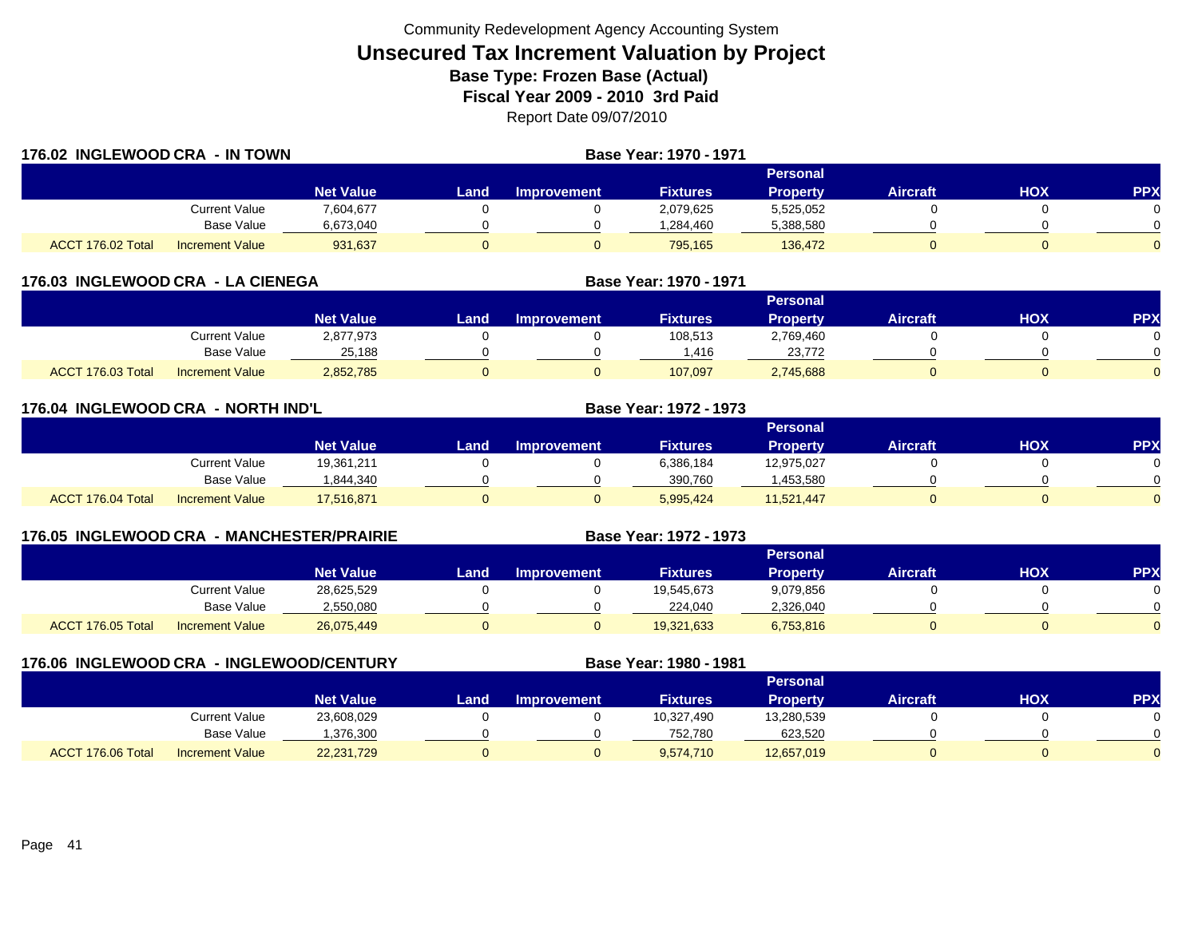| 176.02 INGLEWOOD CRA - IN TOWN |                        |                  |       | <b>Base Year: 1970 - 1971</b> |                 |                 |                 |     |            |
|--------------------------------|------------------------|------------------|-------|-------------------------------|-----------------|-----------------|-----------------|-----|------------|
|                                |                        |                  |       |                               |                 | <b>Personal</b> |                 |     |            |
|                                |                        | <b>Net Value</b> | Landı | Improvement                   | <b>Fixtures</b> | <b>Property</b> | <b>Aircraft</b> | нох | <b>PPX</b> |
|                                | Current Value          | 7,604,677        |       |                               | 2,079,625       | 5,525,052       |                 |     |            |
|                                | <b>Base Value</b>      | 6,673,040        |       |                               | .284,460        | 5,388,580       |                 |     |            |
| ACCT 176.02 Total              | <b>Increment Value</b> | 931,637          |       |                               | 795,165         | 136,472         |                 |     |            |

| 176.03 INGLEWOOD CRA - LA CIENEGA |                        |                  |      | Base Year: 1970 - 1971 |                 |                 |                 |     |            |
|-----------------------------------|------------------------|------------------|------|------------------------|-----------------|-----------------|-----------------|-----|------------|
|                                   |                        |                  |      |                        |                 | Personal        |                 |     |            |
|                                   |                        | <b>Net Value</b> | Land | <b>Improvement</b>     | <b>Fixtures</b> | <b>Property</b> | <b>Aircraft</b> | НОХ | <b>PPX</b> |
|                                   | Current Value          | 2,877,973        |      |                        | 108,513         | 2,769,460       |                 |     |            |
|                                   | Base Value             | 25.188           |      |                        | .416.           | 23.772          |                 |     |            |
| ACCT 176.03 Total                 | <b>Increment Value</b> | 2,852,785        |      |                        | 107,097         | 2,745,688       |                 |     |            |

| 176.04 INGLEWOOD CRA - NORTH IND'L |                        |                  |      |                    | <b>Base Year: 1972 - 1973</b> |                 |                 |            |            |
|------------------------------------|------------------------|------------------|------|--------------------|-------------------------------|-----------------|-----------------|------------|------------|
|                                    |                        |                  |      |                    |                               | Personal        |                 |            |            |
|                                    |                        | <b>Net Value</b> | Land | <b>Improvement</b> | <b>Fixtures</b>               | <b>Property</b> | <b>Aircraft</b> | <b>HOX</b> | <b>PPX</b> |
|                                    | Current Value          | 19,361,211       |      |                    | 6,386,184                     | 12,975,027      |                 |            | $\Omega$   |
|                                    | <b>Base Value</b>      | 1,844,340        |      |                    | 390,760                       | 1,453,580       |                 |            | $\Omega$   |
| ACCT 176.04 Total                  | <b>Increment Value</b> | 17,516,871       |      | 0                  | 5.995.424                     | 11,521,447      |                 |            | $\Omega$   |

| 176.05 INGLEWOOD CRA - MANCHESTER/PRAIRIE |                        |                  |      |                    | Base Year: 1972 - 1973 |           |                 |     |            |
|-------------------------------------------|------------------------|------------------|------|--------------------|------------------------|-----------|-----------------|-----|------------|
|                                           |                        |                  |      |                    |                        | Personal  |                 |     |            |
|                                           |                        | <b>Net Value</b> | Land | <b>Improvement</b> | <b>Fixtures</b>        | Property  | <b>Aircraft</b> | нох | <b>PPX</b> |
|                                           | Current Value          | 28,625,529       |      |                    | 19,545,673             | 9,079,856 |                 |     |            |
|                                           | Base Value             | 2,550,080        |      |                    | 224.040                | 2,326,040 |                 |     |            |
| ACCT 176.05 Total                         | <b>Increment Value</b> | 26,075,449       |      |                    | 19,321,633             | 6,753,816 |                 |     |            |

| 176.06 INGLEWOOD CRA - INGLEWOOD/CENTURY |                        |                  |      |                    | Base Year: 1980 - 1981 |                 |                 |     |            |
|------------------------------------------|------------------------|------------------|------|--------------------|------------------------|-----------------|-----------------|-----|------------|
|                                          |                        |                  |      |                    |                        | Personal        |                 |     |            |
|                                          |                        | <b>Net Value</b> | Land | <b>Improvement</b> | <b>Fixtures</b>        | <b>Property</b> | <b>Aircraft</b> | HOX | <b>PPX</b> |
|                                          | <b>Current Value</b>   | 23,608,029       |      |                    | 10,327,490             | 13,280,539      |                 |     |            |
|                                          | Base Value             | ,376,300         |      |                    | 752.780                | 623,520         |                 |     |            |
| ACCT 176.06 Total                        | <b>Increment Value</b> | 22,231,729       |      |                    | 9,574,710              | 12,657,019      |                 |     |            |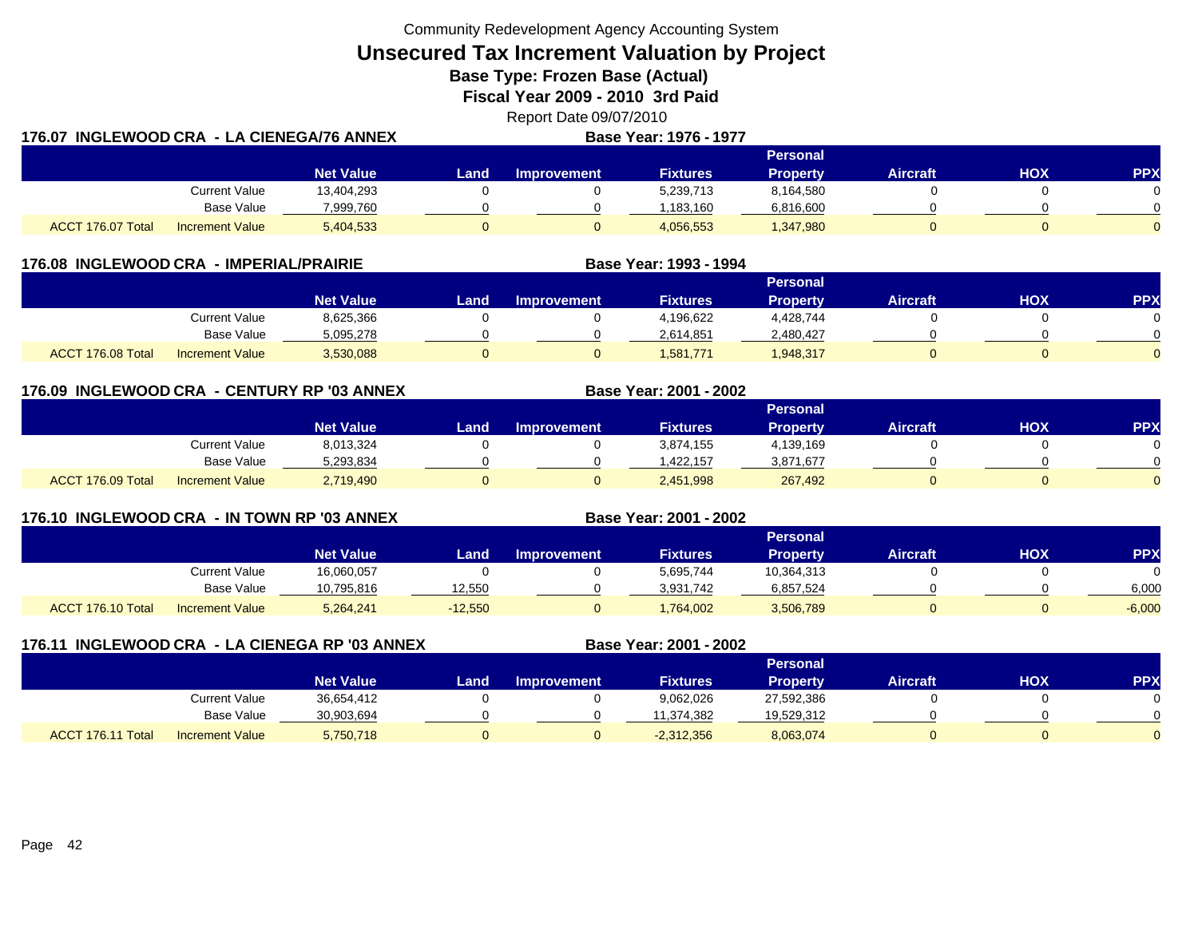**Unsecured Tax Increment Valuation by Project**

**Base Type: Frozen Base (Actual)** 

**Fiscal Year 2009 - 2010 3rd Paid**

Report Date 09/07/2010 **176.07 INGLEWOOD CRA - LA CIENEGA/76 ANNEXBase Year: 1976 - 1977**

|                                      |                        |                  | Personal |                    |                 |                 |          |            |           |  |  |  |  |
|--------------------------------------|------------------------|------------------|----------|--------------------|-----------------|-----------------|----------|------------|-----------|--|--|--|--|
|                                      |                        | <b>Net Value</b> | Land .   | <b>Improvement</b> | <b>Fixtures</b> | <b>Property</b> | Aircraft | <b>HOX</b> | <b>PP</b> |  |  |  |  |
|                                      | <b>Current Value</b>   | 13,404,293       |          |                    | 5,239,713       | 8,164,580       |          |            |           |  |  |  |  |
|                                      | <b>Base Value</b>      | 7,999,760        |          |                    | 1.183.160       | 6,816,600       |          |            |           |  |  |  |  |
| <b>T 176.07 Total</b><br><b>ACCT</b> | <b>Increment Value</b> | 5,404,533        |          |                    | 4,056,553       | 1,347,980       |          |            |           |  |  |  |  |

|                                             | 176.08 INGLEWOOD CRA - IMPERIAL/PRAIRIE |      |                    | Base Year: 1993 - 1994 |                 |                 |            |            |
|---------------------------------------------|-----------------------------------------|------|--------------------|------------------------|-----------------|-----------------|------------|------------|
|                                             |                                         |      |                    |                        | <b>Personal</b> |                 |            |            |
|                                             | <b>Net Value</b>                        | Land | <b>Improvement</b> | <b>Fixtures</b>        | <b>Property</b> | <b>Aircraft</b> | <b>XOH</b> | <b>PPX</b> |
| Current Value                               | 8,625,366                               |      |                    | 4,196,622              | 4,428,744       |                 |            |            |
| Base Value                                  | 5,095,278                               |      |                    | 2,614,851              | 2,480,427       |                 |            |            |
| ACCT 176.08 Total<br><b>Increment Value</b> | 3,530,088                               |      |                    | 1.581.771              | .948.317        |                 |            |            |

**176.09 INGLEWOOD CRA - CENTURY RP '03 ANNEX**

|                   |                        |                  |      |                    |                 | <b>Personal</b> |          |     |            |
|-------------------|------------------------|------------------|------|--------------------|-----------------|-----------------|----------|-----|------------|
|                   |                        | <b>Net Value</b> | Land | <b>Improvement</b> | <b>Fixtures</b> | <b>Property</b> | Aircraft | нох | <b>PPX</b> |
|                   | Current Value          | 8,013,324        |      |                    | 3,874,155       | 4,139,169       |          |     |            |
|                   | <b>Base Value</b>      | 5,293,834        |      |                    | 1.422.157       | 3,871,677       |          |     | $\sim$     |
| ACCT 176.09 Total | <b>Increment Value</b> | 2,719,490        |      |                    | 2,451,998       | 267,492         |          |     |            |

**Base Year: 2001 - 2002**

**Base Year: 2001 - 2002**

**176.10 INGLEWOOD CRA - IN TOWN RP '03 ANNEX**

|                   |                        |                  |           |                    |                 | <b>Personal</b> |          |            |          |
|-------------------|------------------------|------------------|-----------|--------------------|-----------------|-----------------|----------|------------|----------|
|                   |                        | <b>Net Value</b> | Land      | <b>Improvement</b> | <b>Fixtures</b> | <b>Property</b> | Aircraft | <b>HOX</b> | PPX      |
|                   | Current Value          | 16,060,057       |           |                    | 5,695,744       | 10,364,313      |          |            |          |
|                   | <b>Base Value</b>      | 10,795,816       | 12,550    |                    | 3.931.742       | 6,857,524       |          |            | 6,000    |
| ACCT 176.10 Total | <b>Increment Value</b> | 5,264,241        | $-12,550$ |                    | .764,002        | 3,506,789       |          |            | $-6,000$ |

| 176.11 | INGLEWOOD CRA - LA CIENEGA RP '03 ANNEX |                        |                  |      |                    | Base Year: 2001 - 2002 |                 |                 |            |            |
|--------|-----------------------------------------|------------------------|------------------|------|--------------------|------------------------|-----------------|-----------------|------------|------------|
|        |                                         |                        |                  |      |                    |                        | <b>Personal</b> |                 |            |            |
|        |                                         |                        | <b>Net Value</b> | Land | <b>Improvement</b> | <b>Fixtures</b>        | <b>Property</b> | <b>Aircraft</b> | <b>NOH</b> | <b>PPX</b> |
|        |                                         | Current Value          | 36,654,412       |      |                    | 9,062,026              | 27,592,386      |                 |            |            |
|        |                                         | Base Value             | 30,903,694       |      |                    | 11,374,382             | 19,529,312      |                 |            |            |
|        | ACCT 176.11 Total                       | <b>Increment Value</b> | 5,750,718        |      |                    | $-2,312,356$           | 8,063,074       |                 |            |            |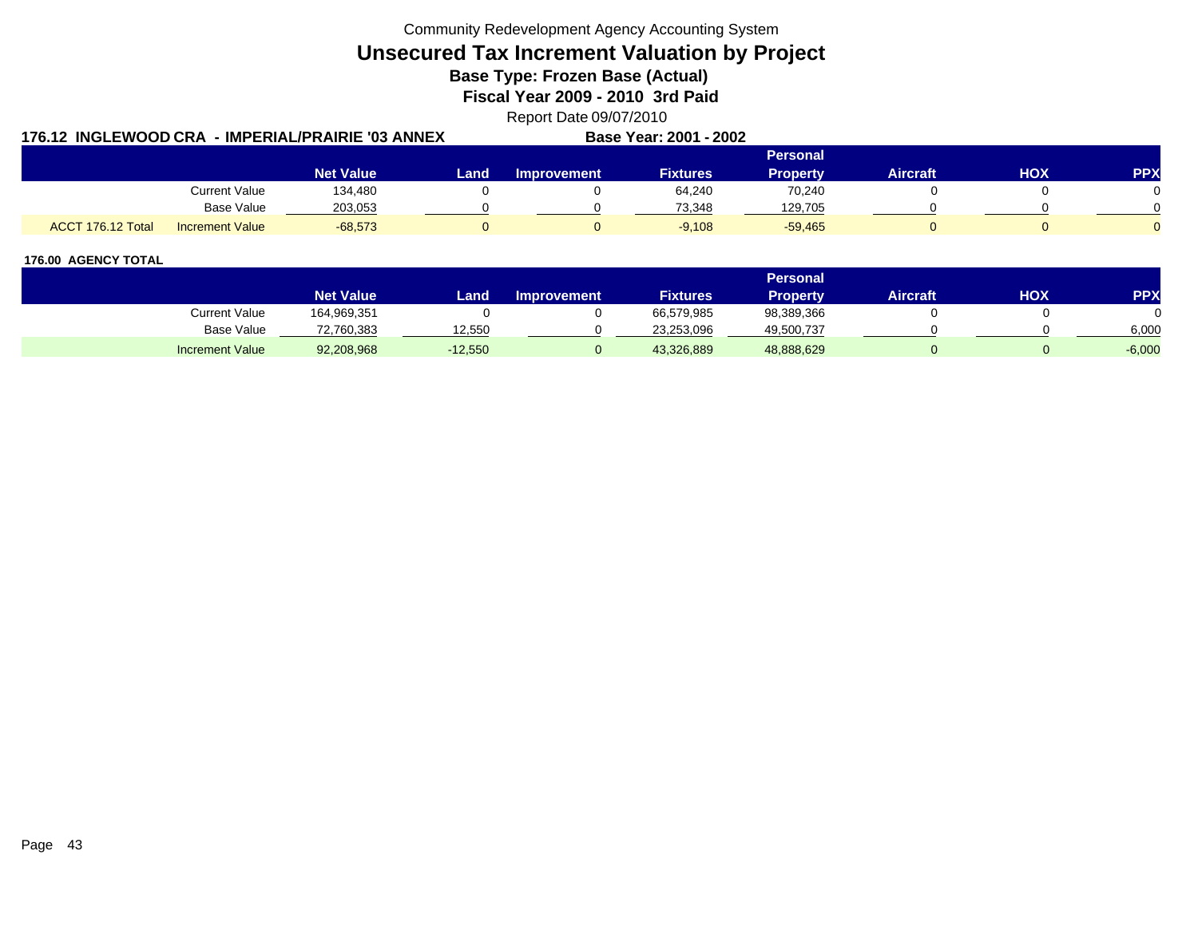**Unsecured Tax Increment Valuation by Project**

**Base Type: Frozen Base (Actual)** 

**Fiscal Year 2009 - 2010 3rd Paid**

Report Date 09/07/2010

|                   |                        | 176.12 INGLEWOOD CRA - IMPERIAL/PRAIRIE '03 ANNEX |      |             | Base Year: 2001 - 2002 |                 |                 |            |            |
|-------------------|------------------------|---------------------------------------------------|------|-------------|------------------------|-----------------|-----------------|------------|------------|
|                   |                        |                                                   |      |             |                        | <b>Personal</b> |                 |            |            |
|                   |                        | <b>Net Value</b>                                  | Land | Improvement | <b>Fixtures</b>        | Propertv        | <b>Aircraft</b> | <b>HOX</b> | <b>PPX</b> |
|                   | <b>Current Value</b>   | 134,480                                           |      |             | 64,240                 | 70,240          |                 |            |            |
|                   | <b>Base Value</b>      | 203,053                                           |      |             | 73.348                 | 129,705         |                 |            |            |
| ACCT 176.12 Total | <b>Increment Value</b> | $-68,573$                                         |      |             | $-9,108$               | $-59,465$       |                 |            |            |

|                        |                  |           |                    |                 | <b>Personal</b> |                 |            |            |
|------------------------|------------------|-----------|--------------------|-----------------|-----------------|-----------------|------------|------------|
|                        | <b>Net Value</b> | Land      | <b>Improvement</b> | <b>Fixtures</b> | Propertv        | <b>Aircraft</b> | <b>HOX</b> | <b>PPY</b> |
| Current Value          | 164,969,351      |           |                    | 66,579,985      | 98,389,366      |                 |            |            |
| <b>Base Value</b>      | 72,760,383       | 12,550    |                    | 23,253,096      | 49,500,737      |                 |            | 6,000      |
| <b>Increment Value</b> | 92,208,968       | $-12,550$ |                    | 43,326,889      | 48,888,629      |                 |            | $-6,000$   |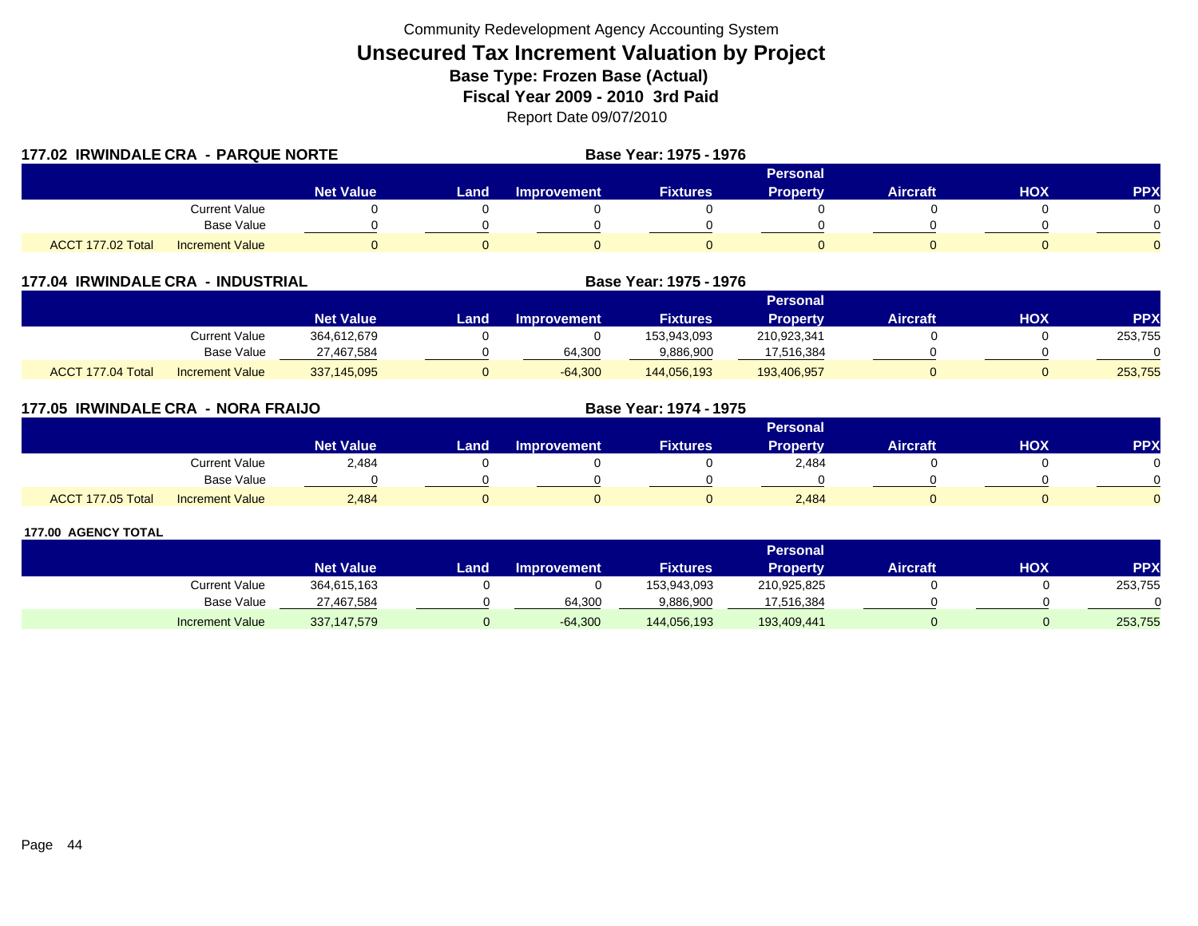| 177.02 IRWINDALE CRA - PARQUE NORTE | Base Year: 1975 - 1976 |                  |          |                    |                 |                 |                 |     |            |
|-------------------------------------|------------------------|------------------|----------|--------------------|-----------------|-----------------|-----------------|-----|------------|
|                                     |                        |                  | Personal |                    |                 |                 |                 |     |            |
|                                     |                        | <b>Net Value</b> | Land     | <b>Improvement</b> | <b>Fixtures</b> | <b>Property</b> | <b>Aircraft</b> | HOX | <b>PPX</b> |
|                                     | <b>Current Value</b>   |                  |          |                    |                 |                 |                 |     |            |
|                                     | <b>Base Value</b>      |                  |          |                    |                 |                 |                 |     |            |
| ACCT 177.02 Total                   | <b>Increment Value</b> |                  |          |                    |                 |                 |                 |     |            |

| 177.04 IRWINDALE CRA - INDUSTRIAL |                        |                  |      | Base Year: 1975 - 1976 |                 |                 |                 |     |            |
|-----------------------------------|------------------------|------------------|------|------------------------|-----------------|-----------------|-----------------|-----|------------|
|                                   |                        |                  |      |                        |                 |                 |                 |     |            |
|                                   |                        | <b>Net Value</b> | Land | <b>Improvement</b>     | <b>Fixtures</b> | <b>Property</b> | <b>Aircraft</b> | нох | <b>PPX</b> |
|                                   | Current Value          | 364,612,679      |      |                        | 153.943.093     | 210,923,341     |                 |     | 253,755    |
|                                   | Base Value             | 27,467,584       |      | 64,300                 | 9,886,900       | 17,516,384      |                 |     |            |
| ACCT 177.04 Total                 | <b>Increment Value</b> | 337,145,095      |      | $-64,300$              | 144,056,193     | 193,406,957     |                 |     | 253,755    |

| 177.05 IRWINDALE CRA - NORA FRAIJO |                        |                  | <b>Base Year: 1974 - 1975</b> |                    |                 |          |                 |     |            |
|------------------------------------|------------------------|------------------|-------------------------------|--------------------|-----------------|----------|-----------------|-----|------------|
|                                    |                        |                  |                               | <b>Personal</b>    |                 |          |                 |     |            |
|                                    |                        | <b>Net Value</b> | Land                          | <b>Improvement</b> | <b>Fixtures</b> | Property | <b>Aircraft</b> | HOX | <b>PPX</b> |
|                                    | <b>Current Value</b>   | 2,484            |                               |                    |                 | 2,484    |                 |     |            |
|                                    | Base Value             |                  |                               |                    |                 |          |                 |     |            |
| ACCT 177.05 Total                  | <b>Increment Value</b> | 2,484            |                               |                    |                 | 2,484    |                 |     |            |

|                        | Personal         |      |                    |                 |                 |                 |     |                 |  |
|------------------------|------------------|------|--------------------|-----------------|-----------------|-----------------|-----|-----------------|--|
|                        | <b>Net Value</b> | Land | <b>Improvement</b> | <b>Fixtures</b> | <b>Property</b> | <b>Aircraft</b> | нох | PP <sub>2</sub> |  |
| Current Value          | 364,615,163      |      |                    | 153,943,093     | 210,925,825     |                 |     | 253,755         |  |
| Base Value             | 27,467,584       |      | 64,300             | 9,886,900       | 17,516,384      |                 |     |                 |  |
| <b>Increment Value</b> | 337,147,579      |      | $-64,300$          | 144,056,193     | 193,409,441     |                 |     | 253,755         |  |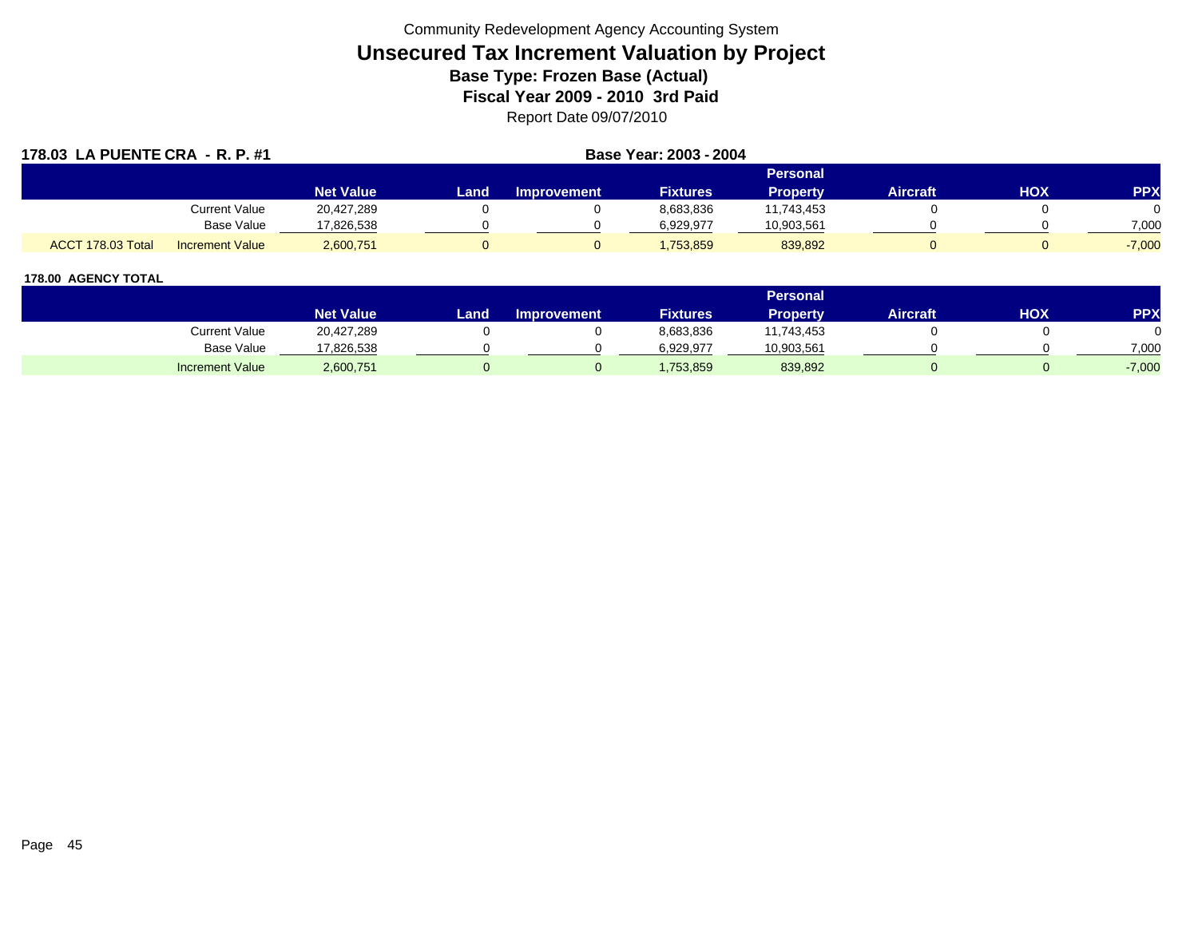| 178.03 LA PUENTE CRA - R. P. #1 |                        |                  | Base Year: 2003 - 2004 |                    |                 |                 |                 |     |            |
|---------------------------------|------------------------|------------------|------------------------|--------------------|-----------------|-----------------|-----------------|-----|------------|
|                                 |                        |                  |                        |                    |                 | <b>Personal</b> |                 |     |            |
|                                 |                        | <b>Net Value</b> | Land                   | <b>Improvement</b> | <b>Fixtures</b> | <b>Property</b> | <b>Aircraft</b> | HOX | <b>PPX</b> |
|                                 | <b>Current Value</b>   | 20,427,289       |                        |                    | 8,683,836       | 11,743,453      |                 |     |            |
|                                 | <b>Base Value</b>      | 17,826,538       |                        |                    | 6,929,977       | 10,903,561      |                 |     | 7,000      |
| ACCT 178.03 Total               | <b>Increment Value</b> | 2,600,751        |                        |                    | 1,753,859       | 839,892         |                 |     | $-7,000$   |

|                        |                  |       |                    |                 | <b>Personal</b> |                 |     |          |
|------------------------|------------------|-------|--------------------|-----------------|-----------------|-----------------|-----|----------|
|                        | <b>Net Value</b> | Land. | <b>Improvement</b> | <b>Fixtures</b> | Property        | <b>Aircraft</b> | HOX | PPX      |
| <b>Current Value</b>   | 20,427,289       |       |                    | 8,683,836       | 11,743,453      |                 |     |          |
| <b>Base Value</b>      | 17,826,538       |       |                    | 6.929.977       | 10,903,561      |                 |     | 7,000    |
| <b>Increment Value</b> | 2,600,751        |       |                    | 1,753,859       | 839,892         |                 |     | $-7,000$ |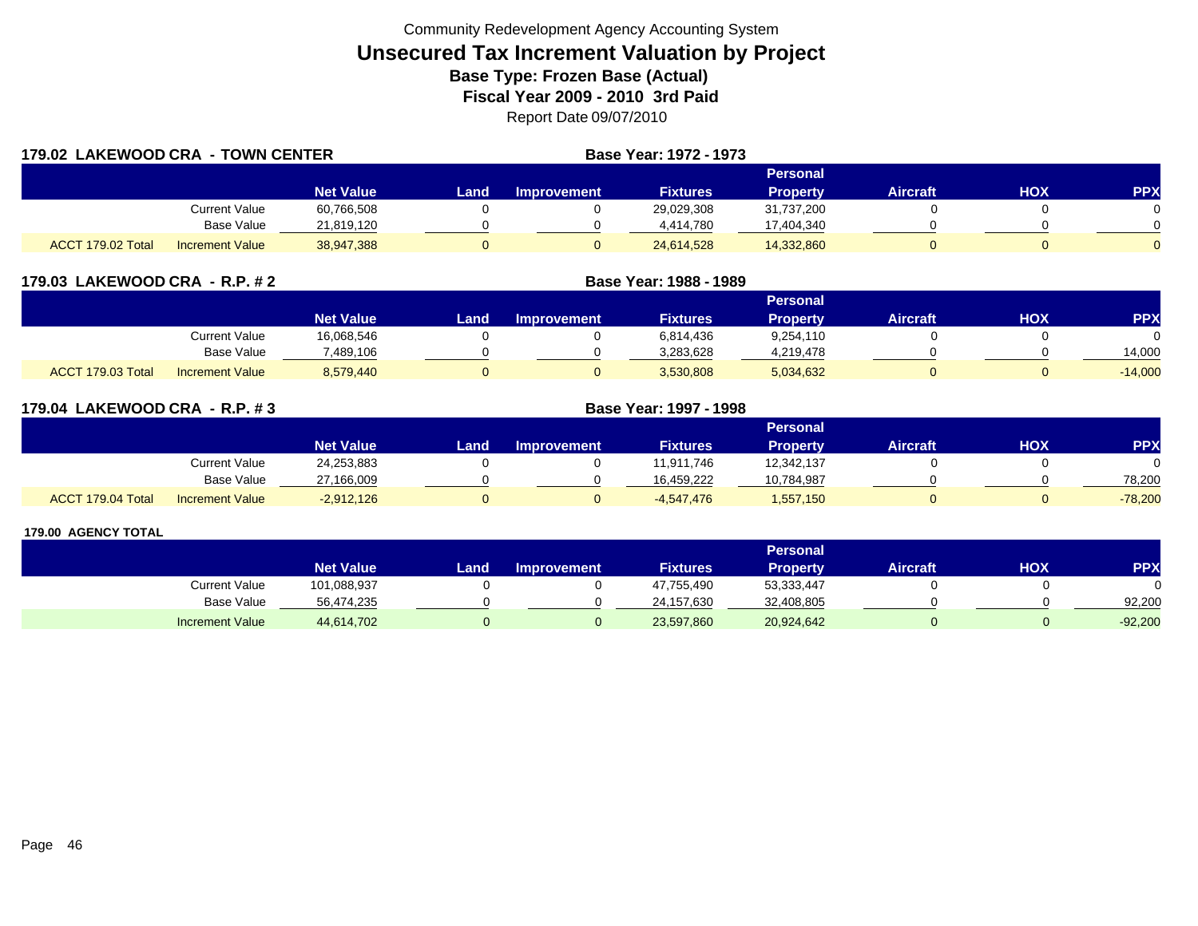| 179.02 LAKEWOOD CRA - TOWN CENTER |                        |                  |      | <b>Base Year: 1972 - 1973</b> |                 |                 |                 |     |            |
|-----------------------------------|------------------------|------------------|------|-------------------------------|-----------------|-----------------|-----------------|-----|------------|
|                                   |                        |                  |      |                               |                 | Personal        |                 |     |            |
|                                   |                        | <b>Net Value</b> | Land | <b>Improvement</b>            | <b>Fixtures</b> | <b>Property</b> | <b>Aircraft</b> | HOX | <b>PPX</b> |
|                                   | Current Value          | 60,766,508       |      |                               | 29,029,308      | 31,737,200      |                 |     |            |
|                                   | <b>Base Value</b>      | 21,819,120       |      |                               | 4,414,780       | 17,404,340      |                 |     |            |
| ACCT 179.02 Total                 | <b>Increment Value</b> | 38,947,388       |      |                               | 24,614,528      | 14,332,860      |                 |     |            |

| 179.03 LAKEWOOD CRA - R.P. # 2 |           |                                  | <b>Base Year: 1988 - 1989</b> |
|--------------------------------|-----------|----------------------------------|-------------------------------|
|                                | Mat Mahia | <b>Lond</b> <i>Immediatement</i> | Elytrians                     |

|                             |                        | <b>Net Value</b> | Land | <b>Improvement</b> | <b>Fixtures</b> | Property  | Aircraft | нох | PPX       |
|-----------------------------|------------------------|------------------|------|--------------------|-----------------|-----------|----------|-----|-----------|
|                             | Current Value          | 16,068,546       |      |                    | 6,814,436       | 9,254,110 |          |     |           |
|                             | Base Value             | 489,106.         |      |                    | 3,283,628       | 4,219,478 |          |     | 4,000     |
| 179.03 Total<br><b>ACCT</b> | <b>Increment Value</b> | 8,579,440        |      |                    | 3,530,808       | 5,034,632 |          |     | $-14,000$ |

**Personal**

| 179.04 LAKEWOOD CRA - R.P. #3 |                        |                  | <b>Base Year: 1997 - 1998</b> |                    |                 |                 |                 |            |            |
|-------------------------------|------------------------|------------------|-------------------------------|--------------------|-----------------|-----------------|-----------------|------------|------------|
|                               |                        |                  |                               |                    |                 | Personal        |                 |            |            |
|                               |                        | <b>Net Value</b> | Land                          | <b>Improvement</b> | <b>Fixtures</b> | <b>Property</b> | <b>Aircraft</b> | <b>HOX</b> | <b>PPX</b> |
|                               | <b>Current Value</b>   | 24,253,883       |                               |                    | 11,911,746      | 12,342,137      |                 |            |            |
|                               | <b>Base Value</b>      | 27,166,009       |                               |                    | 16,459,222      | 10,784,987      |                 |            | 78,200     |
| ACCT 179.04 Total             | <b>Increment Value</b> | $-2,912,126$     | 0                             |                    | $-4.547.476$    | 1,557,150       |                 |            | $-78,200$  |

|                        |                  |      |                    |                 | Personal        |                 |     |            |
|------------------------|------------------|------|--------------------|-----------------|-----------------|-----------------|-----|------------|
|                        | <b>Net Value</b> | Land | <b>Improvement</b> | <b>Fixtures</b> | <b>Property</b> | <b>Aircraft</b> | нох | <b>PPX</b> |
| Current Value          | 101,088,937      |      |                    | 47,755,490      | 53,333,447      |                 |     |            |
| <b>Base Value</b>      | 56,474,235       |      |                    | 24,157,630      | 32,408,805      |                 |     | 92.200     |
| <b>Increment Value</b> | 44,614,702       |      |                    | 23,597,860      | 20,924,642      |                 |     | $-92,200$  |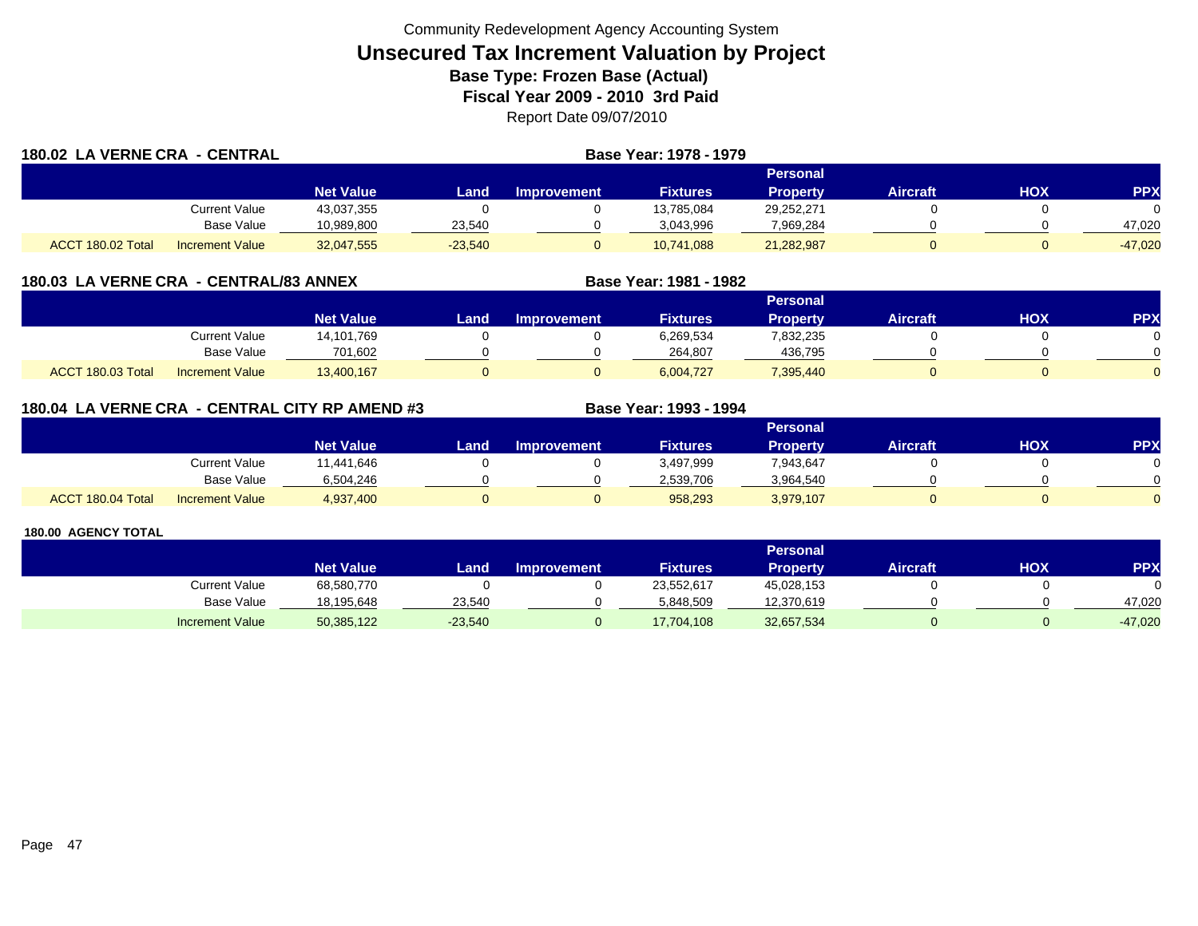| 180.02 LA VERNE CRA - CENTRAL |                        |                  | Base Year: 1978 - 1979 |             |                 |                 |          |     |            |  |
|-------------------------------|------------------------|------------------|------------------------|-------------|-----------------|-----------------|----------|-----|------------|--|
|                               |                        |                  | <b>Personal</b>        |             |                 |                 |          |     |            |  |
|                               |                        | <b>Net Value</b> | Land                   | Improvement | <b>Fixtures</b> | <b>Property</b> | Aircraft | нох | <b>PPX</b> |  |
|                               | Current Value          | 43.037.355       |                        |             | 13,785,084      | 29,252,271      |          |     |            |  |
|                               | Base Value             | 10,989,800       | 23,540                 |             | 3,043,996       | 7,969,284       |          |     | 47,020     |  |
| ACCT 180.02 Total             | <b>Increment Value</b> | 32,047,555       | $-23,540$              |             | 10.741.088      | 21,282,987      |          |     | $-47.020$  |  |

| 180.03 LA VERNE CRA - CENTRAL/83 ANNEX |  |
|----------------------------------------|--|
|----------------------------------------|--|

|                   |                        |                  |      |                    |                 | Personal  |                 |            |          |
|-------------------|------------------------|------------------|------|--------------------|-----------------|-----------|-----------------|------------|----------|
|                   |                        | <b>Net Value</b> | Land | <b>Improvement</b> | <b>Fixtures</b> | Propertv  | <b>Aircraft</b> | <b>HOX</b> | PPX      |
|                   | Current Value          | 14,101,769       |      |                    | 5,269,534       | 832,235   |                 |            |          |
|                   | <b>Base Value</b>      | 701,602          |      |                    | 264.807         | 436,795   |                 |            | ∩        |
| ACCT 180.03 Total | <b>Increment Value</b> | 13,400,167       |      |                    | 6,004,727       | 7,395,440 |                 |            | $\Omega$ |

**Base Year: 1981 - 1982**

## **180.04 LA VERNE CRA - CENTRAL CITY RP AMEND #3 Base Year: 1993 - 1994**

|                   |                        |                  | Personal |                    |                 |           |                 |            |            |  |  |  |
|-------------------|------------------------|------------------|----------|--------------------|-----------------|-----------|-----------------|------------|------------|--|--|--|
|                   |                        | <b>Net Value</b> | Land     | <b>Improvement</b> | <b>Fixtures</b> | Property  | <b>Aircraft</b> | <b>XOH</b> | <b>PPX</b> |  |  |  |
|                   | <b>Current Value</b>   | 11,441,646       |          |                    | 3,497,999       | 7,943,647 |                 |            |            |  |  |  |
|                   | Base Value             | 6,504,246        |          |                    | 2.539.706       | 3,964,540 |                 |            | ∩          |  |  |  |
| ACCT 180.04 Total | <b>Increment Value</b> | 4,937,400        |          |                    | 958,293         | 3,979,107 |                 |            | $\Omega$   |  |  |  |

|                        |                  |           |                    |                 | Personal   |                 |     |            |
|------------------------|------------------|-----------|--------------------|-----------------|------------|-----------------|-----|------------|
|                        | <b>Net Value</b> | Land      | <b>Improvement</b> | <b>Fixtures</b> | Property   | <b>Aircraft</b> | нох | <b>PPX</b> |
| Current Value          | 68,580,770       |           |                    | 23,552,617      | 45,028,153 |                 |     |            |
| <b>Base Value</b>      | 18,195,648       | 23,540    |                    | 5,848,509       | 12,370,619 |                 |     | 47.020     |
| <b>Increment Value</b> | 50,385,122       | $-23,540$ |                    | 17,704,108      | 32,657,534 |                 |     | $-47,020$  |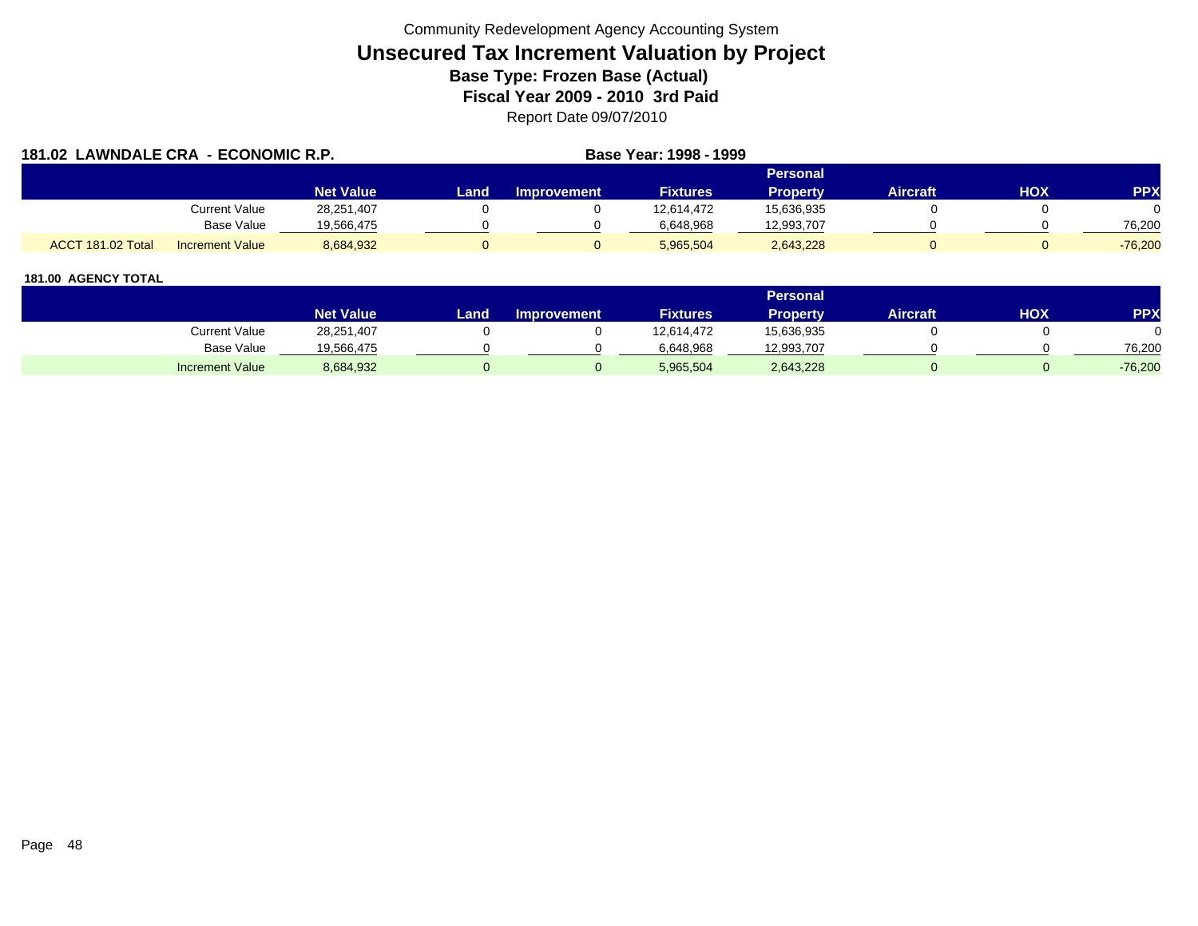| 181.02 LAWNDALE CRA - ECONOMIC R.P. |                        |                  |      | Base Year: 1998 - 1999 |                 |                 |                 |     |            |
|-------------------------------------|------------------------|------------------|------|------------------------|-----------------|-----------------|-----------------|-----|------------|
|                                     |                        |                  |      |                        | <b>Personal</b> |                 |                 |     |            |
|                                     |                        | <b>Net Value</b> | Land | Improvement            | <b>Fixtures</b> | <b>Property</b> | <b>Aircraft</b> | HOX | <b>PPX</b> |
|                                     | Current Value          | 28,251,407       |      |                        | 12.614.472      | 15,636,935      |                 |     |            |
|                                     | <b>Base Value</b>      | 19.566.475       |      |                        | 6.648.968       | 12,993,707      |                 |     | 76.200     |
| ACCT 181.02 Total                   | <b>Increment Value</b> | 8,684,932        |      |                        | 5.965.504       | 2,643,228       |                 |     | $-76.200$  |

|                        |                  |       |                    |                 | <b>Personal</b> |                 |     |           |
|------------------------|------------------|-------|--------------------|-----------------|-----------------|-----------------|-----|-----------|
|                        | <b>Net Value</b> | Land. | <b>Improvement</b> | <b>Fixtures</b> | <b>Property</b> | <b>Aircraft</b> | HOX | PPX       |
| Current Value          | 28,251,407       |       |                    | 12,614,472      | 15,636,935      |                 |     |           |
| <b>Base Value</b>      | 19,566,475       |       |                    | 6,648,968       | 12,993,707      |                 |     | 76.200    |
| <b>Increment Value</b> | 8,684,932        |       |                    | 5,965,504       | 2,643,228       |                 |     | $-76,200$ |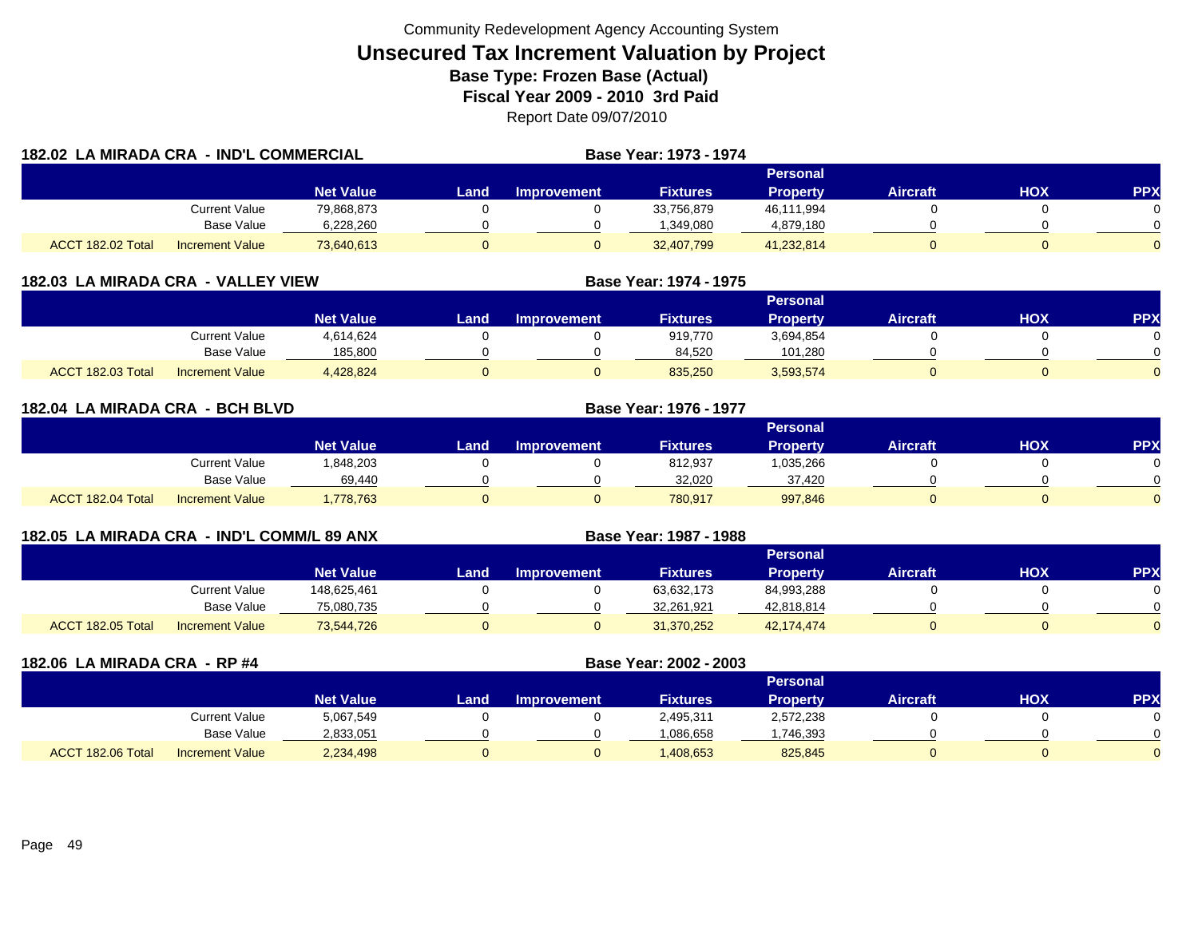| 182.02 LA MIRADA CRA - IND'L COMMERCIAL |                        |                  | <b>Base Year: 1973 - 1974</b> |                    |                 |                 |                 |     |            |
|-----------------------------------------|------------------------|------------------|-------------------------------|--------------------|-----------------|-----------------|-----------------|-----|------------|
|                                         |                        |                  | Personal                      |                    |                 |                 |                 |     |            |
|                                         |                        | <b>Net Value</b> | Land.                         | <b>Improvement</b> | <b>Fixtures</b> | <b>Property</b> | <b>Aircraft</b> | HOX | <b>PPX</b> |
|                                         | <b>Current Value</b>   | 79,868,873       |                               |                    | 33,756,879      | 46,111,994      |                 |     |            |
|                                         | <b>Base Value</b>      | 6,228,260        |                               |                    | 1,349,080       | 4,879,180       |                 |     |            |
| ACCT 182.02 Total                       | <b>Increment Value</b> | 73,640,613       | 0                             |                    | 32,407,799      | 41,232,814      |                 |     |            |

| 182.03 LA MIRADA CRA - VALLEY VIEW |                        |                  |      |                    | Base Year: 1974 - 1975 |                 |          |     |            |  |  |
|------------------------------------|------------------------|------------------|------|--------------------|------------------------|-----------------|----------|-----|------------|--|--|
|                                    |                        |                  |      | Personal           |                        |                 |          |     |            |  |  |
|                                    |                        | <b>Net Value</b> | Land | <b>Improvement</b> | <b>Fixtures</b>        | <b>Property</b> | Aircraft | нох | <b>PPX</b> |  |  |
|                                    | Current Value          | 4.614.624        |      |                    | 919.770                | 3,694,854       |          |     |            |  |  |
|                                    | Base Value             | 185,800          |      |                    | 84,520                 | 101,280         |          |     |            |  |  |
| 182.03 Total<br>ACCT               | <b>Increment Value</b> | 4,428,824        |      |                    | 835,250                | 3,593,574       |          |     |            |  |  |

| 182.04 LA MIRADA CRA - BCH BLVD |                        |                  |        | Base Year: 1976 - 1977 |                 |                 |                 |     |            |  |  |  |
|---------------------------------|------------------------|------------------|--------|------------------------|-----------------|-----------------|-----------------|-----|------------|--|--|--|
|                                 |                        |                  |        | <b>Personal</b>        |                 |                 |                 |     |            |  |  |  |
|                                 |                        | <b>Net Value</b> | Land . | <b>Improvement</b>     | <b>Fixtures</b> | <b>Property</b> | <b>Aircraft</b> | HOX | <b>PPX</b> |  |  |  |
|                                 | <b>Current Value</b>   | 1,848,203        |        |                        | 812,937         | 1,035,266       |                 |     |            |  |  |  |
|                                 | <b>Base Value</b>      | 69,440           |        |                        | 32,020          | 37,420          |                 |     |            |  |  |  |
| ACCT 182.04 Total               | <b>Increment Value</b> | 1,778,763        |        |                        | 780,917         | 997,846         |                 |     |            |  |  |  |

| 182.05 LA MIRADA CRA - IND'L COMM/L 89 ANX |                   |                        |                  | Base Year: 1987 - 1988 |                    |                 |                 |                 |            |            |  |  |  |
|--------------------------------------------|-------------------|------------------------|------------------|------------------------|--------------------|-----------------|-----------------|-----------------|------------|------------|--|--|--|
|                                            |                   |                        |                  |                        | Personal           |                 |                 |                 |            |            |  |  |  |
|                                            |                   |                        | <b>Net Value</b> | Land                   | <b>Improvement</b> | <b>Fixtures</b> | <b>Property</b> | <b>Aircraft</b> | <b>NOH</b> | <b>PPX</b> |  |  |  |
|                                            |                   | Current Value          | 148,625,461      |                        |                    | 63,632,173      | 84,993,288      |                 |            |            |  |  |  |
|                                            |                   | Base Value             | 75,080,735       |                        |                    | 32,261,921      | 42,818,814      |                 |            |            |  |  |  |
|                                            | ACCT 182.05 Total | <b>Increment Value</b> | 73,544,726       |                        |                    | 31,370,252      | 42,174,474      |                 |            |            |  |  |  |

| 182.06 LA MIRADA CRA - RP #4 |                        |                  |      | Base Year: 2002 - 2003 |                 |                 |                 |     |           |
|------------------------------|------------------------|------------------|------|------------------------|-----------------|-----------------|-----------------|-----|-----------|
|                              |                        |                  |      |                        |                 | <b>Personal</b> |                 |     |           |
|                              |                        | <b>Net Value</b> | Land | <b>Improvement</b>     | <b>Fixtures</b> | <b>Property</b> | <b>Aircraft</b> | нох | <b>PP</b> |
|                              | <b>Current Value</b>   | 5,067,549        |      |                        | 2,495,311       | 2,572,238       |                 |     |           |
|                              | Base Value             | 2,833,051        |      |                        | 1,086,658       | .746.393        |                 |     |           |
| ACCT 182.06 Total            | <b>Increment Value</b> | 2,234,498        |      |                        | 1,408,653       | 825,845         | 0               |     |           |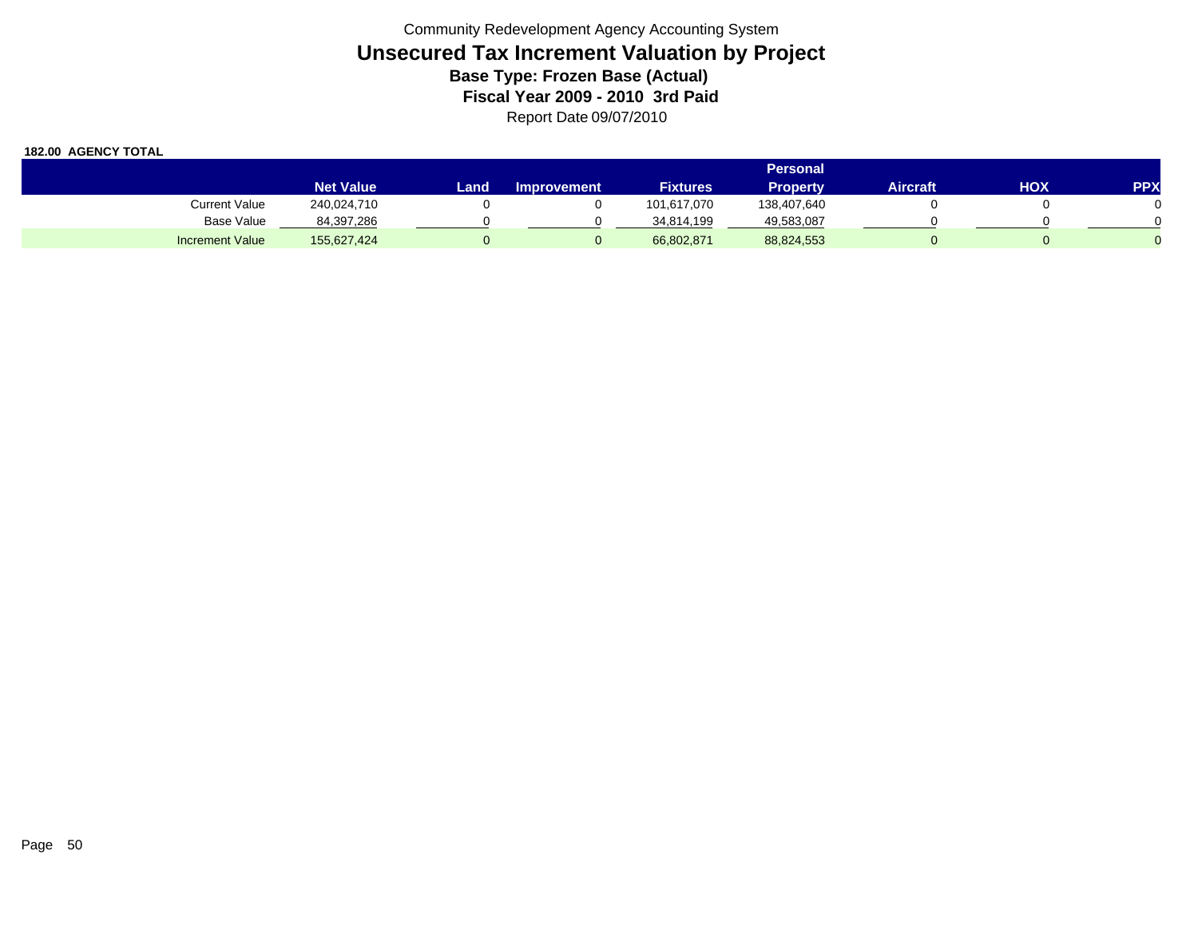|                        |                  |      |                    |                 | Personal    |                 |     |            |
|------------------------|------------------|------|--------------------|-----------------|-------------|-----------------|-----|------------|
|                        | <b>Net Value</b> | Land | <b>Improvement</b> | <b>Fixtures</b> | Property    | <b>Aircraft</b> | нох | <b>PPX</b> |
| <b>Current Value</b>   | 240,024,710      |      |                    | 101,617,070     | 138,407,640 |                 |     |            |
| <b>Base Value</b>      | 84,397,286       |      |                    | 34,814,199      | 49,583,087  |                 |     |            |
| <b>Increment Value</b> | 155,627,424      |      |                    | 66,802,871      | 88,824,553  |                 |     |            |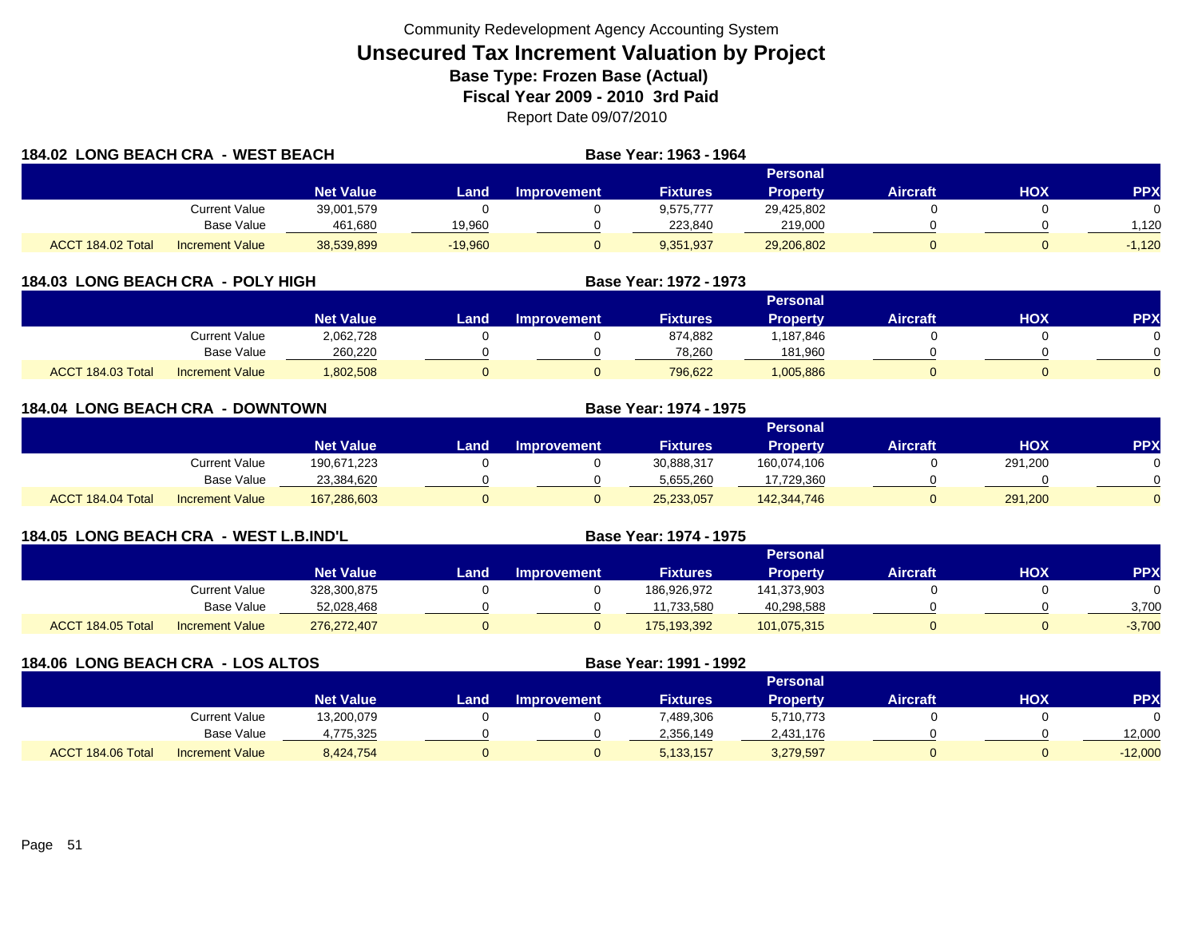| 184.02 LONG BEACH CRA - WEST BEACH |                        |                  | Base Year: 1963 - 1964 |                    |                 |                 |                 |     |            |
|------------------------------------|------------------------|------------------|------------------------|--------------------|-----------------|-----------------|-----------------|-----|------------|
|                                    |                        |                  |                        |                    |                 | Personal        |                 |     |            |
|                                    |                        | <b>Net Value</b> | Land.                  | <b>Improvement</b> | <b>Fixtures</b> | <b>Property</b> | <b>Aircraft</b> | HOX | <b>PPX</b> |
|                                    | <b>Current Value</b>   | 39,001,579       |                        |                    | 9.575.777       | 29,425,802      |                 |     |            |
|                                    | <b>Base Value</b>      | 461,680          | 19,960                 |                    | 223,840         | 219,000         |                 |     | 1.120      |
| ACCT 184.02 Total                  | <b>Increment Value</b> | 38,539,899       | $-19,960$              |                    | 9,351,937       | 29,206,802      |                 |     | $-1,120$   |

| 184.03 LONG BEACH CRA - POLY HIGH           |                       |      | Base Year: 1972 - 1973 |                 |                 |                 |     |            |
|---------------------------------------------|-----------------------|------|------------------------|-----------------|-----------------|-----------------|-----|------------|
|                                             |                       |      |                        |                 | Personal        |                 |     |            |
|                                             | <b>Net Value</b>      | Land | <b>Improvement</b>     | <b>Fixtures</b> | <b>Property</b> | <b>Aircraft</b> | НОХ | <b>PPX</b> |
| Current Value                               | 2,062,728             |      |                        | 874,882         | ,187,846        |                 |     |            |
|                                             | Base Value<br>260,220 |      |                        | 78.260          | 181,960         |                 |     |            |
| ACCT 184.03 Total<br><b>Increment Value</b> | 1,802,508             |      |                        | 796.622         | 1,005,886       |                 |     |            |

|                   | <b>184.04 LONG BEACH CRA - DOWNTOWN</b> |                  |      |                    | <b>Base Year: 1974 - 1975</b> |                 |                 |            |                |
|-------------------|-----------------------------------------|------------------|------|--------------------|-------------------------------|-----------------|-----------------|------------|----------------|
|                   |                                         |                  |      |                    |                               | Personal        |                 |            |                |
|                   |                                         | <b>Net Value</b> | Land | <b>Improvement</b> | <b>Fixtures</b>               | <b>Property</b> | <b>Aircraft</b> | <b>HOX</b> | <b>PPX</b>     |
|                   | <b>Current Value</b>                    | 190,671,223      |      |                    | 30,888,317                    | 160,074,106     |                 | 291,200    | $\Omega$       |
|                   | Base Value                              | 23,384,620       |      |                    | 5,655,260                     | 17,729,360      |                 |            | $\Omega$       |
| ACCT 184.04 Total | <b>Increment Value</b>                  | 167,286,603      |      |                    | 25,233,057                    | 142,344,746     |                 | 291,200    | $\overline{0}$ |

| 184.05 LONG BEACH CRA - WEST L.B.IND'L |                        |                  | <b>Base Year: 1974 - 1975</b> |                    |                 |                 |                 |     |            |
|----------------------------------------|------------------------|------------------|-------------------------------|--------------------|-----------------|-----------------|-----------------|-----|------------|
|                                        |                        |                  |                               |                    |                 | <b>Personal</b> |                 |     |            |
|                                        |                        | <b>Net Value</b> | Land                          | <b>Improvement</b> | <b>Fixtures</b> | <b>Property</b> | <b>Aircraft</b> | нох | <b>PPX</b> |
|                                        | Current Value          | 328,300,875      |                               |                    | 186.926.972     | 141.373.903     |                 |     |            |
|                                        | Base Value             | 52,028,468       |                               |                    | 11,733,580      | 40,298,588      |                 |     | 3,700      |
| ACCT 184.05 Total                      | <b>Increment Value</b> | 276.272.407      |                               |                    | 175,193,392     | 101,075,315     |                 |     | $-3,700$   |

| 184.06 LONG BEACH CRA - LOS ALTOS |                        |                  |       | Base Year: 1991 - 1992 |                 |                 |                 |     |            |
|-----------------------------------|------------------------|------------------|-------|------------------------|-----------------|-----------------|-----------------|-----|------------|
|                                   |                        |                  |       |                        |                 | Personal        |                 |     |            |
|                                   |                        | <b>Net Value</b> | Land. | <b>Improvement</b>     | <b>Fixtures</b> | <b>Property</b> | <b>Aircraft</b> | нох | <b>PPX</b> |
|                                   | Current Value          | 13,200,079       |       |                        | 7,489,306       | 5,710,773       |                 |     |            |
|                                   | Base Value             | 4,775,325        |       |                        | 2,356,149       | 2,431,176       |                 |     | 12,000     |
| ACCT 184.06 Total                 | <b>Increment Value</b> | 8,424,754        |       |                        | 5, 133, 157     | 3,279,597       |                 |     | $-12,000$  |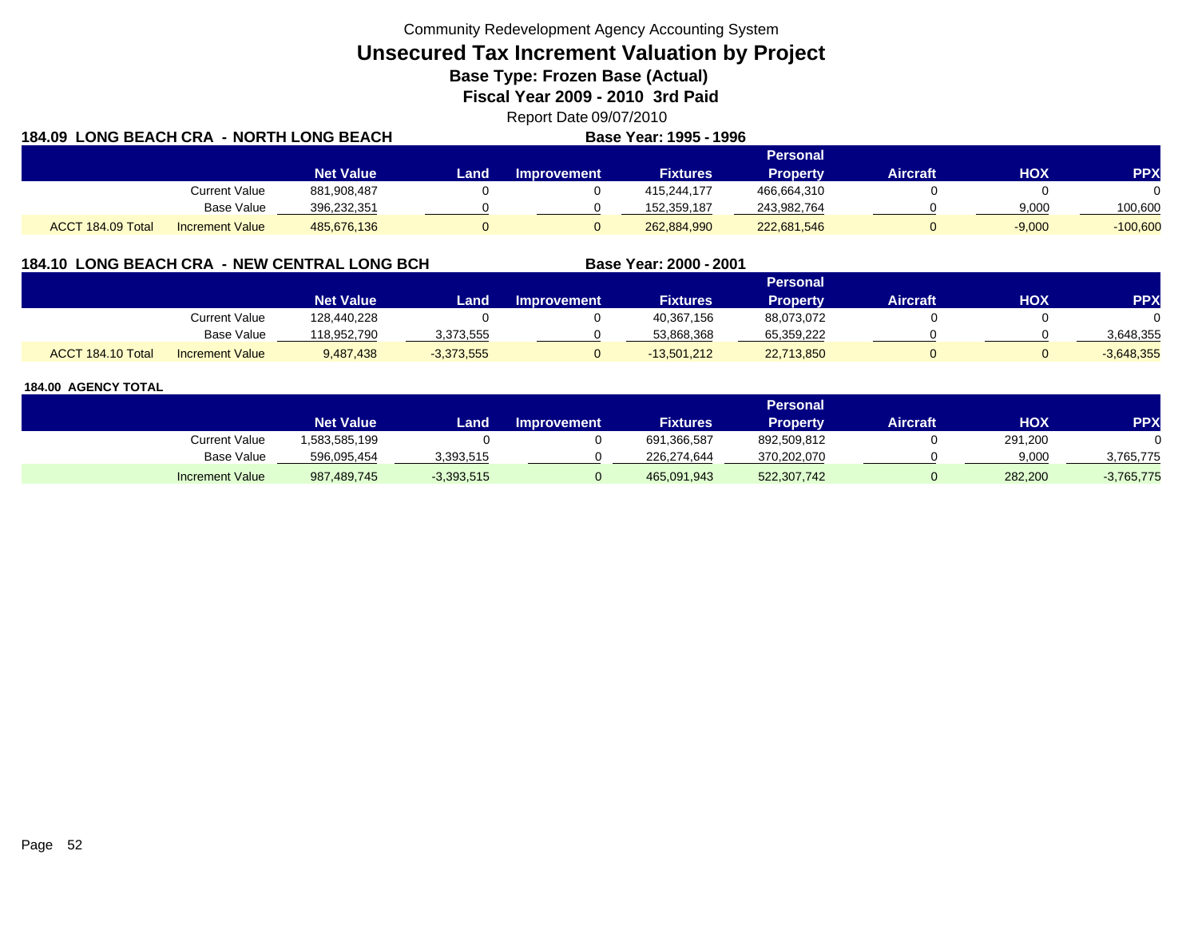**Unsecured Tax Increment Valuation by Project**

**Base Type: Frozen Base (Actual)** 

**Fiscal Year 2009 - 2010 3rd Paid**

Report Date 09/07/2010 **Base Year: 1995 - 1996**

| 184.09 LONG BEACH CRA - NORTH LONG BEACH |                        |                  | <b>Base Year: 1995 - 1996</b> |                    |                 |                 |                 |          |            |
|------------------------------------------|------------------------|------------------|-------------------------------|--------------------|-----------------|-----------------|-----------------|----------|------------|
|                                          |                        |                  |                               |                    |                 | <b>Personal</b> |                 |          |            |
|                                          |                        | <b>Net Value</b> | Land.                         | <b>Improvement</b> | <b>Fixtures</b> | <b>Property</b> | <b>Aircraft</b> | нох      | <b>PPX</b> |
|                                          | <b>Current Value</b>   | 881,908,487      |                               |                    | 415.244.177     | 466,664,310     |                 |          |            |
|                                          | <b>Base Value</b>      | 396,232,351      |                               |                    | 152,359,187     | 243,982,764     |                 | 9,000    | 100,600    |
| ACCT 184.09 Total                        | <b>Increment Value</b> | 485,676,136      |                               |                    | 262,884,990     | 222,681,546     |                 | $-9,000$ | $-100,600$ |

# **184.10 LONG BEACH CRA - NEW CENTRAL LONG BCH**

|                   |                        |                  |              |                    |                 | Personal        |          |     |              |
|-------------------|------------------------|------------------|--------------|--------------------|-----------------|-----------------|----------|-----|--------------|
|                   |                        | <b>Net Value</b> | Land         | <b>Improvement</b> | <b>Fixtures</b> | <b>Property</b> | Aircraft | нох | PPX          |
|                   | Current Value          | 128,440,228      |              |                    | 40,367,156      | 88,073,072      |          |     |              |
|                   | <b>Base Value</b>      | 118.952.790      | 3,373,555    |                    | 53.868.368      | 65,359,222      |          |     | 3.648.355    |
| ACCT 184.10 Total | <b>Increment Value</b> | 9,487,438        | $-3,373,555$ |                    | $-13,501,212$   | 22,713,850      |          |     | $-3,648,355$ |

**Base Year: 2000 - 2001**

|                        |                  |              |                    |                 | Personal        |          |         |              |
|------------------------|------------------|--------------|--------------------|-----------------|-----------------|----------|---------|--------------|
|                        | <b>Net Value</b> | Land.        | <b>Improvement</b> | <b>Fixtures</b> | <b>Property</b> | Aircraft | нох     | <b>PPX</b>   |
| Current Value          | 1,583,585,199    |              |                    | 691,366,587     | 892,509,812     |          | 291,200 |              |
| <b>Base Value</b>      | 596,095,454      | 3,393,515    |                    | 226,274,644     | 370,202,070     |          | 9,000   | 3,765,775    |
| <b>Increment Value</b> | 987,489,745      | $-3,393,515$ |                    | 465,091,943     | 522,307,742     |          | 282,200 | $-3,765,775$ |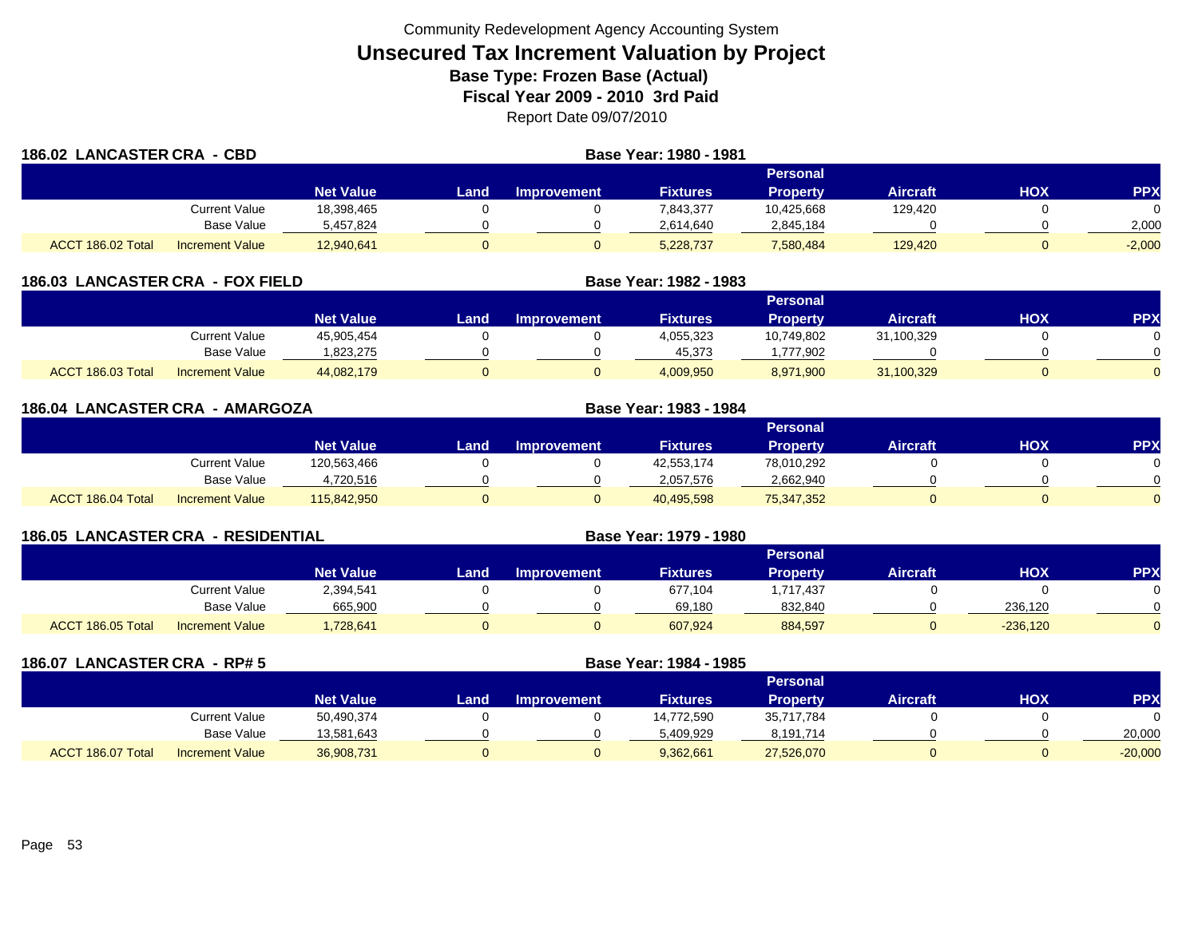|                   | 186.02 LANCASTER CRA - CBD |                  |       | Base Year: 1980 - 1981 |                 |                 |                 |     |            |
|-------------------|----------------------------|------------------|-------|------------------------|-----------------|-----------------|-----------------|-----|------------|
|                   |                            |                  |       |                        |                 | Personal        |                 |     |            |
|                   |                            | <b>Net Value</b> | Landı | <b>Improvement</b>     | <b>Fixtures</b> | <b>Property</b> | <b>Aircraft</b> | HOX | <b>PPX</b> |
|                   | Current Value              | 18,398,465       |       |                        | 7,843,377       | 10,425,668      | 129,420         |     |            |
|                   | Base Value                 | 5,457,824        |       |                        | 2,614,640       | 2,845,184       |                 |     | 2,000      |
| ACCT 186.02 Total | <b>Increment Value</b>     | 12,940,641       |       |                        | 5,228,737       | 7,580,484       | 129,420         |     | $-2,000$   |

| <b>LANCASTER CRA - FOX FIELD</b><br>186.03 |                        |                  | Base Year: 1982 - 1983 |                    |                 |                 |                 |     |                 |
|--------------------------------------------|------------------------|------------------|------------------------|--------------------|-----------------|-----------------|-----------------|-----|-----------------|
|                                            |                        |                  |                        |                    |                 | <b>Personal</b> |                 |     |                 |
|                                            |                        | <b>Net Value</b> | Land                   | <b>Improvement</b> | <b>Fixtures</b> | <b>Property</b> | <b>Aircraft</b> | нох | PP <sub>2</sub> |
|                                            | Current Value          | 45,905,454       |                        |                    | 4,055,323       | 10,749,802      | 31,100,329      |     |                 |
|                                            | Base Value             | 823,275.         |                        |                    | 45,373          | ,777,902        |                 |     |                 |
| ACCT 186.03 Total                          | <b>Increment Value</b> | 44,082,179       |                        |                    | 4,009,950       | 8,971,900       | 31,100,329      |     |                 |

|                   | 186.04 LANCASTER CRA - AMARGOZA |                  |      |                    | Base Year: 1983 - 1984 |                 |                 |            |            |
|-------------------|---------------------------------|------------------|------|--------------------|------------------------|-----------------|-----------------|------------|------------|
|                   |                                 |                  |      |                    |                        | <b>Personal</b> |                 |            |            |
|                   |                                 | <b>Net Value</b> | Land | <b>Improvement</b> | <b>Fixtures</b>        | <b>Property</b> | <b>Aircraft</b> | <b>HOX</b> | <b>PPX</b> |
|                   | <b>Current Value</b>            | 120,563,466      |      |                    | 42,553,174             | 78,010,292      |                 |            | $\Omega$   |
|                   | <b>Base Value</b>               | 4,720,516        |      |                    | 2,057,576              | 2,662,940       |                 |            | $\Omega$   |
| ACCT 186.04 Total | <b>Increment Value</b>          | 115,842,950      |      |                    | 40,495,598             | 75,347,352      |                 |            | $\Omega$   |

| <b>186.05 LANCASTER CRA - RESIDENTIAL</b> |                        |                  |      | Base Year: 1979 - 1980 |                 |                 |                 |            |            |
|-------------------------------------------|------------------------|------------------|------|------------------------|-----------------|-----------------|-----------------|------------|------------|
|                                           |                        |                  |      |                        |                 | <b>Personal</b> |                 |            |            |
|                                           |                        | <b>Net Value</b> | Land | <b>Improvement</b>     | <b>Fixtures</b> | <b>Property</b> | <b>Aircraft</b> | <b>HOX</b> | <b>PPX</b> |
|                                           | <b>Current Value</b>   | 2,394,541        |      |                        | 677,104         | ,717,437        |                 |            |            |
|                                           | Base Value             | 665,900          |      |                        | 69,180          | 832,840         |                 | 236,120    |            |
| ACCT 186.05 Total                         | <b>Increment Value</b> | 1,728,641        |      |                        | 607,924         | 884,597         |                 | $-236,120$ |            |

| 186.07            | <b>LANCASTER CRA - RP# 5</b> |                  | Base Year: 1984 - 1985 |                    |                 |                 |                 |            |            |
|-------------------|------------------------------|------------------|------------------------|--------------------|-----------------|-----------------|-----------------|------------|------------|
|                   |                              |                  |                        |                    |                 | <b>Personal</b> |                 |            |            |
|                   |                              | <b>Net Value</b> | Land                   | <b>Improvement</b> | <b>Fixtures</b> | <b>Property</b> | <b>Aircraft</b> | <b>HOX</b> | <b>PPX</b> |
|                   | <b>Current Value</b>         | 50,490,374       |                        |                    | 14,772,590      | 35,717,784      |                 |            |            |
|                   | <b>Base Value</b>            | 13,581,643       |                        |                    | 5,409,929       | 8,191,714       |                 |            | 20,000     |
| ACCT 186.07 Total | <b>Increment Value</b>       | 36,908,731       |                        | 0                  | 9,362,661       | 27,526,070      |                 |            | $-20,000$  |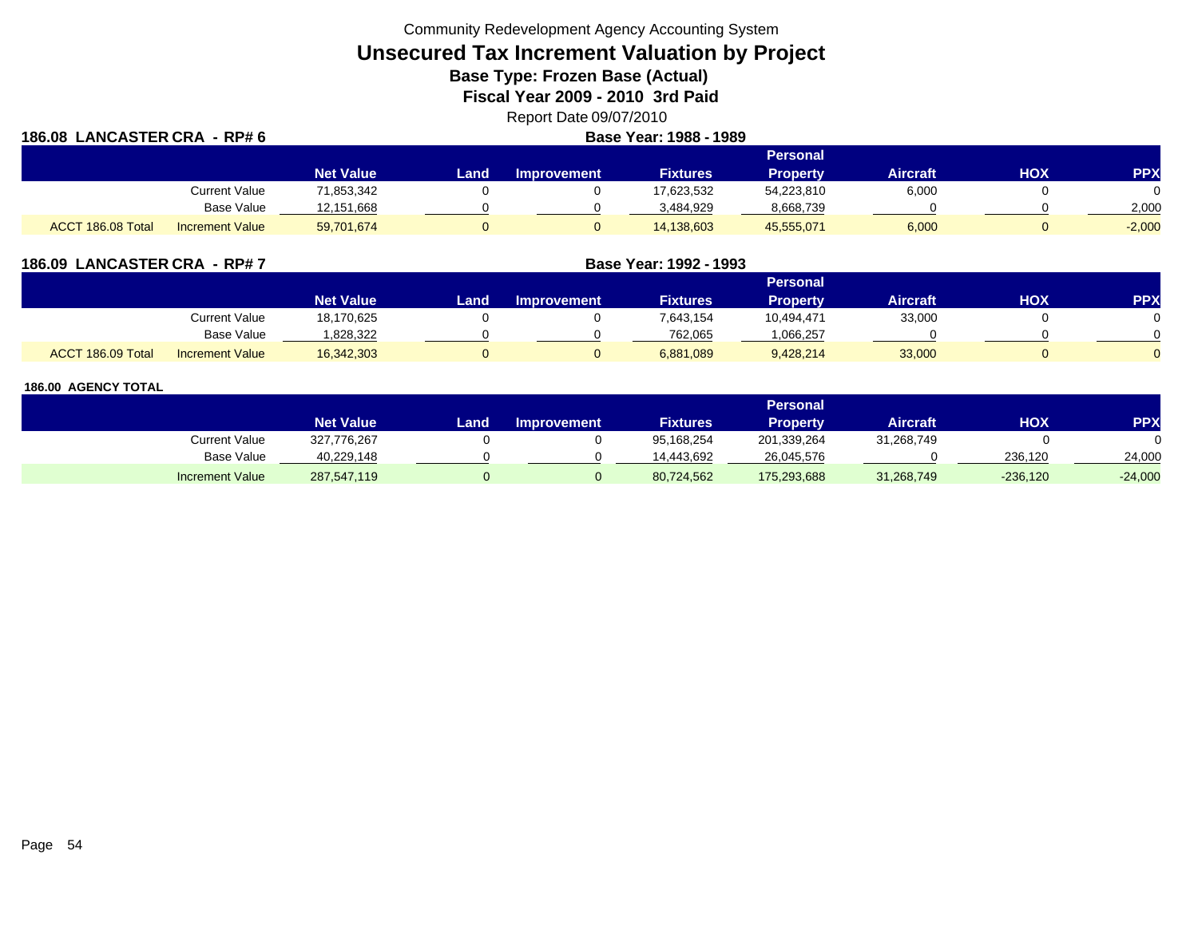**Unsecured Tax Increment Valuation by Project**

**Base Type: Frozen Base (Actual)** 

**Fiscal Year 2009 - 2010 3rd Paid**

Report Date 09/07/2010

| 186.08 LANCASTER CRA - RP# 6 |                        | Base Year: 1988 - 1989 |      |                    |                 |                 |                 |     |            |  |
|------------------------------|------------------------|------------------------|------|--------------------|-----------------|-----------------|-----------------|-----|------------|--|
|                              |                        |                        |      |                    |                 | <b>Personal</b> |                 |     |            |  |
|                              |                        | <b>Net Value</b>       | Land | <b>Improvement</b> | <b>Fixtures</b> | <b>Property</b> | <b>Aircraft</b> | нох | <b>PPX</b> |  |
|                              | Current Value          | 71,853,342             |      |                    | 17,623,532      | 54,223,810      | 6,000           |     |            |  |
|                              | Base Value             | 12,151,668             |      |                    | 3.484.929       | 8,668,739       |                 |     | 2,000      |  |
| ACCT 186.08 Total            | <b>Increment Value</b> | 59,701,674             |      |                    | 14,138,603      | 45,555,071      | 6,000           |     | $-2,000$   |  |

| 186.09 LANCASTER CRA - RP#7 |                        |                  |      |                    |                 |                 |                 |            |            |
|-----------------------------|------------------------|------------------|------|--------------------|-----------------|-----------------|-----------------|------------|------------|
|                             |                        |                  |      |                    |                 | <b>Personal</b> |                 |            |            |
|                             |                        | <b>Net Value</b> | Land | <b>Improvement</b> | <b>Fixtures</b> | Property        | <b>Aircraft</b> | <b>HOX</b> | <b>PPX</b> |
|                             | Current Value          | 18,170,625       |      |                    | 7,643,154       | 10,494,471      | 33,000          |            | 0          |
|                             | Base Value             | .828,322         |      |                    | 762,065         | .066,257        |                 |            | $\Omega$   |
| 186.09 Total<br><b>ACCT</b> | <b>Increment Value</b> | 16,342,303       |      |                    | 6,881,089       | 9,428,214       | 33,000          |            | $\Omega$   |

|                        | Personal         |      |                    |                 |             |                 |            |           |  |  |
|------------------------|------------------|------|--------------------|-----------------|-------------|-----------------|------------|-----------|--|--|
|                        | <b>Net Value</b> | Land | <b>Improvement</b> | <b>Fixtures</b> | Property    | <b>Aircraft</b> | <b>HOX</b> | PPX       |  |  |
| Current Value          | 327,776,267      |      |                    | 95,168,254      | 201,339,264 | 31,268,749      |            |           |  |  |
| <b>Base Value</b>      | 40,229,148       |      |                    | 14.443.692      | 26,045,576  |                 | 236.120    | 24,000    |  |  |
| <b>Increment Value</b> | 287,547,119      |      |                    | 80,724,562      | 175,293,688 | 31,268,749      | $-236,120$ | $-24,000$ |  |  |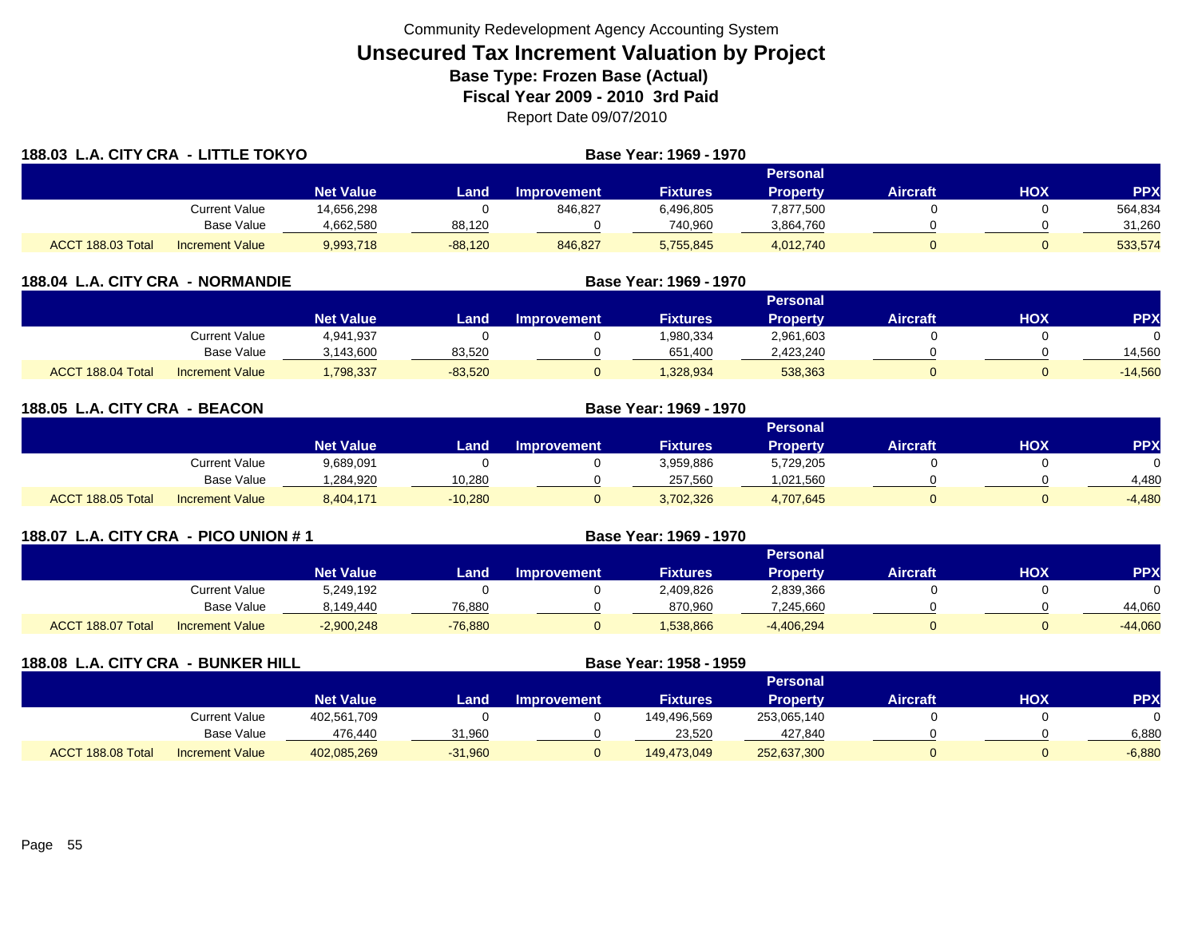| 188.03 L.A. CITY CRA - LITTLE TOKYO |                        |                  |             | Base Year: 1969 - 1970 |                        |                 |                 |            |            |
|-------------------------------------|------------------------|------------------|-------------|------------------------|------------------------|-----------------|-----------------|------------|------------|
|                                     |                        |                  |             |                        |                        | <b>Personal</b> |                 |            |            |
|                                     |                        | <b>Net Value</b> | <b>Land</b> | <b>Improvement</b>     | <b>Fixtures</b>        | <b>Property</b> | <b>Aircraft</b> | <b>HOX</b> | <b>PPX</b> |
|                                     | Current Value          | 14,656,298       |             | 846,827                | 6,496,805              | 7,877,500       |                 |            | 564,834    |
|                                     | Base Value             | 4,662,580        | 88,120      |                        | 740,960                | 3,864,760       |                 |            | 31,260     |
| ACCT 188.03 Total                   | <b>Increment Value</b> | 9,993,718        | $-88,120$   | 846,827                | 5.755.845              | 4,012,740       | $\Omega$        | 0          | 533,574    |
| 188.04 L.A. CITY CRA - NORMANDIE    |                        |                  |             |                        | Base Year: 1969 - 1970 |                 |                 |            |            |

|                   |                        | Personal         |           |                    |                 |           |                 |            |            |  |  |
|-------------------|------------------------|------------------|-----------|--------------------|-----------------|-----------|-----------------|------------|------------|--|--|
|                   |                        | <b>Net Value</b> | Land      | <b>Improvement</b> | <b>Fixtures</b> | Property  | <b>Aircraft</b> | <b>HOX</b> | <b>PPX</b> |  |  |
|                   | Current Value          | 4,941,937        |           |                    | 1,980,334       | 2,961,603 |                 |            |            |  |  |
|                   | <b>Base Value</b>      | 3,143,600        | 83,520    |                    | 651,400         | 2,423,240 |                 |            | 14,560     |  |  |
| ACCT 188.04 Total | <b>Increment Value</b> | ,798,337         | $-83,520$ |                    | 328,934         | 538,363   |                 |            | $-14,560$  |  |  |

| 188.05 L.A. CITY CRA - BEACON |                        | Base Year: 1969 - 1970 |           |             |                 |                 |                 |            |          |  |
|-------------------------------|------------------------|------------------------|-----------|-------------|-----------------|-----------------|-----------------|------------|----------|--|
|                               |                        |                        |           |             |                 | <b>Personal</b> |                 |            |          |  |
|                               |                        | <b>Net Value</b>       | Land.     | Improvement | <b>Fixtures</b> | <b>Property</b> | <b>Aircraft</b> | <b>HOX</b> | PPX      |  |
|                               | Current Value          | 9,689,091              |           |             | 3,959,886       | 5,729,205       |                 |            | 0        |  |
|                               | Base Value             | .284.920               | 10.280    |             | 257,560         | 1,021,560       |                 |            | 4.480    |  |
| ACCT 188.05 Total             | <b>Increment Value</b> | 8,404,171              | $-10,280$ |             | 3,702,326       | 4,707,645       |                 |            | $-4,480$ |  |

| 188.07 L.A. CITY CRA - PICO UNION # 1 |                        |                  |           | Base Year: 1969 - 1970 |                 |                 |                 |     |           |
|---------------------------------------|------------------------|------------------|-----------|------------------------|-----------------|-----------------|-----------------|-----|-----------|
|                                       |                        |                  |           |                        |                 | <b>Personal</b> |                 |     |           |
|                                       |                        | <b>Net Value</b> | Land.     | <b>Improvement</b>     | <b>Fixtures</b> | <b>Property</b> | <b>Aircraft</b> | нох | <b>PP</b> |
|                                       | Current Value          | 5,249,192        |           |                        | 2,409,826       | 2,839,366       |                 |     |           |
|                                       | Base Value             | 8,149,440        | 76,880    |                        | 870,960         | 7,245,660       |                 |     | 44,060    |
| ACCT 188.07 Total                     | <b>Increment Value</b> | $-2,900,248$     | $-76.880$ |                        | 1,538,866       | $-4,406,294$    |                 |     | $-44,060$ |

| 188.08 L.A. CITY CRA - BUNKER HILL |                        |                  | Base Year: 1958 - 1959 |                    |                 |                 |                 |     |            |
|------------------------------------|------------------------|------------------|------------------------|--------------------|-----------------|-----------------|-----------------|-----|------------|
|                                    |                        |                  |                        |                    |                 | <b>Personal</b> |                 |     |            |
|                                    |                        | <b>Net Value</b> | Land                   | <b>Improvement</b> | <b>Fixtures</b> | <b>Property</b> | <b>Aircraft</b> | нох | <b>PPX</b> |
|                                    | Current Value          | 402,561,709      |                        |                    | 149,496,569     | 253,065,140     |                 |     |            |
|                                    | Base Value             | 476.440          | 31,960                 |                    | 23,520          | 427,840         |                 |     | 6,880      |
| ACCT 188.08 Total                  | <b>Increment Value</b> | 402,085,269      | $-31,960$              |                    | 149,473,049     | 252,637,300     | 0               |     | $-6,880$   |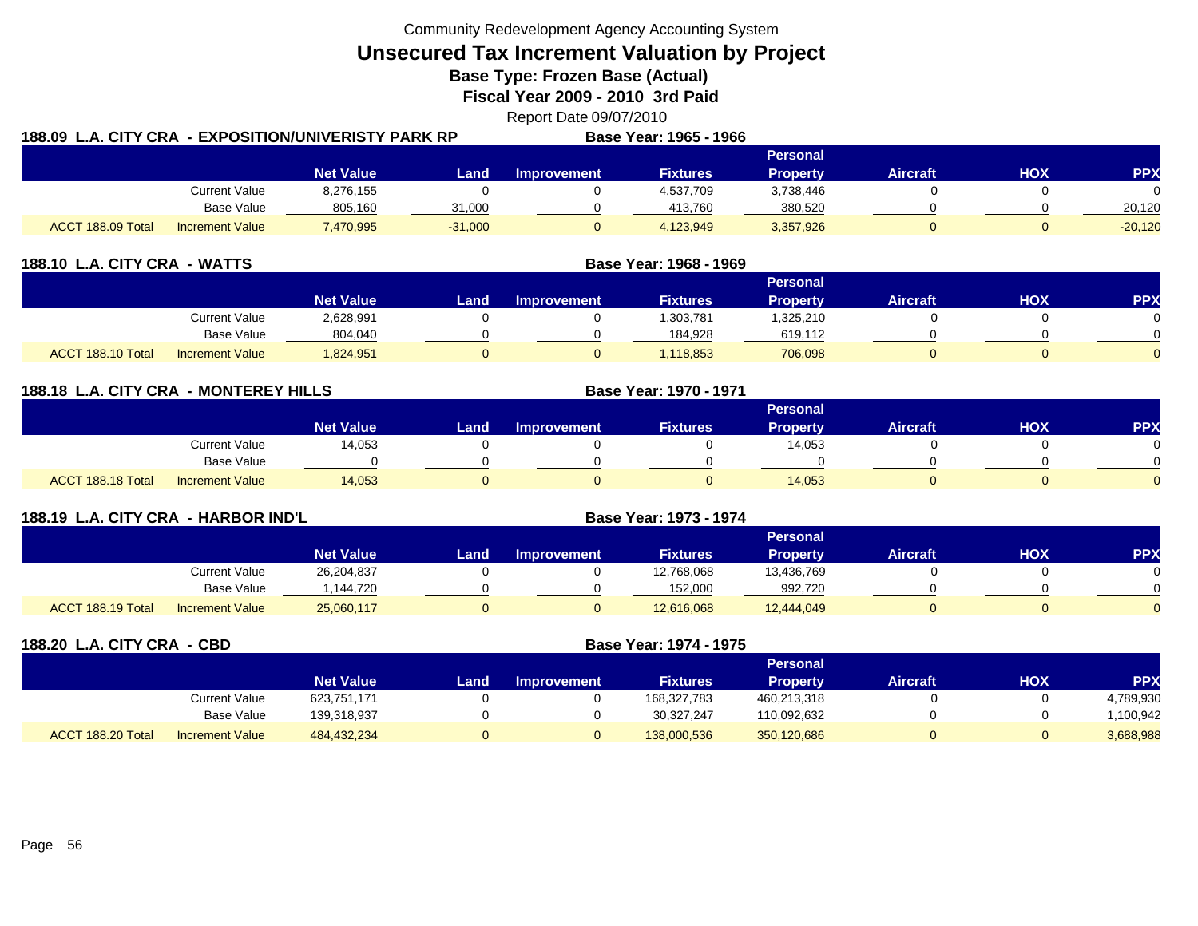**Unsecured Tax Increment Valuation by Project**

**Base Type: Frozen Base (Actual)** 

**Fiscal Year 2009 - 2010 3rd Paid**

Report Date 09/07/2010

| 188.09  L.A. CITY CRA  - EXPOSITION/UNIVERISTY PARK RP |                        |                  |           |             | Base Year: 1965 - 1966 |           |          |     |            |
|--------------------------------------------------------|------------------------|------------------|-----------|-------------|------------------------|-----------|----------|-----|------------|
|                                                        |                        |                  |           |             |                        | Personal  |          |     |            |
|                                                        |                        | <b>Net Value</b> | Land.     | Improvement | <b>Fixtures</b>        | Property  | Aircraft | HOX | <b>PPX</b> |
|                                                        | Current Value          | 8,276,155        |           |             | 4,537,709              | 3,738,446 |          |     | $\Omega$   |
|                                                        | Base Value             | 805,160          | 31,000    |             | 413.760                | 380,520   |          |     | 20,120     |
| ACCT 188.09 Total                                      | <b>Increment Value</b> | 7,470,995        | $-31,000$ |             | 4,123,949              | 3,357,926 |          |     | $-20,120$  |

| 188.10 L.A. CITY CRA - WATTS |                        |                  |      |                    | Base Year: 1968 - 1969 |                 |                 |            |            |
|------------------------------|------------------------|------------------|------|--------------------|------------------------|-----------------|-----------------|------------|------------|
|                              |                        |                  |      |                    |                        | <b>Personal</b> |                 |            |            |
|                              |                        | <b>Net Value</b> | Land | <b>Improvement</b> | <b>Fixtures</b>        | <b>Property</b> | <b>Aircraft</b> | <b>HOX</b> | <b>PPX</b> |
|                              | <b>Current Value</b>   | 2,628,991        |      |                    | ,303,781               | 1,325,210       |                 |            |            |
|                              | Base Value             | 804,040          |      |                    | 184.928                | 619,112         |                 |            |            |
| ACCT 188.10 Total            | <b>Increment Value</b> | 824,951.         |      |                    | .118.853               | 706,098         |                 |            |            |

| 188.18 L.A. CITY CRA - MONTEREY HILLS |                        |                  |      |                    | Base Year: 1970 - 1971 |                 |                 |     |            |
|---------------------------------------|------------------------|------------------|------|--------------------|------------------------|-----------------|-----------------|-----|------------|
|                                       |                        |                  |      |                    |                        | Personal        |                 |     |            |
|                                       |                        | <b>Net Value</b> | Land | <b>Improvement</b> | <b>Fixtures</b>        | <b>Property</b> | <b>Aircraft</b> | HOX | <b>PPX</b> |
|                                       | <b>Current Value</b>   | 14,053           |      |                    |                        | 14,053          |                 |     |            |
|                                       | <b>Base Value</b>      |                  |      |                    |                        |                 |                 |     |            |
| ACCT 188.18 Total                     | <b>Increment Value</b> | 14.053           | 0    |                    |                        | 14,053          |                 |     |            |

| 188.19 L.A. CITY CRA - HARBOR IND'L |                        |                  |      |                    | Base Year: 1973 - 1974 |                 |                 |            |            |
|-------------------------------------|------------------------|------------------|------|--------------------|------------------------|-----------------|-----------------|------------|------------|
|                                     |                        |                  |      |                    |                        | Personal        |                 |            |            |
|                                     |                        | <b>Net Value</b> | Land | <b>Improvement</b> | <b>Fixtures</b>        | <b>Property</b> | <b>Aircraft</b> | <b>HOX</b> | <b>PPX</b> |
|                                     | <b>Current Value</b>   | 26,204,837       |      |                    | 12,768,068             | 13,436,769      |                 |            |            |
|                                     | Base Value             | 1,144,720        |      |                    | 152,000                | 992,720         |                 |            |            |
| ACCT 188.19 Total                   | <b>Increment Value</b> | 25,060,117       | υ    |                    | 12,616,068             | 12,444,049      |                 |            |            |

| 188.20 L.A. CITY CRA - CBD |                        |                  |      |                    | Base Year: 1974 - 1975 |                 |                 |            |            |
|----------------------------|------------------------|------------------|------|--------------------|------------------------|-----------------|-----------------|------------|------------|
|                            |                        |                  |      |                    |                        | <b>Personal</b> |                 |            |            |
|                            |                        | <b>Net Value</b> | Land | <b>Improvement</b> | <b>Fixtures</b>        | <b>Property</b> | <b>Aircraft</b> | <b>HOX</b> | <b>PPX</b> |
|                            | <b>Current Value</b>   | 623.751.171      |      |                    | 168,327,783            | 460,213,318     |                 |            | 4,789,930  |
|                            | Base Value             | 139,318,937      |      |                    | 30,327,247             | 110,092,632     |                 |            | ,100,942   |
| ACCT 188.20 Total          | <b>Increment Value</b> | 484,432,234      | 0    |                    | 138,000,536            | 350,120,686     |                 |            | 3,688,988  |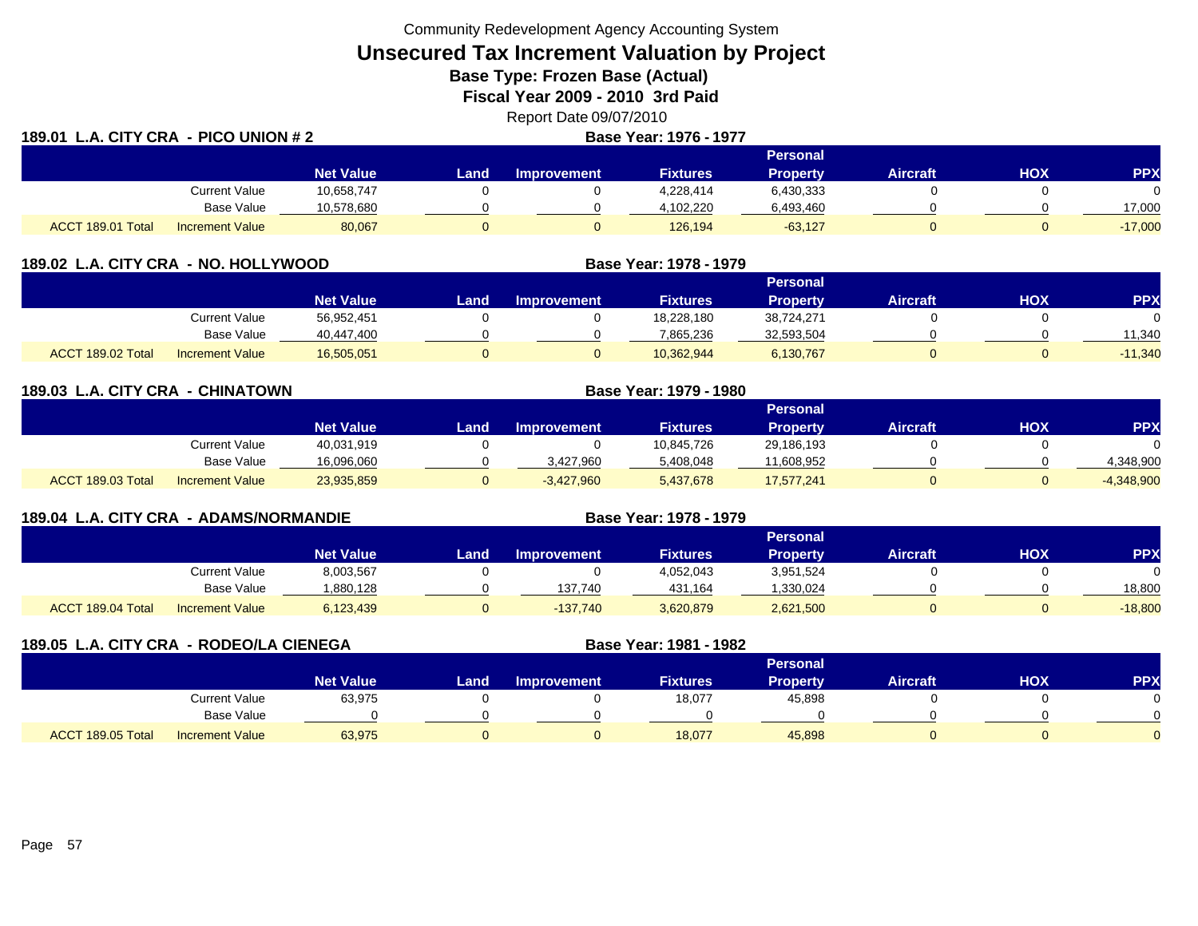**Unsecured Tax Increment Valuation by Project**

**Base Type: Frozen Base (Actual)** 

**Fiscal Year 2009 - 2010 3rd Paid**

Report Date 09/07/2010 **LA. CONSUMER 1977 LA. CONSUMING A PICO UNION # 2 Base Year: 1976 - 1977** 

| 189.01            | L.A. CITY CRA - PICO UNION # 2 |                  |      | <b>Base Year: 1976 - 1977</b> |                 |                 |                 |     |            |
|-------------------|--------------------------------|------------------|------|-------------------------------|-----------------|-----------------|-----------------|-----|------------|
|                   |                                |                  |      |                               |                 | <b>Personal</b> |                 |     |            |
|                   |                                | <b>Net Value</b> | Land | Improvement                   | <b>Fixtures</b> | <b>Property</b> | <b>Aircraft</b> | HOX | <b>PPX</b> |
|                   | Current Value                  | 10,658,747       |      |                               | 4,228,414       | 6,430,333       |                 |     |            |
|                   | Base Value                     | 10,578,680       |      |                               | 4,102,220       | 6,493,460       |                 |     | 17,000     |
| ACCT 189.01 Total | <b>Increment Value</b>         | 80,067           |      |                               | 126,194         | $-63,127$       |                 |     | $-17,000$  |

| 189.02 L.A. CITY CRA - NO. HOLLYWOOD |                        |                  |      |                    | Base Year: 1978 - 1979 |            |                 |     |            |
|--------------------------------------|------------------------|------------------|------|--------------------|------------------------|------------|-----------------|-----|------------|
|                                      |                        |                  |      |                    | <b>Personal</b>        |            |                 |     |            |
|                                      |                        | <b>Net Value</b> | Land | <b>Improvement</b> | <b>Fixtures</b>        | Property   | <b>Aircraft</b> | нох | <b>PPX</b> |
|                                      | Current Value          | 56,952,451       |      |                    | 18,228,180             | 38.724.271 |                 |     |            |
|                                      | Base Value             | 40,447,400       |      |                    | 7,865,236              | 32,593,504 |                 |     | 11.340     |
| ACCT 189.02 Total                    | <b>Increment Value</b> | 16,505,051       |      |                    | 10,362,944             | 6,130,767  |                 |     | $-11,340$  |

**189.03 L.A. CITY CRA - CHINATOWN Base Year: 1979 - 1980 Personal Net Value Land Improvement Fixtures Property Aircraft HOX PPX** Current Value 40,031,919 0 0 10,845,726 29,186,193 0 0 Base Value 16,096,060 0 3,427,960 5,408,048 11,608,952 0 0 4,348,900 ACCT 189.03 TotalIncrement Value 23,935,859 0 -3,427,960 5,437,678 17,577,241 0 0 -4,348,900

| 189.04 L.A. CITY CRA - ADAMS/NORMANDIE |                        |                  |      | Base Year: 1978 - 1979 |                 |                 |                 |     |            |
|----------------------------------------|------------------------|------------------|------|------------------------|-----------------|-----------------|-----------------|-----|------------|
|                                        |                        |                  |      |                        |                 | <b>Personal</b> |                 |     |            |
|                                        |                        | <b>Net Value</b> | Land | <b>Improvement</b>     | <b>Fixtures</b> | <b>Property</b> | <b>Aircraft</b> | НОХ | <b>PPX</b> |
|                                        | <b>Current Value</b>   | 8,003,567        |      |                        | 4,052,043       | 3,951,524       |                 |     |            |
|                                        | Base Value             | 1,880,128        |      | 137,740                | 431.164         | 330,024.ا       |                 |     | 18.800     |
| ACCT 189.04 Total                      | <b>Increment Value</b> | 6,123,439        |      | $-137,740$             | 3,620,879       | 2,621,500       |                 |     | $-18,800$  |

| 189.05 L.A. CITY CRA - RODEO/LA CIENEGA |                        |                  |      |                    | Base Year: 1981 - 1982 |                 |                 |            |            |
|-----------------------------------------|------------------------|------------------|------|--------------------|------------------------|-----------------|-----------------|------------|------------|
|                                         |                        |                  |      |                    |                        | <b>Personal</b> |                 |            |            |
|                                         |                        | <b>Net Value</b> | Land | <b>Improvement</b> | <b>Fixtures</b>        | <b>Property</b> | <b>Aircraft</b> | <b>HOX</b> | <b>PPX</b> |
|                                         | <b>Current Value</b>   | 63,975           |      |                    | 18,077                 | 45,898          |                 |            |            |
|                                         | Base Value             |                  |      |                    |                        |                 |                 |            |            |
| ACCT 189.05 Total                       | <b>Increment Value</b> | 63,975           |      |                    | 18,077                 | 45,898          |                 |            |            |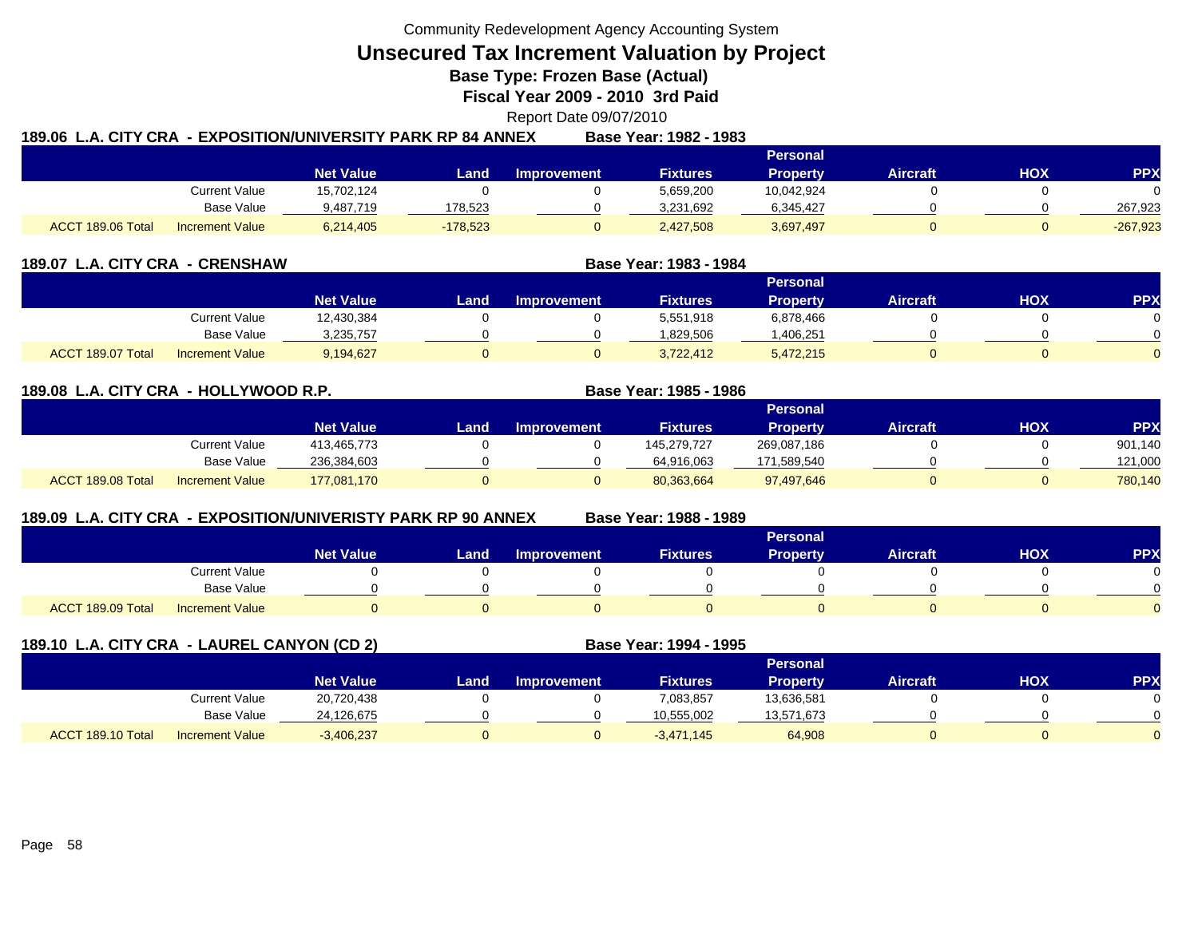**Unsecured Tax Increment Valuation by Project**

**Base Type: Frozen Base (Actual)** 

**Fiscal Year 2009 - 2010 3rd Paid**

Report Date 09/07/2010

|                   |                        | 189.06  L.A. CITY CRA  - EXPOSITION/UNIVERSITY PARK RP 84 ANNEX |            |                    | Base Year: 1982 - 1983 |            |                 |     |            |
|-------------------|------------------------|-----------------------------------------------------------------|------------|--------------------|------------------------|------------|-----------------|-----|------------|
|                   |                        |                                                                 |            |                    |                        | Personal   |                 |     |            |
|                   |                        | <b>Net Value</b>                                                | Land .     | <b>Improvement</b> | <b>Fixtures</b>        | Property   | <b>Aircraft</b> | ΗΟΧ | PPX        |
|                   | Current Value          | 15,702,124                                                      |            |                    | 5,659,200              | 10,042,924 |                 |     | $\Omega$   |
|                   | Base Value             | 9.487.719                                                       | 178.523    |                    | 3.231.692              | 6,345,427  |                 |     | 267.923    |
| ACCT 189.06 Total | <b>Increment Value</b> | 6,214,405                                                       | $-178,523$ |                    | 2,427,508              | 3,697,497  |                 |     | $-267,923$ |

| 189.07 L.A. CITY CRA - CRENSHAW |                        |                  | Base Year: 1983 - 1984 |             |                 |                 |                 |            |            |
|---------------------------------|------------------------|------------------|------------------------|-------------|-----------------|-----------------|-----------------|------------|------------|
|                                 |                        |                  |                        |             |                 | <b>Personal</b> |                 |            |            |
|                                 |                        | <b>Net Value</b> | Land                   | Improvement | <b>Fixtures</b> | Property        | <b>Aircraft</b> | <b>HOX</b> | <b>PPX</b> |
|                                 | Current Value          | 12,430,384       |                        |             | 5,551,918       | 6,878,466       |                 |            |            |
|                                 | Base Value             | 3,235,757        |                        |             | 1,829,506       | 406,251. ا      |                 |            |            |
| ACCT 189.07 Total               | <b>Increment Value</b> | 9.194.627        |                        |             | 3,722,412       | 5,472,215       |                 |            |            |

## **189.08 L.A. CITY CRA - HOLLYWOOD R.P. Base Year: 1985 - 1986**

|                   |                        |                  |      |             |                 | Personal        |                 |            |         |
|-------------------|------------------------|------------------|------|-------------|-----------------|-----------------|-----------------|------------|---------|
|                   |                        | <b>Net Value</b> | Land | Improvement | <b>Fixtures</b> | <b>Property</b> | <b>Aircraft</b> | <b>HOX</b> | PPX     |
|                   | Current Value          | 413,465,773      |      |             | 145,279,727     | 269,087,186     |                 |            | 901,140 |
|                   | Base Value             | 236.384.603      |      |             | 64,916,063      | 171,589,540     |                 |            | 121,000 |
| ACCT 189.08 Total | <b>Increment Value</b> | 177,081,170      |      |             | 80,363,664      | 97,497,646      |                 |            | 780,140 |

# **189.09 L.A. CITY CRA - EXPOSITION/UNIVERISTY PARK RP 90 ANNEX**

**Base Year: 1988 - 1989**

|                                             | <b>Personal</b>  |      |                    |                 |                 |                 |            |            |  |  |
|---------------------------------------------|------------------|------|--------------------|-----------------|-----------------|-----------------|------------|------------|--|--|
|                                             | <b>Net Value</b> | Land | <b>Improvement</b> | <b>Fixtures</b> | <b>Property</b> | <b>Aircraft</b> | <b>HOX</b> | <b>PPX</b> |  |  |
| Current Value                               |                  |      |                    |                 |                 |                 |            |            |  |  |
| <b>Base Value</b>                           |                  |      |                    |                 |                 |                 |            |            |  |  |
| ACCT 189.09 Total<br><b>Increment Value</b> |                  |      |                    |                 |                 |                 |            |            |  |  |

| 189.10 L.A. CITY CRA - LAUREL CANYON (CD 2) |                        |                  |      |                    | Base Year: 1994 - 1995 |                 |                 |     |           |
|---------------------------------------------|------------------------|------------------|------|--------------------|------------------------|-----------------|-----------------|-----|-----------|
|                                             |                        |                  |      |                    |                        | <b>Personal</b> |                 |     |           |
|                                             |                        | <b>Net Value</b> | Land | <b>Improvement</b> | <b>Fixtures</b>        | <b>Property</b> | <b>Aircraft</b> | нох | <b>PP</b> |
|                                             | Current Value          | 20,720,438       |      |                    | 7,083,857              | 13,636,581      |                 |     |           |
|                                             | Base Value             | 24,126,675       |      |                    | 10,555,002             | 13,571,673      |                 |     |           |
| ACCT 189.10 Total                           | <b>Increment Value</b> | $-3,406,237$     |      | 0                  | $-3.471.145$           | 64,908          | 0               |     |           |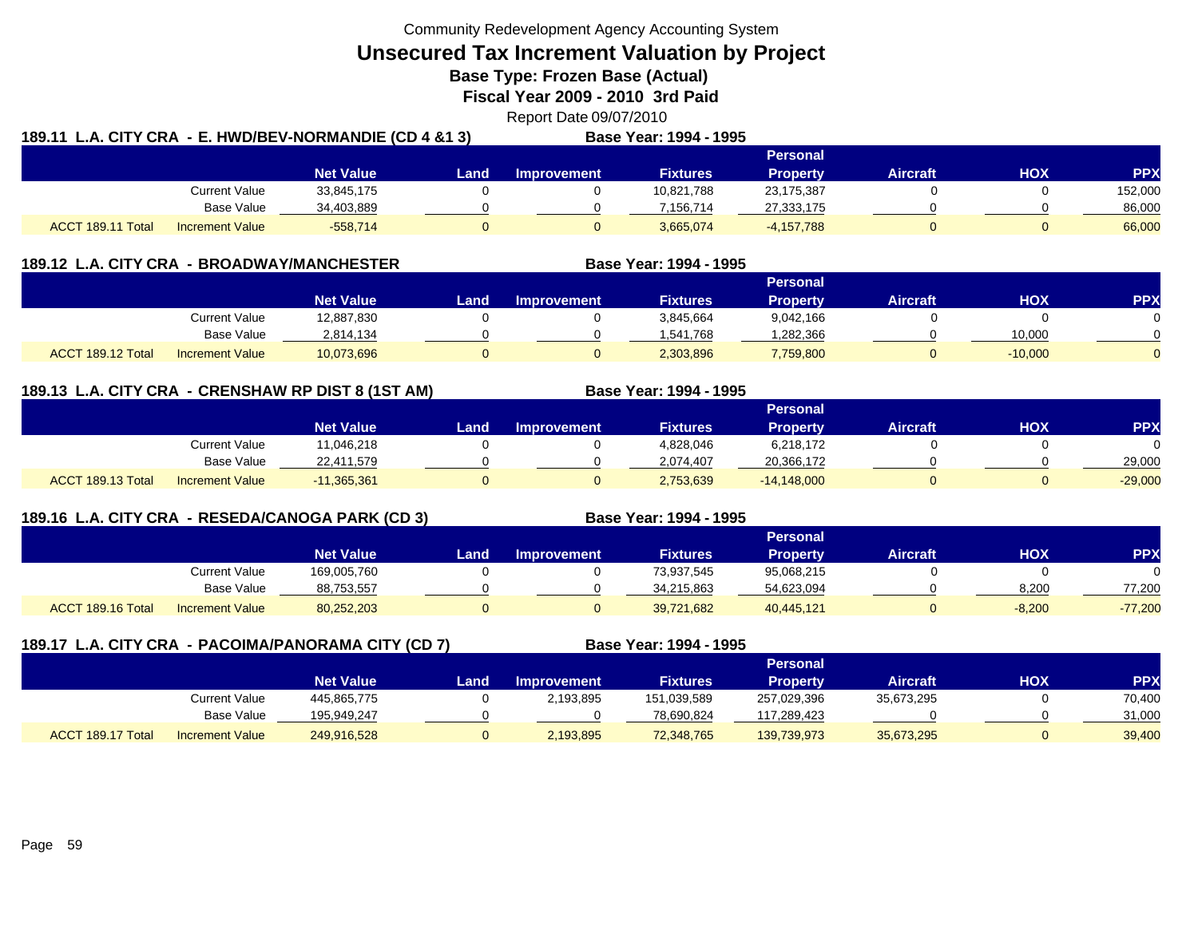**Unsecured Tax Increment Valuation by Project**

**Base Type: Frozen Base (Actual)** 

**Fiscal Year 2009 - 2010 3rd Paid**

Report Date 09/07/2010

|                   | 189.11 L.A. CITY CRA - E. HWD/BEV-NORMANDIE (CD 4 &1 3) |                  |      |                    | Base Year: 1994 - 1995 |                 |                 |     |            |
|-------------------|---------------------------------------------------------|------------------|------|--------------------|------------------------|-----------------|-----------------|-----|------------|
|                   |                                                         |                  |      |                    |                        | Personal        |                 |     |            |
|                   |                                                         | <b>Net Value</b> | Land | <b>Improvement</b> | <b>Fixtures</b>        | <b>Property</b> | <b>Aircraft</b> | HOX | <b>PPX</b> |
|                   | <b>Current Value</b>                                    | 33,845,175       |      |                    | 10,821,788             | 23,175,387      |                 |     | 152,000    |
|                   | Base Value                                              | 34,403,889       |      |                    | 7.156.714              | 27,333,175      |                 |     | 86,000     |
| ACCT 189.11 Total | <b>Increment Value</b>                                  | $-558.714$       |      |                    | 3.665.074              | $-4,157,788$    |                 |     | 66,000     |

| 189.12 L.A. CITY CRA - BROADWAY/MANCHESTER |                        |                  |      |                    | Base Year: 1994 - 1995 |                 |                 |           |            |
|--------------------------------------------|------------------------|------------------|------|--------------------|------------------------|-----------------|-----------------|-----------|------------|
|                                            |                        |                  |      |                    |                        | Personal        |                 |           |            |
|                                            |                        | <b>Net Value</b> | Land | <b>Improvement</b> | <b>Fixtures</b>        | <b>Property</b> | <b>Aircraft</b> | нох       | <b>PPX</b> |
|                                            | Current Value          | 12,887,830       |      |                    | 3,845,664              | 9,042,166       |                 |           |            |
|                                            | <b>Base Value</b>      | 2,814,134        |      |                    | 1,541,768              | 1,282,366       |                 | 10,000    |            |
| ACCT 189.12 Total                          | <b>Increment Value</b> | 10,073,696       |      |                    | 2,303,896              | 7,759,800       |                 | $-10,000$ |            |

# **189.13 L.A. CITY CRA - CRENSHAW RP DIST 8 (1ST AM) Base Year: 1994 - 1995**

|                                             |                  |       |             |                 | Personal        |                 |            |           |
|---------------------------------------------|------------------|-------|-------------|-----------------|-----------------|-----------------|------------|-----------|
|                                             | <b>Net Value</b> | Land. | Improvement | <b>Fixtures</b> | <b>Property</b> | <b>Aircraft</b> | <b>HOX</b> | <b>PP</b> |
| Current Value                               | 1,046,218        |       |             | 4,828,046       | 6,218,172       |                 |            |           |
| Base Value                                  | 22,411,579       |       |             | 2.074.407       | 20,366,172      |                 |            | 29,000    |
| ACCT 189.13 Total<br><b>Increment Value</b> | $-11,365,361$    |       |             | 2,753,639       | $-14,148,000$   |                 |            | $-29,000$ |

# **189.16 L.A. CITY CRA - RESEDA/CANOGA PARK (CD 3) Base Year: 1994 - 1995**

|                                             |                  |      |                    |                 | <b>Personal</b> |                 |            |            |
|---------------------------------------------|------------------|------|--------------------|-----------------|-----------------|-----------------|------------|------------|
|                                             | <b>Net Value</b> | Land | <b>Improvement</b> | <b>Fixtures</b> | Propertv        | <b>Aircraft</b> | <b>HOX</b> | <b>PPX</b> |
| Current Value                               | 169,005,760      |      |                    | 73,937,545      | 95,068,215      |                 |            |            |
| Base Value                                  | 88,753,557       |      |                    | 34,215,863      | 54,623,094      |                 | 8,200      | 77,200     |
| ACCT 189.16 Total<br><b>Increment Value</b> | 80,252,203       |      |                    | 39,721,682      | 40,445,121      |                 | $-8,200$   | $-77,200$  |

| 189.17 L.A. CITY CRA - PACOIMA/PANORAMA CITY (CD 7) |                        |                  |      |                    | Base Year: 1994 - 1995 |                 |                 |     |            |
|-----------------------------------------------------|------------------------|------------------|------|--------------------|------------------------|-----------------|-----------------|-----|------------|
|                                                     |                        |                  |      |                    |                        | Personal        |                 |     |            |
|                                                     |                        | <b>Net Value</b> | Land | <b>Improvement</b> | <b>Fixtures</b>        | <b>Property</b> | <b>Aircraft</b> | нох | <b>PPX</b> |
|                                                     | Current Value          | 445,865,775      |      | 2,193,895          | 151,039,589            | 257,029,396     | 35,673,295      |     | 70,400     |
|                                                     | Base Value             | 195.949.247      |      |                    | 78,690,824             | 117,289,423     |                 |     | 31,000     |
| ACCT 189.17 Total                                   | <b>Increment Value</b> | 249,916,528      |      | 2,193,895          | 72,348,765             | 139,739,973     | 35,673,295      | 0   | 39,400     |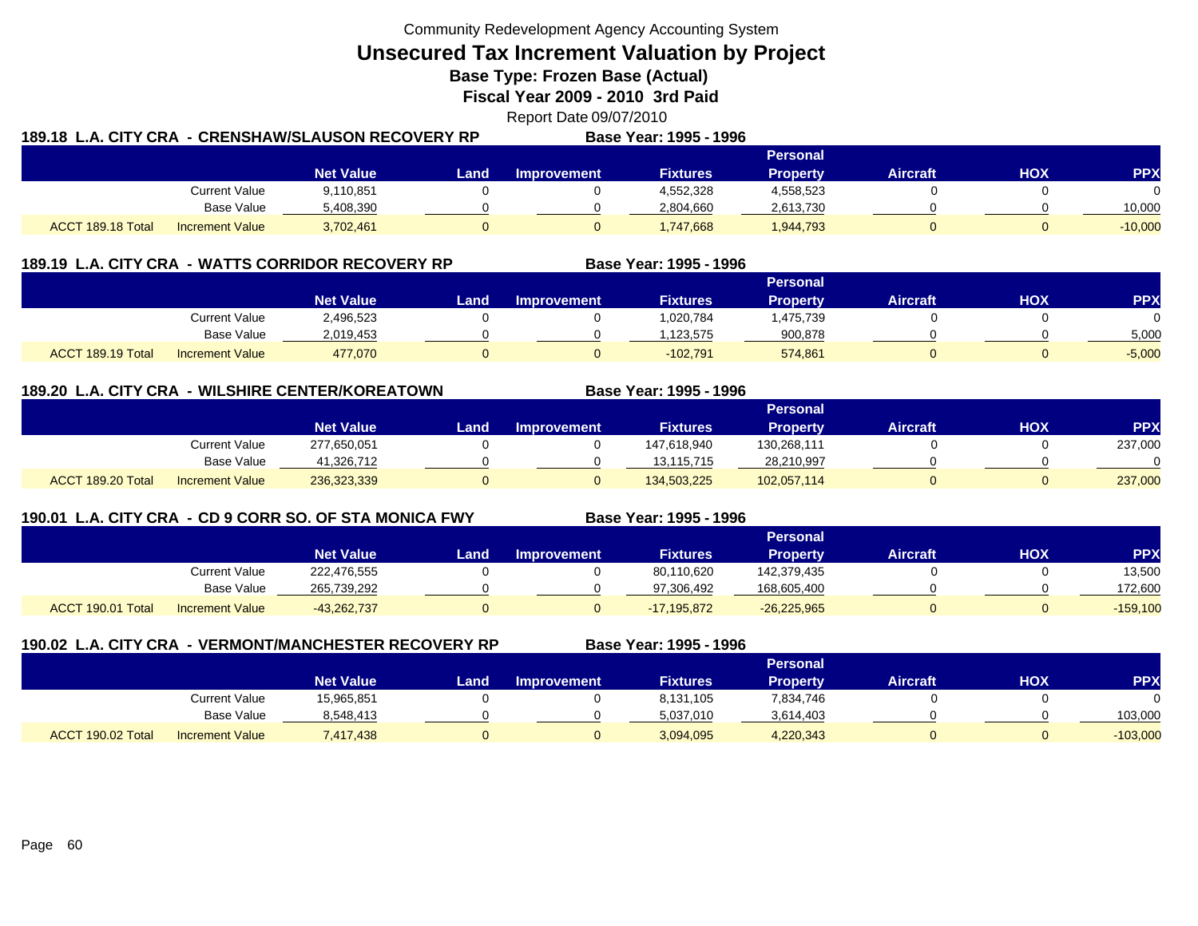**Unsecured Tax Increment Valuation by Project**

**Base Type: Frozen Base (Actual)** 

**Fiscal Year 2009 - 2010 3rd Paid**

Report Date 09/07/2010

| 189.18  L.A. CITY CRA  - CRENSHAW/SLAUSON RECOVERY RP |                        |                  |       |                    | Base Year: 1995 - 1996 |           |                 |     |           |
|-------------------------------------------------------|------------------------|------------------|-------|--------------------|------------------------|-----------|-----------------|-----|-----------|
|                                                       |                        |                  |       |                    |                        | Personal  |                 |     |           |
|                                                       |                        | <b>Net Value</b> | Land. | <b>Improvement</b> | <b>Fixtures</b>        | Property  | <b>Aircraft</b> | HOX | PPX       |
|                                                       | Current Value          | 9,110,851        |       |                    | 4,552,328              | 4,558,523 |                 |     | $\Omega$  |
|                                                       | Base Value             | 5,408,390        |       |                    | 2,804,660              | 2,613,730 |                 |     | 10.000    |
| ACCT 189.18 Total                                     | <b>Increment Value</b> | 3,702,461        |       |                    | 1,747,668              | 1,944,793 |                 |     | $-10,000$ |

|                   |                        | 189.19 L.A. CITY CRA - WATTS CORRIDOR RECOVERY RP |      |                    | Base Year: 1995 - 1996 |                 |                 |     |          |
|-------------------|------------------------|---------------------------------------------------|------|--------------------|------------------------|-----------------|-----------------|-----|----------|
|                   |                        |                                                   |      |                    |                        | Personal        |                 |     |          |
|                   |                        | <b>Net Value</b>                                  | Land | <b>Improvement</b> | <b>Fixtures</b>        | <b>Property</b> | <b>Aircraft</b> | нох | PPX      |
|                   | Current Value          | 2,496,523                                         |      |                    | 1.020.784              | .475,739        |                 |     |          |
|                   | Base Value             | 2,019,453                                         |      |                    | .123.575               | 900,878         |                 |     | 5,000    |
| ACCT 189.19 Total | <b>Increment Value</b> | 477,070                                           |      |                    | $-102.791$             | 574,861         |                 |     | $-5,000$ |

# **189.20 L.A. CITY CRA - WILSHIRE CENTER/KOREATOWN**

|                                             |                  | <b>Personal</b> |                    |                 |             |                 |            |            |  |  |
|---------------------------------------------|------------------|-----------------|--------------------|-----------------|-------------|-----------------|------------|------------|--|--|
|                                             | <b>Net Value</b> | Land            | <b>Improvement</b> | <b>Fixtures</b> | Property    | <b>Aircraft</b> | <b>HOX</b> | <b>PPX</b> |  |  |
| Current Value                               | 277,650,051      |                 |                    | 147,618,940     | 130,268,111 |                 |            | 237,000    |  |  |
| <b>Base Value</b>                           | 41.326.712       |                 |                    | 13.115.715      | 28,210,997  |                 |            |            |  |  |
| ACCT 189.20 Total<br><b>Increment Value</b> | 236,323,339      |                 |                    | 134,503,225     | 102,057,114 |                 |            | 237,000    |  |  |

# **190.01 L.A. CITY CRA - CD 9 CORR SO. OF STA MONICA FWY**

**Base Year: 1995 - 1996**

**Base Year: 1995 - 1996**

|                   |                        |                  | ----------------- | _ _ _ _ . _ _<br>. |                 |               |          |     |            |
|-------------------|------------------------|------------------|-------------------|--------------------|-----------------|---------------|----------|-----|------------|
|                   |                        |                  |                   |                    |                 | Personal      |          |     |            |
|                   |                        | <b>Net Value</b> | Land              | <b>Improvement</b> | <b>Fixtures</b> | Property      | Aircraft | нох | PP)        |
|                   | Current Value          | 222,476,555      |                   |                    | 80,110,620      | 142,379,435   |          |     | 13,500     |
|                   | Base Value             | 265.739.292      |                   |                    | 97.306.492      | 168,605,400   |          |     | 172,600    |
| ACCT 190.01 Total | <b>Increment Value</b> | $-43,262,737$    |                   |                    | $-17.195.872$   | $-26,225,965$ |          |     | $-159,100$ |

|                   | 190.02 L.A. CITY CRA - VERMONT/MANCHESTER RECOVERY RP |                  |      |                    | Base Year: 1995 - 1996 |                 |                 |     |            |
|-------------------|-------------------------------------------------------|------------------|------|--------------------|------------------------|-----------------|-----------------|-----|------------|
|                   |                                                       |                  |      |                    |                        | <b>Personal</b> |                 |     |            |
|                   |                                                       | <b>Net Value</b> | Land | <b>Improvement</b> | <b>Fixtures</b>        | <b>Property</b> | <b>Aircraft</b> | нох | <b>PPX</b> |
|                   | Current Value                                         | 15,965,851       |      |                    | 8,131,105              | 7,834,746       |                 |     |            |
|                   | Base Value                                            | 8,548,413        |      |                    | 5,037,010              | 3,614,403       |                 |     | 103,000    |
| ACCT 190.02 Total | <b>Increment Value</b>                                | 7,417,438        |      | 0                  | 3,094,095              | 4,220,343       |                 |     | $-103,000$ |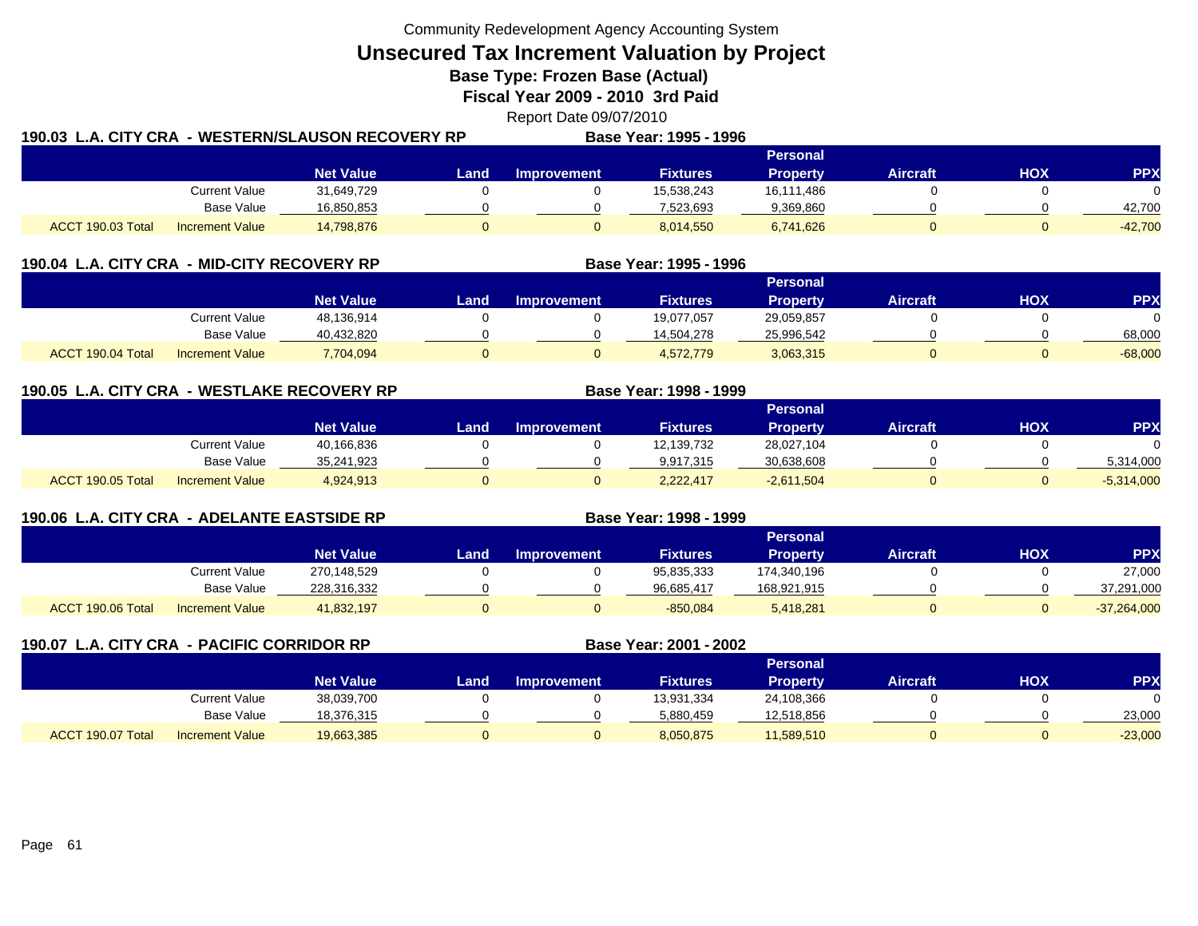**Unsecured Tax Increment Valuation by Project**

**Base Type: Frozen Base (Actual)** 

**Fiscal Year 2009 - 2010 3rd Paid**

Report Date 09/07/2010

| 190.03 L.A. CITY CRA |                        | - WESTERN/SLAUSON RECOVERY RP |       |                    | Base Year: 1995 - 1996 |            |          |     |           |
|----------------------|------------------------|-------------------------------|-------|--------------------|------------------------|------------|----------|-----|-----------|
|                      |                        |                               |       |                    |                        | Personal   |          |     |           |
|                      |                        | <b>Net Value</b>              | Land. | <b>Improvement</b> | <b>Fixtures</b>        | Property   | Aircraft | HOX | PPX       |
|                      | <b>Current Value</b>   | 31,649,729                    |       |                    | 15,538,243             | 16,111,486 |          |     | $\Omega$  |
|                      | Base Value             | 16,850,853                    |       |                    | 7,523,693              | 9,369,860  |          |     | 42,700    |
| ACCT 190.03 Total    | <b>Increment Value</b> | 14,798,876                    |       |                    | 8,014,550              | 6,741,626  |          |     | $-42,700$ |

| 190.04 L.A. CITY CRA - MID-CITY RECOVERY RP |                        |                  |      |                    | Base Year: 1995 - 1996 |                 |                 |     |            |
|---------------------------------------------|------------------------|------------------|------|--------------------|------------------------|-----------------|-----------------|-----|------------|
|                                             |                        |                  |      |                    |                        | Personal        |                 |     |            |
|                                             |                        | <b>Net Value</b> | Land | <b>Improvement</b> | <b>Fixtures</b>        | <b>Property</b> | <b>Aircraft</b> | нох | <b>PPX</b> |
|                                             | Current Value          | 48,136,914       |      |                    | 19,077,057             | 29,059,857      |                 |     |            |
|                                             | <b>Base Value</b>      | 40,432,820       |      |                    | 14,504,278             | 25,996,542      |                 |     | 68,000     |
| ACCT 190.04 Total                           | <b>Increment Value</b> | 7,704,094        |      |                    | 4,572,779              | 3,063,315       |                 |     | $-68,000$  |

**190.05 L.A. CITY CRA - WESTLAKE RECOVERY RP Base Year: 1998 - 1999 Personal Net Value Land Improvement Fixtures Property Aircraft HOX PPX** Current Value 40,166,836 0 0 12,139,732 28,027,104 0 0 Base Value 35,241,923 0 0 9,917,315 30,638,608 0 0 5,314,000 ACCT 190.05 TotalIncrement Value 4,924,913 0 0 2,222,417 -2,611,504 0 0 -5,314,000

| 190.06 L.A. CITY CRA - ADELANTE EASTSIDE RP |                        |                  |      |                    | Base Year: 1998 - 1999 |                 |                 |     |               |
|---------------------------------------------|------------------------|------------------|------|--------------------|------------------------|-----------------|-----------------|-----|---------------|
|                                             |                        |                  |      |                    |                        | Personal        |                 |     |               |
|                                             |                        | <b>Net Value</b> | Land | <b>Improvement</b> | <b>Fixtures</b>        | <b>Property</b> | <b>Aircraft</b> | нох | <b>PPX</b>    |
|                                             | Current Value          | 270.148.529      |      |                    | 95,835,333             | 174,340,196     |                 |     | 27,000        |
|                                             | Base Value             | 228,316,332      |      |                    | 96.685.417             | 168,921,915     |                 |     | 37,291,000    |
| ACCT 190.06 Total                           | <b>Increment Value</b> | 41,832,197       |      |                    | $-850,084$             | 5,418,281       |                 |     | $-37,264,000$ |

| 190.07 L.A. CITY CRA - PACIFIC CORRIDOR RP | Base Year: 2001 - 2002 |                  |      |                    |                 |                 |                 |     |           |
|--------------------------------------------|------------------------|------------------|------|--------------------|-----------------|-----------------|-----------------|-----|-----------|
|                                            |                        |                  |      |                    |                 | Personal        |                 |     |           |
|                                            |                        | <b>Net Value</b> | Land | <b>Improvement</b> | <b>Fixtures</b> | <b>Property</b> | <b>Aircraft</b> | нох | PP)       |
|                                            | Current Value          | 38,039,700       |      |                    | 13,931,334      | 24,108,366      |                 |     |           |
|                                            | Base Value             | 18,376,315       |      |                    | 5,880,459       | 12,518,856      |                 |     | 23,000    |
| ACCT 190.07 Total                          | <b>Increment Value</b> | 19,663,385       |      |                    | 8,050,875       | 11,589,510      |                 |     | $-23,000$ |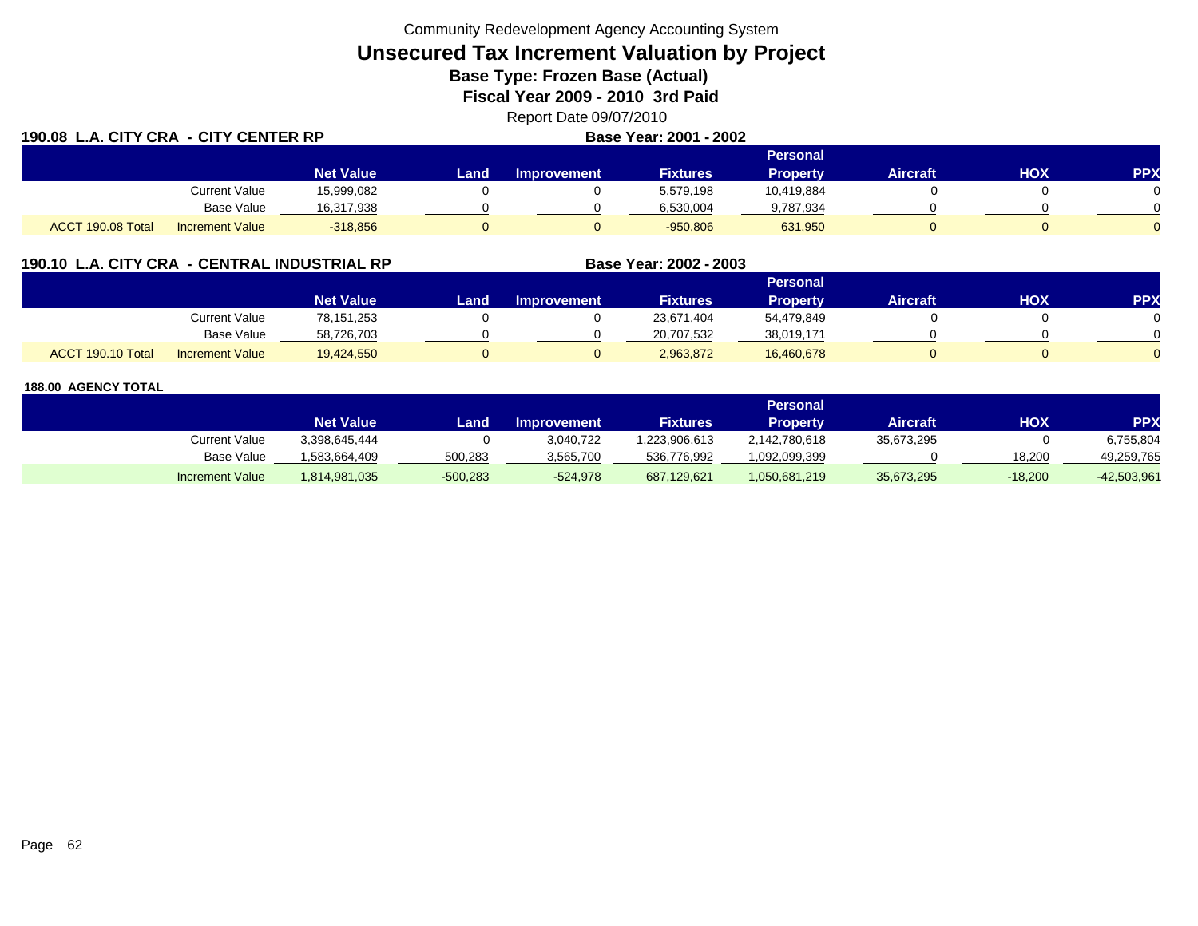# **Unsecured Tax Increment Valuation by Project**

**Base Type: Frozen Base (Actual)** 

**Fiscal Year 2009 - 2010 3rd Paid**

| Report Date 09/07/2010 |  |  |
|------------------------|--|--|
|                        |  |  |

|                   | 190.08 L.A. CITY CRA - CITY CENTER RP |                  |      |                    | Base Year: 2001 - 2002 |                 |                 |            |            |
|-------------------|---------------------------------------|------------------|------|--------------------|------------------------|-----------------|-----------------|------------|------------|
|                   |                                       |                  |      |                    |                        | <b>Personal</b> |                 |            |            |
|                   |                                       | <b>Net Value</b> | Land | <b>Improvement</b> | <b>Fixtures</b>        | Property        | <b>Aircraft</b> | <b>HOX</b> | <b>PPX</b> |
|                   | <b>Current Value</b>                  | 15,999,082       |      |                    | 5,579,198              | 10.419.884      |                 |            |            |
|                   | <b>Base Value</b>                     | 16,317,938       |      |                    | 6,530,004              | 9,787,934       |                 |            |            |
| ACCT 190.08 Total | <b>Increment Value</b>                | $-318,856$       | 0    |                    | $-950,806$             | 631,950         |                 |            |            |

# **190.10 L.A. CITY CRA - CENTRAL INDUSTRIAL RP**

|                   |                        |                  |      |                    |                 | Personal   |                 |     |     |
|-------------------|------------------------|------------------|------|--------------------|-----------------|------------|-----------------|-----|-----|
|                   |                        | <b>Net Value</b> | Land | <b>Improvement</b> | <b>Fixtures</b> | Property   | <b>Aircraft</b> | HOX | PP) |
|                   | Current Value          | 78,151,253       |      |                    | 23,671,404      | 54,479,849 |                 |     |     |
|                   | <b>Base Value</b>      | 58,726,703       |      |                    | 20,707,532      | 38,019,171 |                 |     |     |
| ACCT 190.10 Total | <b>Increment Value</b> | 19,424,550       |      |                    | 2,963,872       | 16,460,678 |                 |     |     |

**Base Year: 2002 - 2003**

## **188.00 AGENCY TOTAL**

190.000 **190.000 190.000 190.000 190.000 1** 

|                        |                  |            |                    |                 | Personal      |            |            |               |
|------------------------|------------------|------------|--------------------|-----------------|---------------|------------|------------|---------------|
|                        | <b>Net Value</b> | Land       | <b>Improvement</b> | <b>Fixtures</b> | Propertv      | Aircraft   | <b>HOX</b> | PPX           |
| Current Value          | 3.398.645.444    |            | 3,040,722          | .223.906.613    | 2,142,780,618 | 35.673.295 |            | 6,755,804     |
| <b>Base Value</b>      | 1.583.664.409    | 500,283    | 3,565,700          | 536,776,992     | 1,092,099,399 |            | 18.200     | 49.259.765    |
| <b>Increment Value</b> | 1,814,981,035    | $-500,283$ | $-524.978$         | 687,129,621     | 1,050,681,219 | 35,673,295 | $-18,200$  | $-42,503,961$ |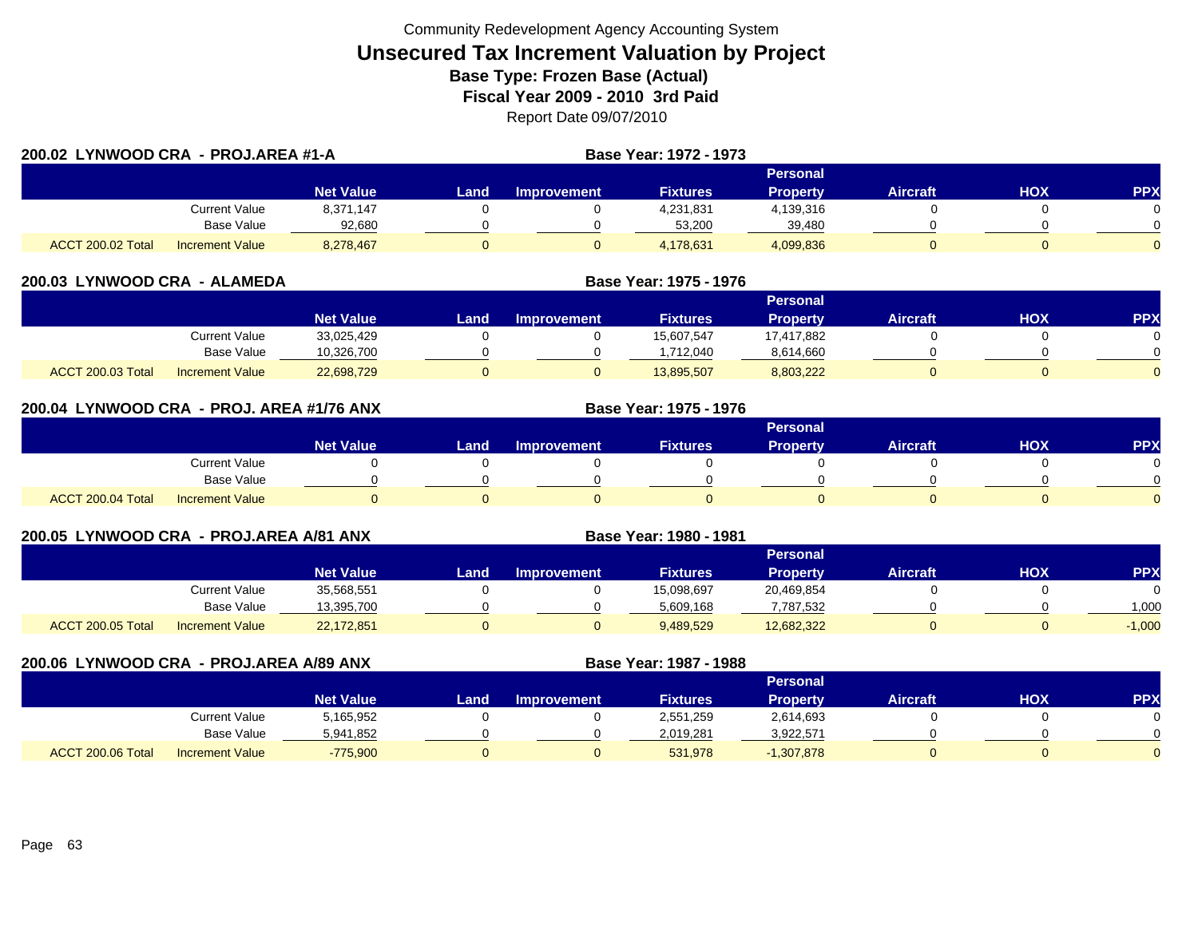| 200.02 LYNWOOD CRA - PROJ.AREA #1-A |                        |                  |      |             | <b>Base Year: 1972 - 1973</b> |                 |                 |     |            |
|-------------------------------------|------------------------|------------------|------|-------------|-------------------------------|-----------------|-----------------|-----|------------|
|                                     |                        |                  |      |             |                               | <b>Personal</b> |                 |     |            |
|                                     |                        | <b>Net Value</b> | Land | Improvement | <b>Fixtures</b>               | <b>Property</b> | <b>Aircraft</b> | нох | <b>PPX</b> |
|                                     | Current Value          | 8,371,147        |      |             | 4,231,831                     | 4,139,316       |                 |     |            |
|                                     | Base Value             | 92.680           |      |             | 53,200                        | 39,480          |                 |     |            |
| ACCT 200.02 Total                   | <b>Increment Value</b> | 8,278,467        |      |             | 4,178,631                     | 4,099,836       |                 |     | $\Omega$   |

| 200.03 LYNWOOD CRA - ALAMEDA |                        |                  | Base Year: 1975 - 1976 |                    |                 |                 |                 |     |            |
|------------------------------|------------------------|------------------|------------------------|--------------------|-----------------|-----------------|-----------------|-----|------------|
|                              |                        |                  |                        |                    |                 | <b>Personal</b> |                 |     |            |
|                              |                        | <b>Net Value</b> | Land                   | <b>Improvement</b> | <b>Fixtures</b> | <b>Property</b> | <b>Aircraft</b> | нох | <b>PPX</b> |
|                              | Current Value          | 33,025,429       |                        |                    | 15.607.547      | 17.417.882      |                 |     |            |
|                              | <b>Base Value</b>      | 10,326,700       |                        |                    | .712.040        | 8,614,660       |                 |     |            |
| <b>ACCT 200.03 Total</b>     | <b>Increment Value</b> | 22,698,729       |                        |                    | 13,895,507      | 8,803,222       |                 |     |            |

| 200.04 LYNWOOD CRA - PROJ. AREA #1/76 ANX |                        |                  | Base Year: 1975 - 1976 |                    |                 |                 |                 |            |            |  |  |
|-------------------------------------------|------------------------|------------------|------------------------|--------------------|-----------------|-----------------|-----------------|------------|------------|--|--|
|                                           |                        |                  |                        |                    |                 | <b>Personal</b> |                 |            |            |  |  |
|                                           |                        | <b>Net Value</b> | Land                   | <b>Improvement</b> | <b>Fixtures</b> | <b>Property</b> | <b>Aircraft</b> | <b>NOH</b> | <b>PPX</b> |  |  |
|                                           | <b>Current Value</b>   |                  |                        |                    |                 |                 |                 |            |            |  |  |
|                                           | Base Value             |                  |                        |                    |                 |                 |                 |            |            |  |  |
| ACCT 200.04 Total                         | <b>Increment Value</b> |                  |                        |                    |                 |                 |                 |            |            |  |  |

| 200.05 LYNWOOD CRA - PROJ.AREA A/81 ANX |                        |                  |      |                    | <b>Base Year: 1980 - 1981</b> |            |                 |            |            |
|-----------------------------------------|------------------------|------------------|------|--------------------|-------------------------------|------------|-----------------|------------|------------|
|                                         |                        |                  |      |                    |                               | Personal   |                 |            |            |
|                                         |                        | <b>Net Value</b> | Land | <b>Improvement</b> | <b>Fixtures</b>               | Property   | <b>Aircraft</b> | <b>HOX</b> | <b>PPX</b> |
|                                         | Current Value          | 35,568,551       |      |                    | 15,098,697                    | 20,469,854 |                 |            |            |
|                                         | Base Value             | 13,395,700       |      |                    | 5,609,168                     | 7,787,532  |                 |            | 1.000      |
| ACCT 200.05 Total                       | <b>Increment Value</b> | 22,172,851       |      |                    | 9,489,529                     | 12,682,322 |                 |            | $-1,000$   |

| 200.06 LYNWOOD CRA - PROJ.AREA A/89 ANX |                        |                  | Base Year: 1987 - 1988 |                    |                 |                 |                 |            |            |
|-----------------------------------------|------------------------|------------------|------------------------|--------------------|-----------------|-----------------|-----------------|------------|------------|
|                                         |                        |                  |                        |                    |                 | Personal        |                 |            |            |
|                                         |                        | <b>Net Value</b> | Land                   | <b>Improvement</b> | <b>Fixtures</b> | <b>Property</b> | <b>Aircraft</b> | <b>NOH</b> | <b>PPX</b> |
|                                         | <b>Current Value</b>   | 5,165,952        |                        |                    | 2.551.259       | 2,614,693       |                 |            |            |
|                                         | Base Value             | 5,941,852        |                        |                    | 2,019,281       | 3,922,571       |                 |            |            |
| ACCT 200.06 Total                       | <b>Increment Value</b> | $-775,900$       |                        |                    | 531.978         | $-1,307,878$    |                 |            |            |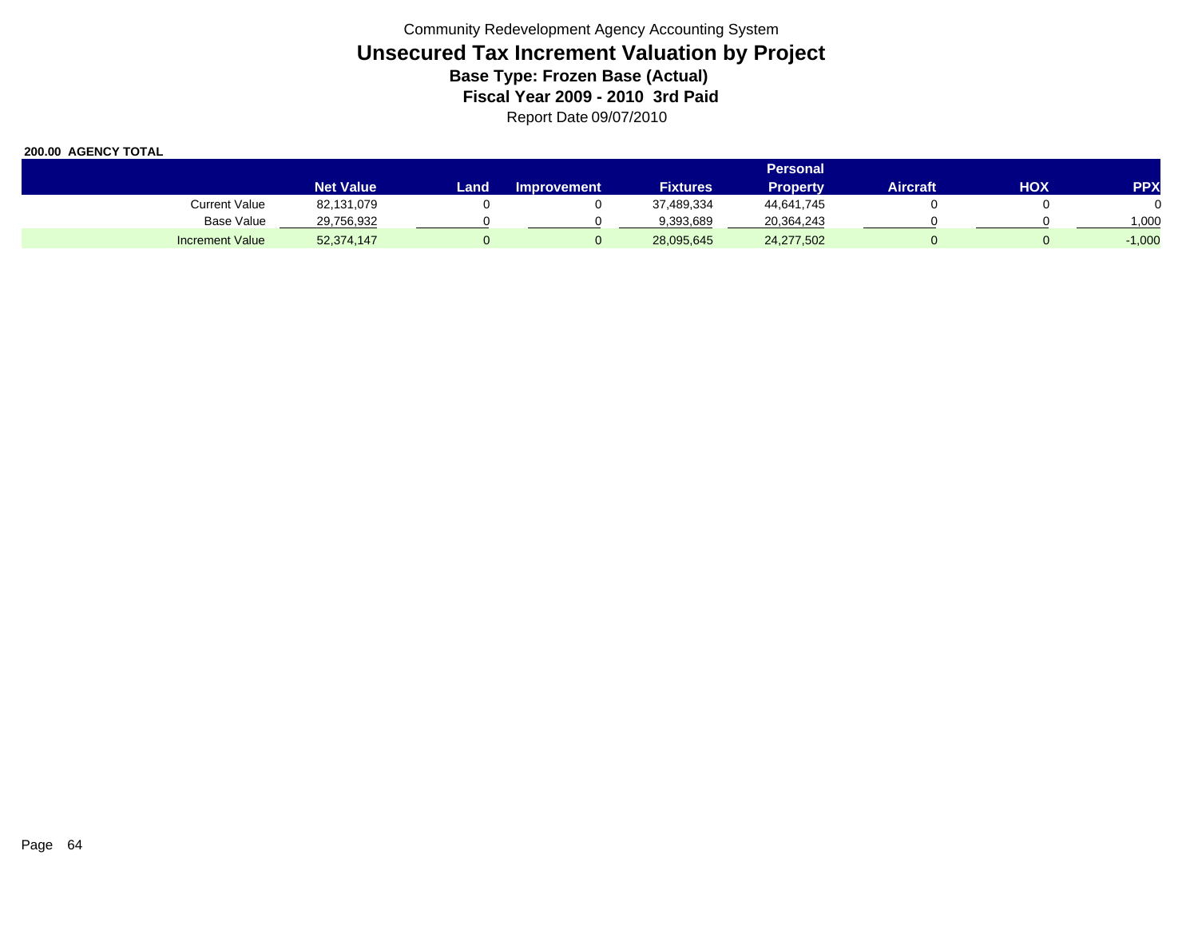|                        | <b>Personal</b>  |      |                    |                 |                 |          |            |            |  |  |
|------------------------|------------------|------|--------------------|-----------------|-----------------|----------|------------|------------|--|--|
|                        | <b>Net Value</b> | Land | <b>Improvement</b> | <b>Fixtures</b> | <b>Property</b> | Aircraft | <b>HOX</b> | <b>PPX</b> |  |  |
| <b>Current Value</b>   | 82,131,079       |      |                    | 37,489,334      | 44,641,745      |          |            |            |  |  |
| Base Value             | 29,756,932       |      |                    | 9,393,689       | 20,364,243      |          |            | 000,       |  |  |
| <b>Increment Value</b> | 52,374,147       |      |                    | 28,095,645      | 24,277,502      |          |            | $-1,000$   |  |  |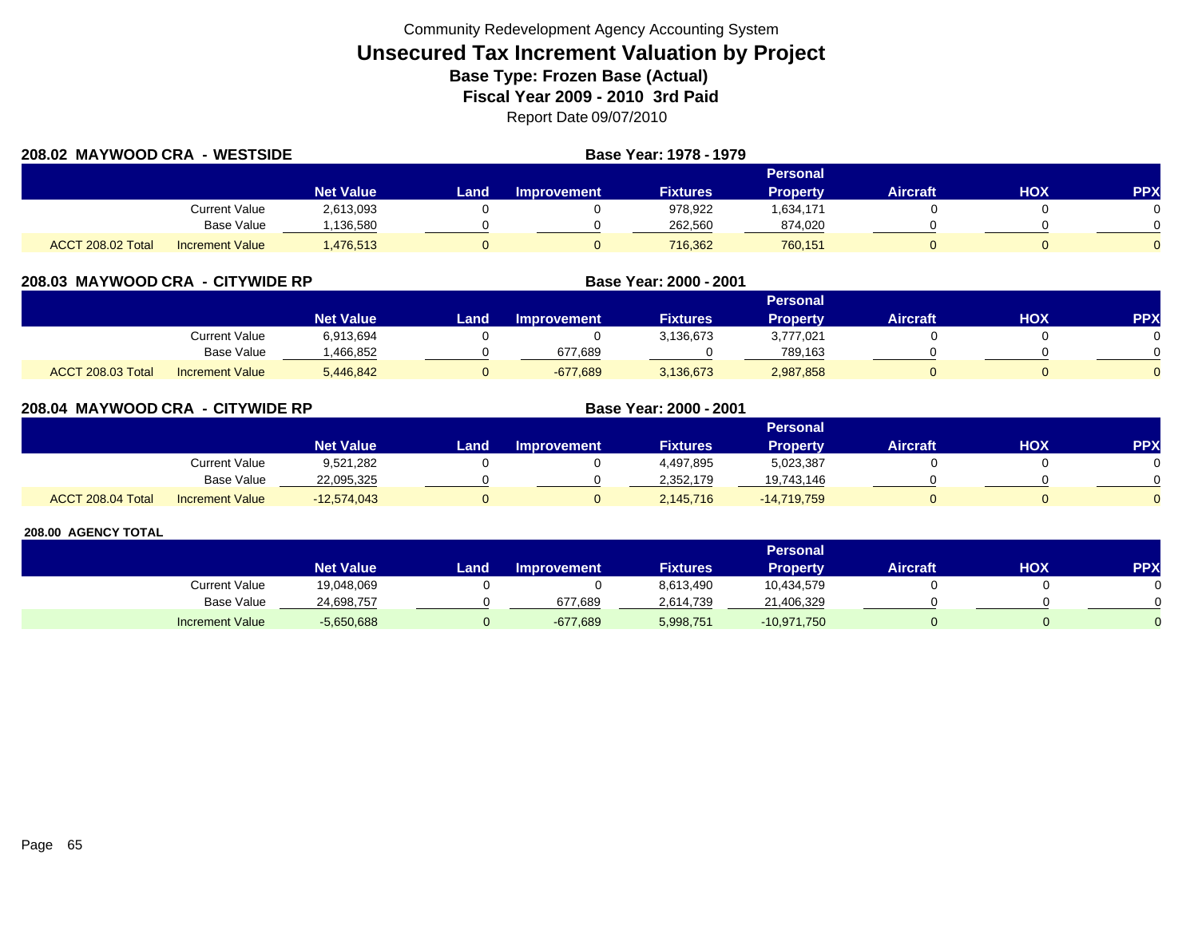| 208.02 MAYWOOD CRA - WESTSIDE |                        |                  |          |                    | Base Year: 1978 - 1979 |                 |                 |     |            |  |
|-------------------------------|------------------------|------------------|----------|--------------------|------------------------|-----------------|-----------------|-----|------------|--|
|                               |                        |                  | Personal |                    |                        |                 |                 |     |            |  |
|                               |                        | <b>Net Value</b> | Land     | <b>Improvement</b> | <b>Fixtures</b>        | <b>Property</b> | <b>Aircraft</b> | HOX | <b>PPX</b> |  |
|                               | Current Value          | 2,613,093        |          |                    | 978,922                | 1,634,171       |                 |     |            |  |
|                               | Base Value             | ,136,580         |          |                    | 262,560                | 874,020         |                 |     |            |  |
| <b>ACCT 208.02 Total</b>      | <b>Increment Value</b> | 1,476,513        |          |                    | 716,362                | 760,151         |                 |     |            |  |

| 208.03 MAYWOOD CRA - CITYWIDE RP |                          |                        |                  | Base Year: 2000 - 2001 |                    |                 |                 |                 |     |           |
|----------------------------------|--------------------------|------------------------|------------------|------------------------|--------------------|-----------------|-----------------|-----------------|-----|-----------|
|                                  |                          |                        |                  |                        |                    |                 | Personal        |                 |     |           |
|                                  |                          |                        | <b>Net Value</b> | Land                   | <b>Improvement</b> | <b>Fixtures</b> | <b>Property</b> | <b>Aircraft</b> | нох | <b>PP</b> |
|                                  |                          | Current Value          | 6,913,694        |                        |                    | 3,136,673       | 3,777,021       |                 |     |           |
|                                  |                          | Base Value             | ,466,852         |                        | 677,689            |                 | 789,163         |                 |     |           |
|                                  | <b>ACCT 208.03 Total</b> | <b>Increment Value</b> | 5,446,842        |                        | $-677,689$         | 3,136,673       | 2,987,858       |                 |     |           |

| 208.04 MAYWOOD CRA - CITYWIDE RP |                   |                        |                  |      |                    | Base Year: 2000 - 2001 |               |                 |            |            |
|----------------------------------|-------------------|------------------------|------------------|------|--------------------|------------------------|---------------|-----------------|------------|------------|
|                                  |                   |                        |                  |      |                    |                        |               |                 |            |            |
|                                  |                   |                        | <b>Net Value</b> | Land | <b>Improvement</b> | <b>Fixtures</b>        | Property      | <b>Aircraft</b> | <b>HOX</b> | <b>PPX</b> |
|                                  |                   | <b>Current Value</b>   | 9,521,282        |      |                    | 4,497,895              | 5,023,387     |                 |            | 0          |
|                                  |                   | Base Value             | 22,095,325       |      |                    | 2,352,179              | 19,743,146    |                 |            | $\Omega$   |
|                                  | ACCT 208.04 Total | <b>Increment Value</b> | $-12,574,043$    |      |                    | 2,145,716              | $-14,719,759$ |                 |            | $\Omega$   |

|                        |                  |       |                    |                 | <b>Personal</b> |                 |     |            |
|------------------------|------------------|-------|--------------------|-----------------|-----------------|-----------------|-----|------------|
|                        | <b>Net Value</b> | Land. | <b>Improvement</b> | <b>Fixtures</b> | Property        | <b>Aircraft</b> | нох | <b>PPX</b> |
| Current Value          | 19,048,069       |       |                    | 8,613,490       | 10,434,579      |                 |     |            |
| Base Value             | 24,698,757       |       | 677,689            | 2.614.739       | 21,406,329      |                 |     |            |
| <b>Increment Value</b> | $-5,650,688$     |       | $-677,689$         | 5,998,751       | $-10,971,750$   |                 |     |            |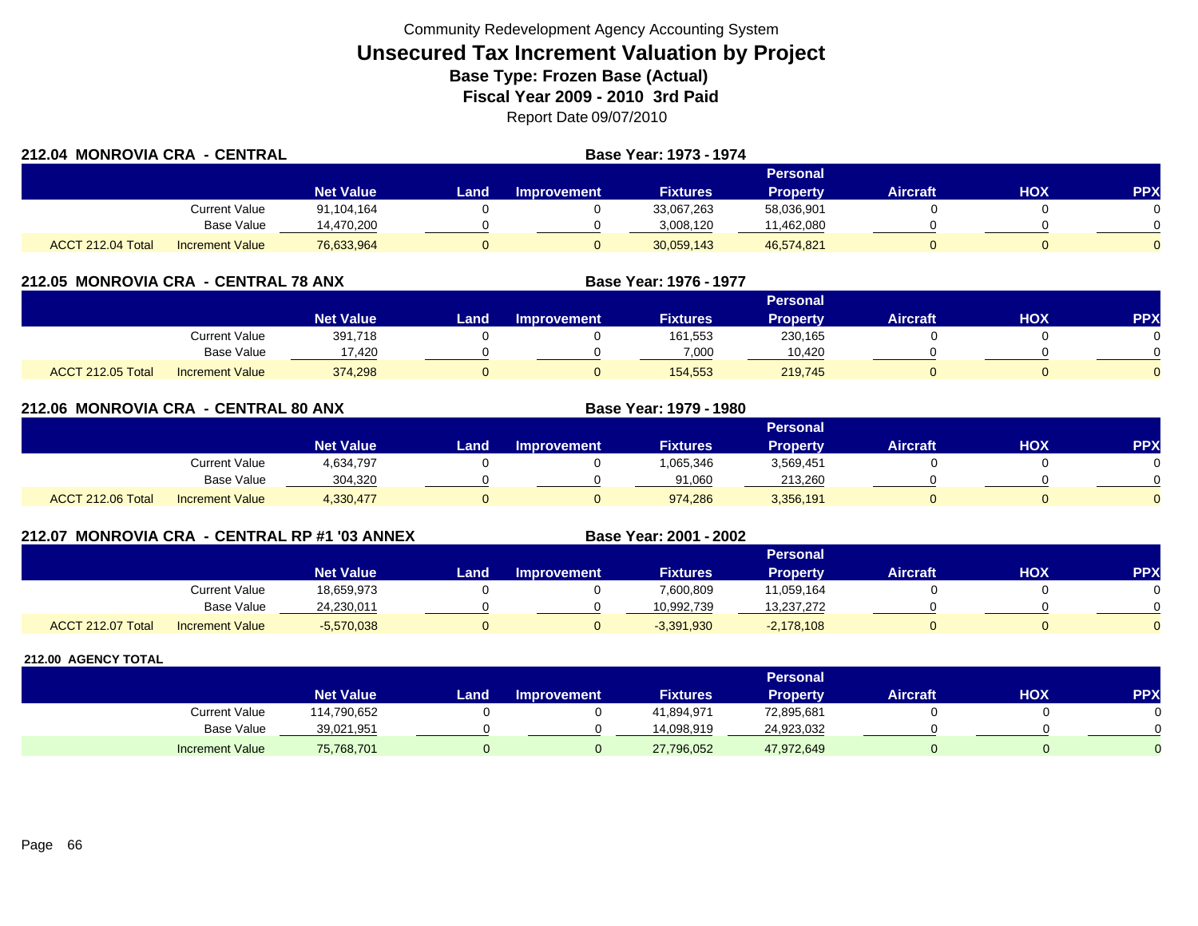| 212.04 MONROVIA CRA - CENTRAL |                        |                  | <b>Base Year: 1973 - 1974</b> |             |                 |                 |                 |     |     |  |
|-------------------------------|------------------------|------------------|-------------------------------|-------------|-----------------|-----------------|-----------------|-----|-----|--|
|                               |                        |                  | <b>Personal</b>               |             |                 |                 |                 |     |     |  |
|                               |                        | <b>Net Value</b> | Land.                         | Improvement | <b>Fixtures</b> | <b>Property</b> | <b>Aircraft</b> | HOX | PPX |  |
|                               | Current Value          | 91,104,164       |                               |             | 33,067,263      | 58,036,901      |                 |     |     |  |
|                               | Base Value             | 14,470,200       |                               |             | 3,008,120       | 11,462,080      |                 |     |     |  |
| ACCT 212.04 Total             | <b>Increment Value</b> | 76,633,964       |                               |             | 30,059,143      | 46,574,821      |                 |     |     |  |

## **212.05 MONROVIA CRA - CENTRAL 78 ANX**

|                          |                        |                  |      |                    |                 | Personal        |                 |            |          |
|--------------------------|------------------------|------------------|------|--------------------|-----------------|-----------------|-----------------|------------|----------|
|                          |                        | <b>Net Value</b> | Land | <b>Improvement</b> | <b>Fixtures</b> | <b>Property</b> | <b>Aircraft</b> | <b>HOX</b> | PPX      |
|                          | Current Value          | 391,718          |      |                    | 161,553         | 230,165         |                 |            |          |
|                          | <b>Base Value</b>      | 17,420           |      |                    | 7,000           | 10.420          |                 |            | 0        |
| <b>ACCT 212.05 Total</b> | <b>Increment Value</b> | 374,298          |      |                    | 154,553         | 219,745         |                 |            | $\Omega$ |

**Base Year: 1976 - 1977**

**Base Year: 1979 - 1980**

**Base Year: 2001 - 2002**

|  | 212.06 MONROVIA CRA - CENTRAL 80 ANX |  |
|--|--------------------------------------|--|
|  |                                      |  |

|                   |                        | <b>Personal</b>  |      |             |                 |                 |                 |     |     |  |
|-------------------|------------------------|------------------|------|-------------|-----------------|-----------------|-----------------|-----|-----|--|
|                   |                        | <b>Net Value</b> | Land | Improvement | <b>Fixtures</b> | <b>Property</b> | <b>Aircraft</b> | ΗΟΧ | PPX |  |
|                   | Current Value          | 4,634,797        |      |             | 1,065,346       | 3,569,451       |                 |     |     |  |
|                   | <b>Base Value</b>      | 304,320          |      |             | 91,060          | 213.260         |                 |     |     |  |
| ACCT 212.06 Total | <b>Increment Value</b> | 4,330,477        |      |             | 974,286         | 3,356,191       |                 |     |     |  |

## **212.07 MONROVIA CRA - CENTRAL RP #1 '03 ANNEX**

|                                                    |                  |      |                    |                 | <b>Personal</b> |                 |            |            |
|----------------------------------------------------|------------------|------|--------------------|-----------------|-----------------|-----------------|------------|------------|
|                                                    | <b>Net Value</b> | Land | <b>Improvement</b> | <b>Fixtures</b> | Propertv        | <b>Aircraft</b> | <b>HOX</b> | <b>PPX</b> |
| Current Value                                      | 18,659,973       |      |                    | 7,600,809       | 11,059,164      |                 |            |            |
| Base Value                                         | 24,230,011       |      |                    | 10.992.739      | 13,237,272      |                 |            |            |
| <b>ACCT 212.07 Total</b><br><b>Increment Value</b> | $-5,570,038$     |      |                    | $-3,391,930$    | $-2,178,108$    |                 |            |            |

|                        |                  |      |                    |                 | Personal        |          |     |          |
|------------------------|------------------|------|--------------------|-----------------|-----------------|----------|-----|----------|
|                        | <b>Net Value</b> | Land | <b>Improvement</b> | <b>Fixtures</b> | <b>Property</b> | Aircraft | ΗΟΧ | PPX      |
| <b>Current Value</b>   | 114,790,652      |      |                    | 41,894,971      | 72,895,681      |          |     | 0        |
| <b>Base Value</b>      | 39,021,951       |      |                    | 14.098.919      | 24,923,032      |          |     | $\Omega$ |
| <b>Increment Value</b> | 75,768,701       |      |                    | 27,796,052      | 47,972,649      |          |     | $\Omega$ |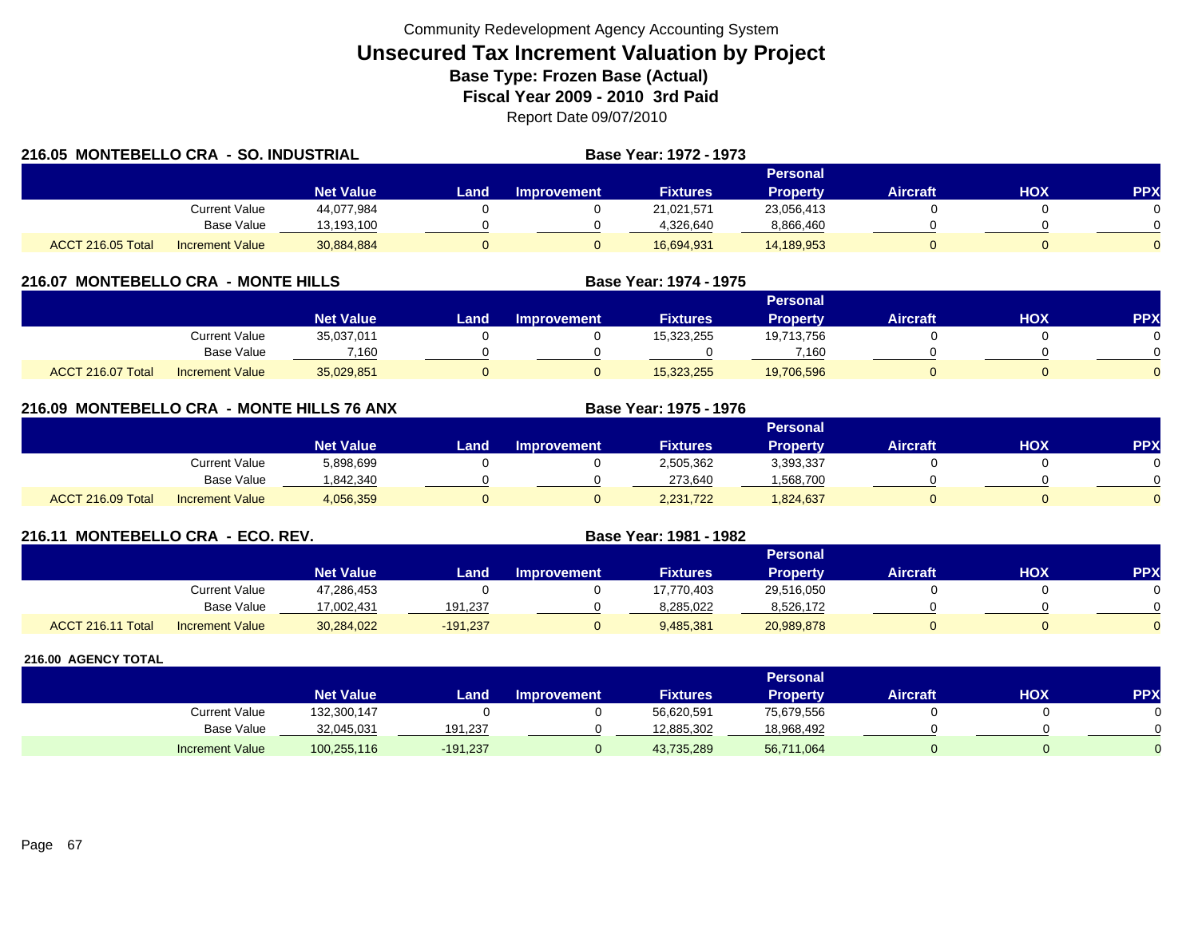| 216.05 MONTEBELLO CRA - SO. INDUSTRIAL |                        |                  | <b>Base Year: 1972 - 1973</b> |                    |                 |                 |                 |            |                |
|----------------------------------------|------------------------|------------------|-------------------------------|--------------------|-----------------|-----------------|-----------------|------------|----------------|
|                                        |                        |                  |                               | Personal           |                 |                 |                 |            |                |
|                                        |                        | <b>Net Value</b> | Land                          | <b>Improvement</b> | <b>Fixtures</b> | <b>Property</b> | <b>Aircraft</b> | <b>HOX</b> | <b>PPX</b>     |
|                                        | Current Value          | 44,077,984       |                               |                    | 21,021,571      | 23,056,413      |                 |            |                |
|                                        | Base Value             | 13,193,100       |                               |                    | 4,326,640       | 8,866,460       |                 |            |                |
| ACCT 216.05 Total                      | <b>Increment Value</b> | 30,884,884       |                               |                    | 16,694,931      | 14,189,953      |                 |            | $\overline{0}$ |

## **216.07 MONTEBELLO CRA - MONTE HILLS**

|                                             |                  |      |                    |                 | Personal   |                 |            |          |
|---------------------------------------------|------------------|------|--------------------|-----------------|------------|-----------------|------------|----------|
|                                             | <b>Net Value</b> | _and | <b>Improvement</b> | <b>Fixtures</b> | Propertv   | <b>Aircraft</b> | <b>HOX</b> | PPX      |
| <b>Current Value</b>                        | 35,037,011       |      |                    | 15,323,255      | 19,713,756 |                 |            |          |
| <b>Base Value</b>                           | 7.160            |      |                    |                 | 7.160      |                 |            | 0        |
| ACCT 216.07 Total<br><b>Increment Value</b> | 35,029,851       |      |                    | 15,323,255      | 19,706,596 |                 |            | $\Omega$ |

**Base Year: 1974 - 1975**

**Base Year: 1975 - 1976**

## **216.09 MONTEBELLO CRA - MONTE HILLS 76 ANX**

|                   |                        |                  |      |                    |                 | Personal        |                 |            |           |
|-------------------|------------------------|------------------|------|--------------------|-----------------|-----------------|-----------------|------------|-----------|
|                   |                        | <b>Net Value</b> | Land | <b>Improvement</b> | <b>Fixtures</b> | <b>Property</b> | <b>Aircraft</b> | <b>HOX</b> | <b>PP</b> |
|                   | Current Value          | 5,898,699        |      |                    | 2,505,362       | 3,393,337       |                 |            |           |
|                   | <b>Base Value</b>      | 1,842,340        |      |                    | 273,640         | .568,700        |                 |            |           |
| ACCT 216.09 Total | <b>Increment Value</b> | 4,056,359        |      |                    | 2,231,722       | .824.637        |                 |            |           |

## **216.11 MONTEBELLO CRA - ECO. REV. Base Year: 1981 - 1982**

|                   |                        |                  |            |                    |                 | Personal        |          |     |     |
|-------------------|------------------------|------------------|------------|--------------------|-----------------|-----------------|----------|-----|-----|
|                   |                        | <b>Net Value</b> | Land       | <b>Improvement</b> | <b>Fixtures</b> | <b>Property</b> | Aircraft | нох | PPX |
|                   | Current Value          | 47,286,453       |            |                    | 17,770,403      | 29,516,050      |          |     |     |
|                   | <b>Base Value</b>      | 17.002.431       | 191.237    |                    | 8.285.022       | 8,526,172       |          |     |     |
| ACCT 216.11 Total | <b>Increment Value</b> | 30,284,022       | $-191,237$ |                    | 9,485,381       | 20,989,878      |          |     |     |

|                        |                  |          |                    |                 | Personal   |                 |     |     |
|------------------------|------------------|----------|--------------------|-----------------|------------|-----------------|-----|-----|
|                        | <b>Net Value</b> | Land     | <b>Improvement</b> | <b>Fixtures</b> | Property   | <b>Aircraft</b> | нох | PPX |
| Current Value          | 132,300,147      |          |                    | 56,620,591      | 75,679,556 |                 |     |     |
| <b>Base Value</b>      | 32,045,031       | 191,237  |                    | 12.885.302      | 18,968,492 |                 |     |     |
| <b>Increment Value</b> | 100,255,116      | -191,237 |                    | 43,735,289      | 56,711,064 |                 |     |     |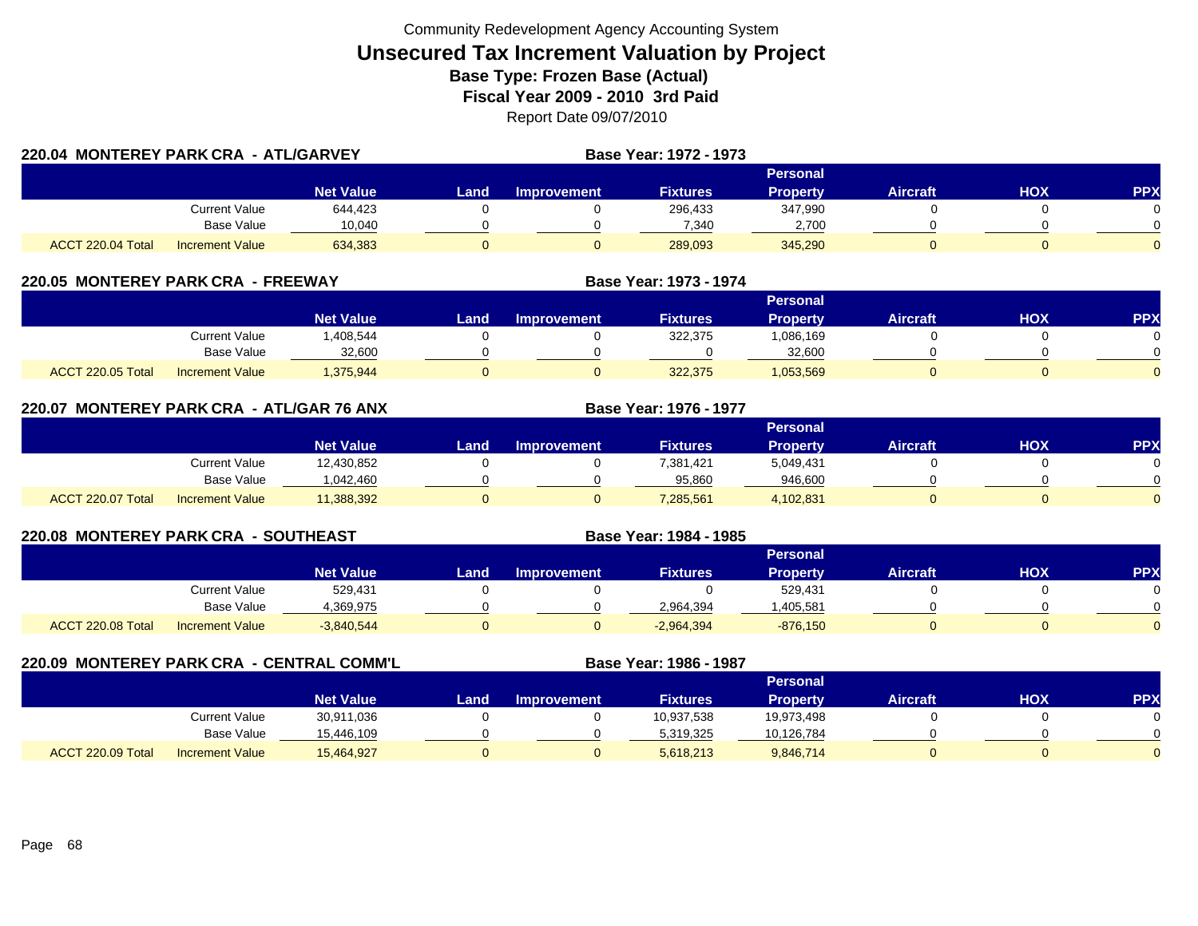| 220.04 MONTEREY PARK CRA - ATL/GARVEY |                        |                  |      |                    | <b>Base Year: 1972 - 1973</b> |                 |                 |     |          |
|---------------------------------------|------------------------|------------------|------|--------------------|-------------------------------|-----------------|-----------------|-----|----------|
|                                       |                        |                  |      |                    |                               | <b>Personal</b> |                 |     |          |
|                                       |                        | <b>Net Value</b> | Land | <b>Improvement</b> | <b>Fixtures</b>               | <b>Property</b> | <b>Aircraft</b> | HOX | PPX      |
|                                       | Current Value          | 644,423          |      |                    | 296,433                       | 347,990         |                 |     |          |
|                                       | Base Value             | 10,040           |      |                    | 7,340                         | 2,700           |                 |     | $\Omega$ |
| ACCT 220.04 Total                     | <b>Increment Value</b> | 634,383          |      |                    | 289,093                       | 345,290         |                 |     | $\Omega$ |

## **220.05 MONTEREY PARK CRA - FREEWAY**

|                   |                        |                  |      |                    |                 | Personal        |                 |            |            |
|-------------------|------------------------|------------------|------|--------------------|-----------------|-----------------|-----------------|------------|------------|
|                   |                        | <b>Net Value</b> | Land | <b>Improvement</b> | <b>Fixtures</b> | <b>Property</b> | <b>Aircraft</b> | <b>XOH</b> | <b>PPX</b> |
|                   | Current Value          | ,408,544         |      |                    | 322,375         | 1,086,169       |                 |            |            |
|                   | <b>Base Value</b>      | 32.600           |      |                    |                 | 32.600          |                 |            | 0          |
| ACCT 220.05 Total | <b>Increment Value</b> | 1,375,944        |      |                    | 322,375         | 1,053,569       |                 |            |            |

**Base Year: 1973 - 1974**

**Base Year: 1976 - 1977**

**Base Year: 1984 - 1985**

| 220.07  MONTEREY PARK CRA -ATL/GAR 76 ANX |  |  |  |  |  |  |
|-------------------------------------------|--|--|--|--|--|--|
|-------------------------------------------|--|--|--|--|--|--|

|                   |                        |                  |      |                    |                 | <b>Personal</b> |                 |     |            |
|-------------------|------------------------|------------------|------|--------------------|-----------------|-----------------|-----------------|-----|------------|
|                   |                        | <b>Net Value</b> | Land | <b>Improvement</b> | <b>Fixtures</b> | <b>Property</b> | <b>Aircraft</b> | нох | <b>PPX</b> |
|                   | Current Value          | 12,430,852       |      |                    | 7,381,421       | 5,049,431       |                 |     |            |
|                   | Base Value             | 1.042.460        |      |                    | 95.860          | 946.600         |                 |     | ∩          |
| ACCT 220.07 Total | <b>Increment Value</b> | 11,388,392       |      |                    | 7,285,561       | 4,102,831       |                 |     |            |

## **220.08 MONTEREY PARK CRA - SOUTHEAST**

|                                             |                  |       |                    |                 | Personal        |                 |            |           |
|---------------------------------------------|------------------|-------|--------------------|-----------------|-----------------|-----------------|------------|-----------|
|                                             | <b>Net Value</b> | Land, | <b>Improvement</b> | <b>Fixtures</b> | <b>Property</b> | <b>Aircraft</b> | <b>HOX</b> | <b>PP</b> |
| Current Value                               | 529,431          |       |                    |                 | 529,431         |                 |            |           |
| <b>Base Value</b>                           | 1,369,975        |       |                    | 2,964,394       | ,405,581        |                 |            |           |
| ACCT 220.08 Total<br><b>Increment Value</b> | $-3,840,544$     |       |                    | $-2,964,394$    | $-876,150$      |                 |            |           |

**220.09 MONTEREY PARK CRA - CENTRAL COMM'L Base Year: 1986 - 1987 Personal Net Value Land Improvement Fixtures Property Aircraft HOX PPX** Current Value 30,911,036 0 0 10,937,538 19,973,498 0 0 Base Value 15,446,109 0 0 5,319,325 10,126,784 0 0 ACCT 220.09 TotalI Increment Value 15,464,927 0 5,618,213 9,846,714 0 0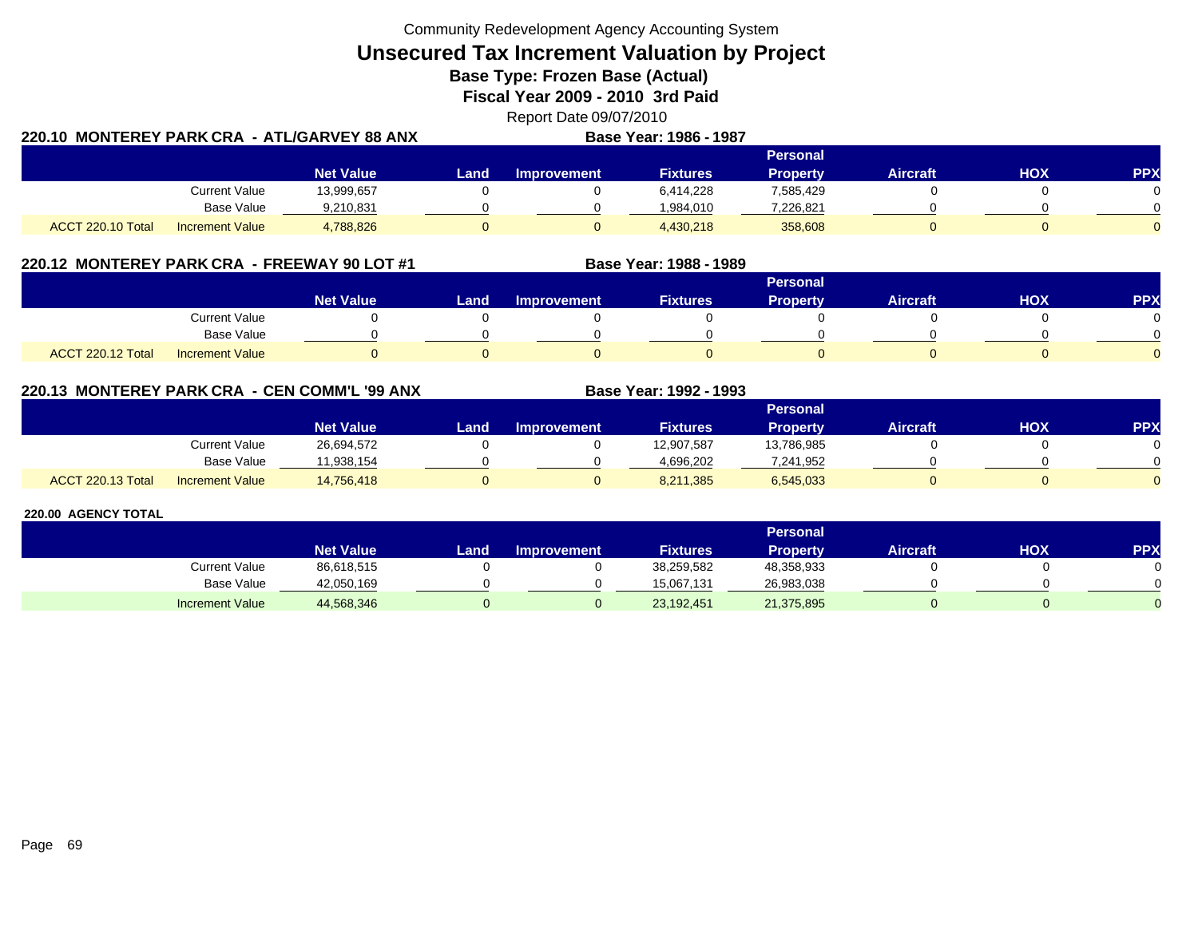**Unsecured Tax Increment Valuation by Project**

**Base Type: Frozen Base (Actual)** 

**Fiscal Year 2009 - 2010 3rd Paid**

Report Date 09/07/2010 **Base Year: 1986 - 1987**

|                   | 220.10 MONTEREY PARK CRA - ATL/GARVEY 88 ANX |                  |      |                    | <b>Base Year: 1986 - 1987</b> |                 |                 |     |            |
|-------------------|----------------------------------------------|------------------|------|--------------------|-------------------------------|-----------------|-----------------|-----|------------|
|                   |                                              |                  |      |                    |                               | <b>Personal</b> |                 |     |            |
|                   |                                              | <b>Net Value</b> | Land | <b>Improvement</b> | <b>Fixtures</b>               | Propertv        | <b>Aircraft</b> | нох | <b>PPX</b> |
|                   | <b>Current Value</b>                         | 13,999,657       |      |                    | 6.414.228                     | 7,585,429       |                 |     |            |
|                   | Base Value                                   | 9,210,831        |      |                    | 984.010                       | 7,226,821       |                 |     |            |
| ACCT 220.10 Total | <b>Increment Value</b>                       | 4,788,826        |      |                    | 4.430.218                     | 358,608         |                 |     |            |

# **220.12 MONTEREY PARK CRA - FREEWAY 90 LOT #1 Base Year: 1988 - 1989**

|                   |                        |                  |      |                    |                 | <b>Personal</b> |                 |            |          |
|-------------------|------------------------|------------------|------|--------------------|-----------------|-----------------|-----------------|------------|----------|
|                   |                        | <b>Net Value</b> | Land | <b>Improvement</b> | <b>Fixtures</b> | <b>Property</b> | <b>Aircraft</b> | <b>XOH</b> | PPX      |
|                   | <b>Current Value</b>   |                  |      |                    |                 |                 |                 |            |          |
|                   | Base Value             |                  |      |                    |                 |                 |                 |            |          |
| ACCT 220.12 Total | <b>Increment Value</b> |                  |      |                    |                 |                 |                 |            | $\Omega$ |

## **220.13 MONTEREY PARK CRA - CEN COMM'L '99 ANX**

|                   |                        |                  |      |                    |                 | Personal   |                 |            |          |
|-------------------|------------------------|------------------|------|--------------------|-----------------|------------|-----------------|------------|----------|
|                   |                        | <b>Net Value</b> | Land | <b>Improvement</b> | <b>Fixtures</b> | Property   | <b>Aircraft</b> | <b>HOX</b> | PPX      |
|                   | Current Value          | 26,694,572       |      |                    | 12,907,587      | 13,786,985 |                 |            | 0        |
|                   | <b>Base Value</b>      | 1.938.154        |      |                    | 4.696.202       | 7,241,952  |                 |            | ∩        |
| ACCT 220.13 Total | <b>Increment Value</b> | 14,756,418       |      |                    | 8,211,385       | 6,545,033  |                 |            | $\Omega$ |

**Base Year: 1992 - 1993**

|                        |                  | <b>Personal</b> |                    |                 |            |                 |            |           |  |  |  |
|------------------------|------------------|-----------------|--------------------|-----------------|------------|-----------------|------------|-----------|--|--|--|
|                        | <b>Net Value</b> | Land            | <b>Improvement</b> | <b>Fixtures</b> | Property   | <b>Aircraft</b> | <b>HOX</b> | <b>PP</b> |  |  |  |
| <b>Current Value</b>   | 86,618,515       |                 |                    | 38,259,582      | 48,358,933 |                 |            |           |  |  |  |
| <b>Base Value</b>      | 42,050,169       |                 |                    | 15.067.131      | 26.983.038 |                 |            |           |  |  |  |
| <b>Increment Value</b> | 44,568,346       |                 |                    | 23,192,451      | 21,375,895 |                 |            |           |  |  |  |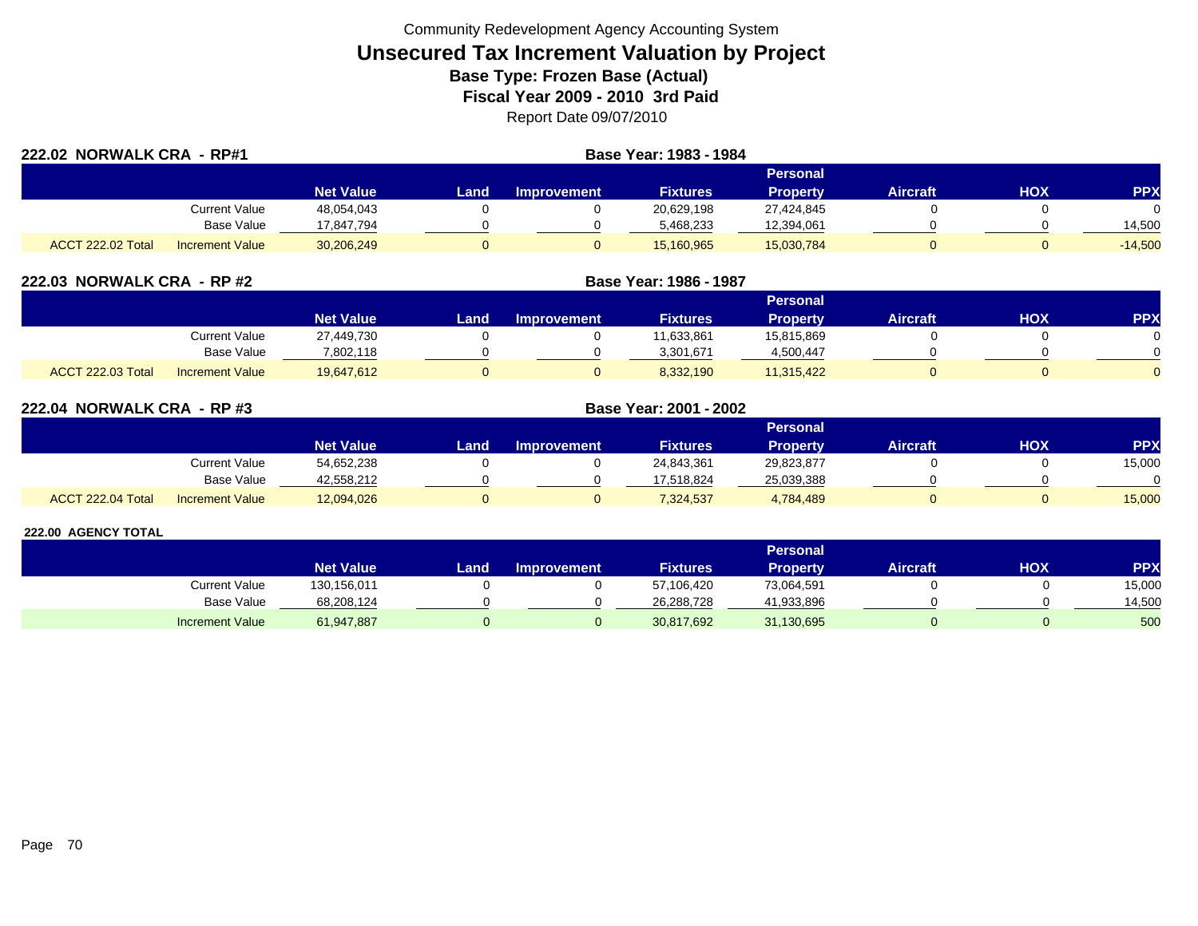| 222.02 NORWALK CRA - RP#1 |                        |                  | Base Year: 1983 - 1984 |                    |                 |                 |                 |     |            |  |  |
|---------------------------|------------------------|------------------|------------------------|--------------------|-----------------|-----------------|-----------------|-----|------------|--|--|
|                           |                        |                  |                        | <b>Personal</b>    |                 |                 |                 |     |            |  |  |
|                           |                        | <b>Net Value</b> | Land                   | <b>Improvement</b> | <b>Fixtures</b> | <b>Property</b> | <b>Aircraft</b> | нох | <b>PPX</b> |  |  |
|                           | Current Value          | 48,054,043       |                        |                    | 20,629,198      | 27,424,845      |                 |     |            |  |  |
|                           | <b>Base Value</b>      | 17,847,794       |                        |                    | 5,468,233       | 12,394,061      |                 |     | 14,500     |  |  |
| <b>ACCT 222.02 Total</b>  | <b>Increment Value</b> | 30,206,249       |                        |                    | 15,160,965      | 15,030,784      |                 |     | $-14,500$  |  |  |

| 222.03 NORWALK CRA - RP #2 |                        | Base Year: 1986 - 1987 |      |                    |                 |                 |                 |            |            |  |
|----------------------------|------------------------|------------------------|------|--------------------|-----------------|-----------------|-----------------|------------|------------|--|
|                            |                        |                        |      |                    |                 | <b>Personal</b> |                 |            |            |  |
|                            |                        | <b>Net Value</b>       | Land | <b>Improvement</b> | <b>Fixtures</b> | <b>Property</b> | <b>Aircraft</b> | <b>HOX</b> | <b>PPX</b> |  |
|                            | <b>Current Value</b>   | 27,449,730             |      |                    | 11,633,861      | 15,815,869      |                 |            |            |  |
|                            | Base Value             | 7,802,118              |      |                    | 3,301,671       | 4,500,447       |                 |            |            |  |
| <b>ACCT 222.03 Total</b>   | <b>Increment Value</b> | 19,647,612             |      |                    | 8,332,190       | 11,315,422      |                 |            |            |  |

| 222.04 NORWALK CRA - RP #3 |                        |                  | Base Year: 2001 - 2002 |                    |                 |                 |                 |            |            |
|----------------------------|------------------------|------------------|------------------------|--------------------|-----------------|-----------------|-----------------|------------|------------|
|                            |                        |                  | <b>Personal</b>        |                    |                 |                 |                 |            |            |
|                            |                        | <b>Net Value</b> | Land                   | <b>Improvement</b> | <b>Fixtures</b> | <b>Property</b> | <b>Aircraft</b> | <b>HOX</b> | <b>PPX</b> |
|                            | Current Value          | 54,652,238       |                        |                    | 24,843,361      | 29,823,877      |                 |            | 15,000     |
|                            | <b>Base Value</b>      | 42,558,212       |                        |                    | 17,518,824      | 25,039,388      |                 |            | $\Omega$   |
| ACCT 222.04 Total          | <b>Increment Value</b> | 12,094,026       |                        |                    | 7,324,537       | 4,784,489       |                 |            | 15,000     |

|                        |                  |                  |                    |                 | Personal   |                 |     |            |
|------------------------|------------------|------------------|--------------------|-----------------|------------|-----------------|-----|------------|
|                        | <b>Net Value</b> | Land <b>Land</b> | <b>Improvement</b> | <b>Fixtures</b> | Property   | <b>Aircraft</b> | нох | <b>PPX</b> |
| Current Value          | 130,156,011      |                  |                    | 57,106,420      | 73,064,591 |                 |     | 15,000     |
| Base Value             | 68,208,124       |                  |                    | 26,288,728      | 41,933,896 |                 |     | 14,500     |
| <b>Increment Value</b> | 61,947,887       |                  |                    | 30,817,692      | 31,130,695 |                 |     | 500        |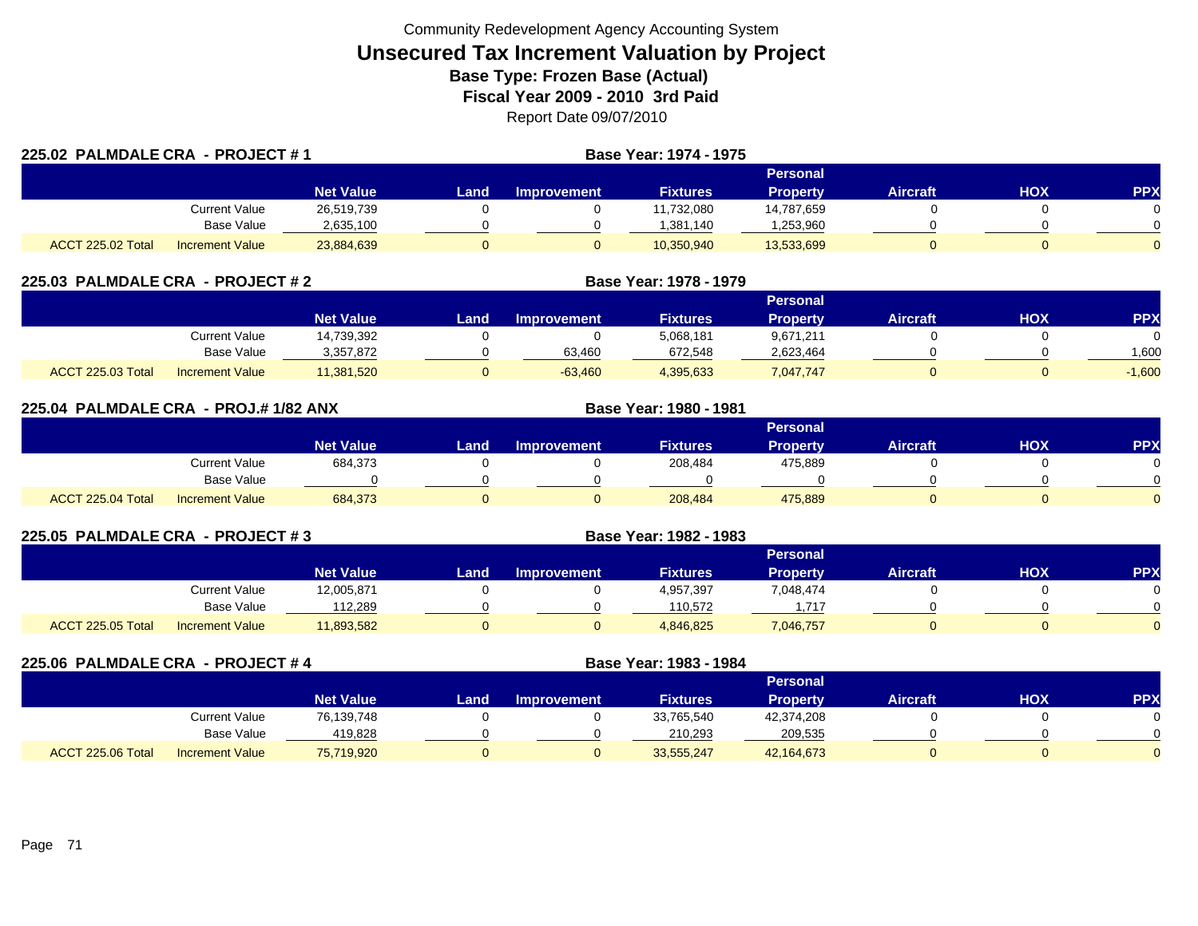| 225.02 PALMDALE CRA - PROJECT #1 |                 |                  |      |                    | <b>Base Year: 1974 - 1975</b> |                 |                 |     |            |  |
|----------------------------------|-----------------|------------------|------|--------------------|-------------------------------|-----------------|-----------------|-----|------------|--|
|                                  |                 |                  |      | Personal           |                               |                 |                 |     |            |  |
|                                  |                 | <b>Net Value</b> | Land | <b>Improvement</b> | <b>Fixtures</b>               | <b>Property</b> | <b>Aircraft</b> | HOX | <b>PPX</b> |  |
|                                  | Current Value   | 26,519,739       |      |                    | 11.732.080                    | 14,787,659      |                 |     |            |  |
|                                  | Base Value      | 2,635,100        |      |                    | 1.381.140                     | .253,960        |                 |     |            |  |
| ACCT 225.02 Total                | Increment Value | 23,884,639       |      |                    | 10,350,940                    | 13,533,699      |                 |     | $\Omega$   |  |

| 225.03 PALMDALE CRA - PROJECT # 2 |                        |                  |                 |                    | Base Year: 1978 - 1979 |                 |                 |     |            |  |
|-----------------------------------|------------------------|------------------|-----------------|--------------------|------------------------|-----------------|-----------------|-----|------------|--|
|                                   |                        |                  | <b>Personal</b> |                    |                        |                 |                 |     |            |  |
|                                   |                        | <b>Net Value</b> | Land            | <b>Improvement</b> | <b>Fixtures</b>        | <b>Property</b> | <b>Aircraft</b> | нох | <b>PPX</b> |  |
|                                   | Current Value          | 14,739,392       |                 |                    | 5,068,181              | 9,671,211       |                 |     |            |  |
|                                   | Base Value             | 3,357,872        |                 | 63,460             | 672,548                | 2,623,464       |                 |     | 1.600      |  |
| ACCT 225.03 Total                 | <b>Increment Value</b> | 11.381.520       |                 | $-63.460$          | 4,395,633              | 7,047,747       |                 |     | $-1.600$   |  |

| 225.04 PALMDALE CRA - PROJ.# 1/82 ANX |                        |                  |      | Base Year: 1980 - 1981 |                 |                 |                 |            |            |
|---------------------------------------|------------------------|------------------|------|------------------------|-----------------|-----------------|-----------------|------------|------------|
|                                       |                        |                  |      |                        |                 | <b>Personal</b> |                 |            |            |
|                                       |                        | <b>Net Value</b> | Land | <b>Improvement</b>     | <b>Fixtures</b> | Property        | <b>Aircraft</b> | <b>HOX</b> | <b>PPX</b> |
|                                       | <b>Current Value</b>   | 684,373          |      |                        | 208,484         | 475,889         |                 |            | $\Omega$   |
|                                       | Base Value             |                  |      |                        |                 |                 |                 |            | $\cap$     |
| ACCT 225.04 Total                     | <b>Increment Value</b> | 684,373          |      | 0                      | 208.484         | 475,889         |                 |            | $\Omega$   |

| 225.05 PALMDALE CRA - PROJECT # 3 |                        |                  | Base Year: 1982 - 1983 |                    |                 |                 |          |     |            |
|-----------------------------------|------------------------|------------------|------------------------|--------------------|-----------------|-----------------|----------|-----|------------|
|                                   |                        |                  |                        |                    |                 | <b>Personal</b> |          |     |            |
|                                   |                        | <b>Net Value</b> | Land                   | <b>Improvement</b> | <b>Fixtures</b> | <b>Property</b> | Aircraft | нох | <b>PPX</b> |
|                                   | <b>Current Value</b>   | 12,005,871       |                        |                    | 4,957,397       | 7,048,474       |          |     |            |
|                                   | Base Value             | 112.289          |                        |                    | 110.572         | 1.717           |          |     |            |
| ACCT 225.05 Total                 | <b>Increment Value</b> | 11,893,582       |                        |                    | 4,846,825       | 7,046,757       |          |     |            |

|                   | 225.06 PALMDALE CRA - PROJECT #4 |                  |      | Base Year: 1983 - 1984 |                 |                 |                 |     |            |  |
|-------------------|----------------------------------|------------------|------|------------------------|-----------------|-----------------|-----------------|-----|------------|--|
|                   |                                  |                  |      | Personal               |                 |                 |                 |     |            |  |
|                   |                                  | <b>Net Value</b> | Land | <b>Improvement</b>     | <b>Fixtures</b> | <b>Property</b> | <b>Aircraft</b> | ΗΟΧ | <b>PPX</b> |  |
|                   | <b>Current Value</b>             | 76,139,748       |      |                        | 33,765,540      | 42,374,208      |                 |     |            |  |
|                   | Base Value                       | 419.828          |      |                        | 210.293         | 209,535         |                 |     |            |  |
| ACCT 225.06 Total | <b>Increment Value</b>           | 75,719,920       |      |                        | 33,555,247      | 42,164,673      |                 |     |            |  |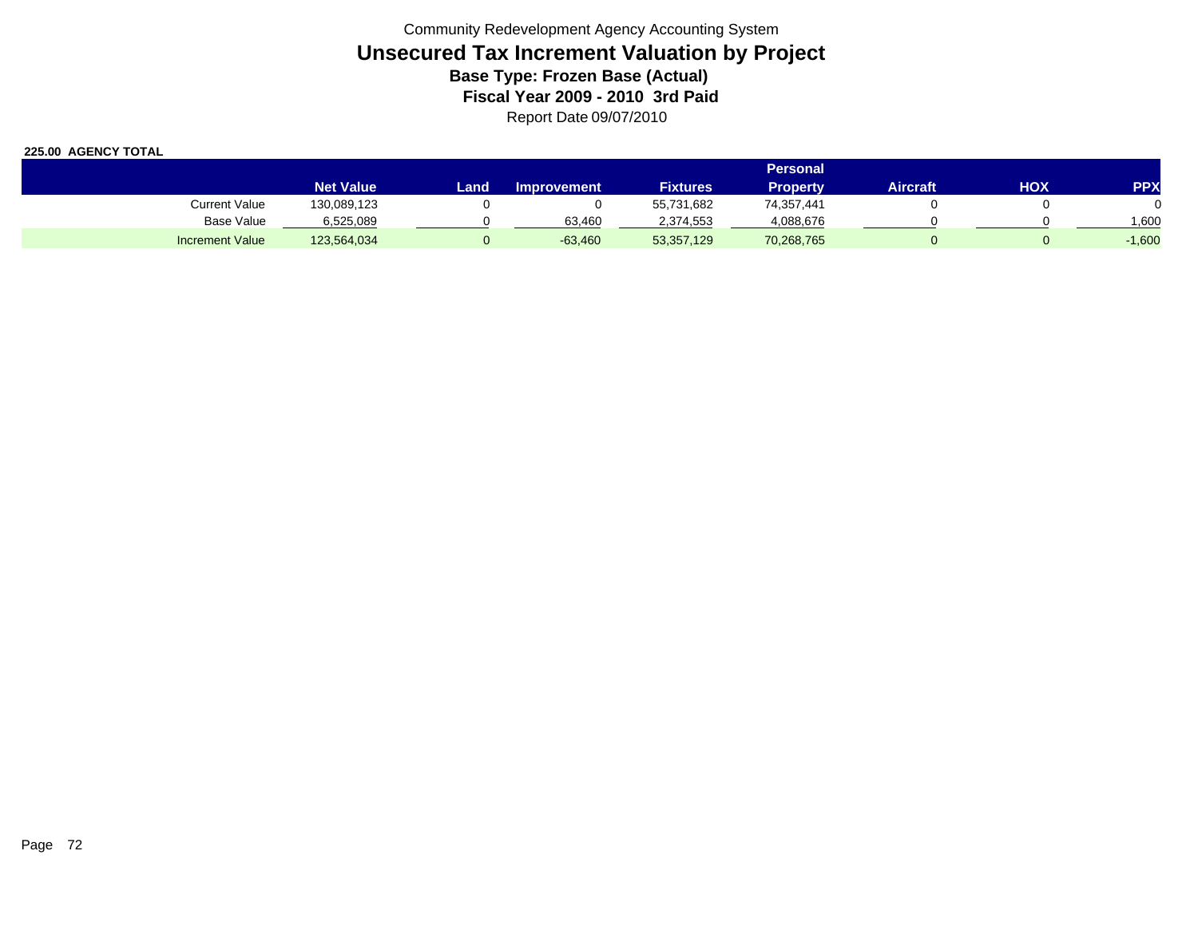|                        |                  | <b>Personal</b> |                    |                 |                 |          |     |          |  |  |  |  |
|------------------------|------------------|-----------------|--------------------|-----------------|-----------------|----------|-----|----------|--|--|--|--|
|                        | <b>Net Value</b> | Land            | <b>Improvement</b> | <b>Fixtures</b> | <b>Property</b> | Aircraft | нох | PPX      |  |  |  |  |
| <b>Current Value</b>   | 130,089,123      |                 |                    | 55,731,682      | 74,357,441      |          |     |          |  |  |  |  |
| Base Value             | 6,525,089        |                 | 63.460             | 2,374,553       | 4,088,676       |          |     | 006,     |  |  |  |  |
| <b>Increment Value</b> | 123,564,034      |                 | $-63,460$          | 53,357,129      | 70,268,765      |          |     | $-1,600$ |  |  |  |  |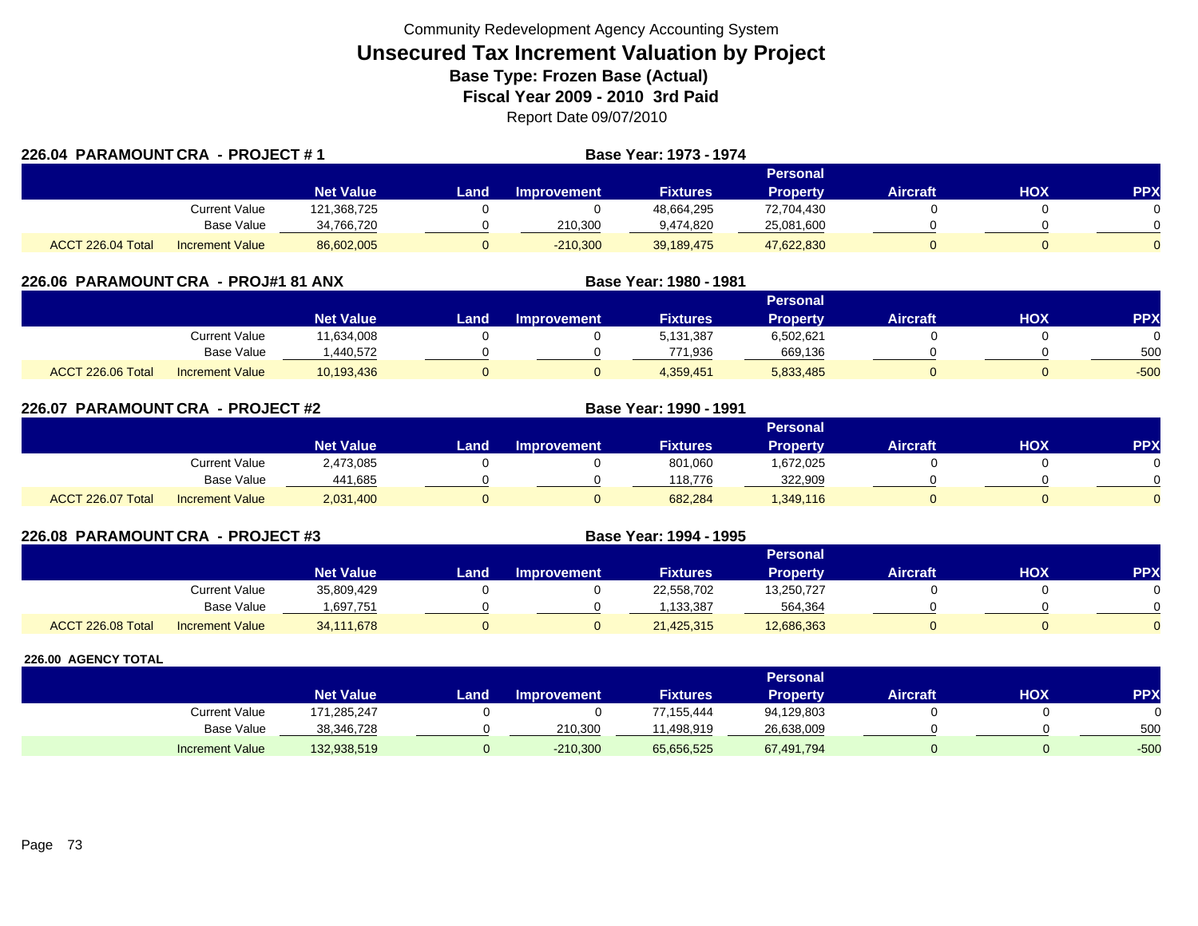|                   | 226.04 PARAMOUNT CRA - PROJECT #1 |                  |      |                    | Base Year: 1973 - 1974 |                 |                 |     |            |
|-------------------|-----------------------------------|------------------|------|--------------------|------------------------|-----------------|-----------------|-----|------------|
|                   |                                   |                  |      |                    |                        | Personal        |                 |     |            |
|                   |                                   | <b>Net Value</b> | Land | <b>Improvement</b> | <b>Fixtures</b>        | <b>Property</b> | <b>Aircraft</b> | HOX | <b>PPX</b> |
|                   | Current Value                     | 121,368,725      |      |                    | 48,664,295             | 72,704,430      |                 |     |            |
|                   | Base Value                        | 34,766,720       |      | 210,300            | 9,474,820              | 25,081,600      |                 |     |            |
| ACCT 226.04 Total | Increment Value                   | 86,602,005       |      | $-210,300$         | 39,189,475             | 47,622,830      |                 |     | $\Omega$   |

| 226.06 PARAMOUNT CRA - PROJ#1 81 ANX |                        |                  |      |                    | Base Year: 1980 - 1981 |                 |                 |     |            |
|--------------------------------------|------------------------|------------------|------|--------------------|------------------------|-----------------|-----------------|-----|------------|
|                                      |                        |                  |      |                    |                        | <b>Personal</b> |                 |     |            |
|                                      |                        | <b>Net Value</b> | Land | <b>Improvement</b> | <b>Fixtures</b>        | <b>Property</b> | <b>Aircraft</b> | HOX | <b>PPX</b> |
|                                      | Current Value          | 11,634,008       |      |                    | 5,131,387              | 6,502,621       |                 |     |            |
|                                      | <b>Base Value</b>      | .440.572         |      |                    | 771.936                | 669,136         |                 |     | 500        |
| ACCT 226.06 Total                    | <b>Increment Value</b> | 10.193.436       |      |                    | 4,359,451              | 5,833,485       | 0               |     | $-500$     |

| 226.07 PARAMOUNT CRA - PROJECT #2 |                        |                  |      |                    | Base Year: 1990 - 1991 |                 |                 |     |            |
|-----------------------------------|------------------------|------------------|------|--------------------|------------------------|-----------------|-----------------|-----|------------|
|                                   |                        |                  |      |                    |                        | Personal        |                 |     |            |
|                                   |                        | <b>Net Value</b> | Land | <b>Improvement</b> | <b>Fixtures</b>        | <b>Property</b> | <b>Aircraft</b> | HOX | <b>PPX</b> |
|                                   | Current Value          | 2,473,085        |      |                    | 801,060                | 1,672,025       |                 |     |            |
|                                   | Base Value             | 441,685          |      |                    | 118.776                | 322,909         |                 |     | $\Omega$   |
| ACCT 226.07 Total                 | <b>Increment Value</b> | 2,031,400        |      |                    | 682,284                | 1,349,116       |                 |     | 0          |

| 226.08 PARAMOUNT CRA - PROJECT #3 |                        |                  | Base Year: 1994 - 1995 |                    |                 |                 |                 |            |            |
|-----------------------------------|------------------------|------------------|------------------------|--------------------|-----------------|-----------------|-----------------|------------|------------|
|                                   |                        |                  |                        |                    |                 | <b>Personal</b> |                 |            |            |
|                                   |                        | <b>Net Value</b> | Land                   | <b>Improvement</b> | <b>Fixtures</b> | <b>Property</b> | <b>Aircraft</b> | <b>HOX</b> | <b>PPX</b> |
|                                   | Current Value          | 35,809,429       |                        |                    | 22,558,702      | 13,250,727      |                 |            |            |
|                                   | Base Value             | .697,751         |                        |                    | 1.133.387       | 564,364         |                 |            |            |
| ACCT 226.08 Total                 | <b>Increment Value</b> | 34,111,678       | O                      |                    | 21,425,315      | 12,686,363      |                 |            |            |

|                        |                  |       |                    |                 | Personal   |          |     |        |
|------------------------|------------------|-------|--------------------|-----------------|------------|----------|-----|--------|
|                        | <b>Net Value</b> | Landı | <b>Improvement</b> | <b>Fixtures</b> | Property   | Aircraft | нох | PPX    |
| <b>Current Value</b>   | 171,285,247      |       |                    | 77,155,444      | 94,129,803 |          |     | 0      |
| <b>Base Value</b>      | 38,346,728       |       | 210.300            | .498.919        | 26,638,009 |          |     | 500    |
| <b>Increment Value</b> | 132,938,519      |       | $-210,300$         | 65,656,525      | 67,491,794 |          |     | $-500$ |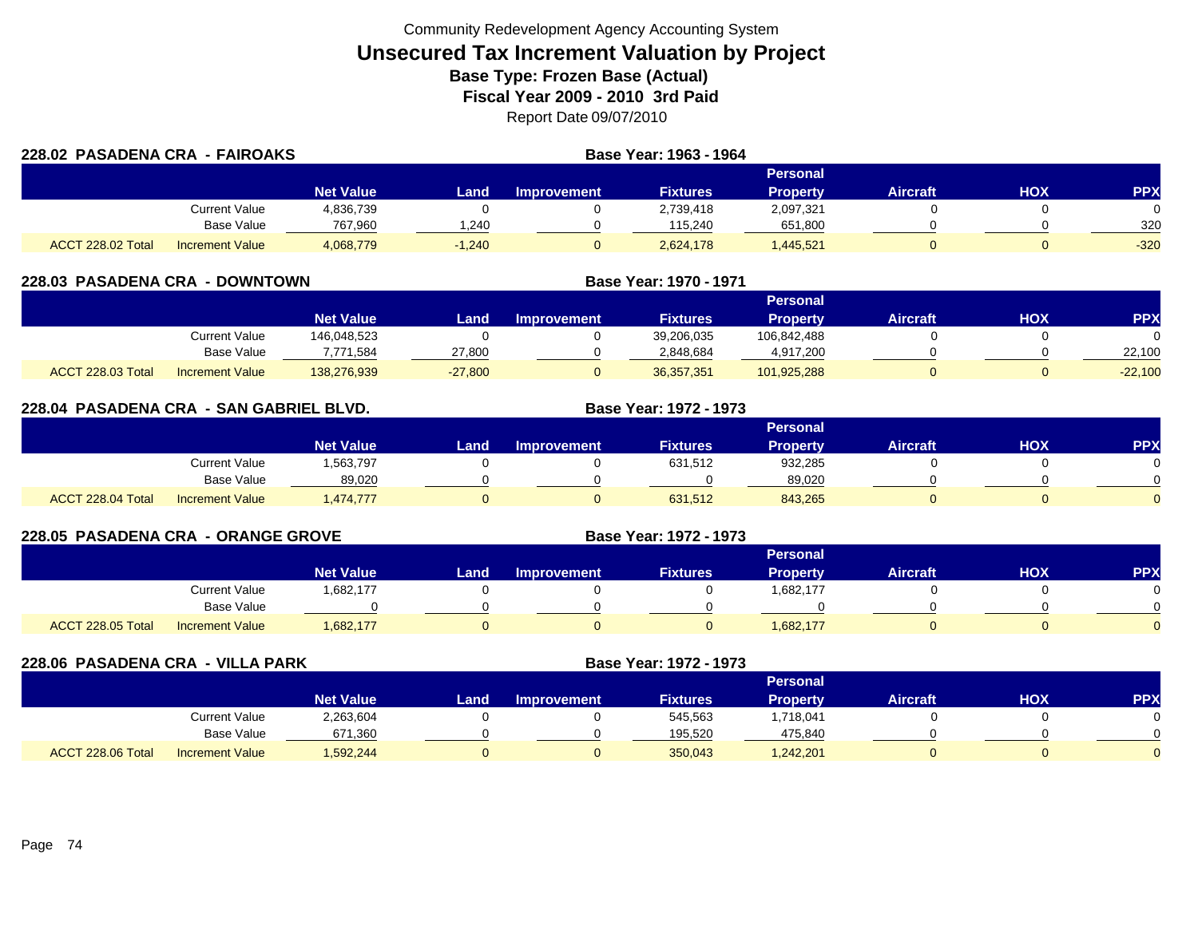| 228.02 PASADENA CRA - FAIROAKS |                        |                  |          | Base Year: 1963 - 1964 |                 |                 |          |     |        |
|--------------------------------|------------------------|------------------|----------|------------------------|-----------------|-----------------|----------|-----|--------|
|                                |                        |                  |          |                        |                 | Personal        |          |     |        |
|                                |                        | <b>Net Value</b> | Land     | <b>Improvement</b>     | <b>Fixtures</b> | <b>Property</b> | Aircraft | HOX | PPX    |
|                                | Current Value          | 4,836,739        |          |                        | 2,739,418       | 2,097,321       |          |     |        |
|                                | <b>Base Value</b>      | 767,960          | 1.240    |                        | 115.240         | 651,800         |          |     | 320    |
| <b>ACCT 228.02 Total</b>       | <b>Increment Value</b> | 4,068,779        | $-1,240$ |                        | 2,624,178       | ,445,521        |          |     | $-320$ |

| <b>228.03 PASADENA CRA</b><br>- DOWNTOWN |                        |                  |           |                    | Base Year: 1970 - 1971 |                 |                 |     |            |
|------------------------------------------|------------------------|------------------|-----------|--------------------|------------------------|-----------------|-----------------|-----|------------|
|                                          |                        |                  |           |                    |                        | <b>Personal</b> |                 |     |            |
|                                          |                        | <b>Net Value</b> | Land      | <b>Improvement</b> | <b>Fixtures</b>        | <b>Property</b> | <b>Aircraft</b> | нох | <b>PPX</b> |
|                                          | Current Value          | 146.048.523      |           |                    | 39,206,035             | 106.842.488     |                 |     |            |
|                                          | Base Value             | 7,771,584        | 27,800    |                    | 2,848,684              | 4,917,200       |                 |     | 22,100     |
| ACCT 228.03 Total                        | <b>Increment Value</b> | 138,276,939      | $-27,800$ |                    | 36,357,351             | 101,925,288     |                 |     | $-22,100$  |

| 228.04 PASADENA CRA - SAN GABRIEL BLVD. |                        |                  | Base Year: 1972 - 1973 |                    |                 |                 |                 |            |            |
|-----------------------------------------|------------------------|------------------|------------------------|--------------------|-----------------|-----------------|-----------------|------------|------------|
|                                         |                        |                  |                        |                    |                 | <b>Personal</b> |                 |            |            |
|                                         |                        | <b>Net Value</b> | Land                   | <b>Improvement</b> | <b>Fixtures</b> | <b>Property</b> | <b>Aircraft</b> | <b>NOH</b> | <b>PPX</b> |
|                                         | <b>Current Value</b>   | 1,563,797        |                        |                    | 631,512         | 932,285         |                 |            |            |
|                                         | Base Value             | 89,020           |                        |                    |                 | 89.020          |                 |            |            |
| ACCT 228.04 Total                       | <b>Increment Value</b> | ,474,777         |                        |                    | 631,512         | 843,265         |                 |            |            |

| <b>228.05 PASADENA CRA - ORANGE GROVE</b> |                        |                  |      |                    | <b>Base Year: 1972 - 1973</b> |                 |                 |     |           |
|-------------------------------------------|------------------------|------------------|------|--------------------|-------------------------------|-----------------|-----------------|-----|-----------|
|                                           |                        |                  |      |                    |                               | <b>Personal</b> |                 |     |           |
|                                           |                        | <b>Net Value</b> | Land | <b>Improvement</b> | <b>Fixtures</b>               | Property        | <b>Aircraft</b> | нох | <b>PP</b> |
|                                           | <b>Current Value</b>   | 1,682,177        |      |                    |                               | 1,682,177       |                 |     |           |
|                                           | <b>Base Value</b>      |                  |      |                    |                               |                 |                 |     |           |
| ACCT 228.05 Total                         | <b>Increment Value</b> | 1,682,177        |      |                    |                               | 1,682,177       |                 |     |           |

| 228.06 PASADENA CRA - VILLA PARK |                        |                  |      |                    | Base Year: 1972 - 1973 |                 |                 |     |            |
|----------------------------------|------------------------|------------------|------|--------------------|------------------------|-----------------|-----------------|-----|------------|
|                                  |                        |                  |      |                    |                        | Personal        |                 |     |            |
|                                  |                        | <b>Net Value</b> | Land | <b>Improvement</b> | <b>Fixtures</b>        | <b>Property</b> | <b>Aircraft</b> | нох | <b>PPX</b> |
|                                  | Current Value          | 2,263,604        |      |                    | 545,563                | .718,041        |                 |     |            |
|                                  | Base Value             | 671,360          |      |                    | 195,520                | 475,840         |                 |     |            |
| ACCT 228.06 Total                | <b>Increment Value</b> | 1,592,244        |      |                    | 350,043                | 1,242,201       |                 |     |            |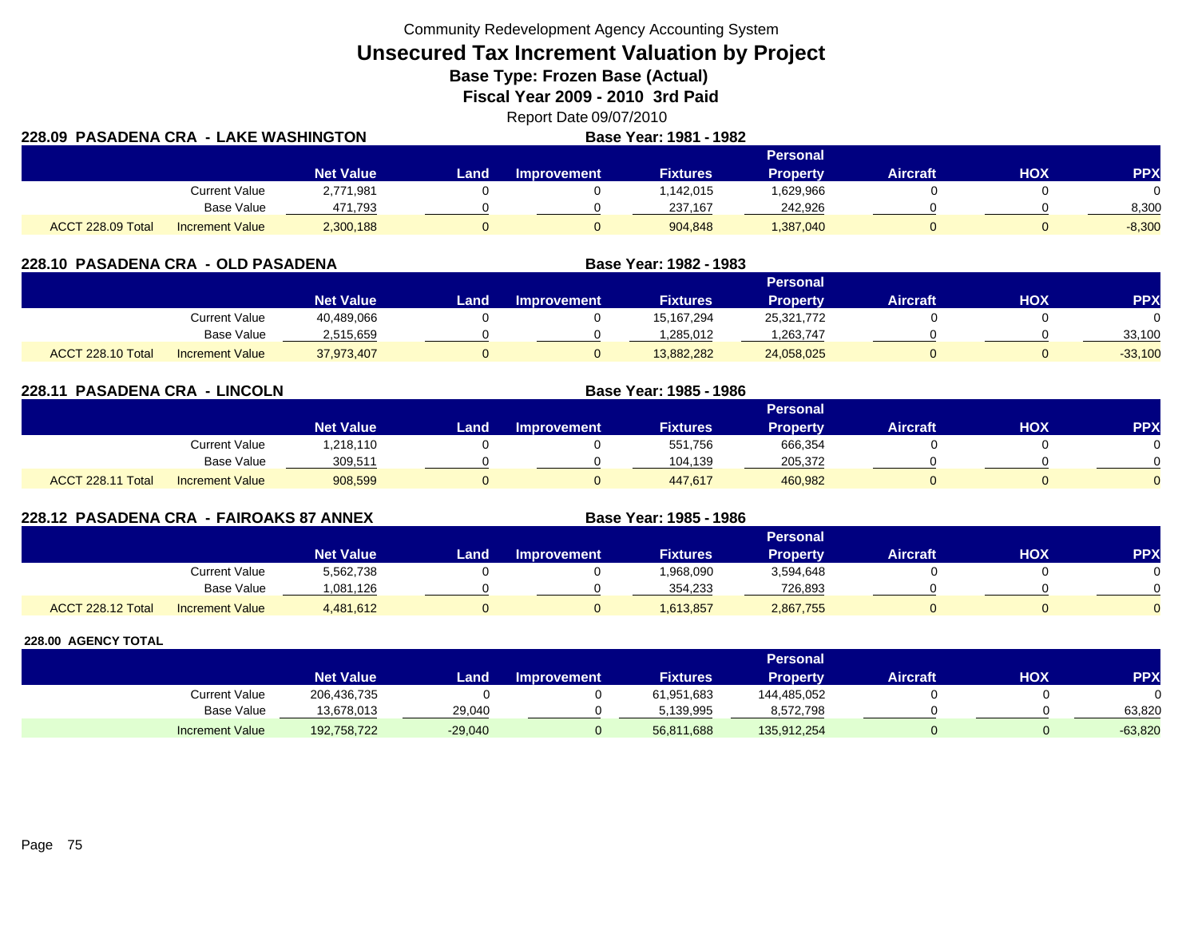Community Redevelopment Agency Accounting System

**Unsecured Tax Increment Valuation by Project**

**Base Type: Frozen Base (Actual)** 

**Fiscal Year 2009 - 2010 3rd Paid**

Report Date 09/07/2010 **LAKE WASHINGTON Base Year: 1981 - 1982**

| 228.09 PASADENA CRA - LAKE WASHINGTON |                        |                  | <b>Base Year: 1981 - 1982</b> |             |                 |                 |                 |     |            |
|---------------------------------------|------------------------|------------------|-------------------------------|-------------|-----------------|-----------------|-----------------|-----|------------|
|                                       |                        |                  |                               |             |                 | <b>Personal</b> |                 |     |            |
|                                       |                        | <b>Net Value</b> | Land.                         | Improvement | <b>Fixtures</b> | <b>Property</b> | <b>Aircraft</b> | нох | <b>PPX</b> |
|                                       | Current Value          | 2,771,981        |                               |             | .142,015        | 1,629,966       |                 |     |            |
|                                       | Base Value             | 471,793          |                               |             | 237,167         | 242,926         |                 |     | 8,300      |
| ACCT 228.09 Total                     | <b>Increment Value</b> | 2,300,188        |                               |             | 904,848         | 1,387,040       |                 |     | $-8,300$   |

| 228.10 PASADENA CRA - OLD PASADENA |                        |                  |      |                    | Base Year: 1982 - 1983 |                 |                 |     |            |
|------------------------------------|------------------------|------------------|------|--------------------|------------------------|-----------------|-----------------|-----|------------|
|                                    |                        |                  |      |                    |                        | <b>Personal</b> |                 |     |            |
|                                    |                        | <b>Net Value</b> | Land | <b>Improvement</b> | <b>Fixtures</b>        | <b>Property</b> | <b>Aircraft</b> | ΗΟΧ | <b>PPX</b> |
|                                    | Current Value          | 40,489,066       |      |                    | 15.167.294             | 25,321,772      |                 |     |            |
|                                    | Base Value             | 2,515,659        |      |                    | 1,285,012              | .263,747        |                 |     | 33,100     |
| ACCT 228.10 Total                  | <b>Increment Value</b> | 37,973,407       |      |                    | 13,882,282             | 24,058,025      |                 |     | $-33,100$  |

**228.11 PASADENA CRA - LINCOLN Base Year: 1985 - 1986 Personal Net Value Land Improvement Fixtures Property Aircraft HOX PPX** Current Value 1,218,110 0 0 551,756 666,354 0 0 Base Value 309,511 0 0 104,139 205,372 0 0 ACCT 228.11 TotalI Increment Value 908,599 0 447,617 460,982 0 0

**228.12 PASADENA CRA - FAIROAKS 87 ANNEX Base Year: 1985 - 1986 Personal Net Value Land Improvement Fixtures Property Aircraft HOX PPX** Current Value 5,562,738 0 0 1,968,090 3,594,648 0 0 Base Value 1,081,126 0 0 354,233 726,893 0 0 0 ACCT 228.12 TotalI Increment Value 4,481,612 0 1,613,857 2,867,755 0 0

|                        |                  |               |                    |                 | <b>Personal</b> |                 |            |            |
|------------------------|------------------|---------------|--------------------|-----------------|-----------------|-----------------|------------|------------|
|                        | <b>Net Value</b> | Land <b>I</b> | <b>Improvement</b> | <b>Fixtures</b> | Property        | <b>Aircraft</b> | <b>HOX</b> | <b>PPY</b> |
| Current Value          | 206,436,735      |               |                    | 61,951,683      | 144,485,052     |                 |            |            |
| <b>Base Value</b>      | 13,678,013       | 29,040        |                    | 5,139,995       | 8,572,798       |                 |            | 63,820     |
| <b>Increment Value</b> | 192,758,722      | $-29,040$     |                    | 56,811,688      | 135,912,254     |                 |            | $-63,820$  |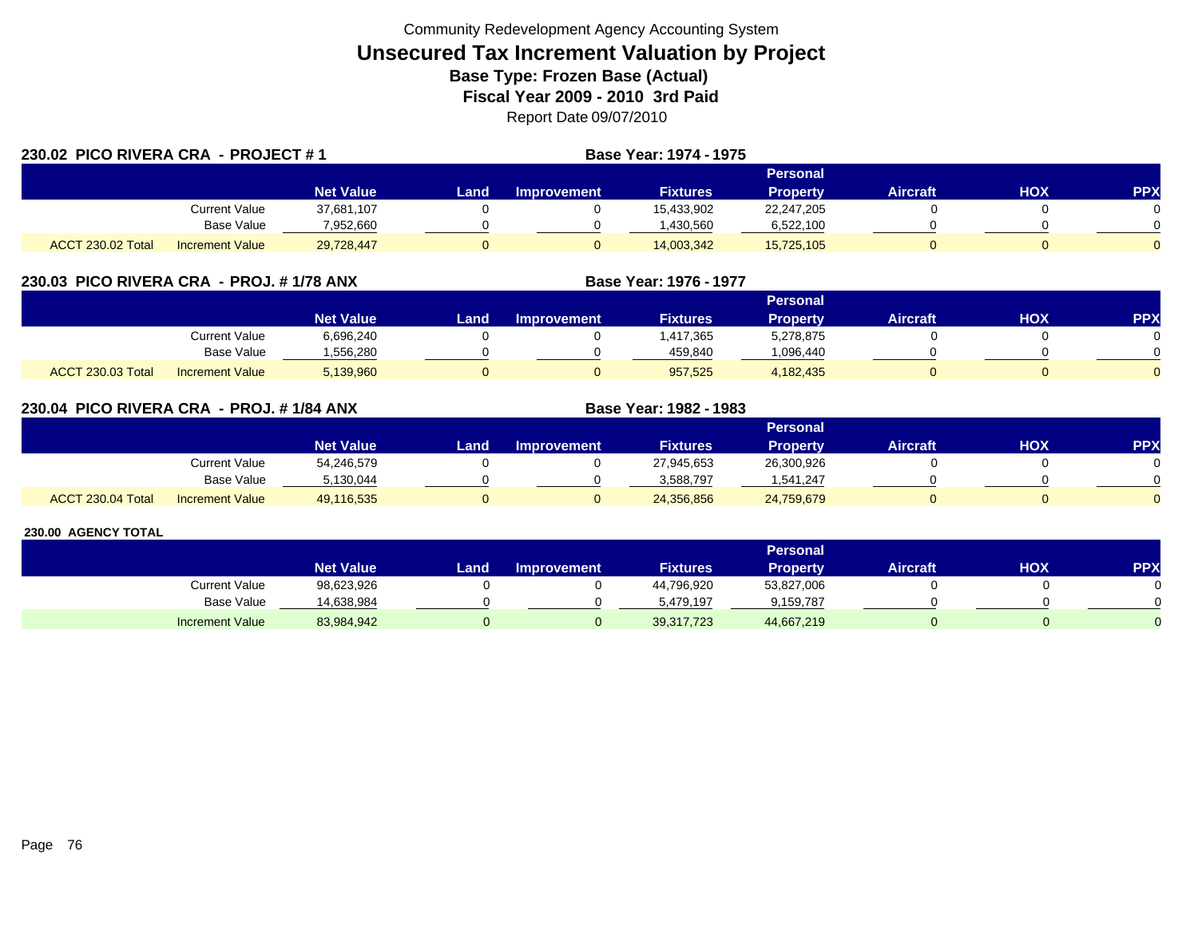| 230.02 PICO RIVERA CRA - PROJECT #1 |                        |                  |      |                    | Base Year: 1974 - 1975 |                 |                 |            |                |
|-------------------------------------|------------------------|------------------|------|--------------------|------------------------|-----------------|-----------------|------------|----------------|
|                                     |                        |                  |      |                    |                        | <b>Personal</b> |                 |            |                |
|                                     |                        | <b>Net Value</b> | Land | <b>Improvement</b> | <b>Fixtures</b>        | <b>Property</b> | <b>Aircraft</b> | <b>HOX</b> | <b>PPX</b>     |
|                                     | Current Value          | 37,681,107       |      |                    | 15,433,902             | 22,247,205      |                 |            | 0              |
|                                     | Base Value             | 7,952,660        |      |                    | .430.560               | 6,522,100       |                 |            | $\Omega$       |
| ACCT 230.02 Total                   | <b>Increment Value</b> | 29,728,447       |      |                    | 14,003,342             | 15,725,105      |                 |            | $\overline{0}$ |

## **230.03 PICO RIVERA CRA - PROJ. # 1/78 ANX**

|                          |                        |                  |      |                    |                 | Personal        |                 |     |     |
|--------------------------|------------------------|------------------|------|--------------------|-----------------|-----------------|-----------------|-----|-----|
|                          |                        | <b>Net Value</b> | Land | <b>Improvement</b> | <b>Fixtures</b> | <b>Property</b> | <b>Aircraft</b> | нох | PPX |
|                          | Current Value          | 6,696,240        |      |                    | .417,365        | 5,278,875       |                 |     |     |
|                          | <b>Base Value</b>      | .556.280         |      |                    | 459.840         | 096,440.ا       |                 |     |     |
| <b>ACCT 230.03 Total</b> | <b>Increment Value</b> | 5,139,960        |      |                    | 957,525         | 4,182,435       |                 |     |     |

**Base Year: 1976 - 1977**

**Base Year: 1982 - 1983**

## **230.04 PICO RIVERA CRA - PROJ. # 1/84 ANX**

|                   |                        |                  |      |                    |                 | Personal   |                 |            |              |
|-------------------|------------------------|------------------|------|--------------------|-----------------|------------|-----------------|------------|--------------|
|                   |                        | <b>Net Value</b> | Land | <b>Improvement</b> | <b>Fixtures</b> | Property   | <b>Aircraft</b> | <b>HOX</b> | PPX          |
|                   | <b>Current Value</b>   | 54,246,579       |      |                    | 27,945,653      | 26,300,926 |                 |            | 0            |
|                   | <b>Base Value</b>      | 5.130.044        |      |                    | 3,588,797       | 1.541.247  |                 |            | <sup>n</sup> |
| ACCT 230.04 Total | <b>Increment Value</b> | 49,116,535       |      |                    | 24,356,856      | 24,759,679 |                 |            | $\Omega$     |

|                        |                  |      |                    |                 | Personal   |                 |     |            |
|------------------------|------------------|------|--------------------|-----------------|------------|-----------------|-----|------------|
|                        | <b>Net Value</b> | Land | <b>Improvement</b> | <b>Fixtures</b> | Property   | <b>Aircraft</b> | HOX | <b>PPX</b> |
| Current Value          | 98,623,926       |      |                    | 44,796,920      | 53,827,006 |                 |     |            |
| <b>Base Value</b>      | 14,638,984       |      |                    | 5.479.197       | 9,159,787  |                 |     |            |
| <b>Increment Value</b> | 83,984,942       |      |                    | 39,317,723      | 44,667,219 |                 |     |            |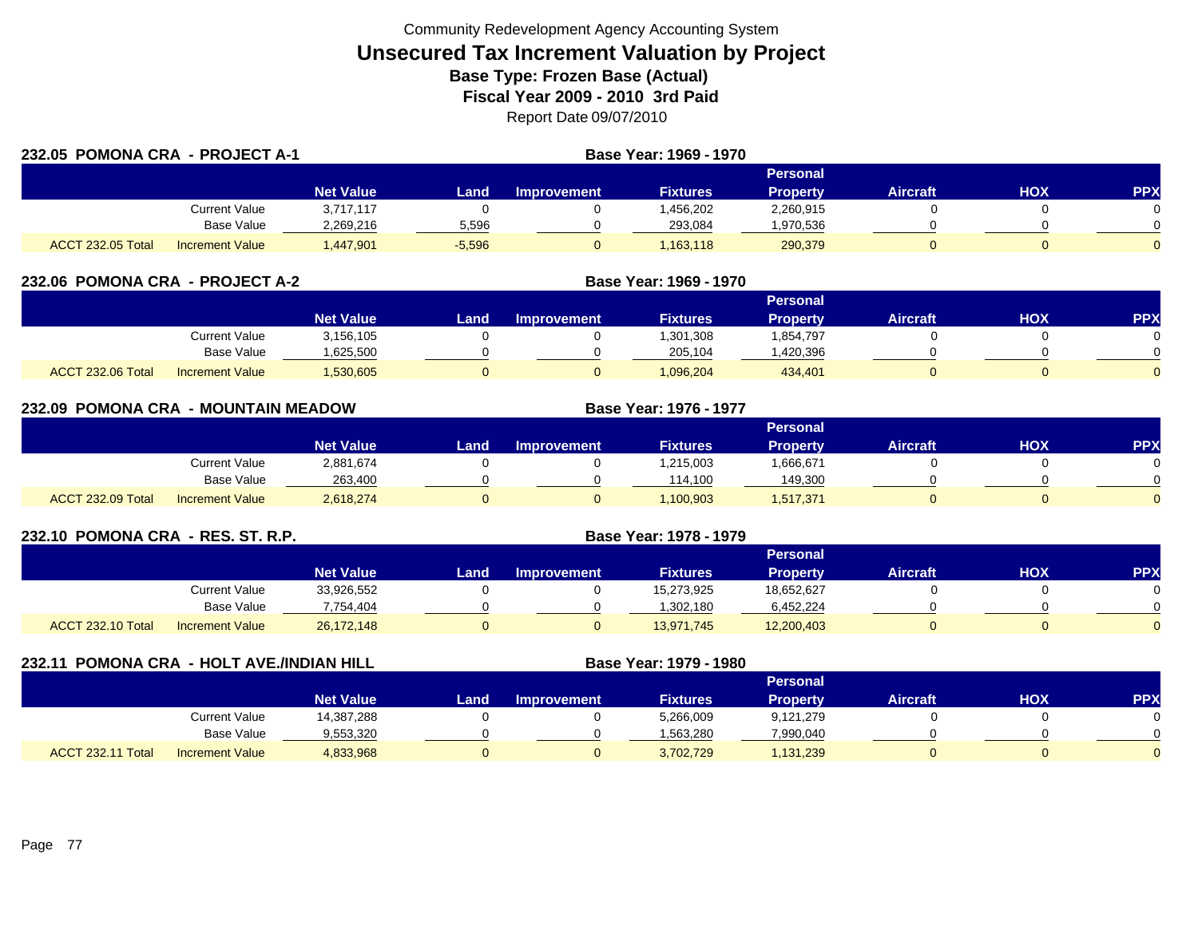| 232.05 POMONA CRA - PROJECT A-1 |                        |                  |          | Base Year: 1969 - 1970 |                 |                 |                 |     |            |  |  |
|---------------------------------|------------------------|------------------|----------|------------------------|-----------------|-----------------|-----------------|-----|------------|--|--|
|                                 |                        |                  |          | Personal               |                 |                 |                 |     |            |  |  |
|                                 |                        | <b>Net Value</b> | Land     | <b>Improvement</b>     | <b>Fixtures</b> | <b>Property</b> | <b>Aircraft</b> | HOX | <b>PPX</b> |  |  |
|                                 | Current Value          | 3.717.117        |          |                        | .456.202        | 2,260,915       |                 |     |            |  |  |
|                                 | Base Value             | 2.269.216        | 5,596    |                        | 293.084         | .970,536        |                 |     |            |  |  |
| <b>ACCT 232.05 Total</b>        | <b>Increment Value</b> | A47,901          | $-5,596$ | O                      | 1,163,118       | 290,379         |                 |     | $\Omega$   |  |  |

| 232.06 POMONA CRA - PROJECT A-2 |                        |                  |      |                    |                 |                 |                 |     |     |
|---------------------------------|------------------------|------------------|------|--------------------|-----------------|-----------------|-----------------|-----|-----|
|                                 |                        |                  |      |                    |                 | <b>Personal</b> |                 |     |     |
|                                 |                        | <b>Net Value</b> | Land | <b>Improvement</b> | <b>Fixtures</b> | Property        | <b>Aircraft</b> | нох | PPX |
|                                 | Current Value          | 3,156,105        |      |                    | 1,301,308       | 1,854,797       |                 |     |     |
|                                 | <b>Base Value</b>      | .625,500         |      |                    | 205.104         | ,420,396        |                 |     |     |
| <b>ACCT 232.06 Total</b>        | <b>Increment Value</b> | .530,605         |      | 0                  | 1.096.204       | 434.401         |                 |     |     |

| 232.09 POMONA CRA - MOUNTAIN MEADOW |                        |                  |      |                    | Base Year: 1976 - 1977 |                 |                 |            |            |
|-------------------------------------|------------------------|------------------|------|--------------------|------------------------|-----------------|-----------------|------------|------------|
|                                     |                        |                  |      |                    |                        | Personal        |                 |            |            |
|                                     |                        | <b>Net Value</b> | Land | <b>Improvement</b> | <b>Fixtures</b>        | <b>Property</b> | <b>Aircraft</b> | <b>HOX</b> | <b>PPX</b> |
|                                     | Current Value          | 2,881,674        |      |                    | 1,215,003              | 666,671.ا       |                 |            |            |
|                                     | <b>Base Value</b>      | 263,400          |      |                    | 114.100                | 149,300         |                 |            |            |
| ACCT 232.09 Total                   | <b>Increment Value</b> | 2,618,274        |      | U                  | 1,100,903              | 1,517,371       |                 |            |            |

| 232.10 POMONA CRA - RES. ST. R.P. |                        |                  |      |                    |                 |                 |                 |            |            |
|-----------------------------------|------------------------|------------------|------|--------------------|-----------------|-----------------|-----------------|------------|------------|
|                                   |                        |                  |      |                    |                 | <b>Personal</b> |                 |            |            |
|                                   |                        | <b>Net Value</b> | Land | <b>Improvement</b> | <b>Fixtures</b> | <b>Property</b> | <b>Aircraft</b> | <b>HOX</b> | <b>PPX</b> |
|                                   | <b>Current Value</b>   | 33,926,552       |      |                    | 15,273,925      | 18,652,627      |                 |            |            |
|                                   | Base Value             | 7,754,404        |      |                    | 1,302,180       | 6,452,224       |                 |            |            |
| <b>ACCT 232.10 Total</b>          | <b>Increment Value</b> | 26,172,148       |      |                    | 13,971,745      | 12,200,403      | 0               |            |            |

| 232.11 POMONA CRA - HOLT AVE./INDIAN HILL |                        |                  |      |                    | Base Year: 1979 - 1980 |                 |                 |     |            |
|-------------------------------------------|------------------------|------------------|------|--------------------|------------------------|-----------------|-----------------|-----|------------|
|                                           |                        |                  |      |                    |                        | <b>Personal</b> |                 |     |            |
|                                           |                        | <b>Net Value</b> | Land | <b>Improvement</b> | <b>Fixtures</b>        | <b>Property</b> | <b>Aircraft</b> | нох | <b>PPX</b> |
|                                           | <b>Current Value</b>   | 14,387,288       |      |                    | 5,266,009              | 9,121,279       |                 |     |            |
|                                           | Base Value             | 9,553,320        |      |                    | 1,563,280              | 7,990,040       |                 |     |            |
| ACCT 232.11 Total                         | <b>Increment Value</b> | 4,833,968        |      |                    | 3,702,729              | 1,131,239       |                 |     |            |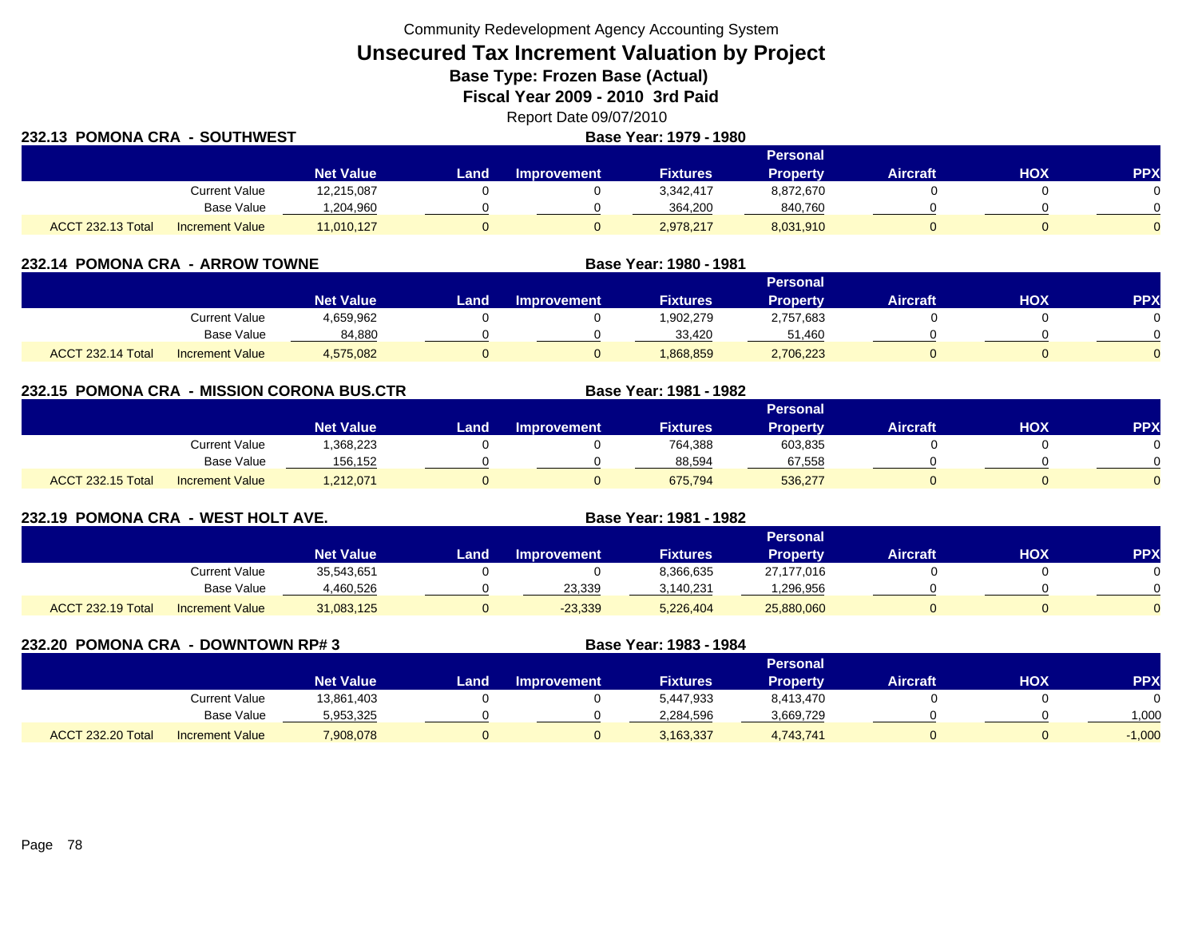Community Redevelopment Agency Accounting System

**Unsecured Tax Increment Valuation by Project**

**Base Type: Frozen Base (Actual)** 

**Fiscal Year 2009 - 2010 3rd Paid**

Report Date 09/07/2010

| 232.13 POMONA CRA - SOUTHWEST |                        |                  | Base Year: 1979 - 1980 |                    |                 |                 |                 |     |            |  |
|-------------------------------|------------------------|------------------|------------------------|--------------------|-----------------|-----------------|-----------------|-----|------------|--|
|                               |                        |                  |                        |                    |                 | <b>Personal</b> |                 |     |            |  |
|                               |                        | <b>Net Value</b> | Land                   | <b>Improvement</b> | <b>Fixtures</b> | <b>Property</b> | <b>Aircraft</b> | нох | <b>PPX</b> |  |
|                               | <b>Current Value</b>   | 12,215,087       |                        |                    | 3.342.417       | 8.872.670       |                 |     |            |  |
|                               | Base Value             | ,204,960         |                        |                    | 364.200         | 840,760         |                 |     |            |  |
| <b>ACCT 232.13 Total</b>      | <b>Increment Value</b> | 11,010,127       |                        |                    | 2,978,217       | 8,031,910       |                 |     |            |  |

| 232.14 POMONA CRA - ARROW TOWNE |                        |                  |      |                    | Base Year: 1980 - 1981 |                 |                 |     |           |
|---------------------------------|------------------------|------------------|------|--------------------|------------------------|-----------------|-----------------|-----|-----------|
|                                 |                        |                  |      |                    |                        | <b>Personal</b> |                 |     |           |
|                                 |                        | <b>Net Value</b> | Land | <b>Improvement</b> | <b>Fixtures</b>        | Property        | <b>Aircraft</b> | нох | <b>PP</b> |
|                                 | Current Value          | 4,659,962        |      |                    | 902,279.               | 2,757,683       |                 |     |           |
|                                 | <b>Base Value</b>      | 84,880           |      |                    | 33.420                 | 51.460          |                 |     |           |
| ACCT 232.14 Total               | <b>Increment Value</b> | 4,575,082        |      |                    | 868,859                | 2,706,223       |                 |     |           |

#### **232.15 POMONA CRA - MISSION CORONA BUS.CTR Base Year: 1981 - 1982 Personal Net Value Land Improvement Fixtures Property Aircraft HOX PPX** Current Value 1,368,223 0 0 764,388 603,835 0 0 0 Base Value 156,152 0 0 88,594 67,558 0 0 ACCT 232.15 TotalI Increment Value 1,212,071 0 0 675,794 536,277 0 0

| 232.19 POMONA CRA - WEST HOLT AVE. |                        |                  |      |                    | Base Year: 1981 - 1982 |                 |                 |            |            |
|------------------------------------|------------------------|------------------|------|--------------------|------------------------|-----------------|-----------------|------------|------------|
|                                    |                        |                  |      |                    |                        | <b>Personal</b> |                 |            |            |
|                                    |                        | <b>Net Value</b> | Land | <b>Improvement</b> | <b>Fixtures</b>        | <b>Property</b> | <b>Aircraft</b> | <b>HOX</b> | <b>PPX</b> |
|                                    | Current Value          | 35,543,651       |      |                    | 8,366,635              | 27.177.016      |                 |            |            |
|                                    | <b>Base Value</b>      | 4,460,526        |      | 23,339             | 3,140,231              | 1,296,956       |                 |            |            |
| <b>ACCT 232.19 Total</b>           | <b>Increment Value</b> | 31,083,125       | U    | $-23,339$          | 5,226,404              | 25,880,060      |                 |            |            |

| 232.20 POMONA CRA - DOWNTOWN RP#3 |                        |                  |      |                    | Base Year: 1983 - 1984 |                 |                 |            |            |
|-----------------------------------|------------------------|------------------|------|--------------------|------------------------|-----------------|-----------------|------------|------------|
|                                   |                        |                  |      |                    |                        | <b>Personal</b> |                 |            |            |
|                                   |                        | <b>Net Value</b> | Land | <b>Improvement</b> | <b>Fixtures</b>        | <b>Property</b> | <b>Aircraft</b> | <b>NOH</b> | <b>PPX</b> |
|                                   | <b>Current Value</b>   | 13,861,403       |      |                    | 5,447,933              | 8,413,470       |                 |            |            |
|                                   | Base Value             | 5,953,325        |      |                    | 2,284,596              | 3,669,729       |                 |            | 1,000      |
| <b>ACCT 232.20 Total</b>          | <b>Increment Value</b> | 7,908,078        | U    | 0                  | 3,163,337              | 4,743,741       |                 |            | $-1,000$   |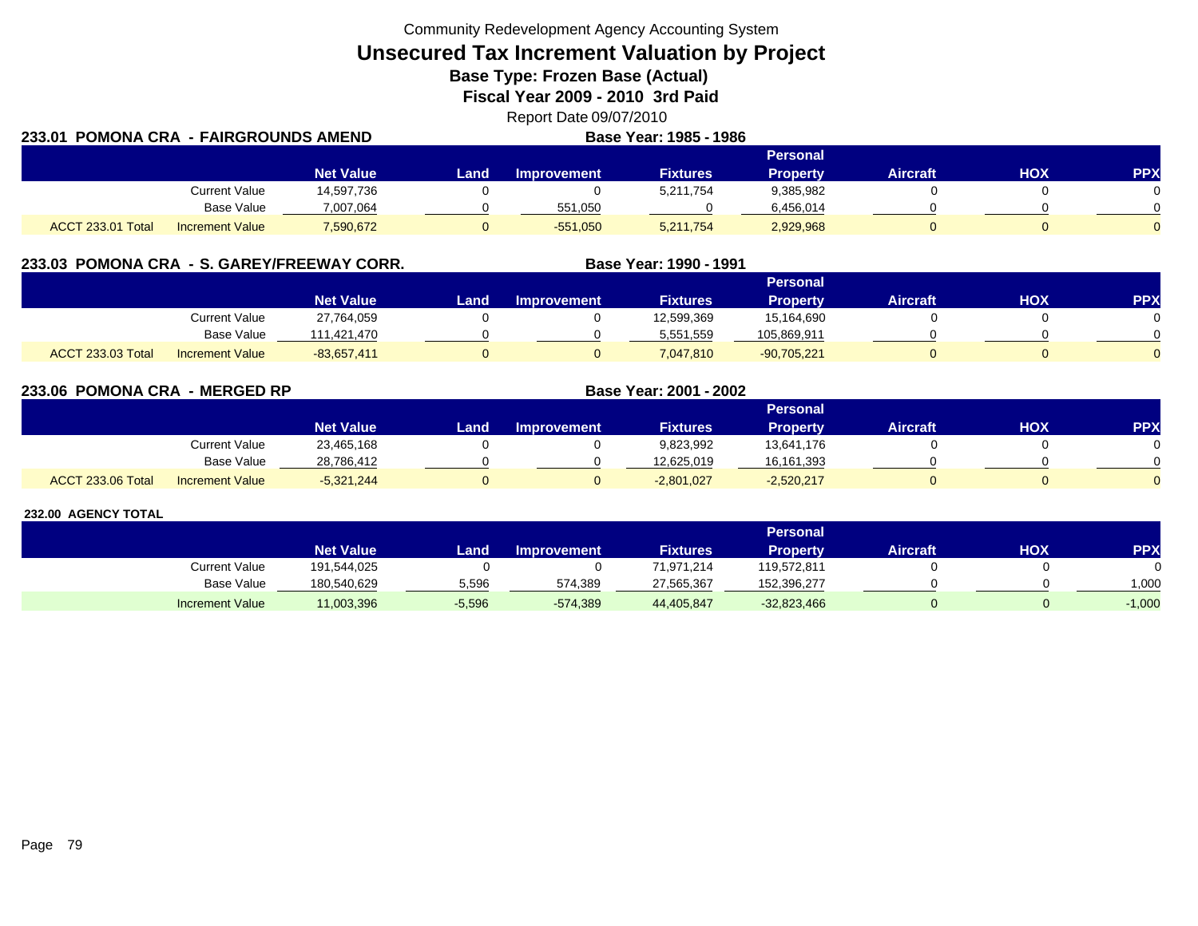Community Redevelopment Agency Accounting System

**Unsecured Tax Increment Valuation by Project**

**Base Type: Frozen Base (Actual)** 

**Fiscal Year 2009 - 2010 3rd Paid**

Report Date 09/07/2010 **POMONA CRA - FAIRGROUNDS AMENDBase Year: 1985 - 1986**

| 233.01                   | POMONA CRA  - FAIRGROUNDS AMEND |                  |       |                    | <b>Base Year: 1985 - 1986</b> |                 |                 |     |     |
|--------------------------|---------------------------------|------------------|-------|--------------------|-------------------------------|-----------------|-----------------|-----|-----|
|                          |                                 |                  |       |                    |                               | <b>Personal</b> |                 |     |     |
|                          |                                 | <b>Net Value</b> | Land. | <b>Improvement</b> | <b>Fixtures</b>               | <b>Property</b> | <b>Aircraft</b> | ΗΟΧ | PPX |
|                          | <b>Current Value</b>            | 14,597,736       |       |                    | 5,211,754                     | 9,385,982       |                 |     |     |
|                          | Base Value                      | 7,007,064        |       | 551,050            |                               | 6,456,014       |                 |     |     |
| <b>ACCT 233.01 Total</b> | <b>Increment Value</b>          | 7,590,672        |       | $-551,050$         | 5,211,754                     | 2,929,968       |                 |     |     |

| 233.03 POMONA CRA - S. GAREY/FREEWAY CORR. |                        |                  |      |                    | Base Year: 1990 - 1991 |                 |                 |     |            |
|--------------------------------------------|------------------------|------------------|------|--------------------|------------------------|-----------------|-----------------|-----|------------|
|                                            |                        |                  |      |                    |                        | <b>Personal</b> |                 |     |            |
|                                            |                        | <b>Net Value</b> | Land | <b>Improvement</b> | <b>Fixtures</b>        | <b>Property</b> | <b>Aircraft</b> | нох | <b>PPX</b> |
|                                            | Current Value          | 27,764,059       |      |                    | 12,599,369             | 15.164.690      |                 |     |            |
|                                            | Base Value             | 111.421.470      |      |                    | 5,551,559              | 105,869,911     |                 |     |            |
| <b>ACCT 233.03 Total</b>                   | <b>Increment Value</b> | $-83.657.411$    |      |                    | 7,047,810              | $-90,705,221$   |                 |     |            |

**233.06 POMONA CRA - MERGED RP Base Year: 2001 - 2002 Personal Net Value Land Improvement Fixtures Property Aircraft HOX PPX** Current Value 23,465,168 0 0 9,823,992 13,641,176 0 0 Base Value 28,786,412 0 0 12,625,019 16,161,393 0 0 ACCT 233.06 Totall Increment Value -5,321,244 0 0 -2,801,027 -2,520,217 0 0 0

|                        |                  |          |                    |                 | <b>Personal</b> |                 |     |            |
|------------------------|------------------|----------|--------------------|-----------------|-----------------|-----------------|-----|------------|
|                        | <b>Net Value</b> | Land     | <b>Improvement</b> | <b>Fixtures</b> | Property        | <b>Aircraft</b> | нох | <b>PPX</b> |
| <b>Current Value</b>   | 191,544,025      |          |                    | 71,971,214      | 119,572,811     |                 |     |            |
| <b>Base Value</b>      | 180.540.629      | 5,596    | 574,389            | 27.565.367      | 152.396.277     |                 |     | 1.000      |
| <b>Increment Value</b> | 11,003,396       | $-5,596$ | $-574,389$         | 44,405,847      | $-32,823,466$   |                 |     | $-1,000$   |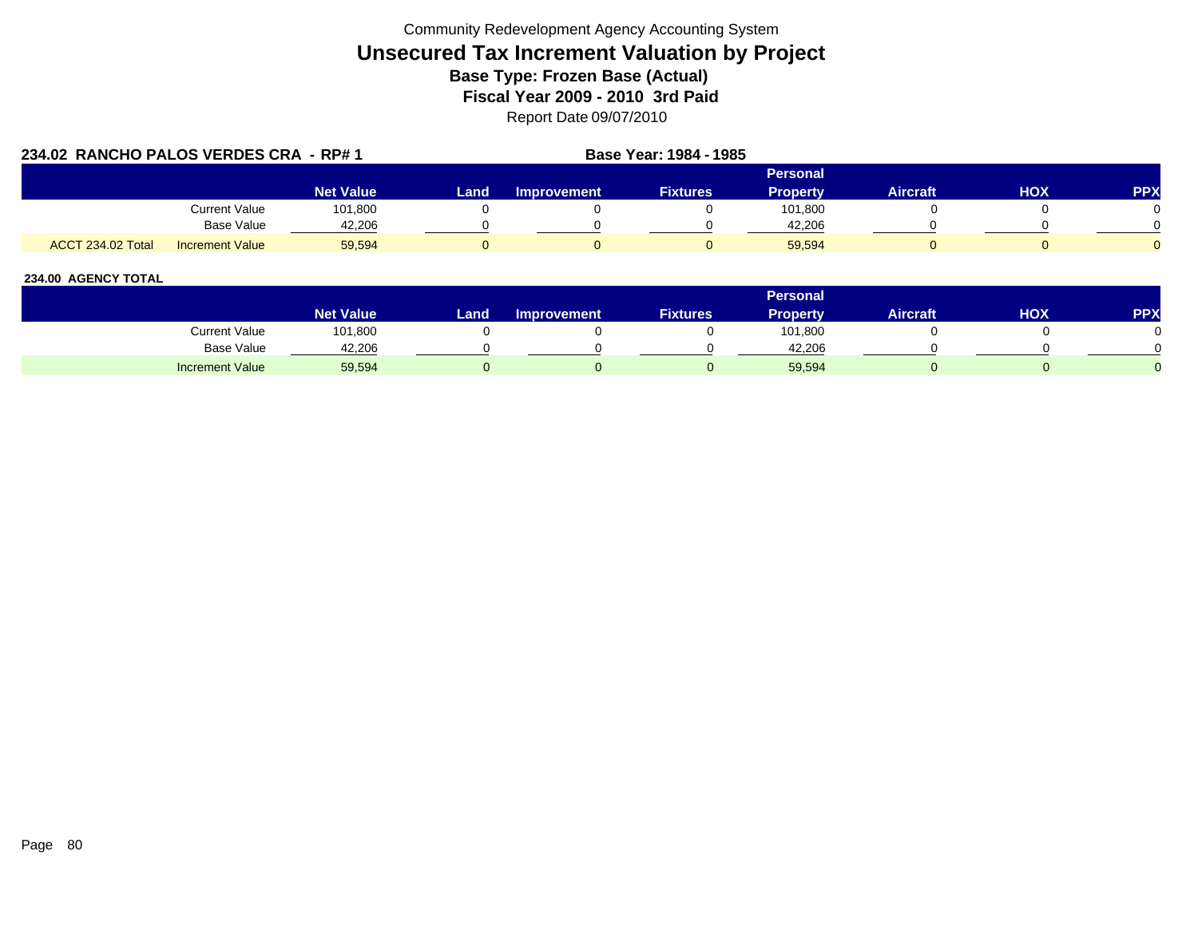| 234.02 RANCHO PALOS VERDES CRA - RP# 1 |                        |                  |      | Base Year: 1984 - 1985 |                 |                 |                 |     |     |  |
|----------------------------------------|------------------------|------------------|------|------------------------|-----------------|-----------------|-----------------|-----|-----|--|
|                                        |                        |                  |      |                        |                 | Personal        |                 |     |     |  |
|                                        |                        | <b>Net Value</b> | Land | <b>Improvement</b>     | <b>Fixtures</b> | <b>Property</b> | <b>Aircraft</b> | нох | PPX |  |
|                                        | Current Value          | 101,800          |      |                        |                 | 101,800         |                 |     |     |  |
|                                        | Base Value             | 42,206           |      |                        |                 | 42,206          |                 |     |     |  |
| ACCT 234.02 Total                      | <b>Increment Value</b> | 59,594           |      |                        |                 | 59,594          |                 |     |     |  |

|                        |                        |                  |                    |                 | <b>Personal</b> |                 |     |            |
|------------------------|------------------------|------------------|--------------------|-----------------|-----------------|-----------------|-----|------------|
|                        | Net Value <sup>1</sup> | Land <b>Land</b> | <b>Improvement</b> | <b>Fixtures</b> | Property        | <b>Aircraft</b> | нох | <b>PPX</b> |
| Current Value          | 101,800                |                  |                    |                 | 101,800         |                 |     |            |
| <b>Base Value</b>      | 42,206                 |                  |                    |                 | 42.206          |                 |     |            |
| <b>Increment Value</b> | 59,594                 |                  |                    |                 | 59,594          |                 |     |            |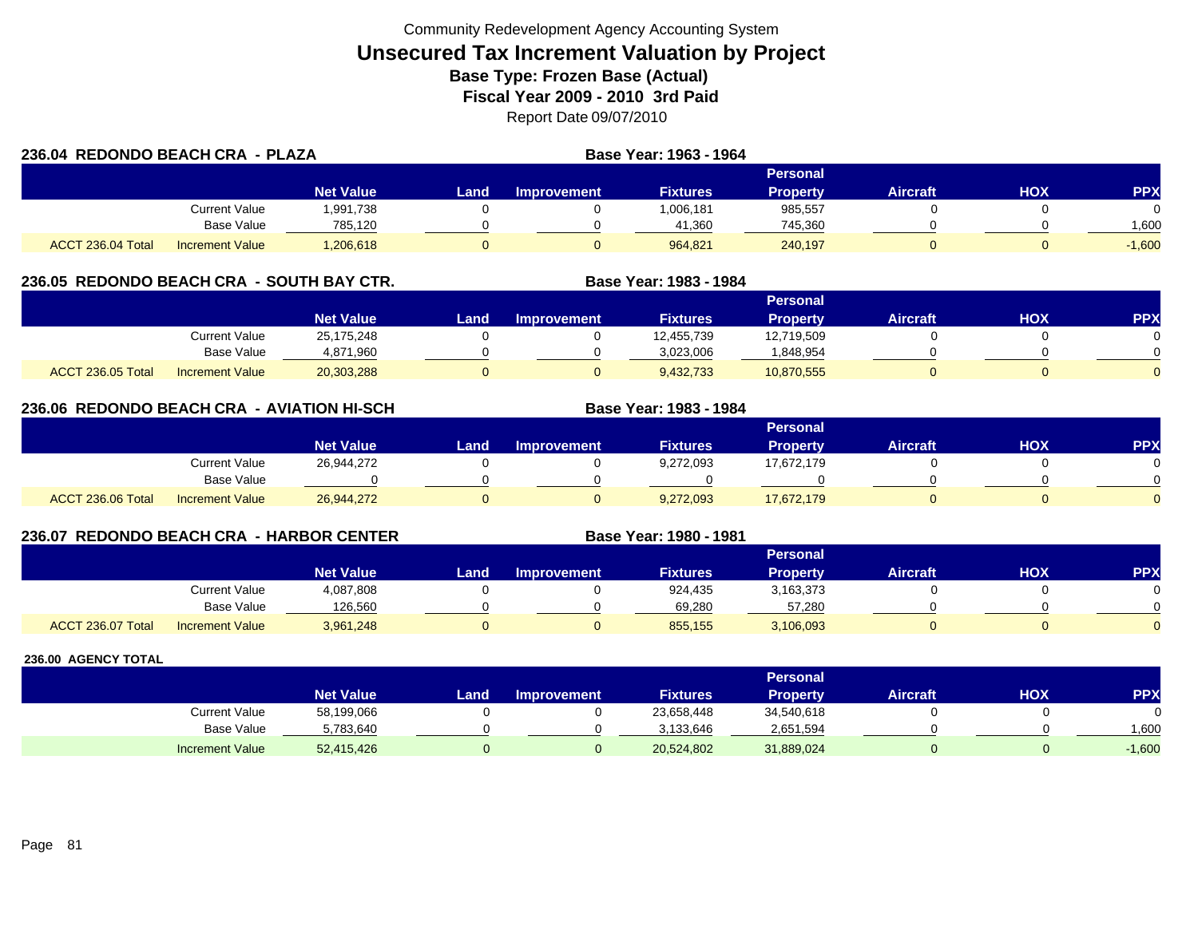| 236.04 REDONDO BEACH CRA - PLAZA |                        |                  |      |             | Base Year: 1963 - 1964 |                 |          |     |            |
|----------------------------------|------------------------|------------------|------|-------------|------------------------|-----------------|----------|-----|------------|
|                                  |                        |                  |      |             |                        | <b>Personal</b> |          |     |            |
|                                  |                        | <b>Net Value</b> | Land | Improvement | <b>Fixtures</b>        | <b>Property</b> | Aircraft | нох | <b>PPX</b> |
|                                  | Current Value          | .991.738         |      |             | 1,006,181              | 985,557         |          |     |            |
|                                  | <b>Base Value</b>      | 785,120          |      |             | 41,360                 | 745,360         |          |     | 1,600      |
| ACCT 236.04 Total                | <b>Increment Value</b> | .206.618         |      |             | 964.821                | 240,197         |          |     | $-1.600$   |

## **236.05 REDONDO BEACH CRA - SOUTH BAY CTR. Base Year: 1983 - 1984**

|                   |                        |                  |      |                    |                 | Personal   |                 |            |           |
|-------------------|------------------------|------------------|------|--------------------|-----------------|------------|-----------------|------------|-----------|
|                   |                        | <b>Net Value</b> | Land | <b>Improvement</b> | <b>Fixtures</b> | Property   | <b>Aircraft</b> | <b>HOX</b> | <b>PP</b> |
|                   | Current Value          | 25,175,248       |      |                    | 12,455,739      | 12,719,509 |                 |            |           |
|                   | <b>Base Value</b>      | 4,871,960        |      |                    | 3,023,006       | .848,954   |                 |            |           |
| ACCT 236.05 Total | <b>Increment Value</b> | 20,303,288       |      |                    | 9,432,733       | 10,870,555 |                 |            |           |

## **236.06 REDONDO BEACH CRA - AVIATION HI-SCH**

|                                             |                  |      |                    |                 | <b>Personal</b> |                 |            |     |
|---------------------------------------------|------------------|------|--------------------|-----------------|-----------------|-----------------|------------|-----|
|                                             | <b>Net Value</b> | Land | <b>Improvement</b> | <b>Fixtures</b> | Property        | <b>Aircraft</b> | <b>HOX</b> | PPX |
| Current Value                               | 26,944,272       |      |                    | 9,272,093       | 17,672,179      |                 |            |     |
| Base Value                                  |                  |      |                    |                 |                 |                 |            |     |
| ACCT 236.06 Total<br><b>Increment Value</b> | 26,944,272       |      |                    | 9,272,093       | 17,672,179      |                 |            |     |

**Base Year: 1983 - 1984**

**Base Year: 1980 - 1981**

## **236.07 REDONDO BEACH CRA - HARBOR CENTER**

|                   |                        |                  |      |                    |                 | Personal  |                 |            |           |
|-------------------|------------------------|------------------|------|--------------------|-----------------|-----------|-----------------|------------|-----------|
|                   |                        | <b>Net Value</b> | Land | <b>Improvement</b> | <b>Fixtures</b> | Property  | <b>Aircraft</b> | <b>HOX</b> | <b>PP</b> |
|                   | Current Value          | 4,087,808        |      |                    | 924.435         | 3,163,373 |                 |            |           |
|                   | <b>Base Value</b>      | 126.560          |      |                    | 69.280          | 57.280    |                 |            |           |
| ACCT 236.07 Total | <b>Increment Value</b> | 3,961,248        |      |                    | 855,155         | 3,106,093 |                 |            |           |

|                        |                  |      |                    |                 | Personal        |          |     |          |
|------------------------|------------------|------|--------------------|-----------------|-----------------|----------|-----|----------|
|                        | <b>Net Value</b> | Land | <b>Improvement</b> | <b>Fixtures</b> | <b>Property</b> | Aircraft | нох | PPX      |
| <b>Current Value</b>   | 58,199,066       |      |                    | 23,658,448      | 34,540,618      |          |     | $\Omega$ |
| <b>Base Value</b>      | 5,783,640        |      |                    | 3.133.646       | 2,651,594       |          |     | 1.600    |
| <b>Increment Value</b> | 52,415,426       |      |                    | 20,524,802      | 31,889,024      |          |     | $-1,600$ |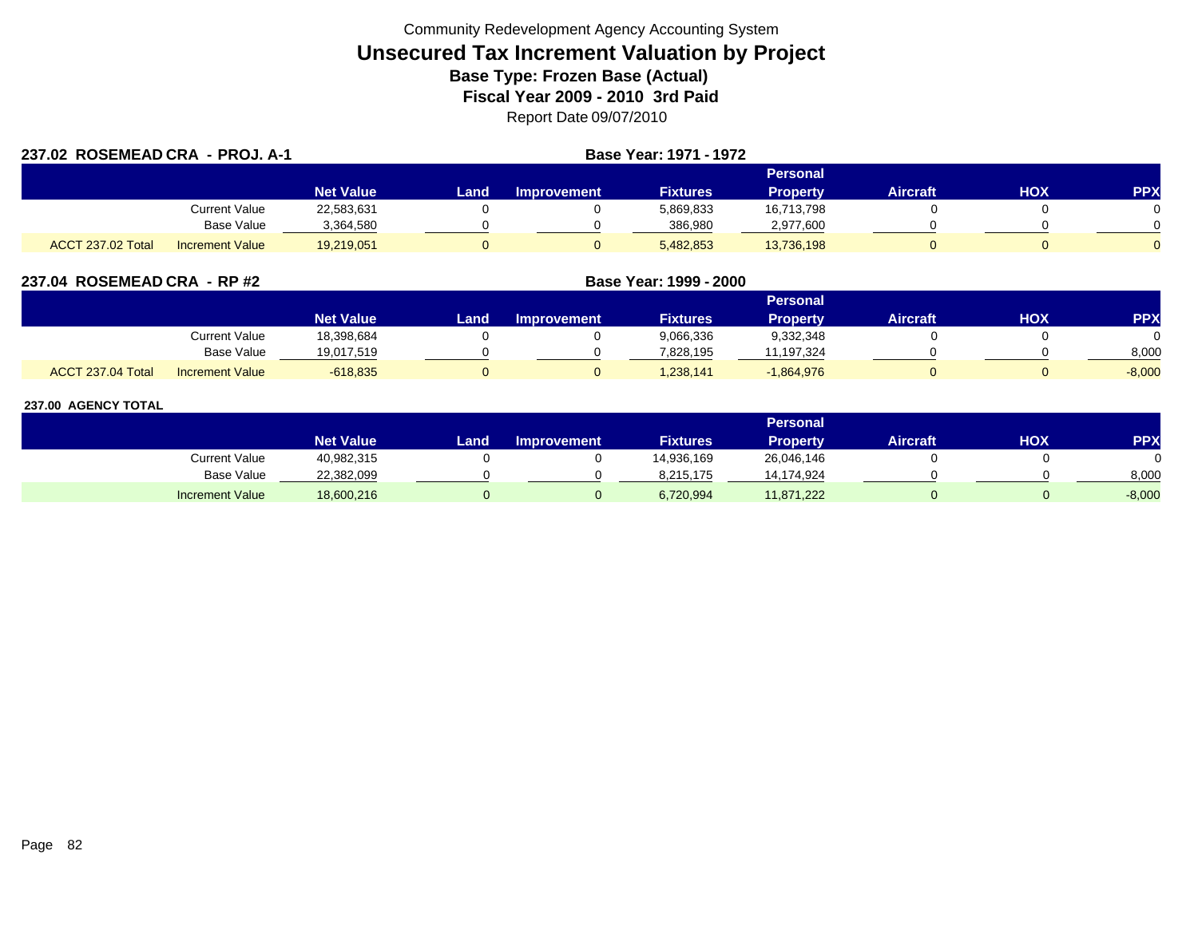| 237.02 ROSEMEAD CRA - PROJ. A-1 |                        |                  |          |                    | Base Year: 1971 - 1972 |                 |                 |     |            |  |
|---------------------------------|------------------------|------------------|----------|--------------------|------------------------|-----------------|-----------------|-----|------------|--|
|                                 |                        |                  | Personal |                    |                        |                 |                 |     |            |  |
|                                 |                        | <b>Net Value</b> | Land     | <b>Improvement</b> | <b>Fixtures</b>        | <b>Property</b> | <b>Aircraft</b> | HOX | <b>PPX</b> |  |
|                                 | <b>Current Value</b>   | 22,583,631       |          |                    | 5,869,833              | 16,713,798      |                 |     |            |  |
|                                 | Base Value             | 3,364,580        |          |                    | 386,980                | 2,977,600       |                 |     |            |  |
| ACCT 237.02 Total               | <b>Increment Value</b> | 19,219,051       |          |                    | 5,482,853              | 13,736,198      |                 |     |            |  |

| 237.04 ROSEMEAD CRA - RP #2 |  |
|-----------------------------|--|
|                             |  |

|                   |                        |                  | Personal |                    |                 |                 |                 |     |            |  |  |  |  |
|-------------------|------------------------|------------------|----------|--------------------|-----------------|-----------------|-----------------|-----|------------|--|--|--|--|
|                   |                        | <b>Net Value</b> | Land,    | <b>Improvement</b> | <b>Fixtures</b> | <b>Property</b> | <b>Aircraft</b> | нох | <b>PPY</b> |  |  |  |  |
|                   | Current Value          | 18,398,684       |          |                    | 9,066,336       | 9,332,348       |                 |     |            |  |  |  |  |
|                   | <b>Base Value</b>      | 19.017.519       |          |                    | 7.828.195       | 11,197,324      |                 |     | 8,000      |  |  |  |  |
| ACCT 237.04 Total | <b>Increment Value</b> | $-618,835$       |          |                    | 1,238,141       | $-1,864,976$    |                 |     | $-8,000$   |  |  |  |  |

**ROSEMEAD CRA - RP #2 Base Year: 1999 - 2000**

|                        |                  |       |                    |                 | Personal        |                 |     |            |
|------------------------|------------------|-------|--------------------|-----------------|-----------------|-----------------|-----|------------|
|                        | <b>Net Value</b> | Land. | <b>Improvement</b> | <b>Fixtures</b> | <b>Property</b> | <b>Aircraft</b> | нох | <b>PPX</b> |
| Current Value          | 40,982,315       |       |                    | 14,936,169      | 26,046,146      |                 |     |            |
| <b>Base Value</b>      | 22,382,099       |       |                    | 8,215,175       | 14,174,924      |                 |     | 8,000      |
| <b>Increment Value</b> | 18,600,216       |       |                    | 6,720,994       | 11,871,222      |                 |     | $-8,000$   |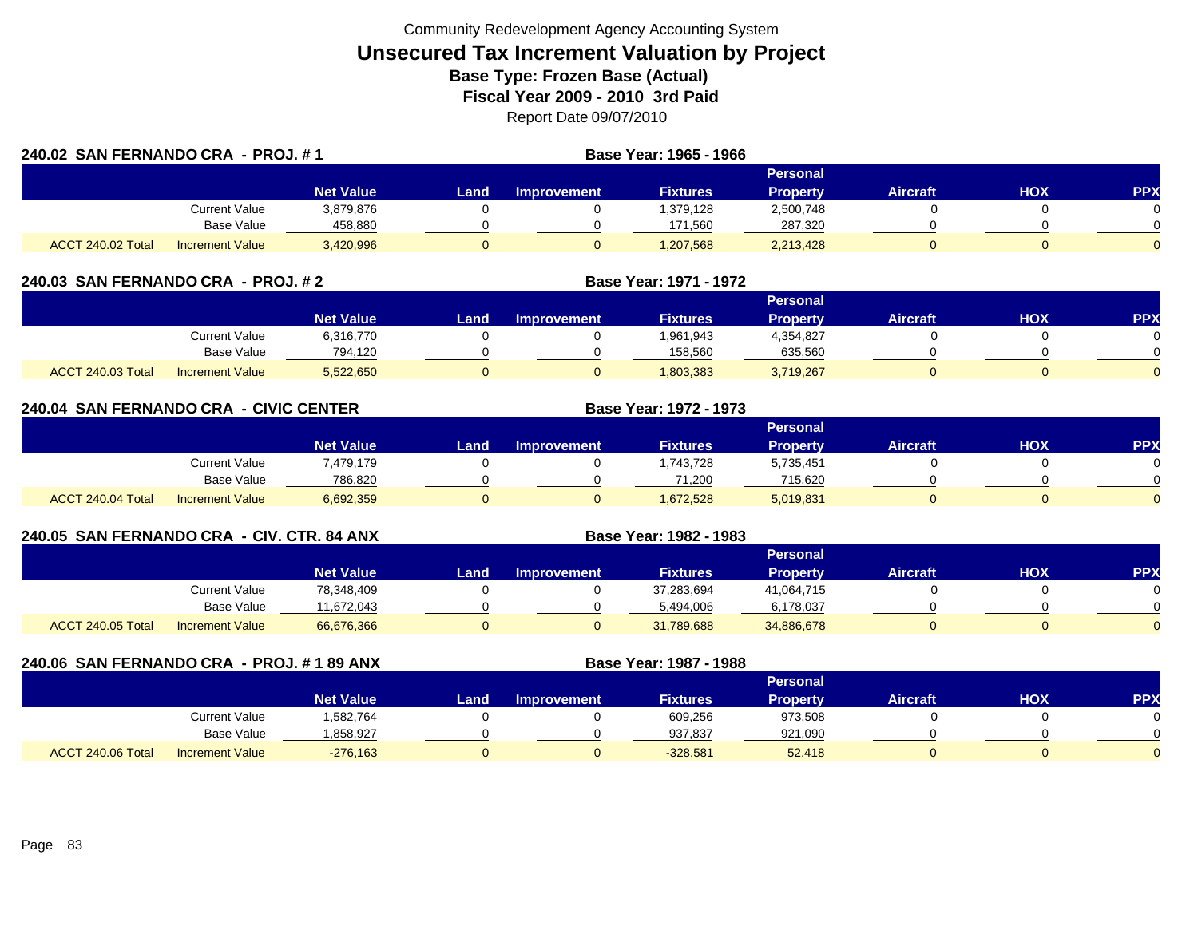|                   | 240.02 SAN FERNANDO CRA - PROJ. #1 |                  |      |                    | Base Year: 1965 - 1966 |                 |                 |            |            |
|-------------------|------------------------------------|------------------|------|--------------------|------------------------|-----------------|-----------------|------------|------------|
|                   |                                    |                  |      |                    |                        | Personal        |                 |            |            |
|                   |                                    | <b>Net Value</b> | Land | <b>Improvement</b> | <b>Fixtures</b>        | <b>Property</b> | <b>Aircraft</b> | <b>HOX</b> | <b>PPX</b> |
|                   | Current Value                      | 3,879,876        |      |                    | 1,379,128              | 2,500,748       |                 |            |            |
|                   | Base Value                         | 458,880          |      |                    | 171,560                | 287,320         |                 |            |            |
| ACCT 240.02 Total | <b>Increment Value</b>             | 3,420,996        |      |                    | 1,207,568              | 2,213,428       |                 |            | 0          |

| 240.03  SAN FERNANDO CRA  - PROJ. # 2 |                        |                  |                 |             | <b>Base Year: 1971 - 1972</b> |           |                 |            |            |  |
|---------------------------------------|------------------------|------------------|-----------------|-------------|-------------------------------|-----------|-----------------|------------|------------|--|
|                                       |                        |                  | <b>Personal</b> |             |                               |           |                 |            |            |  |
|                                       |                        | <b>Net Value</b> | Land            | Improvement | <b>Fixtures</b>               | Property  | <b>Aircraft</b> | <b>XOH</b> | <b>PPX</b> |  |
|                                       | <b>Current Value</b>   | 6,316,770        |                 |             | 1,961,943                     | 4,354,827 |                 |            |            |  |
|                                       | <b>Base Value</b>      | 794.120          |                 |             | 158.560                       | 635,560   |                 |            |            |  |
| ACCT 240.03 Total                     | <b>Increment Value</b> | 5,522,650        |                 |             | 1,803,383                     | 3,719,267 |                 |            |            |  |

| 240.04 SAN FERNANDO CRA - CIVIC CENTER |                        |                  |      |                    | Base Year: 1972 - 1973 |                 |                 |            |            |
|----------------------------------------|------------------------|------------------|------|--------------------|------------------------|-----------------|-----------------|------------|------------|
|                                        |                        |                  |      |                    | <b>Personal</b>        |                 |                 |            |            |
|                                        |                        | <b>Net Value</b> | Land | <b>Improvement</b> | <b>Fixtures</b>        | <b>Property</b> | <b>Aircraft</b> | <b>HOX</b> | <b>PPX</b> |
|                                        | Current Value          | 7,479,179        |      |                    | 1,743,728              | 5,735,451       |                 |            |            |
|                                        | Base Value             | 786,820          |      |                    | 71,200                 | 715,620         |                 |            |            |
| ACCT 240.04 Total                      | <b>Increment Value</b> | 6,692,359        |      |                    | 1,672,528              | 5,019,831       |                 |            |            |

| 240.05 SAN FERNANDO CRA - CIV. CTR. 84 ANX  |                  |                 |                    | <b>Base Year: 1982 - 1983</b> |                 |                 |     |            |  |
|---------------------------------------------|------------------|-----------------|--------------------|-------------------------------|-----------------|-----------------|-----|------------|--|
|                                             |                  | <b>Personal</b> |                    |                               |                 |                 |     |            |  |
|                                             | <b>Net Value</b> | Land            | <b>Improvement</b> | <b>Fixtures</b>               | <b>Property</b> | <b>Aircraft</b> | нох | <b>PPX</b> |  |
| Current Value                               | 78.348.409       |                 |                    | 37,283,694                    | 41,064,715      |                 |     |            |  |
| <b>Base Value</b>                           | 1.672.043        |                 |                    | 5.494.006                     | 6,178,037       |                 |     |            |  |
| ACCT 240.05 Total<br><b>Increment Value</b> | 66,676,366       |                 |                    | 31,789,688                    | 34,886,678      |                 |     |            |  |

| 240.06 SAN FERNANDO CRA - PROJ. # 1 89 ANX |                        |                  |      |                    | Base Year: 1987 - 1988 |                 |                 |            |            |
|--------------------------------------------|------------------------|------------------|------|--------------------|------------------------|-----------------|-----------------|------------|------------|
|                                            |                        |                  |      |                    |                        | <b>Personal</b> |                 |            |            |
|                                            |                        | <b>Net Value</b> | Land | <b>Improvement</b> | <b>Fixtures</b>        | <b>Property</b> | <b>Aircraft</b> | <b>HOX</b> | <b>PPX</b> |
|                                            | Current Value          | 1,582,764        |      |                    | 609,256                | 973,508         |                 |            |            |
|                                            | Base Value             | 858,927.ا        |      |                    | 937,837                | 921,090         |                 |            |            |
| ACCT 240.06 Total                          | <b>Increment Value</b> | $-276,163$       |      | 0                  | $-328,581$             | 52,418          |                 |            |            |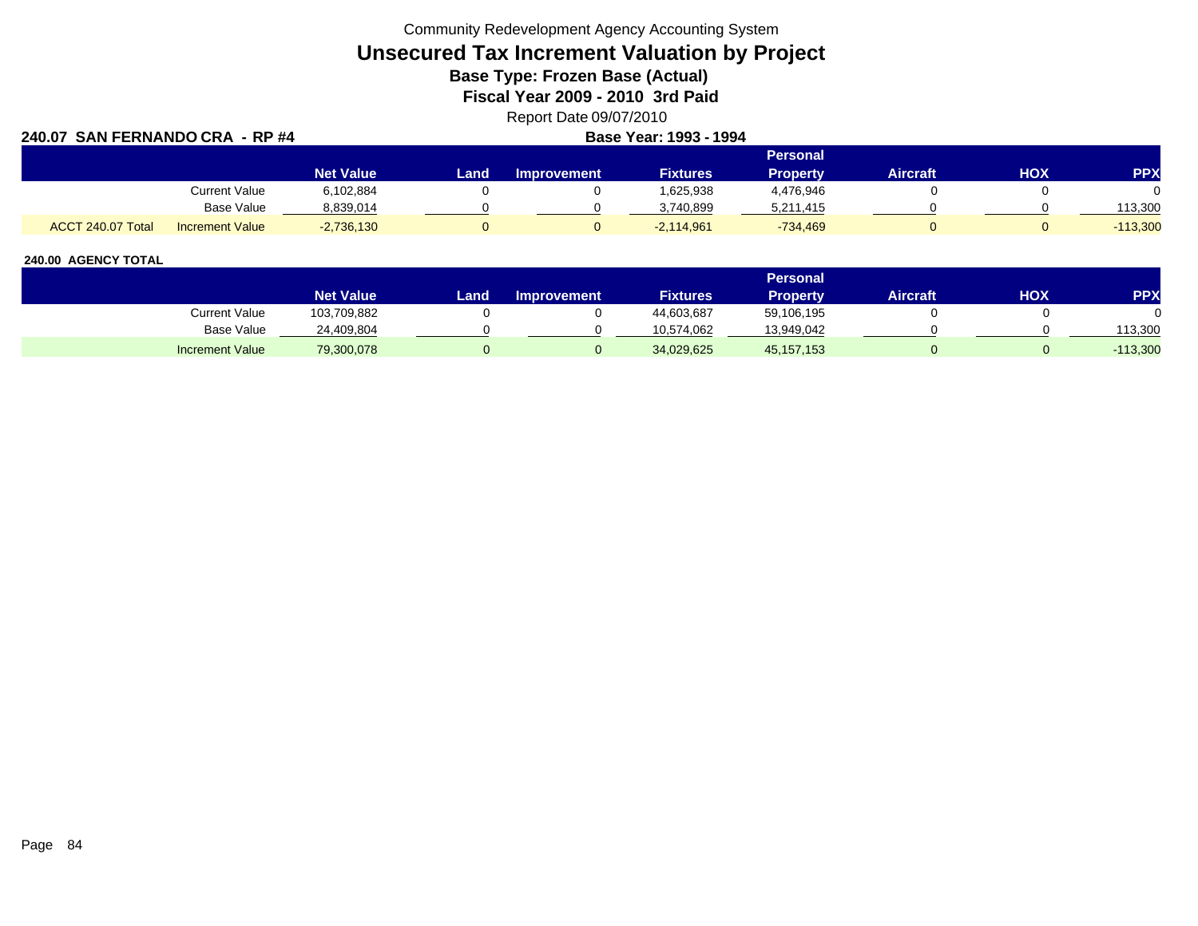Community Redevelopment Agency Accounting System

**Unsecured Tax Increment Valuation by Project**

**Base Type: Frozen Base (Actual)** 

**Fiscal Year 2009 - 2010 3rd Paid**

Report Date 09/07/2010

| 240.07 SAN FERNANDO CRA - RP #4 |                        |                  |       | Base Year: 1993 - 1994 |                 |            |                 |     |            |  |
|---------------------------------|------------------------|------------------|-------|------------------------|-----------------|------------|-----------------|-----|------------|--|
|                                 |                        |                  |       | Personal               |                 |            |                 |     |            |  |
|                                 |                        | <b>Net Value</b> | Land. | <b>Improvement</b>     | <b>Fixtures</b> | Property   | <b>Aircraft</b> | нох | <b>PPX</b> |  |
|                                 | Current Value          | 6,102,884        |       |                        | 1,625,938       | 4,476,946  |                 |     |            |  |
|                                 | Base Value             | 8,839,014        |       |                        | 3.740.899       | 5,211,415  |                 |     | 113.300    |  |
| ACCT 240.07 Total               | <b>Increment Value</b> | $-2,736,130$     |       |                        | $-2,114,961$    | $-734,469$ |                 |     | $-113,300$ |  |

|                        |                  |        |                    |                 | Personal     |                 |     |            |
|------------------------|------------------|--------|--------------------|-----------------|--------------|-----------------|-----|------------|
|                        | <b>Net Value</b> | Land . | <b>Improvement</b> | <b>Fixtures</b> | Property     | <b>Aircraft</b> | нох | <b>PPX</b> |
| Current Value          | 103,709,882      |        |                    | 44,603,687      | 59,106,195   |                 |     |            |
| Base Value             | 24,409,804       |        |                    | 10.574.062      | 13,949,042   |                 |     | 113,300    |
| <b>Increment Value</b> | 79,300,078       |        |                    | 34,029,625      | 45, 157, 153 |                 |     | $-113,300$ |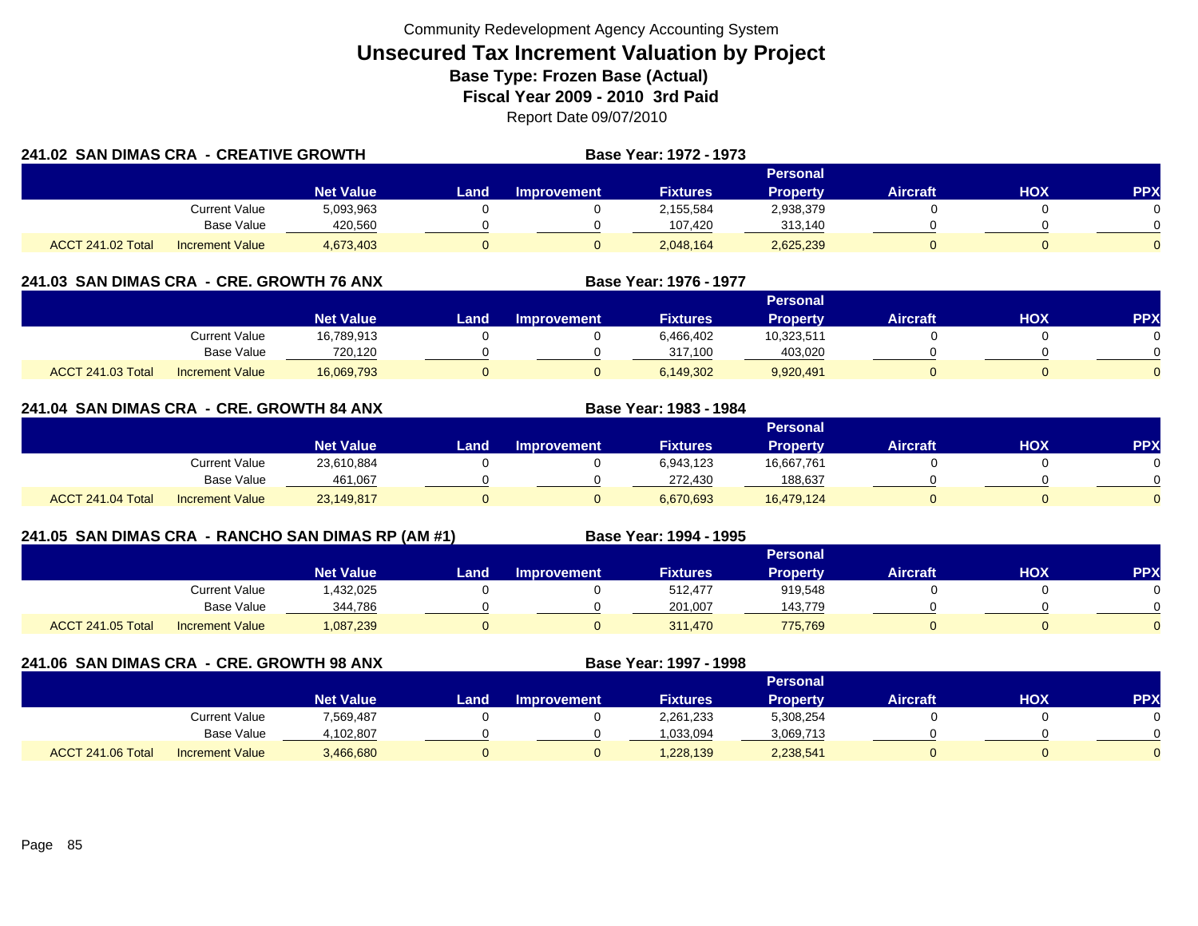|                   | 241.02 SAN DIMAS CRA - CREATIVE GROWTH |                  |      |                    | <b>Base Year: 1972 - 1973</b> |                 |                 |            |            |
|-------------------|----------------------------------------|------------------|------|--------------------|-------------------------------|-----------------|-----------------|------------|------------|
|                   |                                        |                  |      |                    | Personal                      |                 |                 |            |            |
|                   |                                        | <b>Net Value</b> | Land | <b>Improvement</b> | <b>Fixtures</b>               | <b>Property</b> | <b>Aircraft</b> | <b>HOX</b> | <b>PPX</b> |
|                   | Current Value                          | 5,093,963        |      |                    | 2,155,584                     | 2,938,379       |                 |            |            |
|                   | Base Value                             | 420,560          |      |                    | 107,420                       | 313,140         |                 |            |            |
| ACCT 241.02 Total | <b>Increment Value</b>                 | 4,673,403        |      |                    | 2,048,164                     | 2,625,239       |                 |            | 0          |

## **241.03 SAN DIMAS CRA - CRE. GROWTH 76 ANX**

|                          |                        |                  |      |                     |                 | Personal        |                 |     |     |
|--------------------------|------------------------|------------------|------|---------------------|-----------------|-----------------|-----------------|-----|-----|
|                          |                        | <b>Net Value</b> | Land | <b>⊥Improvement</b> | <b>Fixtures</b> | <b>Property</b> | <b>Aircraft</b> | нох | PPX |
|                          | <b>Current Value</b>   | 16,789,913       |      |                     | 6,466,402       | 10,323,511      |                 |     |     |
|                          | <b>Base Value</b>      | 720.120          |      |                     | 317.100         | 403.020         |                 |     |     |
| <b>ACCT 241.03 Total</b> | <b>Increment Value</b> | 16,069,793       |      |                     | 6,149,302       | 9,920,491       |                 |     |     |

**Base Year: 1976 - 1977**

**Base Year: 1983 - 1984**

## **241.04 SAN DIMAS CRA - CRE. GROWTH 84 ANX**

|                   |                        |                  |       |             |                 | Personal        |                 |            |            |
|-------------------|------------------------|------------------|-------|-------------|-----------------|-----------------|-----------------|------------|------------|
|                   |                        | <b>Net Value</b> | Land. | Improvement | <b>Fixtures</b> | <b>Property</b> | <b>Aircraft</b> | <b>HOX</b> | <b>PPX</b> |
|                   | <b>Current Value</b>   | 23,610,884       |       |             | 6,943,123       | 16,667,761      |                 |            |            |
|                   | <b>Base Value</b>      | 461,067          |       |             | 272,430         | 188,637         |                 |            |            |
| ACCT 241.04 Total | <b>Increment Value</b> | 23,149,817       |       |             | 6,670,693       | 16,479,124      |                 |            |            |

## **241.05 SAN DIMAS CRA - RANCHO SAN DIMAS RP (AM #1) Base Year: 1994 - 1995**

|                          |                        |                  | <b>Personal</b> |                    |                 |                 |          |            |           |  |  |  |  |  |
|--------------------------|------------------------|------------------|-----------------|--------------------|-----------------|-----------------|----------|------------|-----------|--|--|--|--|--|
|                          |                        | <b>Net Value</b> | Land I          | <b>Improvement</b> | <b>Fixtures</b> | <b>Property</b> | Aircraft | <b>HOX</b> | <b>PP</b> |  |  |  |  |  |
|                          | <b>Current Value</b>   | ,432,025         |                 |                    | 512,477         | 919,548         |          |            |           |  |  |  |  |  |
|                          | <b>Base Value</b>      | 344.786          |                 |                    | 201.007         | 143.779         |          |            |           |  |  |  |  |  |
| <b>ACCT 241.05 Total</b> | <b>Increment Value</b> | 1,087,239        |                 |                    | 311,470         | 775,769         |          |            |           |  |  |  |  |  |

**241.06 SAN DIMAS CRA - CRE. GROWTH 98 ANX**

**Base Year: 1997 - 1998**

|                   |                        |                  | Personal |                    |                 |           |                 |     |            |  |  |  |  |  |
|-------------------|------------------------|------------------|----------|--------------------|-----------------|-----------|-----------------|-----|------------|--|--|--|--|--|
|                   |                        | <b>Net Value</b> | Land .   | <b>Improvement</b> | <b>Fixtures</b> | Property  | <b>Aircraft</b> | HOX | <b>PPX</b> |  |  |  |  |  |
|                   | <b>Current Value</b>   | 7,569,487        |          |                    | 2,261,233       | 5,308,254 |                 |     |            |  |  |  |  |  |
|                   | <b>Base Value</b>      | 4,102,807        |          |                    | 1.033.094       | 3,069,713 |                 |     |            |  |  |  |  |  |
| ACCT 241.06 Total | <b>Increment Value</b> | 3,466,680        |          |                    | 1,228,139       | 2,238,541 |                 |     |            |  |  |  |  |  |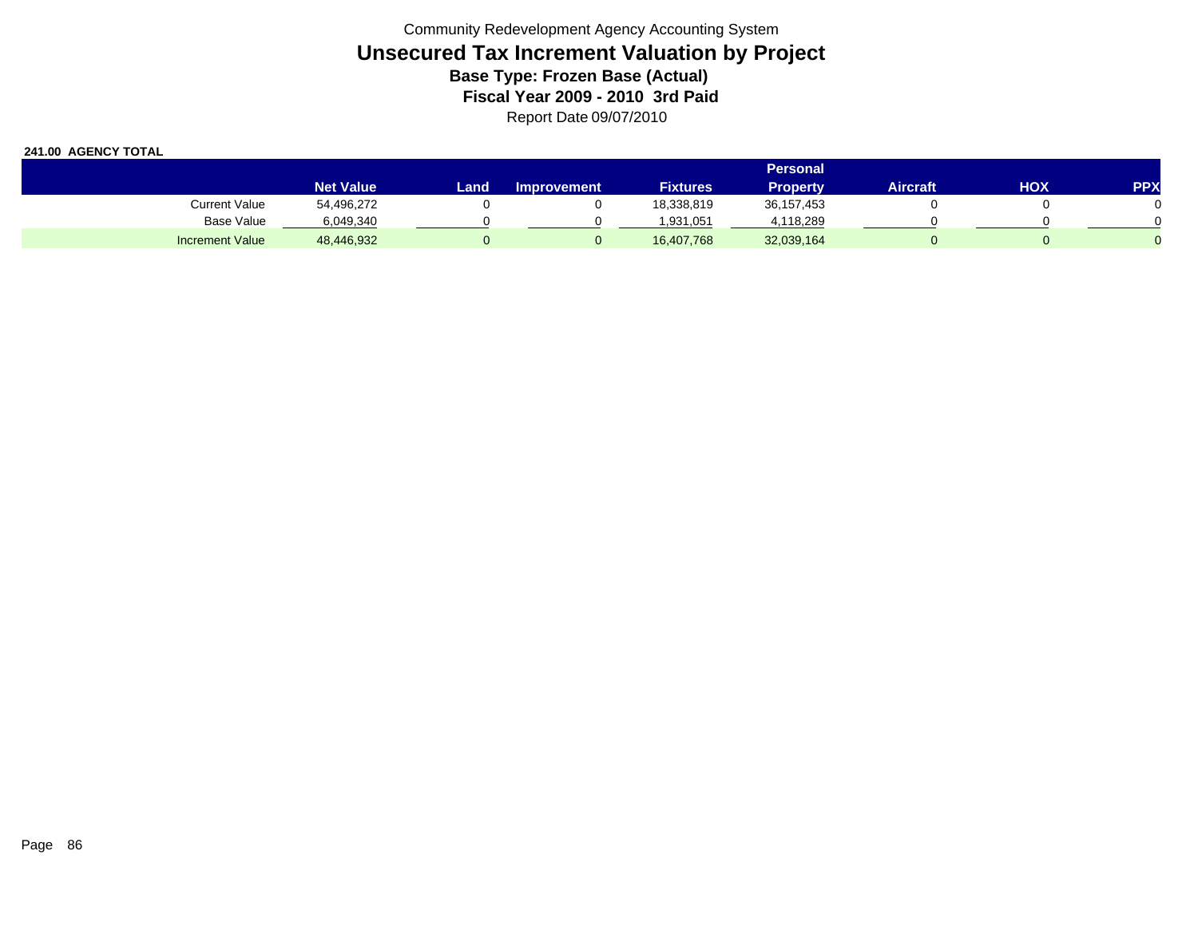|                        |                  | Personal <b>'</b> |                    |                 |                 |          |     |            |  |  |  |  |  |
|------------------------|------------------|-------------------|--------------------|-----------------|-----------------|----------|-----|------------|--|--|--|--|--|
|                        | <b>Net Value</b> | Land              | <b>Improvement</b> | <b>Fixtures</b> | <b>Property</b> | Aircraft | HOX | <b>PPX</b> |  |  |  |  |  |
| <b>Current Value</b>   | 54,496,272       |                   |                    | 18,338,819      | 36, 157, 453    |          |     |            |  |  |  |  |  |
| <b>Base Value</b>      | 6,049,340        |                   |                    | 1,931,051       | 4,118,289       |          |     |            |  |  |  |  |  |
| <b>Increment Value</b> | 48,446,932       |                   |                    | 16,407,768      | 32,039,164      |          |     |            |  |  |  |  |  |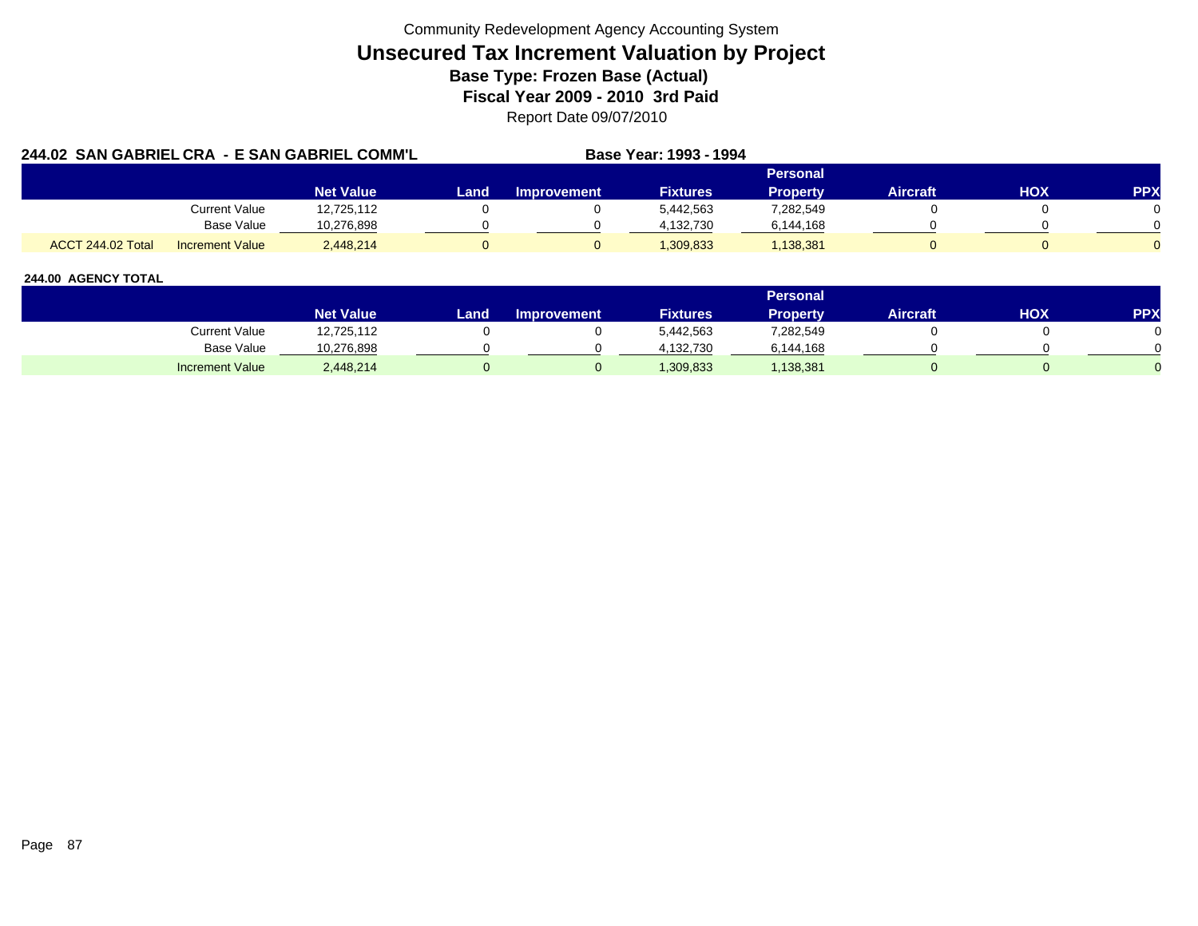| 244.02 SAN GABRIEL CRA - E SAN GABRIEL COMM'L |                        |                  |      |             | Base Year: 1993 - 1994 |                 |                 |     |            |
|-----------------------------------------------|------------------------|------------------|------|-------------|------------------------|-----------------|-----------------|-----|------------|
|                                               |                        |                  |      |             |                        | <b>Personal</b> |                 |     |            |
|                                               |                        | <b>Net Value</b> | Land | Improvement | <b>Fixtures</b>        | <b>Property</b> | <b>Aircraft</b> | HOX | <b>PPX</b> |
|                                               | <b>Current Value</b>   | 12,725,112       |      |             | 5,442,563              | 7,282,549       |                 |     |            |
|                                               | Base Value             | 10.276.898       |      |             | 4.132.730              | 6,144,168       |                 |     |            |
| ACCT 244.02 Total                             | <b>Increment Value</b> | 2.448.214        |      |             | 1,309,833              | 1,138,381       |                 |     |            |

|                        |                  |      |                    |                 | Personal  |                 |     |            |
|------------------------|------------------|------|--------------------|-----------------|-----------|-----------------|-----|------------|
|                        | <b>Net Value</b> | Land | <b>Improvement</b> | <b>Fixtures</b> | Property  | <b>Aircraft</b> | HOX | <b>PPX</b> |
| Current Value          | 12,725,112       |      |                    | 5,442,563       | 282,549   |                 |     |            |
| Base Value             | 10,276,898       |      |                    | 4,132,730       | 6,144,168 |                 |     |            |
| <b>Increment Value</b> | 2,448,214        |      |                    | 1,309,833       | 1,138,381 |                 |     |            |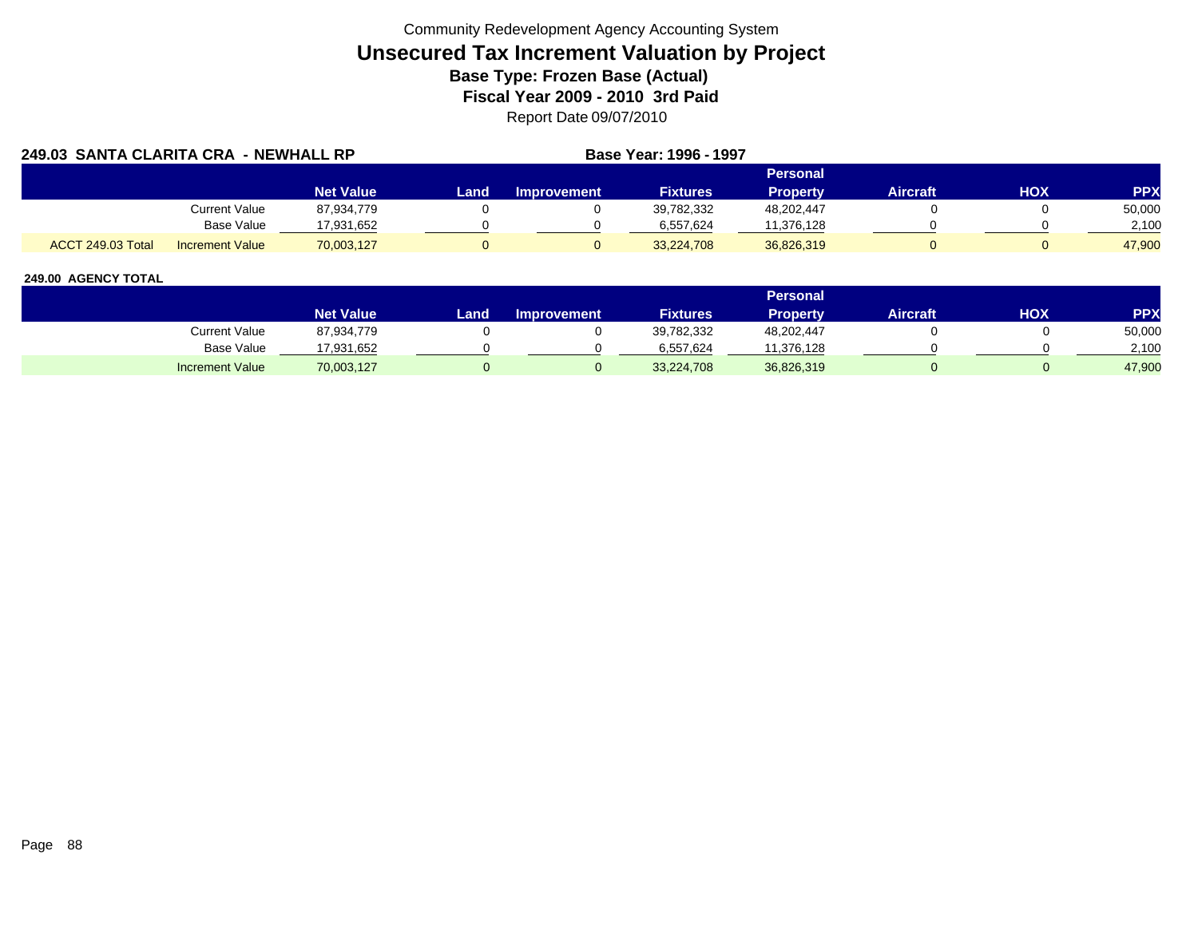| <b>249.03 SANTA CLARITA CRA</b> |                        | - NEWHALL RP     |      |                    | Base Year: 1996 - 1997 |                 |          |     |            |
|---------------------------------|------------------------|------------------|------|--------------------|------------------------|-----------------|----------|-----|------------|
|                                 |                        |                  |      |                    |                        | Personal        |          |     |            |
|                                 |                        | <b>Net Value</b> | Land | <b>Improvement</b> | <b>Fixtures</b>        | <b>Property</b> | Aircraft | HOX | <b>PPX</b> |
|                                 | <b>Current Value</b>   | 87,934,779       |      |                    | 39,782,332             | 48,202,447      |          |     | 50,000     |
|                                 | Base Value             | 17,931,652       |      |                    | 6,557,624              | 11,376,128      |          |     | 2,100      |
| <b>ACCT 249.03 Total</b>        | <b>Increment Value</b> | 70,003,127       |      |                    | 33,224,708             | 36,826,319      |          |     | 47.900     |

|                        |                  |       |                    |                 | Personal   |                 |            |            |
|------------------------|------------------|-------|--------------------|-----------------|------------|-----------------|------------|------------|
|                        | <b>Net Value</b> | Land. | <b>Improvement</b> | <b>Fixtures</b> | Property   | <b>Aircraft</b> | <b>HOX</b> | <b>PPX</b> |
| Current Value          | 87,934,779       |       |                    | 39,782,332      | 48,202,447 |                 |            | 50,000     |
| <b>Base Value</b>      | 17,931,652       |       |                    | 6.557.624       | 11.376.128 |                 |            | 2,100      |
| <b>Increment Value</b> | 70,003,127       |       |                    | 33,224,708      | 36,826,319 |                 |            | 47,900     |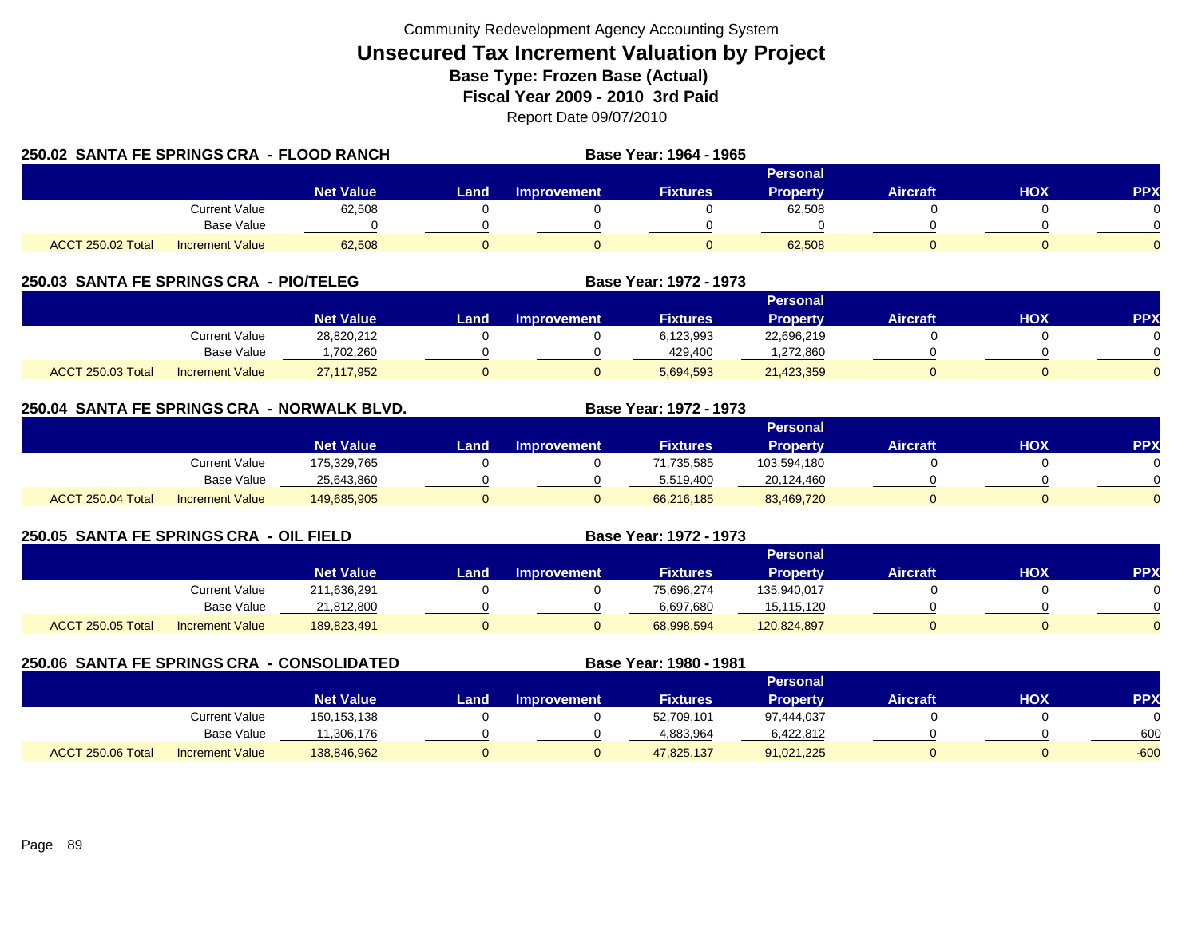| 250.02 SANTA FE SPRINGS CRA - FLOOD RANCH |                        |                  |       |             | Base Year: 1964 - 1965 |                 |                 |     |            |
|-------------------------------------------|------------------------|------------------|-------|-------------|------------------------|-----------------|-----------------|-----|------------|
|                                           |                        |                  |       |             |                        | Personal        |                 |     |            |
|                                           |                        | <b>Net Value</b> | Land. | Improvement | <b>Fixtures</b>        | <b>Property</b> | <b>Aircraft</b> | HOX | <b>PPX</b> |
|                                           | <b>Current Value</b>   | 62,508           |       |             |                        | 62,508          |                 |     |            |
|                                           | Base Value             |                  |       |             |                        |                 |                 |     |            |
| ACCT 250.02 Total                         | <b>Increment Value</b> | 62,508           |       |             |                        | 62,508          |                 |     |            |

## **250.03 SANTA FE SPRINGS CRA - PIO/TELEG**

|                   |                        |                  |      |                    |                 | Personal        |                 |            |          |
|-------------------|------------------------|------------------|------|--------------------|-----------------|-----------------|-----------------|------------|----------|
|                   |                        | <b>Net Value</b> | Land | <b>Improvement</b> | <b>Fixtures</b> | <b>Property</b> | <b>Aircraft</b> | <b>HOX</b> | PPX      |
|                   | Current Value          | 28,820,212       |      |                    | 6,123,993       | 22,696,219      |                 |            |          |
|                   | <b>Base Value</b>      | .702.260         |      |                    | 429.400         | ,272,860        |                 |            | 0        |
| ACCT 250.03 Total | <b>Increment Value</b> | 27,117,952       |      |                    | 5,694,593       | 21,423,359      |                 |            | $\Omega$ |

**Base Year: 1972 - 1973**

**Base Year: 1972 - 1973**

## **250.04 SANTA FE SPRINGS CRA - NORWALK BLVD. Base Year: 1972 - 1973**

|                   |                        |                  |      |                    |                 | Personal        |                 |            |          |
|-------------------|------------------------|------------------|------|--------------------|-----------------|-----------------|-----------------|------------|----------|
|                   |                        | <b>Net Value</b> | Land | <b>Improvement</b> | <b>Fixtures</b> | <b>Property</b> | <b>Aircraft</b> | <b>HOX</b> | PPX      |
|                   | Current Value          | 175,329,765      |      |                    | 71,735,585      | 103,594,180     |                 |            |          |
|                   | Base Value             | 25,643,860       |      |                    | 5.519.400       | 20,124,460      |                 |            | 0        |
| ACCT 250.04 Total | <b>Increment Value</b> | 149,685,905      |      |                    | 66,216,185      | 83,469,720      |                 |            | $\Omega$ |

## **250.05 SANTA FE SPRINGS CRA - OIL FIELD**

|                   |                        |                  | Personal |                    |                 |                 |          |            |          |  |  |  |
|-------------------|------------------------|------------------|----------|--------------------|-----------------|-----------------|----------|------------|----------|--|--|--|
|                   |                        | <b>Net Value</b> | Land.    | <b>Improvement</b> | <b>Fixtures</b> | <b>Property</b> | Aircraft | <b>HOX</b> | PPX      |  |  |  |
|                   | <b>Current Value</b>   | 211,636,291      |          |                    | 75,696,274      | 135,940,017     |          |            |          |  |  |  |
|                   | <b>Base Value</b>      | 21,812,800       |          |                    | 6,697,680       | 15,115,120      |          |            | 0        |  |  |  |
| ACCT 250.05 Total | <b>Increment Value</b> | 189,823,491      | 0        |                    | 68,998,594      | 120,824,897     |          |            | $\Omega$ |  |  |  |

|                   | 250.06 SANTA FE SPRINGS CRA - CONSOLIDATED |                  |      |                    | Base Year: 1980 - 1981 |                 |                 |     |            |
|-------------------|--------------------------------------------|------------------|------|--------------------|------------------------|-----------------|-----------------|-----|------------|
|                   |                                            |                  |      |                    |                        | <b>Personal</b> |                 |     |            |
|                   |                                            | <b>Net Value</b> | Land | <b>Improvement</b> | <b>Fixtures</b>        | <b>Property</b> | <b>Aircraft</b> | нох | <b>PPX</b> |
|                   | Current Value                              | 150,153,138      |      |                    | 52,709,101             | 97,444,037      |                 |     |            |
|                   | <b>Base Value</b>                          | 1.306.176        |      |                    | 4,883,964              | 6,422,812       |                 |     | 600        |
| ACCT 250.06 Total | <b>Increment Value</b>                     | 138,846,962      |      |                    | 47,825,137             | 91,021,225      |                 |     | $-600$     |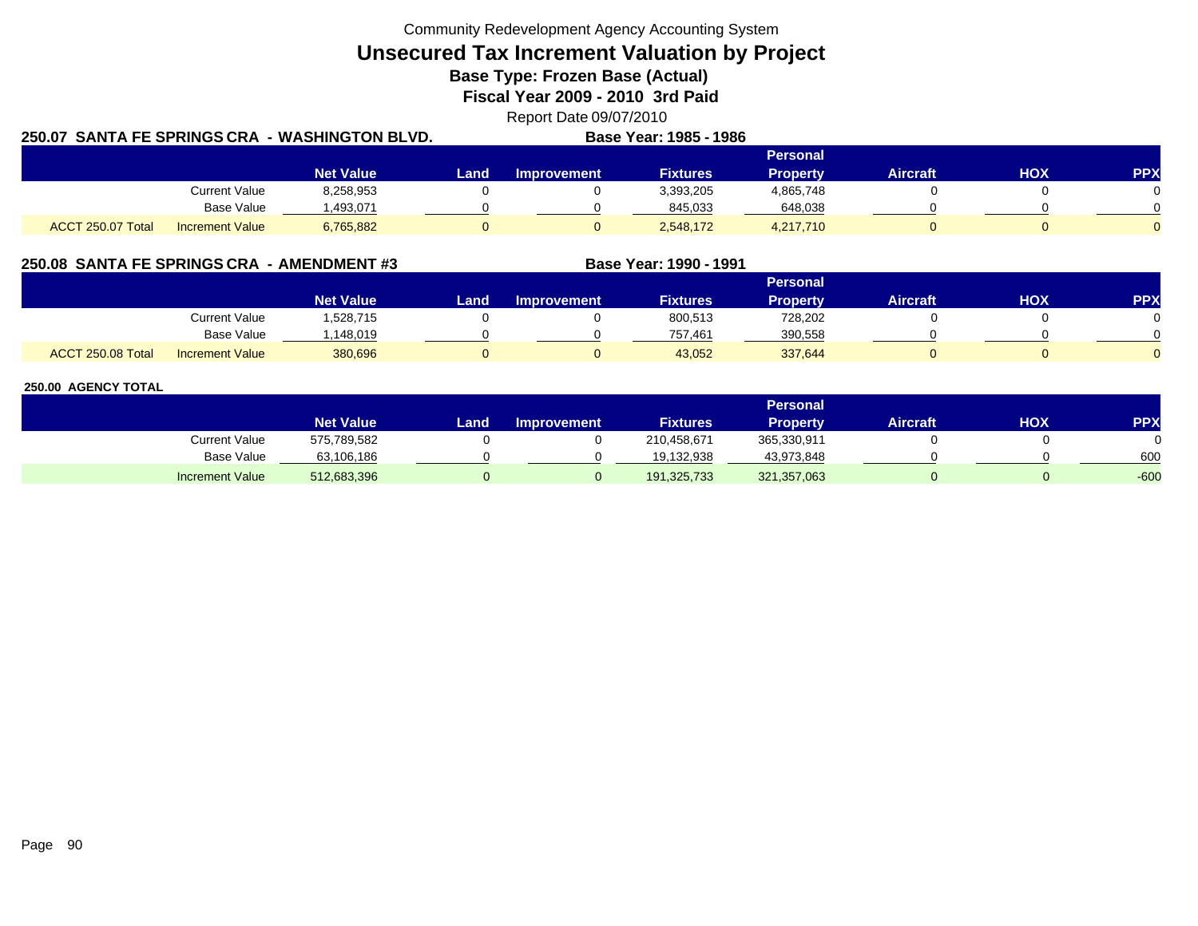Community Redevelopment Agency Accounting System

**Unsecured Tax Increment Valuation by Project**

**Base Type: Frozen Base (Actual)** 

**Fiscal Year 2009 - 2010 3rd Paid**

Report Date 09/07/2010

| 250.07 SANTA FE SPRINGS CRA |                        | <b>WASHINGTON BLVD.</b> |      |                    | Base Year: 1985 - 1986 |                 |                 |     |            |
|-----------------------------|------------------------|-------------------------|------|--------------------|------------------------|-----------------|-----------------|-----|------------|
|                             |                        |                         |      |                    |                        | <b>Personal</b> |                 |     |            |
|                             |                        | <b>Net Value</b>        | Land | <b>Improvement</b> | <b>Fixtures</b>        | <b>Property</b> | <b>Aircraft</b> | HOX | <b>PPX</b> |
|                             | <b>Current Value</b>   | 8,258,953               |      |                    | 3,393,205              | 4,865,748       |                 |     |            |
|                             | Base Value             | 1,493,071               |      |                    | 845,033                | 648,038         |                 |     |            |
| ACCT 250.07 Total           | <b>Increment Value</b> | 6,765,882               |      |                    | 2,548,172              | 4,217,710       |                 |     |            |

## **250.08 SANTA FE SPRINGS CRA - AMENDMENT #3 Base Year: 1990 - 1991**

|                   |                        |                    |      |                    |                 | Personal |          |            |            |
|-------------------|------------------------|--------------------|------|--------------------|-----------------|----------|----------|------------|------------|
|                   |                        | Net Value <b>ˈ</b> | Land | <b>Improvement</b> | <b>Fixtures</b> | Property | Aircraft | <b>XOH</b> | <b>PPX</b> |
|                   | <b>Current Value</b>   | ,528,715           |      |                    | 800,513         | 728,202  |          |            |            |
|                   | <b>Base Value</b>      | .148.019           |      |                    | 757.461         | 390,558  |          |            |            |
| ACCT 250.08 Total | <b>Increment Value</b> | 380,696            |      |                    | 43,052          | 337,644  |          |            |            |

|                        | Personal         |      |                    |                 |                 |          |     |        |  |  |
|------------------------|------------------|------|--------------------|-----------------|-----------------|----------|-----|--------|--|--|
|                        | <b>Net Value</b> | Land | <b>Improvement</b> | <b>Fixtures</b> | <b>Property</b> | Aircraft | нох | PPX    |  |  |
| <b>Current Value</b>   | 575,789,582      |      |                    | 210,458,671     | 365,330,911     |          |     |        |  |  |
| <b>Base Value</b>      | 63,106,186       |      |                    | 19.132.938      | 43,973,848      |          |     | 600    |  |  |
| <b>Increment Value</b> | 512,683,396      |      |                    | 191,325,733     | 321,357,063     |          |     | $-600$ |  |  |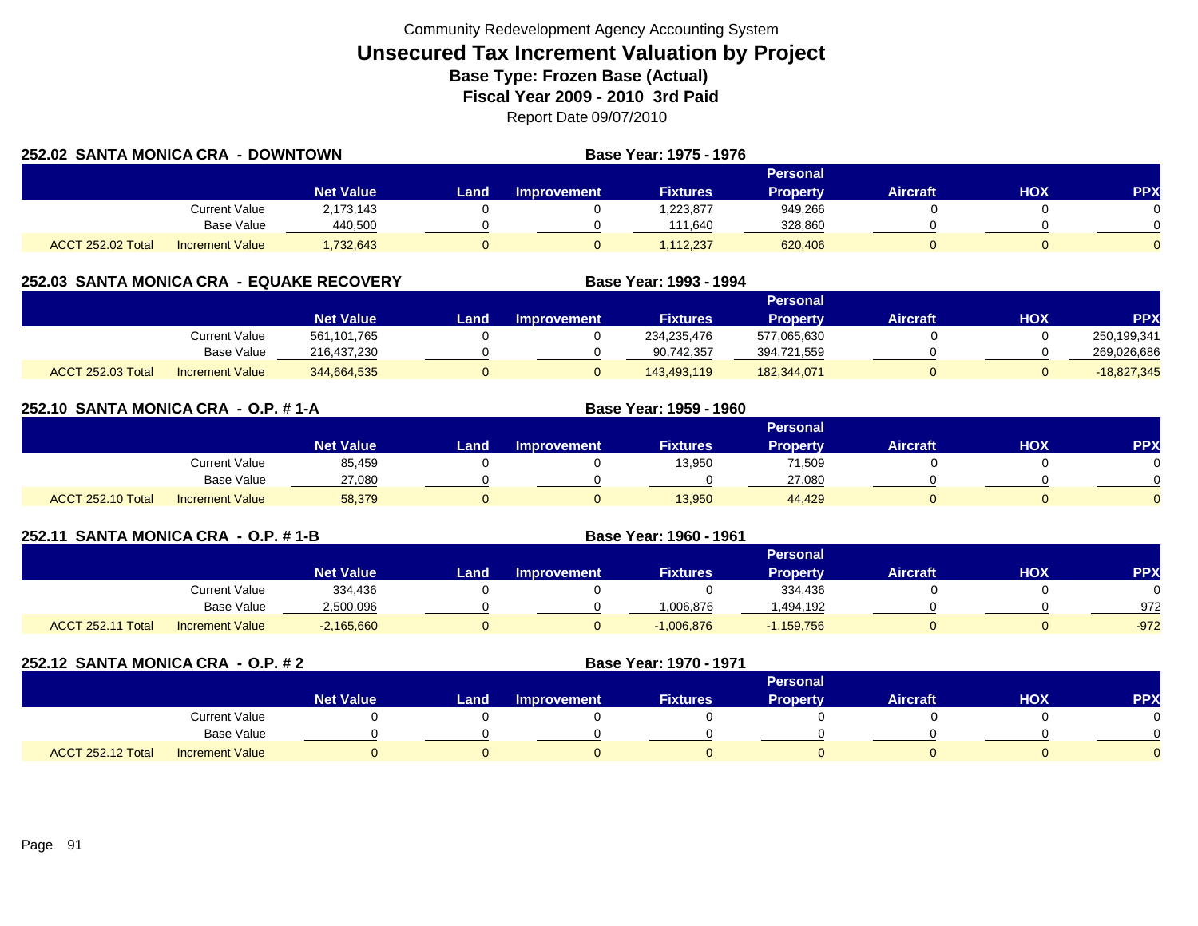| 252.02 SANTA MONICA CRA<br>- DOWNTOWN |                        |                  |       |                 | <b>Base Year: 1975 - 1976</b> |                 |                 |     |            |
|---------------------------------------|------------------------|------------------|-------|-----------------|-------------------------------|-----------------|-----------------|-----|------------|
|                                       |                        |                  |       | <b>Personal</b> |                               |                 |                 |     |            |
|                                       |                        | <b>Net Value</b> | Land. | Improvement     | <b>Fixtures</b>               | <b>Property</b> | <b>Aircraft</b> | HOX | <b>PPX</b> |
|                                       | Current Value          | 2,173,143        |       |                 | ,223,877                      | 949,266         |                 |     |            |
|                                       | Base Value             | 440,500          |       |                 | 111,640                       | 328,860         |                 |     |            |
| ACCT 252.02 Total                     | <b>Increment Value</b> | 1,732,643        |       |                 | 1.112.237                     | 620,406         |                 |     |            |

## **252.03 SANTA MONICA CRA - EQUAKE RECOVERY**

|                          |                        |                  |      |                    |                 | Personal        |          |            |               |
|--------------------------|------------------------|------------------|------|--------------------|-----------------|-----------------|----------|------------|---------------|
|                          |                        | <b>Net Value</b> | Land | <b>Improvement</b> | <b>Fixtures</b> | <b>Property</b> | Aircraft | <b>HOX</b> | PPX           |
|                          | Current Value          | 561,101,765      |      |                    | 234,235,476     | 577,065,630     |          |            | 250,199,341   |
|                          | Base Value             | 216,437,230      |      |                    | 90,742,357      | 394,721,559     |          |            | 269,026,686   |
| <b>ACCT 252.03 Total</b> | <b>Increment Value</b> | 344,664,535      |      |                    | 143.493.119     | 182,344,071     |          |            | $-18,827,345$ |

**Base Year: 1993 - 1994**

**Base Year: 1959 - 1960**

**Base Year: 1960 - 1961**

| 252.10 SANTA MONICA CRA - O.P. #1-A |  |
|-------------------------------------|--|
|                                     |  |

|                                             |                  | <b>Personal</b> |                    |                 |          |          |            |            |  |  |  |
|---------------------------------------------|------------------|-----------------|--------------------|-----------------|----------|----------|------------|------------|--|--|--|
|                                             | <b>Net Value</b> | Land.           | <b>Improvement</b> | <b>Fixtures</b> | Property | Aircraft | <b>HOX</b> | <b>PPX</b> |  |  |  |
| Current Value                               | 85,459           |                 |                    | 13,950          | 71,509   |          |            |            |  |  |  |
| <b>Base Value</b>                           | 27,080           |                 |                    |                 | 27,080   |          |            |            |  |  |  |
| ACCT 252.10 Total<br><b>Increment Value</b> | 58,379           |                 |                    | 13,950          | 44,429   |          |            |            |  |  |  |

## **252.11 SANTA MONICA CRA - O.P. # 1-B**

|                   |                        |                  |      |                    |                 | Personal        |          |            |            |
|-------------------|------------------------|------------------|------|--------------------|-----------------|-----------------|----------|------------|------------|
|                   |                        | <b>Net Value</b> | Land | <b>Improvement</b> | <b>Fixtures</b> | <b>Property</b> | Aircraft | <b>HOX</b> | <b>PPX</b> |
|                   | Current Value          | 334,436          |      |                    |                 | 334,436         |          |            | 0          |
|                   | <b>Base Value</b>      | 2,500,096        |      |                    | 1.006.876       | ,494,192        |          |            | 972        |
| ACCT 252.11 Total | <b>Increment Value</b> | $-2,165,660$     |      |                    | $-1,006,876$    | $-1,159,756$    |          |            | $-972$     |

| 252.12 SANTA MONICA CRA - O.P. # 2 |                        |                  |      |                    | Base Year: 1970 - 1971 |                 |                 |            |            |
|------------------------------------|------------------------|------------------|------|--------------------|------------------------|-----------------|-----------------|------------|------------|
|                                    |                        |                  |      |                    |                        | <b>Personal</b> |                 |            |            |
|                                    |                        | <b>Net Value</b> | Land | <b>Improvement</b> | <b>Fixtures</b>        | Property,       | <b>Aircraft</b> | <b>HOX</b> | <b>PPX</b> |
|                                    | Current Value          |                  |      |                    |                        |                 |                 |            |            |
|                                    | Base Value             |                  |      |                    |                        |                 |                 |            |            |
| <b>ACCT 252.12 Total</b>           | <b>Increment Value</b> |                  |      |                    |                        |                 |                 |            |            |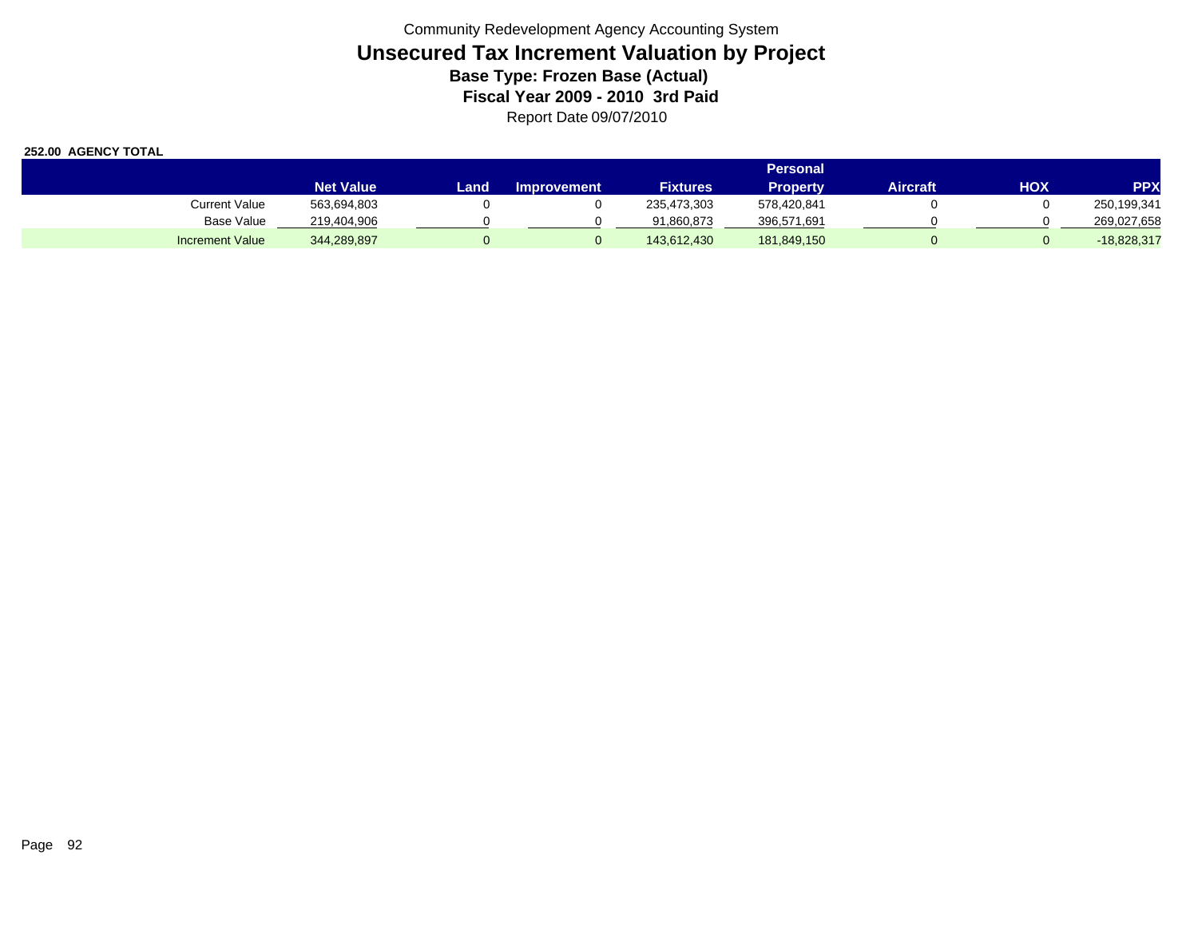|                        |                  | Personal |             |                 |             |          |     |               |  |  |  |
|------------------------|------------------|----------|-------------|-----------------|-------------|----------|-----|---------------|--|--|--|
|                        | <b>Net Value</b> | Land     | Improvement | <b>Fixtures</b> | Property    | Aircraft | нох | <b>PPX</b>    |  |  |  |
| <b>Current Value</b>   | 563,694,803      |          |             | 235,473,303     | 578,420,841 |          |     | 250,199,341   |  |  |  |
| <b>Base Value</b>      | 219,404,906      |          |             | 91.860.873      | 396,571,691 |          |     | 269,027,658   |  |  |  |
| <b>Increment Value</b> | 344,289,897      |          |             | 143.612.430     | 181,849,150 |          |     | $-18,828,317$ |  |  |  |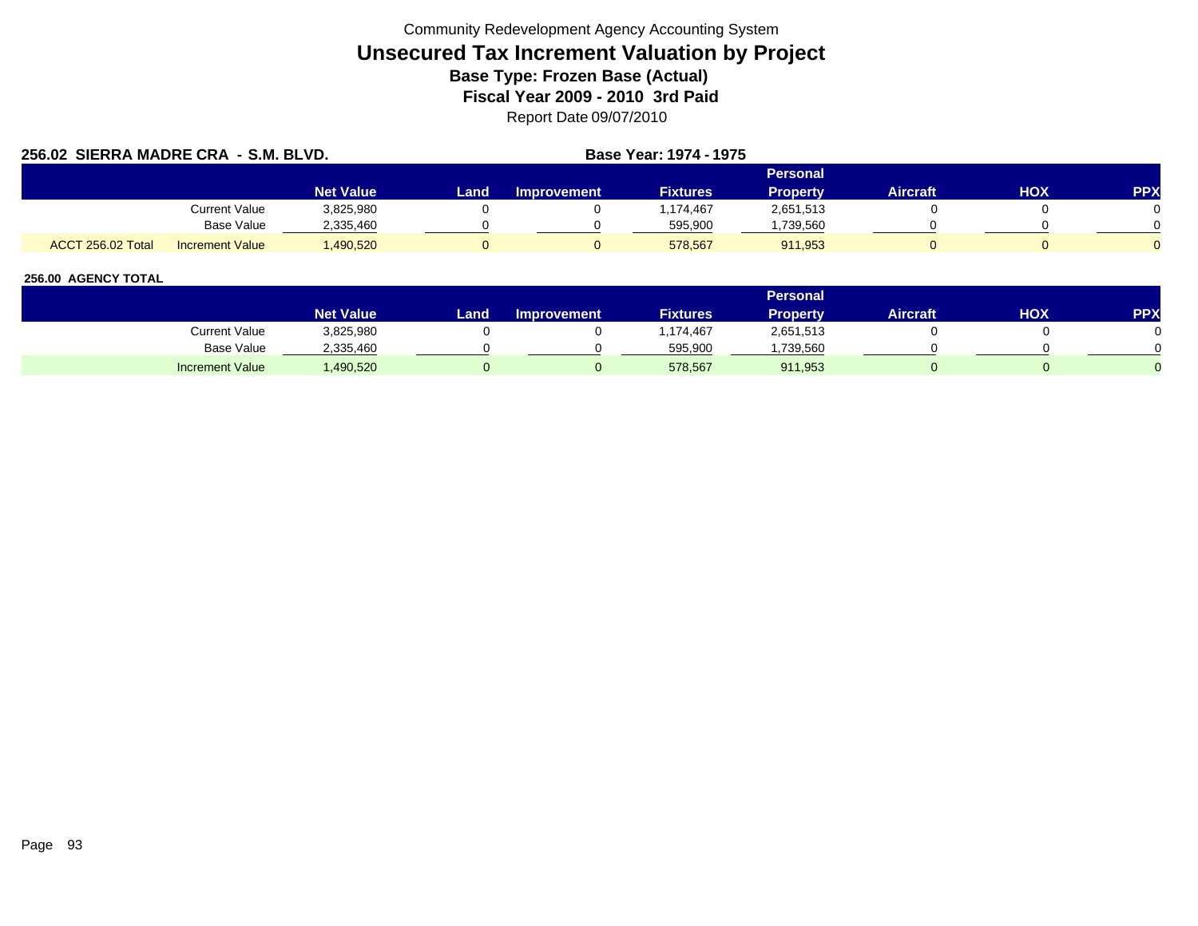|                          | 256.02 SIERRA MADRE CRA - S.M. BLVD. |                  |      |                    | Base Year: 1974 - 1975 |                 |                 |     |            |
|--------------------------|--------------------------------------|------------------|------|--------------------|------------------------|-----------------|-----------------|-----|------------|
|                          |                                      |                  |      |                    |                        | Personal        |                 |     |            |
|                          |                                      | <b>Net Value</b> | Land | <b>Improvement</b> | <b>Fixtures</b>        | <b>Property</b> | <b>Aircraft</b> | нох | <b>PPX</b> |
|                          | <b>Current Value</b>                 | 3,825,980        |      |                    | 1.174.467              | 2,651,513       |                 |     |            |
|                          | Base Value                           | 2,335,460        |      |                    | 595,900                | ,739,560        |                 |     |            |
| <b>ACCT 256.02 Total</b> | <b>Increment Value</b>               | .490.520         |      |                    | 578.567                | 911.953         |                 |     |            |

|                        |                  |      |                    |                 | Personal  |                 |     |            |
|------------------------|------------------|------|--------------------|-----------------|-----------|-----------------|-----|------------|
|                        | <b>Net Value</b> | Land | <b>Improvement</b> | <b>Fixtures</b> | Property  | <b>Aircraft</b> | НОХ | <b>PPX</b> |
| Current Value          | 3,825,980        |      |                    | .174,467        | 2,651,513 |                 |     |            |
| Base Value             | 2,335,460        |      |                    | 595,900         | ,739,560  |                 |     |            |
| <b>Increment Value</b> | ,490,520         |      |                    | 578,567         | 911,953   |                 |     |            |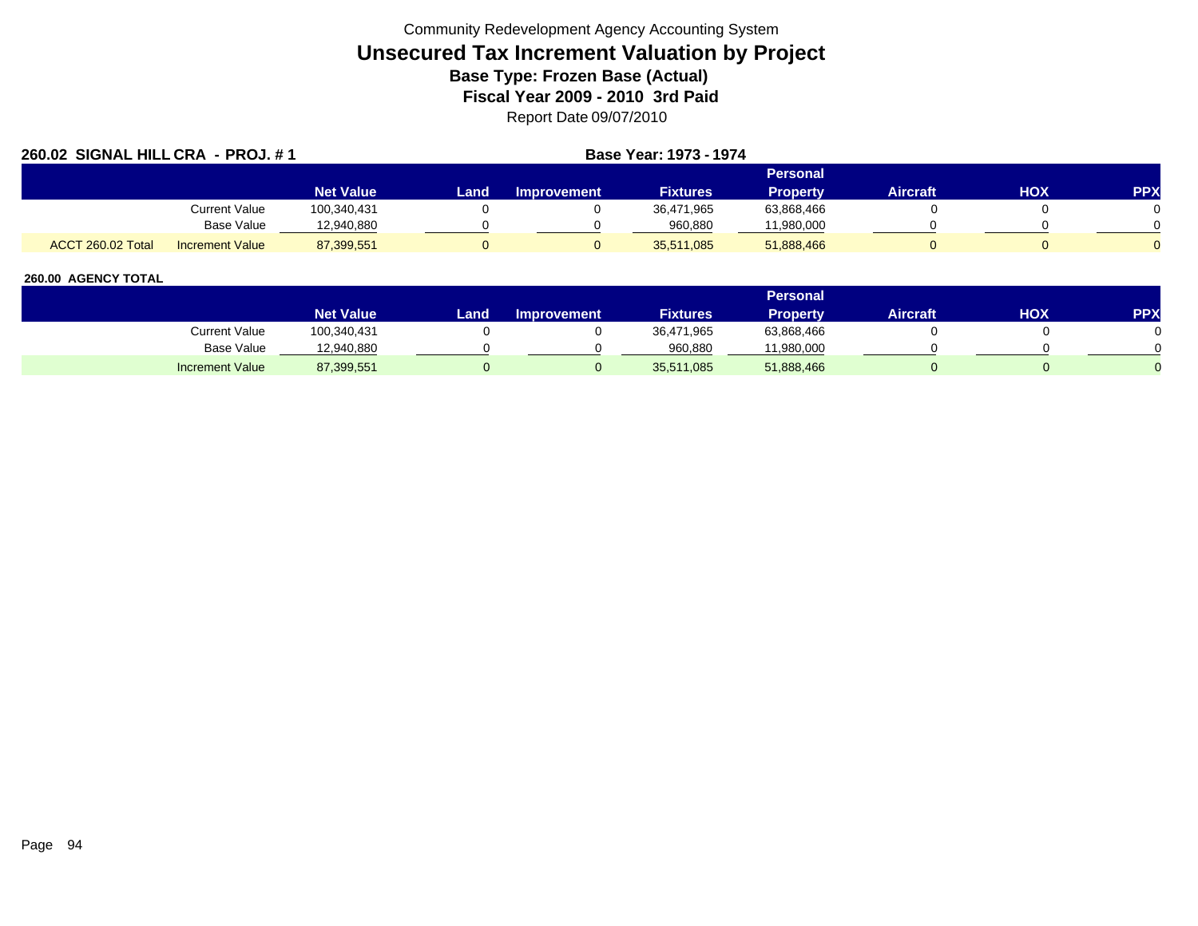| 260.02 SIGNAL HILL CRA - PROJ. #1           |                  |      | <b>Base Year: 1973 - 1974</b> |                 |                 |                 |     |            |
|---------------------------------------------|------------------|------|-------------------------------|-----------------|-----------------|-----------------|-----|------------|
|                                             |                  |      |                               |                 | Personal        |                 |     |            |
|                                             | <b>Net Value</b> | Land | <b>Improvement</b>            | <b>Fixtures</b> | <b>Property</b> | <b>Aircraft</b> | HOX | <b>PPX</b> |
| Current Value                               | 100,340,431      |      |                               | 36,471,965      | 63,868,466      |                 |     |            |
| Base Value                                  | 12,940,880       |      |                               | 960.880         | 11,980,000      |                 |     |            |
| ACCT 260.02 Total<br><b>Increment Value</b> | 87,399,551       |      |                               | 35,511,085      | 51,888,466      |                 |     |            |

|                        |                  |      |                    |                 | <b>Personal</b> |                 |            |     |
|------------------------|------------------|------|--------------------|-----------------|-----------------|-----------------|------------|-----|
|                        | <b>Net Value</b> | Land | <b>Improvement</b> | <b>Fixtures</b> | Property        | <b>Aircraft</b> | <b>HOX</b> | PPX |
| Current Value          | 100,340,431      |      |                    | 36,471,965      | 63,868,466      |                 |            |     |
| Base Value             | 12,940,880       |      |                    | 960,880         | 11,980,000      |                 |            |     |
| <b>Increment Value</b> | 87,399,551       |      |                    | 35,511,085      | 51,888,466      |                 |            |     |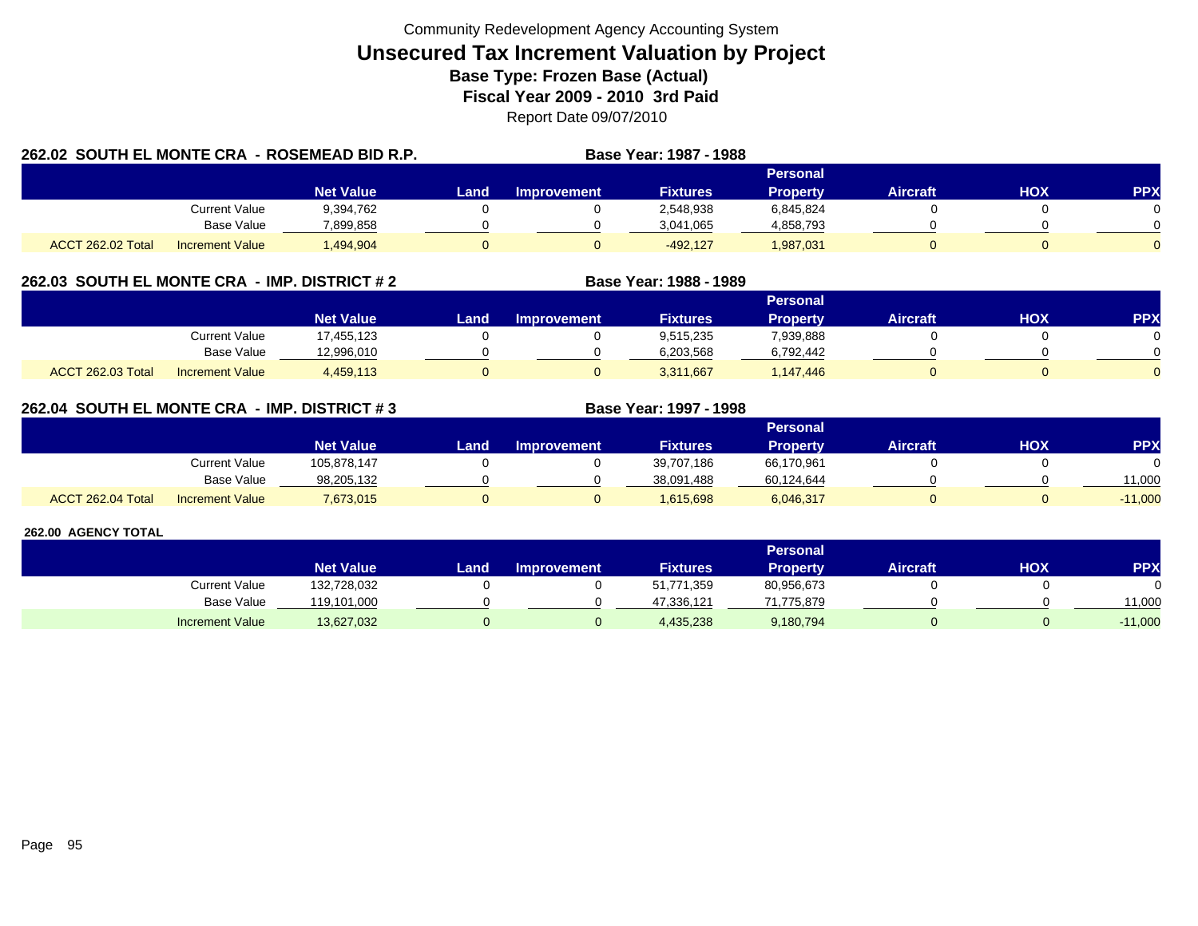| 262.02 SOUTH EL MONTE CRA - ROSEMEAD BID R.P. |                        |                  |       |             | Base Year: 1987 - 1988 |                 |          |     |            |
|-----------------------------------------------|------------------------|------------------|-------|-------------|------------------------|-----------------|----------|-----|------------|
|                                               |                        |                  |       |             |                        | Personal        |          |     |            |
|                                               |                        | <b>Net Value</b> | Land. | Improvement | <b>Fixtures</b>        | <b>Property</b> | Aircraft | HOX | <b>PPX</b> |
|                                               | Current Value          | 9,394,762        |       |             | 2,548,938              | 6,845,824       |          |     |            |
|                                               | <b>Base Value</b>      | 7,899,858        |       |             | 3,041,065              | 4,858,793       |          |     | 0.         |
| ACCT 262.02 Total                             | <b>Increment Value</b> | .494.904         |       |             | $-492.127$             | 1,987,031       |          |     |            |

## **262.03 SOUTH EL MONTE CRA - IMP. DISTRICT # 2 Base Year: 1988 - 1989**

|                          |                        |                  |      |                    |                 | Personal  |                 |            |          |
|--------------------------|------------------------|------------------|------|--------------------|-----------------|-----------|-----------------|------------|----------|
|                          |                        | <b>Net Value</b> | Land | <b>Improvement</b> | <b>Fixtures</b> | Property  | <b>Aircraft</b> | <b>HOX</b> | PPX      |
|                          | Current Value          | 7,455,123        |      |                    | 9,515,235       | 7,939,888 |                 |            |          |
|                          | <b>Base Value</b>      | 12,996,010       |      |                    | 6,203,568       | 6,792,442 |                 |            | 0        |
| <b>ACCT 262.03 Total</b> | <b>Increment Value</b> | 4,459,113        |      |                    | 3,311,667       | 1,147,446 |                 |            | $\Omega$ |

## **262.04 SOUTH EL MONTE CRA - IMP. DISTRICT # 3 Base Year: 1997 - 1998**

|                   |                        |                  |      |                    |                 | Personal   |                 |            |           |
|-------------------|------------------------|------------------|------|--------------------|-----------------|------------|-----------------|------------|-----------|
|                   |                        | <b>Net Value</b> | Land | <b>Improvement</b> | <b>Fixtures</b> | Property   | <b>Aircraft</b> | <b>HOX</b> | <b>PP</b> |
|                   | Current Value          | 105,878,147      |      |                    | 39,707,186      | 66,170,961 |                 |            |           |
|                   | <b>Base Value</b>      | 98.205.132       |      |                    | 38.091.488      | 60,124,644 |                 |            | 11,000    |
| ACCT 262.04 Total | <b>Increment Value</b> | 7,673,015        |      |                    | 1,615,698       | 6,046,317  |                 |            | $-11,000$ |

|                        |                  |      |                    |                 | Personal   |                 |     |            |
|------------------------|------------------|------|--------------------|-----------------|------------|-----------------|-----|------------|
|                        | <b>Net Value</b> | Land | <b>Improvement</b> | <b>Fixtures</b> | Property   | <b>Aircraft</b> | HOX | <b>PPX</b> |
| <b>Current Value</b>   | 132,728,032      |      |                    | 51,771,359      | 80,956,673 |                 |     |            |
| <b>Base Value</b>      | 19,101,000       |      |                    | 47,336,121      | 71.775.879 |                 |     | 11,000     |
| <b>Increment Value</b> | 13,627,032       |      |                    | 4,435,238       | 9,180,794  |                 |     | $-11,000$  |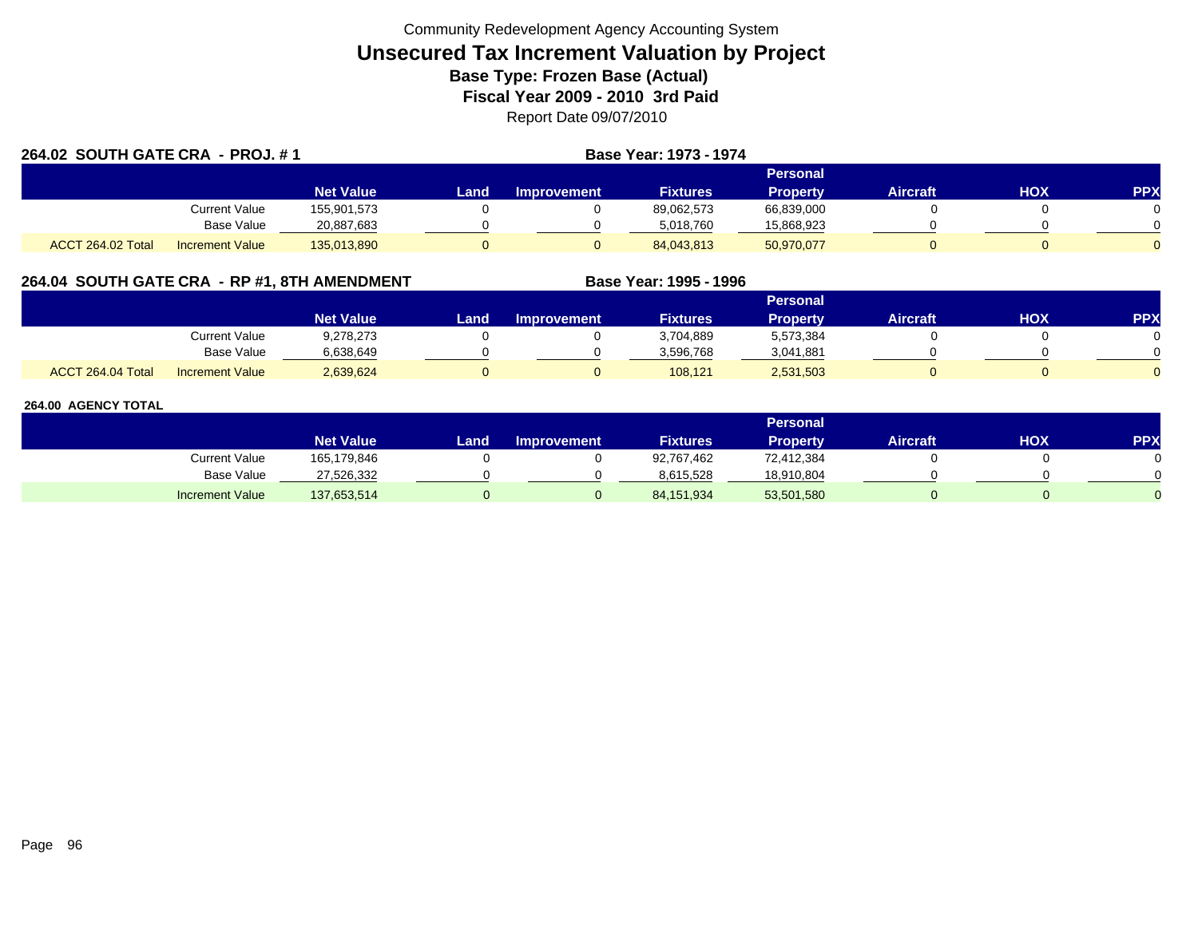| 264.02 SOUTH GATE CRA - PROJ. #1 |                        |                  |      |                    | <b>Base Year: 1973 - 1974</b> |                 |                 |     |            |
|----------------------------------|------------------------|------------------|------|--------------------|-------------------------------|-----------------|-----------------|-----|------------|
|                                  |                        |                  |      |                    |                               | Personal        |                 |     |            |
|                                  |                        | <b>Net Value</b> | Land | <b>Improvement</b> | <b>Fixtures</b>               | <b>Property</b> | <b>Aircraft</b> | HOX | <b>PPX</b> |
|                                  | Current Value          | 155,901,573      |      |                    | 89,062,573                    | 66,839,000      |                 |     |            |
|                                  | Base Value             | 20,887,683       |      |                    | 5.018.760                     | 15,868,923      |                 |     |            |
| ACCT 264.02 Total                | <b>Increment Value</b> | 135,013,890      |      |                    | 84,043,813                    | 50,970,077      |                 |     |            |

## **264.04 SOUTH GATE CRA - RP #1, 8TH AMENDMENT Base Year: 1995 - 1996**

|                   |                        |                  |      |                    |                 | Personal        |          |     |     |
|-------------------|------------------------|------------------|------|--------------------|-----------------|-----------------|----------|-----|-----|
|                   |                        | <b>Net Value</b> | Land | <b>Improvement</b> | <b>Fixtures</b> | <b>Property</b> | Aircraft | ΗΟΧ | PPX |
|                   | <b>Current Value</b>   | 9,278,273        |      |                    | 3,704,889       | 5,573,384       |          |     |     |
|                   | <b>Base Value</b>      | 6.638.649        |      |                    | 3.596.768       | 3,041,881       |          |     |     |
| ACCT 264.04 Total | <b>Increment Value</b> | 2,639,624        |      |                    | 108,121         | 2,531,503       |          |     |     |

|                        |                  |      |                    |                 | Personal        |                 |     |           |
|------------------------|------------------|------|--------------------|-----------------|-----------------|-----------------|-----|-----------|
|                        | <b>Net Value</b> | Land | <b>Improvement</b> | <b>Fixtures</b> | <b>Property</b> | <b>Aircraft</b> | нох | <b>PP</b> |
| Current Value          | 165,179,846      |      |                    | 92,767,462      | 72,412,384      |                 |     |           |
| <b>Base Value</b>      | 27,526,332       |      |                    | 8,615,528       | 18,910,804      |                 |     |           |
| <b>Increment Value</b> | 137,653,514      |      |                    | 84,151,934      | 53,501,580      |                 |     |           |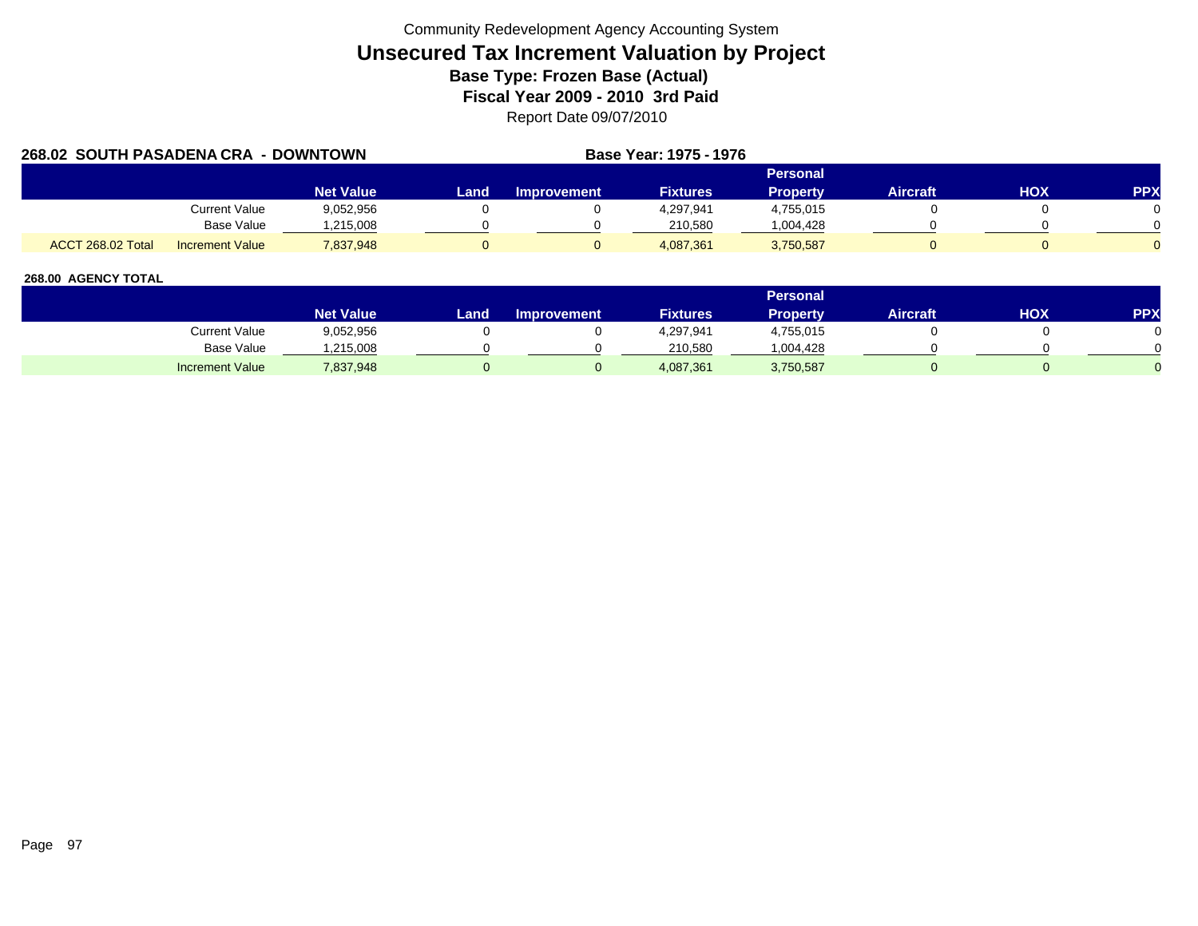|                   | 268.02 SOUTH PASADENA CRA - DOWNTOWN |                  |      |             | Base Year: 1975 - 1976 |                 |                 |     |            |
|-------------------|--------------------------------------|------------------|------|-------------|------------------------|-----------------|-----------------|-----|------------|
|                   |                                      |                  |      |             |                        | <b>Personal</b> |                 |     |            |
|                   |                                      | <b>Net Value</b> | Land | Improvement | <b>Fixtures</b>        | <b>Property</b> | <b>Aircraft</b> | HOX | <b>PPX</b> |
|                   | <b>Current Value</b>                 | 9,052,956        |      |             | 4,297,941              | 4,755,015       |                 |     |            |
|                   | Base Value                           | .215.008         |      |             | 210.580                | 1,004,428       |                 |     |            |
| ACCT 268.02 Total | <b>Increment Value</b>               | 7,837,948        |      |             | 4.087.361              | 3,750,587       |                 |     |            |

|                        |                  |       |                    |                 | Personal  |                 |     |            |
|------------------------|------------------|-------|--------------------|-----------------|-----------|-----------------|-----|------------|
|                        | <b>Net Value</b> | Land, | <b>Improvement</b> | <b>Fixtures</b> | Property  | <b>Aircraft</b> | HOX | <b>PPX</b> |
| Current Value          | 9,052,956        |       |                    | 4,297,941       | 4,755,015 |                 |     |            |
| Base Value             | .215,008         |       |                    | 210,580         | 004,428.  |                 |     |            |
| <b>Increment Value</b> | 7,837,948        |       |                    | 4,087,361       | 3,750,587 |                 |     |            |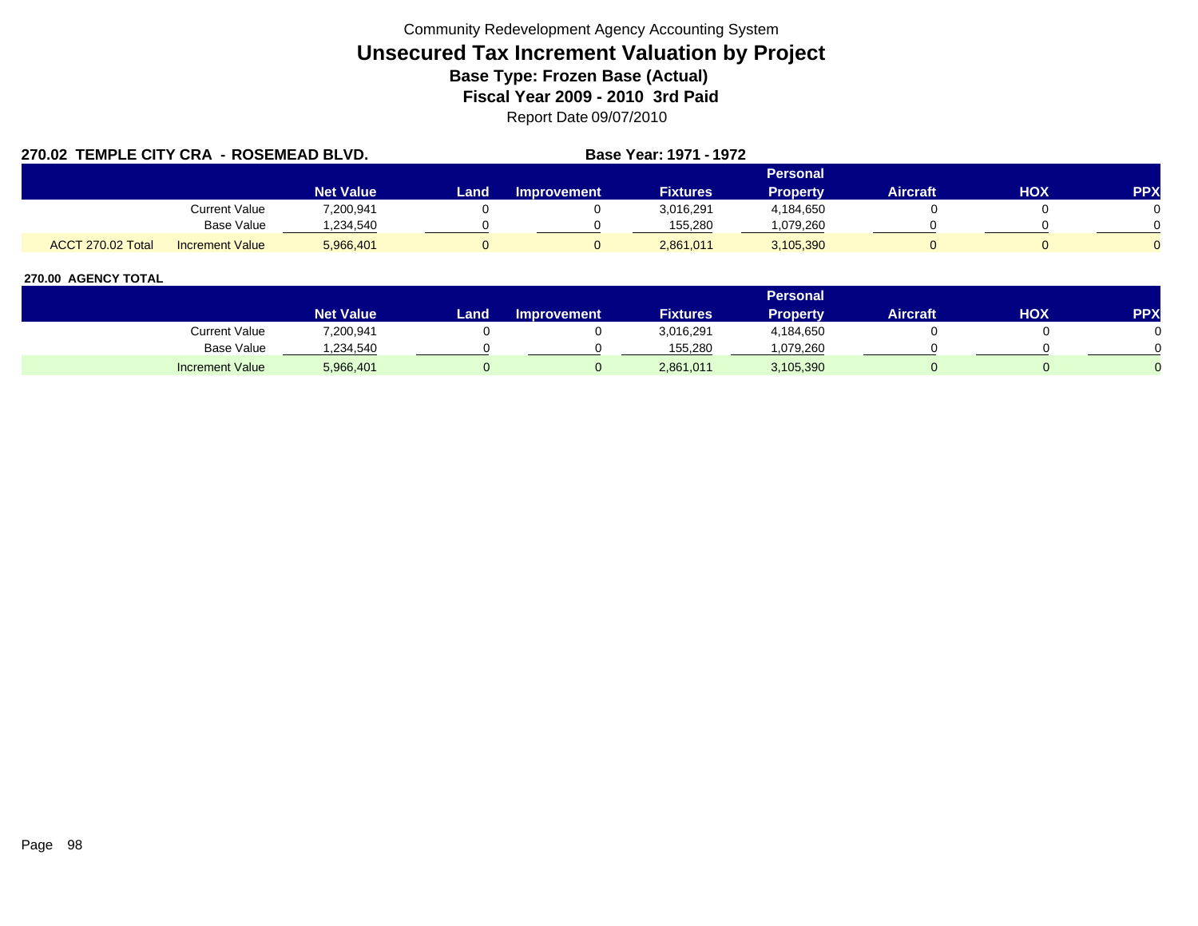| 270.02 TEMPLE CITY CRA - ROSEMEAD BLVD. |                        |                  |      | <b>Base Year: 1971 - 1972</b> |                 |                 |                 |     |            |
|-----------------------------------------|------------------------|------------------|------|-------------------------------|-----------------|-----------------|-----------------|-----|------------|
|                                         |                        |                  |      |                               |                 | <b>Personal</b> |                 |     |            |
|                                         |                        | <b>Net Value</b> | Land | <b>Improvement</b>            | <b>Fixtures</b> | <b>Property</b> | <b>Aircraft</b> | HOX | <b>PPX</b> |
|                                         | <b>Current Value</b>   | 7,200,941        |      |                               | 3,016,291       | 4,184,650       |                 |     |            |
|                                         | <b>Base Value</b>      | ,234,540         |      |                               | 155.280         | .079,260        |                 |     |            |
| <b>ACCT 270.02 Total</b>                | <b>Increment Value</b> | 5,966,401        |      |                               | 2.861.011       | 3,105,390       |                 |     |            |

|                        |                  |       |                    |                 | Personal  |                 |     |            |
|------------------------|------------------|-------|--------------------|-----------------|-----------|-----------------|-----|------------|
|                        | <b>Net Value</b> | Land, | <b>Improvement</b> | <b>Fixtures</b> | Property  | <b>Aircraft</b> | HOX | <b>PPX</b> |
| Current Value          | 7,200,941        |       |                    | 3,016,291       | 4,184,650 |                 |     |            |
| Base Value             | ,234,540         |       |                    | 155.280         | 1,079,260 |                 |     |            |
| <b>Increment Value</b> | 5,966,401        |       |                    | 2,861,011       | 3,105,390 |                 |     |            |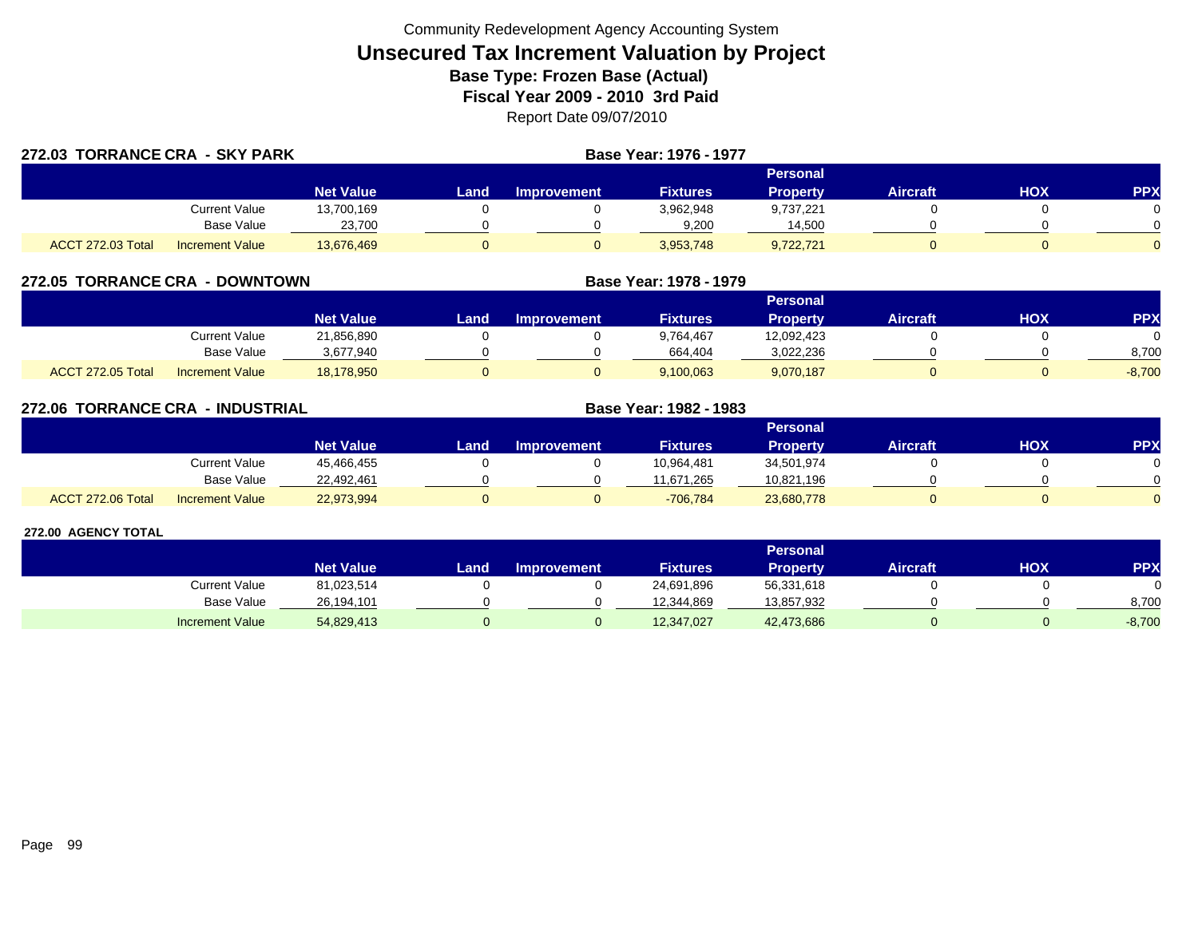| 272.03 TORRANCE CRA - SKY PARK |                        |                  |          | Base Year: 1976 - 1977 |                 |                 |          |     |            |  |
|--------------------------------|------------------------|------------------|----------|------------------------|-----------------|-----------------|----------|-----|------------|--|
|                                |                        |                  | Personal |                        |                 |                 |          |     |            |  |
|                                |                        | <b>Net Value</b> | Land     | Improvement            | <b>Fixtures</b> | <b>Property</b> | Aircraft | нох | <b>PPX</b> |  |
|                                | Current Value          | 13,700,169       |          |                        | 3,962,948       | 9,737,221       |          |     |            |  |
|                                | Base Value             | 23,700           |          |                        | 9,200           | 14,500          |          |     |            |  |
| ACCT 272.03 Total              | <b>Increment Value</b> | 13,676,469       |          |                        | 3,953,748       | 9,722,721       |          |     |            |  |

| 272.05 TORRANCE CRA - DOWNTOWN |                        |                  |      |                    | Base Year: 1978 - 1979 |                 |                 |     |           |
|--------------------------------|------------------------|------------------|------|--------------------|------------------------|-----------------|-----------------|-----|-----------|
|                                |                        |                  |      |                    |                        | <b>Personal</b> |                 |     |           |
|                                |                        | <b>Net Value</b> | Land | <b>Improvement</b> | <b>Fixtures</b>        | <b>Property</b> | <b>Aircraft</b> | HOX | <b>PP</b> |
|                                | Current Value          | 21,856,890       |      |                    | 9.764.467              | 12,092,423      |                 |     |           |
|                                | <b>Base Value</b>      | 3,677,940        |      |                    | 664,404                | 3,022,236       |                 |     | 8,700     |
| ACCT 272.05 Total              | <b>Increment Value</b> | 18,178,950       |      |                    | 9,100,063              | 9,070,187       |                 |     | $-8,700$  |

| 272.06 TORRANCE CRA | - INDUSTRIAL           |                  |      | Base Year: 1982 - 1983 |                 |                 |                 |            |            |
|---------------------|------------------------|------------------|------|------------------------|-----------------|-----------------|-----------------|------------|------------|
|                     |                        |                  |      |                        | Personal        |                 |                 |            |            |
|                     |                        | <b>Net Value</b> | Land | <b>Improvement</b>     | <b>Fixtures</b> | <b>Property</b> | <b>Aircraft</b> | <b>HOX</b> | <b>PPX</b> |
|                     | Current Value          | 45,466,455       |      |                        | 10.964.481      | 34,501,974      |                 |            |            |
|                     | <b>Base Value</b>      | 22,492,461       |      |                        | 11,671,265      | 10,821,196      |                 |            |            |
| ACCT 272.06 Total   | <b>Increment Value</b> | 22,973,994       |      |                        | $-706,784$      | 23,680,778      |                 |            |            |

|                        |                  | <b>Personal</b> |                    |                 |            |                 |            |           |  |  |  |
|------------------------|------------------|-----------------|--------------------|-----------------|------------|-----------------|------------|-----------|--|--|--|
|                        | <b>Net Value</b> | Land            | <b>Improvement</b> | <b>Fixtures</b> | Property   | <b>Aircraft</b> | <b>HOX</b> | <b>PP</b> |  |  |  |
| Current Value          | 81,023,514       |                 |                    | 24,691,896      | 56,331,618 |                 |            |           |  |  |  |
| Base Value             | 26.194.101       |                 |                    | 12.344.869      | 13,857,932 |                 |            | 8,700     |  |  |  |
| <b>Increment Value</b> | 54,829,413       |                 |                    | 12,347,027      | 42,473,686 |                 |            | $-8,700$  |  |  |  |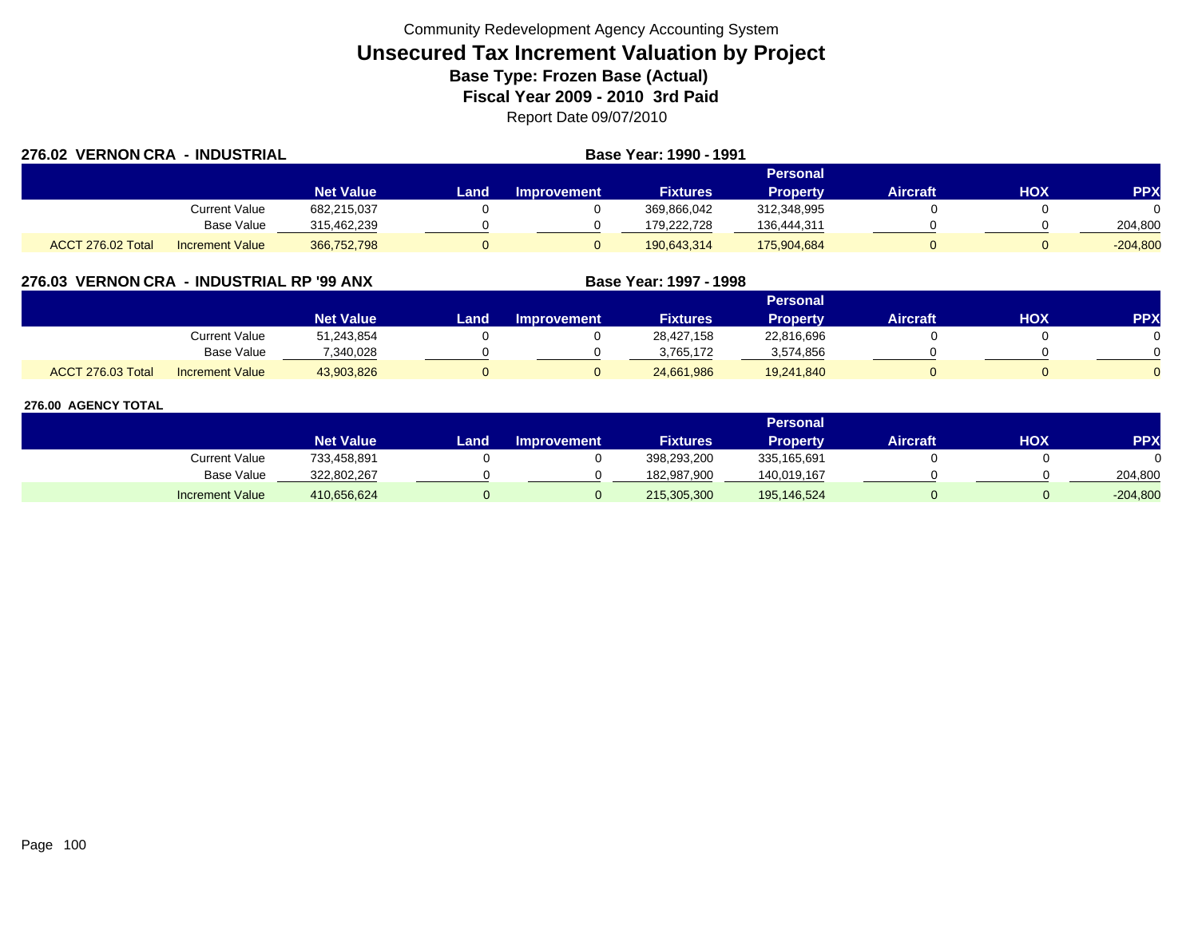| 276.02 VERNON CRA - INDUSTRIAL |                        |                  | Base Year: 1990 - 1991 |                    |                 |                 |                 |     |            |  |  |
|--------------------------------|------------------------|------------------|------------------------|--------------------|-----------------|-----------------|-----------------|-----|------------|--|--|
|                                |                        |                  |                        |                    |                 | Personal        |                 |     |            |  |  |
|                                |                        | <b>Net Value</b> | Land                   | <b>Improvement</b> | <b>Fixtures</b> | <b>Property</b> | <b>Aircraft</b> | HOX | <b>PPX</b> |  |  |
|                                | Current Value          | 682,215,037      |                        |                    | 369,866,042     | 312,348,995     |                 |     |            |  |  |
|                                | Base Value             | 315,462,239      |                        |                    | 179.222.728     | 136,444,311     |                 |     | 204,800    |  |  |
| ACCT 276.02 Total              | <b>Increment Value</b> | 366,752,798      |                        |                    | 190,643,314     | 175,904,684     |                 |     | $-204,800$ |  |  |

## **276.03 VERNON CRA - INDUSTRIAL RP '99 ANX**

|                   |                        |                  |      |                    |                 | Personal        |                 |     |            |
|-------------------|------------------------|------------------|------|--------------------|-----------------|-----------------|-----------------|-----|------------|
|                   |                        | <b>Net Value</b> | Land | <b>Improvement</b> | <b>Fixtures</b> | <b>Property</b> | <b>Aircraft</b> | нох | <b>PPX</b> |
|                   | Current Value          | 51,243,854       |      |                    | 28,427,158      | 22,816,696      |                 |     |            |
|                   | <b>Base Value</b>      | 7,340,028        |      |                    | 3.765.172       | 3,574,856       |                 |     |            |
| ACCT 276.03 Total | <b>Increment Value</b> | 43,903,826       |      |                    | 24,661,986      | 19,241,840      |                 |     |            |

**Base Year: 1997 - 1998**

|                        |                  |      |                    |                 | Personal    |                 |            |            |
|------------------------|------------------|------|--------------------|-----------------|-------------|-----------------|------------|------------|
|                        | <b>Net Value</b> | Land | <b>Improvement</b> | <b>Fixtures</b> | Property    | <b>Aircraft</b> | <b>XOH</b> | <b>PPX</b> |
| <b>Current Value</b>   | 733,458,891      |      |                    | 398,293,200     | 335,165,691 |                 |            |            |
| <b>Base Value</b>      | 322,802,267      |      |                    | 182,987,900     | 140,019,167 |                 |            | 204,800    |
| <b>Increment Value</b> | 410,656,624      |      |                    | 215,305,300     | 195,146,524 |                 |            | $-204,800$ |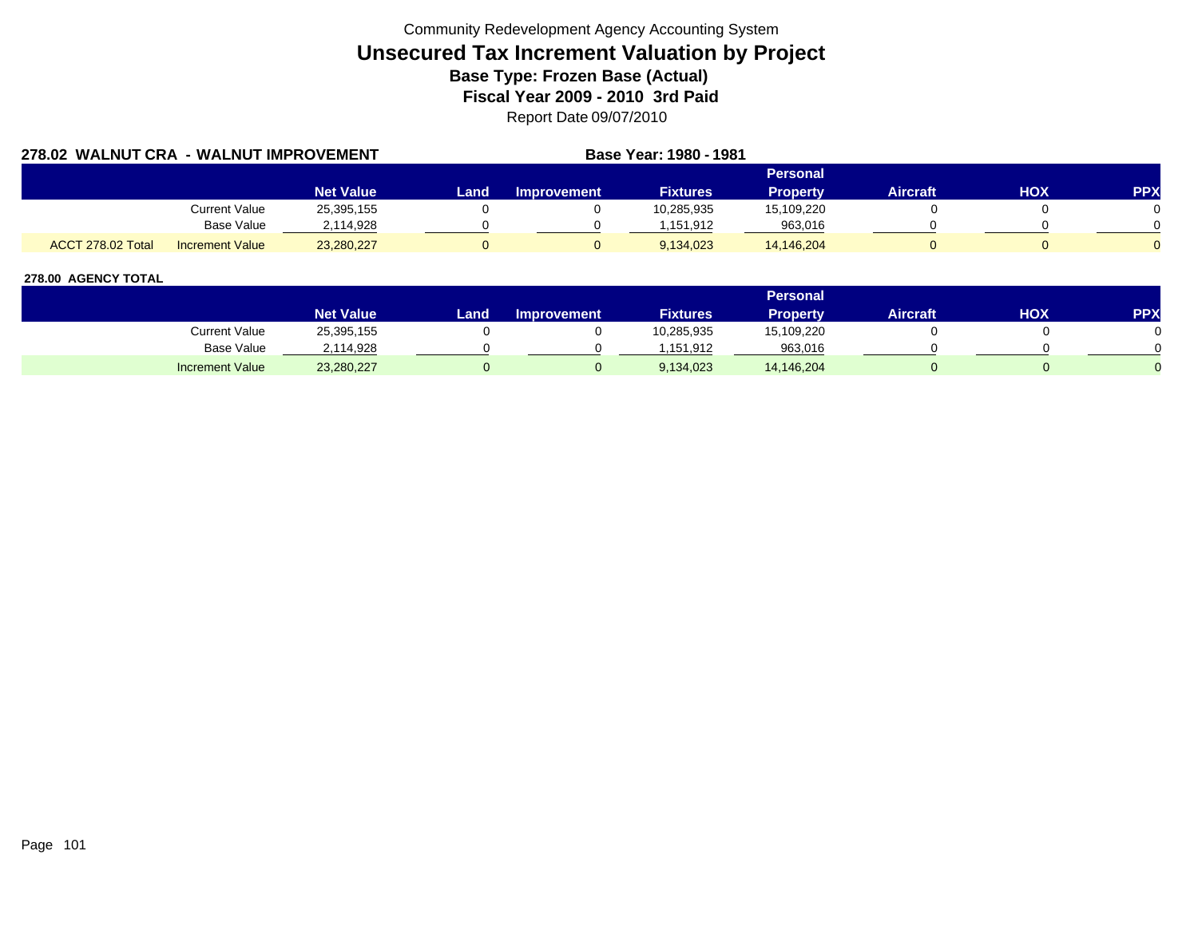| 278.02 WALNUT CRA - WALNUT IMPROVEMENT |                        |                  |      |             | Base Year: 1980 - 1981 |                 |                 |     |            |
|----------------------------------------|------------------------|------------------|------|-------------|------------------------|-----------------|-----------------|-----|------------|
|                                        |                        |                  |      |             |                        | <b>Personal</b> |                 |     |            |
|                                        |                        | <b>Net Value</b> | Land | Improvement | <b>Fixtures</b>        | <b>Property</b> | <b>Aircraft</b> | нох | <b>PPX</b> |
|                                        | <b>Current Value</b>   | 25,395,155       |      |             | 10,285,935             | 15,109,220      |                 |     |            |
|                                        | <b>Base Value</b>      | 2,114,928        |      |             | 1.151.912              | 963,016         |                 |     |            |
| ACCT 278.02 Total                      | <b>Increment Value</b> | 23,280,227       |      |             | 9.134.023              | 14,146,204      |                 |     |            |

|                        |                  |       |                    |                 | Personal   |                 |     |            |
|------------------------|------------------|-------|--------------------|-----------------|------------|-----------------|-----|------------|
|                        | <b>Net Value</b> | Land, | <b>Improvement</b> | <b>Fixtures</b> | Property   | <b>Aircraft</b> | ΗΟΧ | <b>PPX</b> |
| Current Value          | 25,395,155       |       |                    | 10,285,935      | 15,109,220 |                 |     |            |
| <b>Base Value</b>      | 2,114,928        |       |                    | .151.912        | 963,016    |                 |     |            |
| <b>Increment Value</b> | 23,280,227       |       |                    | 9,134,023       | 14,146,204 |                 |     |            |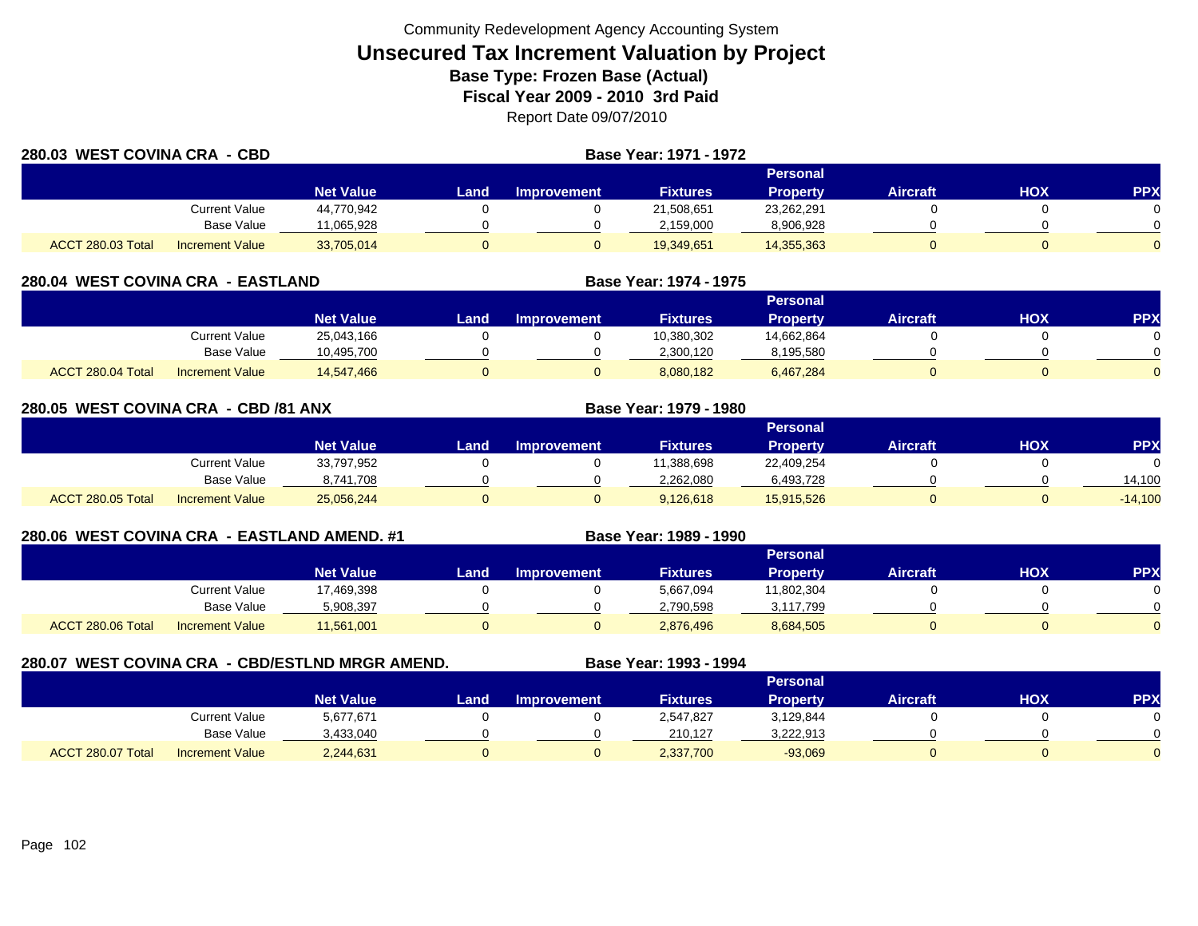| 280.03 WEST COVINA CRA - CBD |                        |                  |      | <b>Base Year: 1971 - 1972</b> |                 |                 |                 |     |            |
|------------------------------|------------------------|------------------|------|-------------------------------|-----------------|-----------------|-----------------|-----|------------|
|                              |                        |                  |      |                               |                 | <b>Personal</b> |                 |     |            |
|                              |                        | <b>Net Value</b> | Land | <b>Improvement</b>            | <b>Fixtures</b> | <b>Property</b> | <b>Aircraft</b> | HOX | <b>PPX</b> |
|                              | Current Value          | 44,770,942       |      |                               | 21,508,651      | 23,262,291      |                 |     |            |
|                              | <b>Base Value</b>      | 11.065.928       |      |                               | 2,159,000       | 8,906,928       |                 |     |            |
| ACCT 280.03 Total            | <b>Increment Value</b> | 33,705,014       |      |                               | 19,349,651      | 14,355,363      |                 |     | $\Omega$   |

| 280.04 WEST COVINA CRA - EASTLAND |                        |                  |      |                    | Base Year: 1974 - 1975 |                 |                 |     |     |
|-----------------------------------|------------------------|------------------|------|--------------------|------------------------|-----------------|-----------------|-----|-----|
|                                   |                        |                  |      |                    |                        | Personal        |                 |     |     |
|                                   |                        | <b>Net Value</b> | Land | <b>Improvement</b> | <b>Fixtures</b>        | <b>Property</b> | <b>Aircraft</b> | нох | PPX |
|                                   | Current Value          | 25,043,166       |      |                    | 10,380,302             | 14.662.864      |                 |     |     |
|                                   | <b>Base Value</b>      | 10,495,700       |      |                    | 2,300,120              | 8,195,580       |                 |     |     |
| ACCT 280.04 Total                 | <b>Increment Value</b> | 14,547,466       |      |                    | 8,080,182              | 6,467,284       |                 |     |     |

| 280.05 WEST COVINA CRA - CBD /81 ANX |                        |                  |      |                    | <b>Base Year: 1979 - 1980</b> |                 |                 |     |            |
|--------------------------------------|------------------------|------------------|------|--------------------|-------------------------------|-----------------|-----------------|-----|------------|
|                                      |                        |                  |      |                    |                               | Personal        |                 |     |            |
|                                      |                        | <b>Net Value</b> | Land | <b>Improvement</b> | <b>Fixtures</b>               | <b>Property</b> | <b>Aircraft</b> | HOX | <b>PPX</b> |
|                                      | Current Value          | 33,797,952       |      |                    | 11,388,698                    | 22,409,254      |                 |     | $\Omega$   |
|                                      | Base Value             | 8,741,708        |      |                    | 2,262,080                     | 6,493,728       |                 |     | 14,100     |
| ACCT 280.05 Total                    | <b>Increment Value</b> | 25,056,244       |      | υ                  | 9,126,618                     | 15,915,526      |                 |     | $-14,100$  |

## **280.06 WEST COVINA CRA - EASTLAND AMEND. #1 Base Year: 1989 - 1990**

|                   |                        |                  |       |             |                 | Personal        |                 |            |           |
|-------------------|------------------------|------------------|-------|-------------|-----------------|-----------------|-----------------|------------|-----------|
|                   |                        | <b>Net Value</b> | Landı | Improvement | <b>Fixtures</b> | <b>Property</b> | <b>Aircraft</b> | <b>HOX</b> | <b>PP</b> |
|                   | Current Value          | 17,469,398       |       |             | 5,667,094       | 11,802,304      |                 |            |           |
|                   | <b>Base Value</b>      | 5,908,397        |       |             | 2,790,598       | 3,117,799       |                 |            |           |
| ACCT 280.06 Total | <b>Increment Value</b> | 11,561,001       |       |             | 2,876,496       | 8,684,505       |                 |            |           |

## **280.07 WEST COVINA CRA - CBD/ESTLND MRGR AMEND. Base Year: 1993 - 1994**

|                   |                        |                  |       |                    |                 | Personal  |                 |     |            |
|-------------------|------------------------|------------------|-------|--------------------|-----------------|-----------|-----------------|-----|------------|
|                   |                        | <b>Net Value</b> | Land, | <b>Improvement</b> | <b>Fixtures</b> | Property  | <b>Aircraft</b> | нох | <b>PPX</b> |
|                   | <b>Current Value</b>   | 5,677,671        |       |                    | 2,547,827       | 3,129,844 |                 |     |            |
|                   | <b>Base Value</b>      | 3,433,040        |       |                    | 210.127         | 3,222,913 |                 |     | ∩          |
| ACCT 280.07 Total | <b>Increment Value</b> | 2,244,631        |       |                    | 2,337,700       | $-93,069$ |                 |     |            |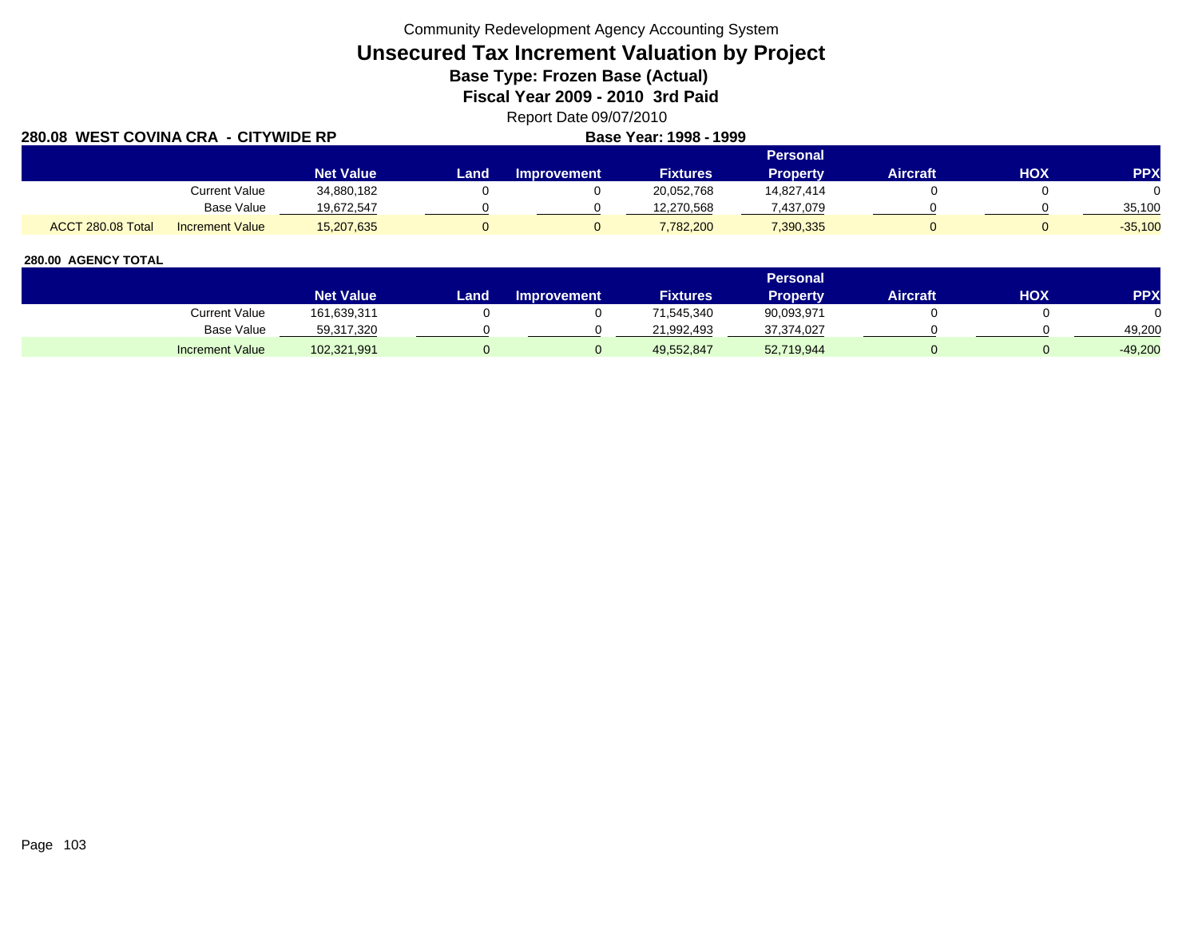Community Redevelopment Agency Accounting System

# **Unsecured Tax Increment Valuation by Project**

**Base Type: Frozen Base (Actual)** 

**Fiscal Year 2009 - 2010 3rd Paid**

Report Date 09/07/2010

| 280.08 WEST COVINA CRA - CITYWIDE RP |                        |                  |      |                    | Base Year: 1998 - 1999 |                 |          |     |            |
|--------------------------------------|------------------------|------------------|------|--------------------|------------------------|-----------------|----------|-----|------------|
|                                      |                        |                  |      |                    |                        | <b>Personal</b> |          |     |            |
|                                      |                        | <b>Net Value</b> | Land | <b>Improvement</b> | <b>Fixtures</b>        | <b>Property</b> | Aircraft | HOX | <b>PPX</b> |
|                                      | Current Value          | 34,880,182       |      |                    | 20,052,768             | 14,827,414      |          |     |            |
|                                      | Base Value             | 19,672,547       |      |                    | 12,270,568             | 437,079         |          |     | 35.100     |
| ACCT 280.08 Total                    | <b>Increment Value</b> | 15,207,635       |      |                    | 7,782,200              | 7,390,335       |          |     | $-35,100$  |

|                        |                  |      |                    |                 | <b>Personal</b> |                 |     |           |
|------------------------|------------------|------|--------------------|-----------------|-----------------|-----------------|-----|-----------|
|                        | <b>Net Value</b> | Land | <b>Improvement</b> | <b>Fixtures</b> | <b>Property</b> | <b>Aircraft</b> | HOX | PPX       |
| Current Value          | 161,639,311      |      |                    | 71,545,340      | 90,093,971      |                 |     |           |
| Base Value             | 59,317,320       |      |                    | 21.992.493      | 37,374,027      |                 |     | 49.200    |
| <b>Increment Value</b> | 102,321,991      |      |                    | 49,552,847      | 52,719,944      |                 |     | $-49,200$ |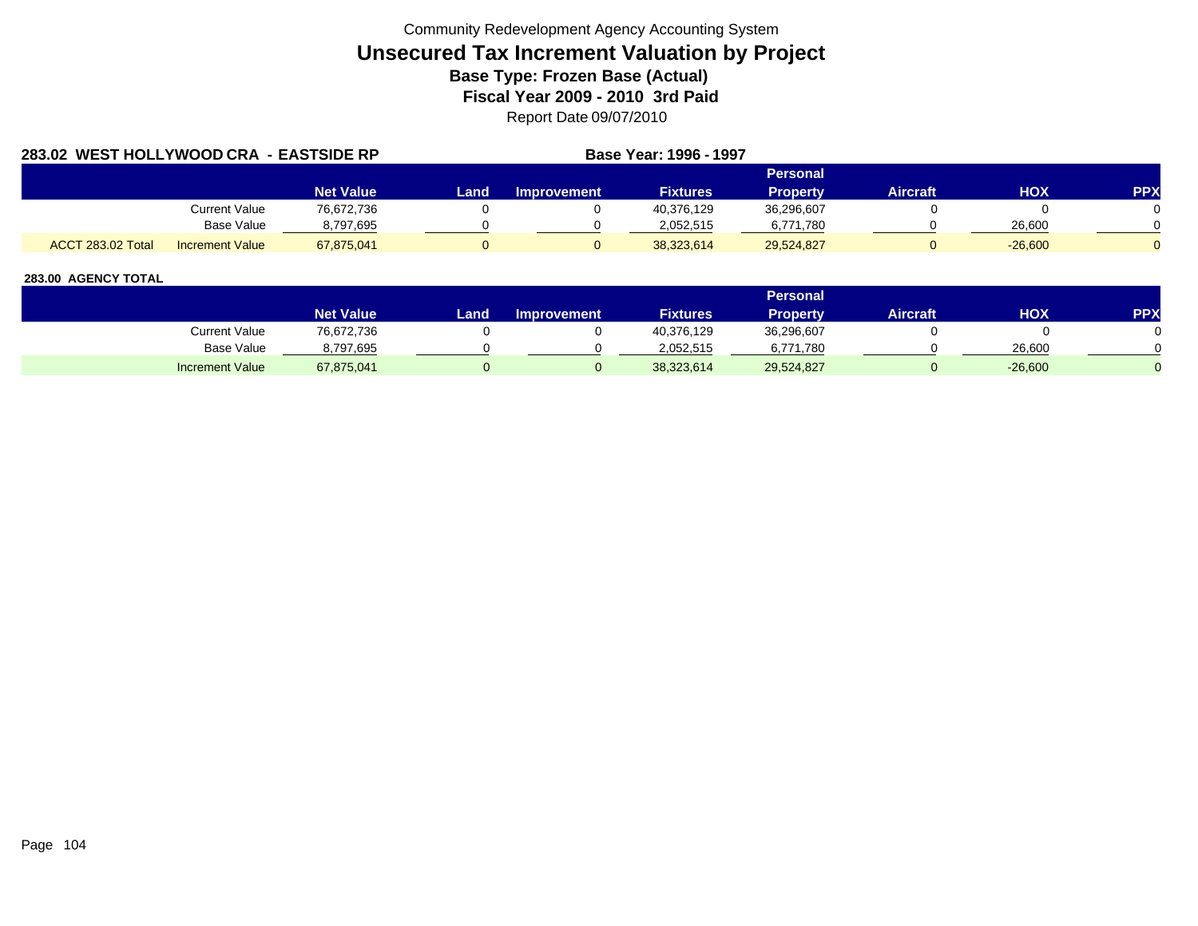| 283.02 WEST HOLLYWOOD CRA - EASTSIDE RP |                        |                  |      |             | Base Year: 1996 - 1997 |                 |                 |            |            |
|-----------------------------------------|------------------------|------------------|------|-------------|------------------------|-----------------|-----------------|------------|------------|
|                                         |                        |                  |      |             |                        | Personal        |                 |            |            |
|                                         |                        | <b>Net Value</b> | Land | Improvement | <b>Fixtures</b>        | <b>Property</b> | <b>Aircraft</b> | <b>HOX</b> | <b>PPX</b> |
|                                         | Current Value          | 76.672.736       |      |             | 40,376,129             | 36.296.607      |                 |            |            |
|                                         | Base Value             | 8,797,695        |      |             | 2.052.515              | 6.771.780       |                 | 26,600     |            |
| <b>ACCT 283.02 Total</b>                | <b>Increment Value</b> | 67.875.041       |      |             | 38.323.614             | 29,524,827      |                 | $-26,600$  |            |

|                        |                  |      |                    |                 | <b>Personal</b> |                 |            |     |
|------------------------|------------------|------|--------------------|-----------------|-----------------|-----------------|------------|-----|
|                        | <b>Net Value</b> | Land | <b>Improvement</b> | <b>Fixtures</b> | <b>Property</b> | <b>Aircraft</b> | <b>HOX</b> | PPX |
| Current Value          | 76,672,736       |      |                    | 40,376,129      | 36,296,607      |                 |            |     |
| Base Value             | 8,797,695        |      |                    | 2.052.515       | 6,771,780       |                 | 26,600     |     |
| <b>Increment Value</b> | 67,875,041       |      |                    | 38,323,614      | 29,524,827      |                 | $-26,600$  |     |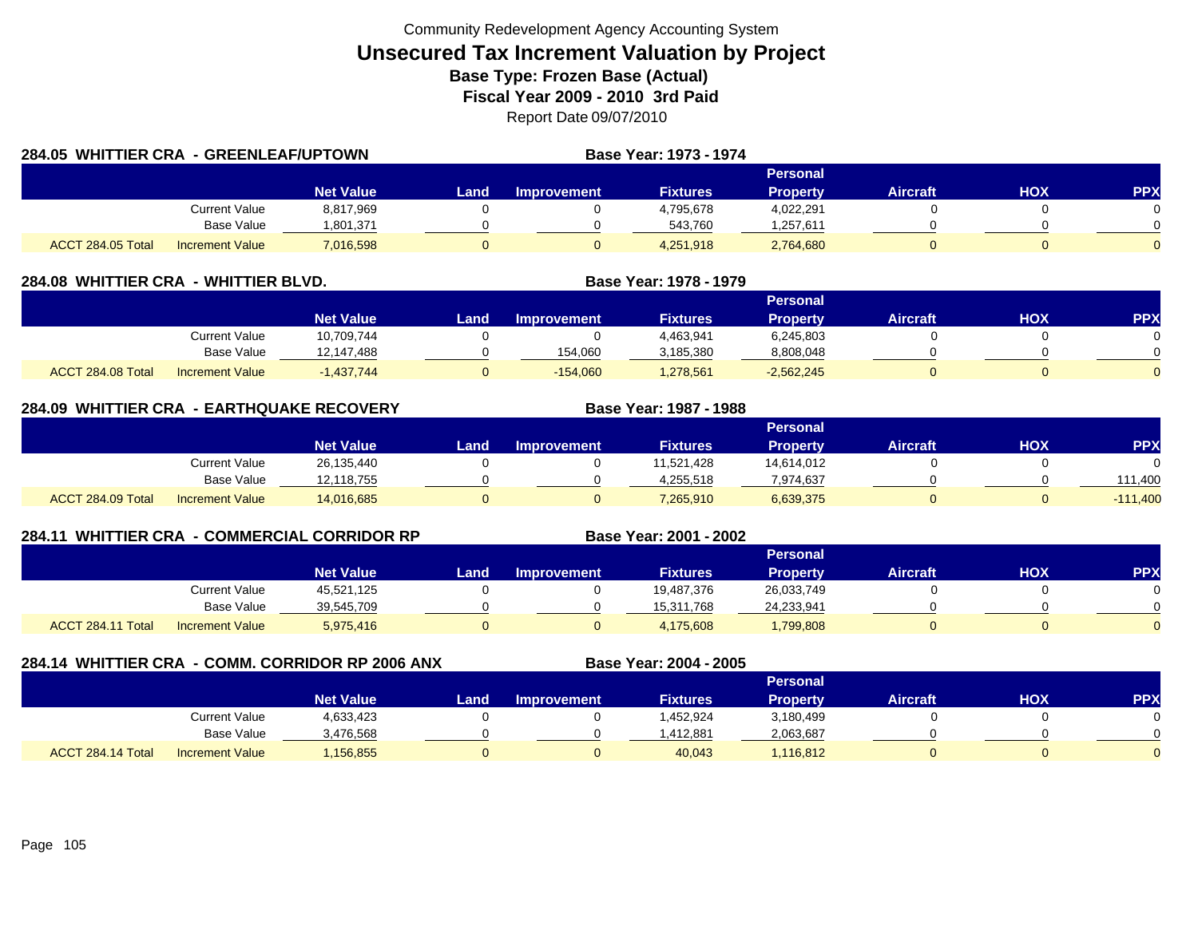| 284.05 WHITTIER CRA - GREENLEAF/UPTOWN |                 |                  |      |             | <b>Base Year: 1973 - 1974</b> |                 |          |     |            |
|----------------------------------------|-----------------|------------------|------|-------------|-------------------------------|-----------------|----------|-----|------------|
|                                        |                 |                  |      |             |                               | Personal        |          |     |            |
|                                        |                 | <b>Net Value</b> | Land | Improvement | <b>Fixtures</b>               | <b>Property</b> | Aircraft | HOX | <b>PPX</b> |
|                                        | Current Value   | 8,817,969        |      |             | 4,795,678                     | 4,022,291       |          |     | $\Omega$   |
|                                        | Base Value      | 1.801.371        |      |             | 543.760                       | ,257,611        |          |     | $\Omega$   |
| ACCT 284.05 Total                      | Increment Value | 7,016,598        |      |             | 4,251,918                     | 2,764,680       |          |     | $\Omega$   |

| 284.08  WHITTIER CRA | - WHITTIER BLVD.       |                  |       | Base Year: 1978 - 1979 |                 |                 |                 |     |            |
|----------------------|------------------------|------------------|-------|------------------------|-----------------|-----------------|-----------------|-----|------------|
|                      |                        |                  |       |                        |                 | <b>Personal</b> |                 |     |            |
|                      |                        | <b>Net Value</b> | Land. | <b>Improvement</b>     | <b>Fixtures</b> | <b>Property</b> | <b>Aircraft</b> | НОХ | <b>PPX</b> |
|                      | <b>Current Value</b>   | 10.709.744       |       |                        | 4,463,941       | 6,245,803       |                 |     |            |
|                      | Base Value             | 12.147.488       |       | 154,060                | 3,185,380       | 8,808,048       |                 |     |            |
| ACCT 284.08 Total    | <b>Increment Value</b> | $-1,437,744$     |       | $-154,060$             | 1,278,561       | $-2,562,245$    |                 |     |            |

| 284.09 WHITTIER CRA - EARTHQUAKE RECOVERY |                        |                  |      |                    | Base Year: 1987 - 1988 |                 |                 |     |            |
|-------------------------------------------|------------------------|------------------|------|--------------------|------------------------|-----------------|-----------------|-----|------------|
|                                           |                        |                  |      |                    |                        | Personal        |                 |     |            |
|                                           |                        | <b>Net Value</b> | Land | <b>Improvement</b> | <b>Fixtures</b>        | <b>Property</b> | <b>Aircraft</b> | нох | <b>PPX</b> |
|                                           | Current Value          | 26,135,440       |      |                    | 11.521.428             | 14,614,012      |                 |     |            |
|                                           | <b>Base Value</b>      | 12,118,755       |      |                    | 4,255,518              | 7,974,637       |                 |     | 111.400    |
| ACCT 284.09 Total                         | <b>Increment Value</b> | 14,016,685       |      |                    | 7,265,910              | 6,639,375       |                 |     | $-111,400$ |

| 284.11            |                        | <b>WHITTIER CRA - COMMERCIAL CORRIDOR RP</b> | Base Year: 2001 - 2002 |                    |                 |                 |          |     |          |
|-------------------|------------------------|----------------------------------------------|------------------------|--------------------|-----------------|-----------------|----------|-----|----------|
|                   |                        |                                              |                        | <b>Personal</b>    |                 |                 |          |     |          |
|                   |                        | <b>Net Value</b>                             | Land                   | <b>Improvement</b> | <b>Fixtures</b> | <b>Property</b> | Aircraft | HOX | PPX      |
|                   | <b>Current Value</b>   | 45,521,125                                   |                        |                    | 19,487,376      | 26,033,749      |          |     | $\Omega$ |
|                   | <b>Base Value</b>      | 39,545,709                                   |                        |                    | 15,311,768      | 24,233,941      |          |     | $\Omega$ |
| ACCT 284.11 Total | <b>Increment Value</b> | 5,975,416                                    | 0                      |                    | 4,175,608       | ,799,808        |          |     | $\Omega$ |

| 284.14 WHITTIER CRA - COMM. CORRIDOR RP 2006 ANX |                   |                        |                  |                 |                    | Base Year: 2004 - 2005 |                 |                 |     |            |
|--------------------------------------------------|-------------------|------------------------|------------------|-----------------|--------------------|------------------------|-----------------|-----------------|-----|------------|
|                                                  |                   |                        |                  | <b>Personal</b> |                    |                        |                 |                 |     |            |
|                                                  |                   |                        | <b>Net Value</b> | Land            | <b>Improvement</b> | <b>Fixtures</b>        | <b>Property</b> | <b>Aircraft</b> | нох | <b>PPX</b> |
|                                                  |                   | Current Value          | 4,633,423        |                 |                    | .452.924               | 3,180,499       |                 |     |            |
|                                                  |                   | Base Value             | 3,476,568        |                 |                    | .412,881               | 2,063,687       |                 |     |            |
|                                                  | ACCT 284.14 Total | <b>Increment Value</b> | ,156,855         |                 |                    | 40,043                 | 1.116.812       |                 |     |            |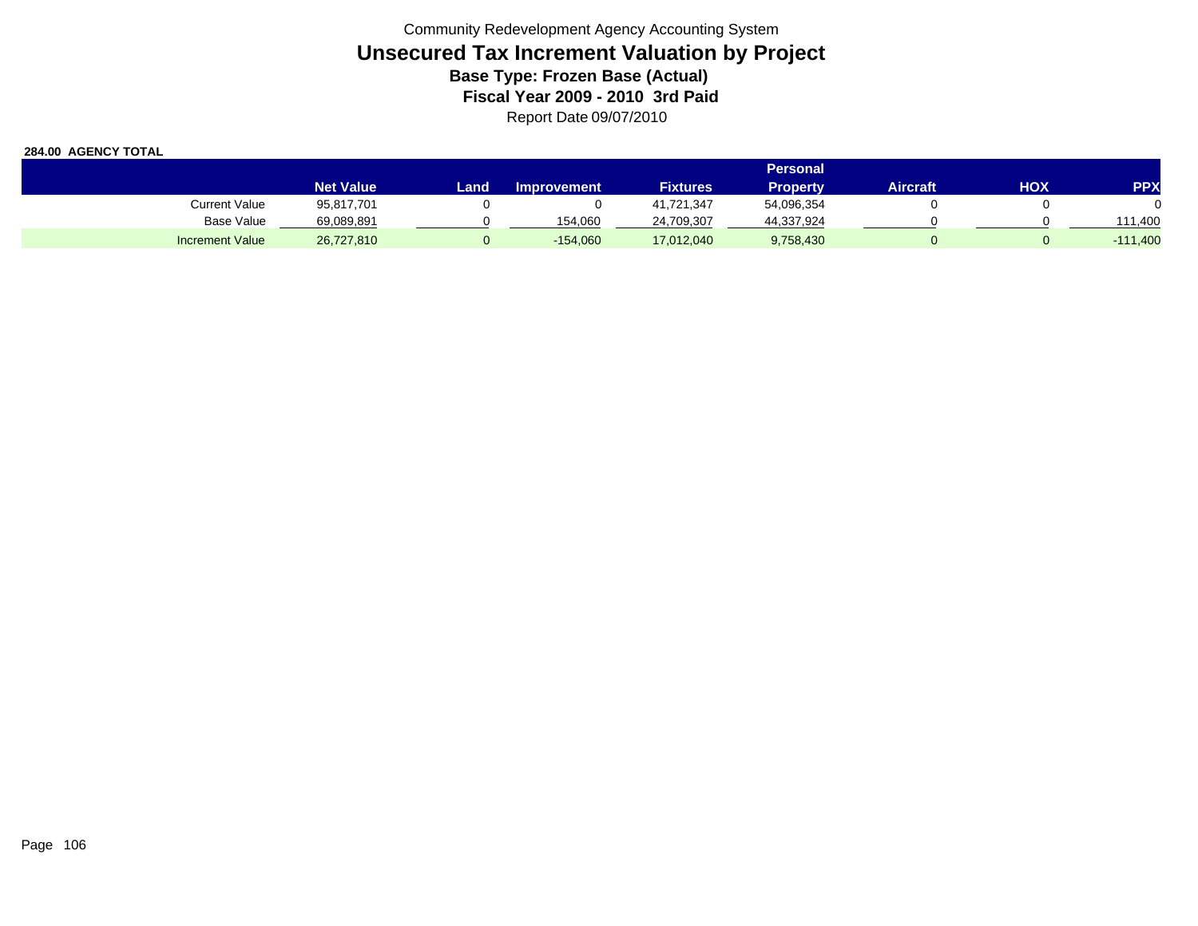|                        | <b>Personal</b>  |       |                    |                 |                 |          |     |                   |
|------------------------|------------------|-------|--------------------|-----------------|-----------------|----------|-----|-------------------|
|                        | <b>Net Value</b> | Land. | <b>Improvement</b> | <b>Fixtures</b> | <b>Property</b> | Aircraft | ΗΟΧ | <b>PPX</b>        |
| Current Value          | 95,817,701       |       |                    | 41,721,347      | 54,096,354      |          |     |                   |
| Base Value             | 69,089,891       |       | 154.060            | 24,709,307      | 44,337,924      |          |     | 111.400           |
| <b>Increment Value</b> | 26,727,810       |       | $-154,060$         | 17,012,040      | 9,758,430       |          |     | $-111,400$<br>- 1 |